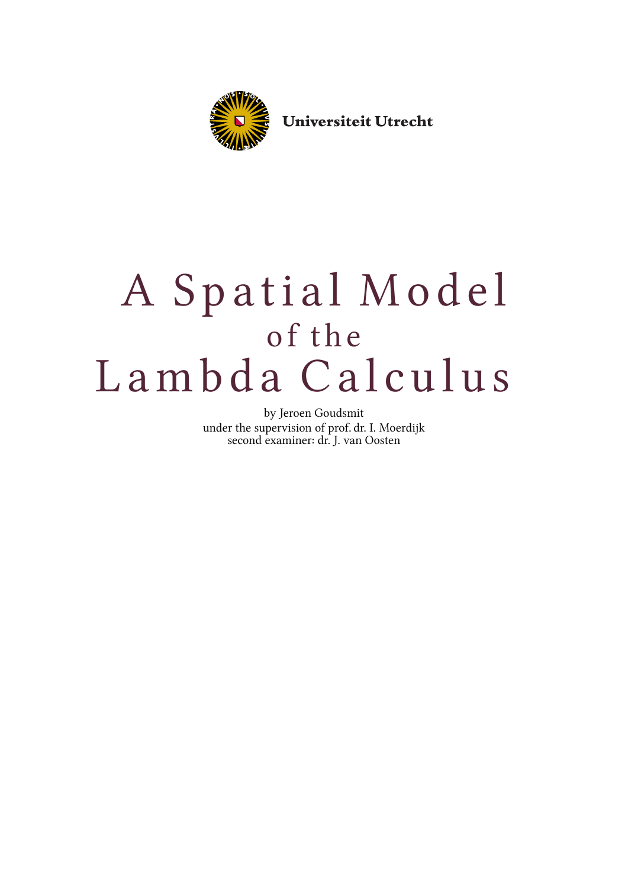

**Universiteit Utrecht** 

# A Spatial Model of the Lambda Calculus

by Jeroen Goudsmit under the supervision of prof. dr. I. Moerdijk second examiner: dr. J. van Oosten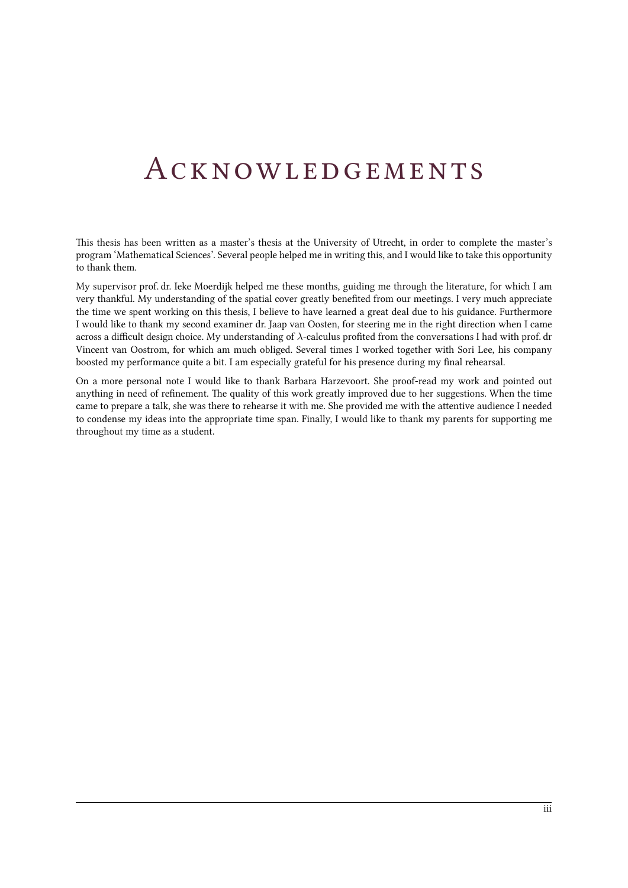# <span id="page-2-0"></span>ACKNOWLEDGEMENTS

This thesis has been written as a master's thesis at the University of Utrecht, in order to complete the master's program 'Mathematical Sciences'. Several people helped me in writing this, and I would like to take this opportunity to thank them.

My supervisor prof. dr. Ieke Moerdijk helped me these months, guiding me through the literature, for which I am very thankful. My understanding of the spatial cover greatly benefited from our meetings. I very much appreciate the time we spent working on this thesis, I believe to have learned a great deal due to his guidance. Furthermore I would like to thank my second examiner dr. Jaap van Oosten, for steering me in the right direction when I came across a difficult design choice. My understanding of *λ*-calculus profited from the conversations I had with prof. dr Vincent van Oostrom, for which am much obliged. Several times I worked together with Sori Lee, his company boosted my performance quite a bit. I am especially grateful for his presence during my final rehearsal.

On a more personal note I would like to thank Barbara Harzevoort. She proof-read my work and pointed out anything in need of refinement. The quality of this work greatly improved due to her suggestions. When the time came to prepare a talk, she was there to rehearse it with me. She provided me with the attentive audience I needed to condense my ideas into the appropriate time span. Finally, I would like to thank my parents for supporting me throughout my time as a student.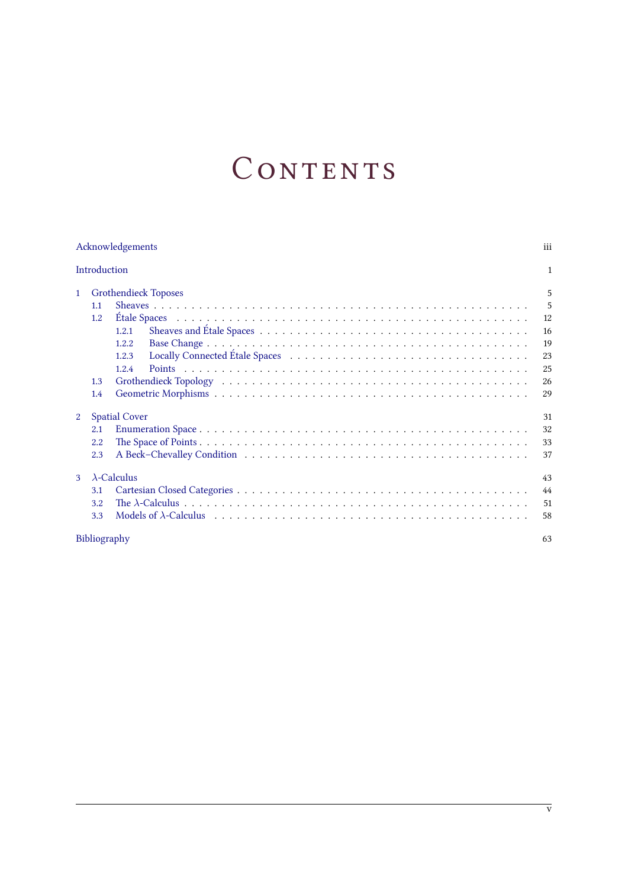# CONTENTS

#### Acknowledgements iii

| Introduction<br>1 |                             |                                                                                                                                                                                                                                |    |  |  |
|-------------------|-----------------------------|--------------------------------------------------------------------------------------------------------------------------------------------------------------------------------------------------------------------------------|----|--|--|
| $\mathbf{1}$      | <b>Grothendieck Toposes</b> |                                                                                                                                                                                                                                |    |  |  |
|                   | 1.1                         |                                                                                                                                                                                                                                | 5  |  |  |
|                   | 1.2                         |                                                                                                                                                                                                                                | 12 |  |  |
|                   |                             | 1.2.1                                                                                                                                                                                                                          | 16 |  |  |
|                   |                             | 1.2.2                                                                                                                                                                                                                          | 19 |  |  |
|                   |                             | 1.2.3                                                                                                                                                                                                                          | 23 |  |  |
|                   |                             | 1.2.4                                                                                                                                                                                                                          | 25 |  |  |
|                   | 1.3                         | Grothendieck Topology (and a series of the series of the series of the series of the series of the series of the series of the series of the series of the series of the series of the series of the series of the series of t | 26 |  |  |
|                   | 1.4                         |                                                                                                                                                                                                                                | 29 |  |  |
| 2                 | <b>Spatial Cover</b>        |                                                                                                                                                                                                                                |    |  |  |
|                   | 2.1                         |                                                                                                                                                                                                                                | 32 |  |  |
|                   | 2.2                         |                                                                                                                                                                                                                                | 33 |  |  |
|                   | 2.3                         |                                                                                                                                                                                                                                | 37 |  |  |
| 3                 |                             | $\lambda$ -Calculus                                                                                                                                                                                                            | 43 |  |  |
|                   | 3.1                         |                                                                                                                                                                                                                                | 44 |  |  |
|                   | 3.2                         |                                                                                                                                                                                                                                | 51 |  |  |
|                   | 3.3                         |                                                                                                                                                                                                                                | 58 |  |  |
|                   |                             | Bibliography                                                                                                                                                                                                                   | 63 |  |  |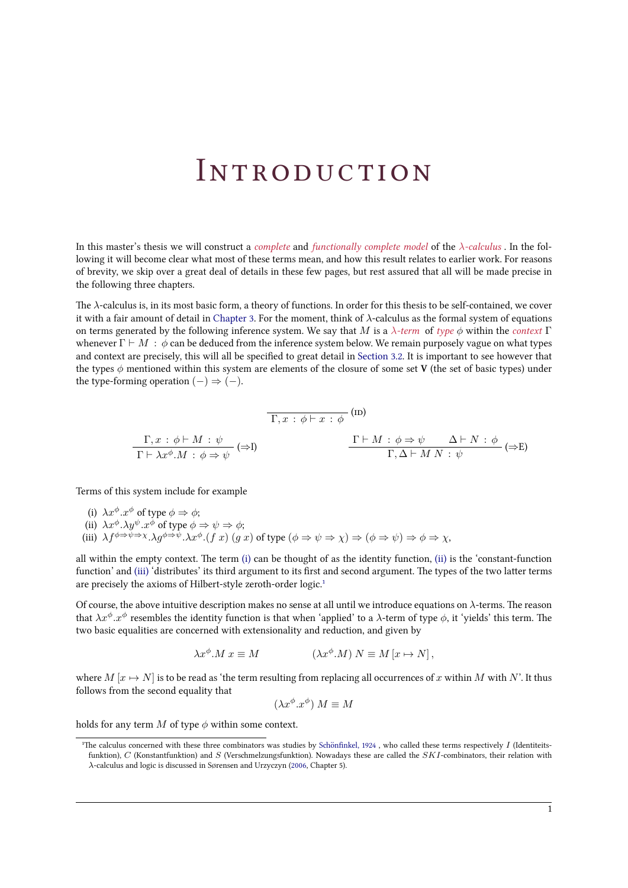# INTRODUCTION

<span id="page-6-5"></span><span id="page-6-0"></span>In this master's thesis we will construct a *complete* and *functionally complete model* of the *λ-calculus* . In the following it will become clear what most of these terms mean, and how this result relates to earlier work. For reasons of brevity, we skip over a great deal of details in these few pages, but rest assured that all will be made precise in the following three chapters.

e *λ*-calculus is, in its most basic form, a theory of functions. In order for this thesis to be self-contained, we cover it with a fair amount of detail in Chapter 3. For the moment, think of  $\lambda$ -calculus as the formal system of equations on terms generated by the following inference system. We say that *M* is a *λ-term* of *type ϕ* within the *context* Γ whenever  $\Gamma \vdash M$  :  $\phi$  can be deduced from the inference system below. We remain purposely vague on what types and context are precisely, this will all be specified to great detail in Section 3.2. It is important to see however that the types *ϕ* mentioned within th[is system](#page-48-0) are elements of the closure of some set **V** (the set of basic types) under the type-forming operation  $(-) \Rightarrow (-)$ .

$$
\Gamma, x : \phi \vdash x : \phi \qquad (ID)
$$
\n
$$
\Gamma, x : \phi \vdash M : \psi
$$
\n
$$
\Gamma \vdash \lambda x^{\phi}.M : \phi \Rightarrow \psi
$$
\n
$$
\phi \Rightarrow \psi
$$
\n
$$
\Gamma \vdash \lambda x^{\phi}.M : \phi \Rightarrow \psi
$$
\n
$$
\Gamma, \Delta \vdash M N : \psi
$$
\n
$$
\Gamma, \Delta \vdash M N : \psi
$$
\n
$$
\Box \vdash \lambda x^{\phi}.M : \phi \Rightarrow \psi
$$

Terms of this system include for example

(i)  $\lambda x^{\phi} \cdot x^{\phi}$  of type  $\phi \Rightarrow \phi$ ; (ii)  $\lambda x^{\phi}.\lambda y^{\psi}.x^{\phi}$  of type  $\phi \Rightarrow \psi \Rightarrow \phi$ ; (iii)  $\lambda f^{\phi \Rightarrow \psi \Rightarrow \chi}.\lambda g^{\phi \Rightarrow \psi}.\lambda x^{\phi}.(f x) (g x)$  of type  $(\phi \Rightarrow \psi \Rightarrow \chi) \Rightarrow (\phi \Rightarrow \psi) \Rightarrow \phi \Rightarrow \chi$ ,

<span id="page-6-2"></span><span id="page-6-1"></span>all within the empty context. The term  $(i)$  can be thought of as the identity function,  $(ii)$  is the 'constant-function function' and (iii) 'distributes' its third argument to its first and second argument. The types of the two latter terms are precisely the axioms of Hilbert-style zeroth-order logic.<sup>1</sup>

<span id="page-6-3"></span>Of course, the above intuitive descriptio[n m](#page-6-1)akes no sense at all until we introduce equa[tion](#page-6-2)s on  $\lambda$ -terms. The reason that  $\lambda x^{\phi} . x^{\phi}$  [resem](#page-6-3)bles the identity function is that when 'applied' to a λ-term of type φ, it 'yields' this term. The two basic equalities are concerned with extensionality and [r](#page-6-4)eduction, and given by

$$
\lambda x^{\phi}.M x \equiv M \qquad (\lambda x^{\phi}.M) N \equiv M [x \mapsto N],
$$

where  $M[x \mapsto N]$  is to be read as 'the term resulting from replacing all occurrences of x within M with N'. It thus follows from the second equality that

$$
(\lambda x^{\phi}.x^{\phi}) M \equiv M
$$

holds for any term  $M$  of type  $\phi$  within some context.

<span id="page-6-4"></span><sup>&</sup>lt;sup>1</sup>The calculus concerned with these three combinators was studies by Schönfinkel, 1924, who called these terms respectively *I* (Identiteitsfunktion), *C* (Konstantfunktion) and *S* (Verschmelzungsfunktion). Nowadays these are called the *SKI*-combinators, their relation with *λ*-calculus and logic is discussed in Sørensen and Urzyczyn (2006, Chapter 5).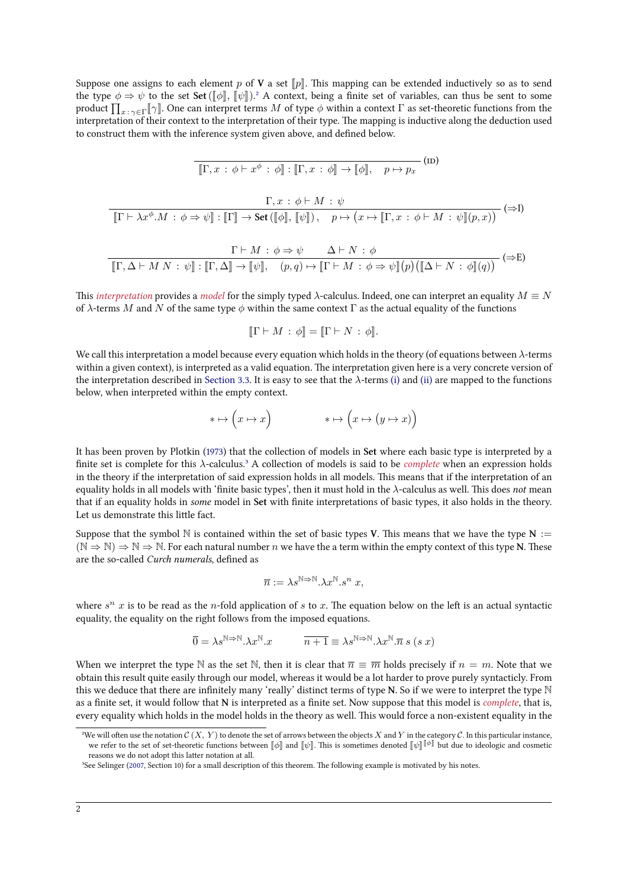Suppose one assigns to each element p of **V** a set  $\llbracket p \rrbracket$ . This mapping can be extended inductively so as to send the type  $\phi \Rightarrow \psi$  to the set Set ( $\llbracket \phi \rrbracket$ ,  $\llbracket \psi \rrbracket$ ).<sup>2</sup> A context, being a finite set of variables, can thus be sent to some *product*  $\prod_{x:\gamma\in\Gamma}[\gamma]$ . One can interpret terms *M* of type *ϕ* within a context Γ as set-theoretic functions from the interpretation of their context to the interpretation of their type. The mapping is inductive along the deduction used to construct them with the inference system given above, and defined below.

<span id="page-7-0"></span>
$$
\boxed{\begin{aligned}\n\boxed{\begin{bmatrix}\n\Gamma, x : \phi \vdash x^{\phi} : \phi \end{bmatrix} : \boxed{\begin{bmatrix}\n\Gamma, x : \phi \end{bmatrix} \rightarrow \boxed{\phi}}_{n}, \quad p \mapsto p_{x}} \quad (\text{ID}) \\
\frac{\begin{bmatrix}\n\Gamma \vdash \lambda x^{\phi}. M : \phi \Rightarrow \psi \end{bmatrix} : \boxed{\begin{bmatrix}\n\Gamma \end{bmatrix} \rightarrow \text{Set}\begin{bmatrix}\n\llbracket \phi \rrbracket, \llbracket \psi \rrbracket\n\end{bmatrix}, \quad p \mapsto (x \mapsto \boxed{\begin{bmatrix}\n\Gamma, x : \phi \vdash M : \psi \end{bmatrix} \begin{bmatrix}\n\llbracket p, x \rrbracket\n\end{bmatrix})} \quad (\Rightarrow \text{I}) \\
\frac{\begin{bmatrix}\n\Gamma \vdash M : \phi \Rightarrow \psi & \Delta \vdash N : \phi \\
\llbracket \Gamma, \Delta \vdash M N : \psi \rrbracket : \llbracket \Gamma, \Delta \rrbracket \rightarrow \llbracket \psi \rrbracket, \quad (p, q) \mapsto \llbracket \Gamma \vdash M : \phi \Rightarrow \psi \rrbracket \begin{bmatrix}\n\llbracket \Delta \vdash N : \phi \rrbracket \begin{bmatrix}\n\llbracket q \rrbracket\n\end{bmatrix}\n\end{bmatrix} \quad (\Rightarrow \text{E})\n\end{aligned}
$$

This *interpretation* provides a *model* for the simply typed  $\lambda$ -calculus. Indeed, one can interpret an equality  $M \equiv N$ of  $\lambda$ -terms *M* and *N* of the same type  $\phi$  within the same context  $\Gamma$  as the actual equality of the functions

$$
[\![\Gamma \vdash M \,:\, \phi]\!] = [\![\Gamma \vdash N \,:\, \phi]\!].
$$

We call this interpretation a model because every equation which holds in the theory (of equations between *λ*-terms within a given context), is interpreted as a valid equation. The interpretation given here is a very concrete version of the interpretation described in Section 3.3. It is easy to see that the  $λ$ -terms (i) and (ii) are mapped to the functions below, when interpreted within the empty context.

$$
\ast \mapsto \Big(x \mapsto x\Big) \qquad \qquad \ast \mapsto \Big(x \mapsto (y \mapsto x)\Big)
$$

It has been proven by Plotkin (1973) that the collection of models in Set where each basic type is interpreted by a finite set is complete for this *λ*-calculus.³ A collection of models is said to be *complete* when an expression holds in the theory if the interpretation of said expression holds in all models. This means that if the interpretation of an equality holds in all models with 'finite basic types', then it must hold in the  $\lambda$ -calculus as well. This does *not* mean that if an equality holds in *some* [mo](#page-69-0)del in **Set** with finite interpretations of basic types, it also holds in the theory. Let us demonstrate this little fact.

Suppose that the symbol  $\mathbb N$  is contained within the set of basic types **V**. This means that we have the type  $\mathbb N :=$  $(N \Rightarrow N) \Rightarrow N \Rightarrow N$ . For each natural number *n* we have the a term within the empty context of this type N. These are the so-called *Curch numerals*, defined as

$$
\overline{n} := \lambda s^{\mathbb{N} \Rightarrow \mathbb{N}}.\lambda x^{\mathbb{N}}.s^n x,
$$

where  $s^n$  x is to be read as the *n*-fold application of s to x. The equation below on the left is an actual syntactic equality, the equality on the right follows from the imposed equations.

$$
\overline{0} = \lambda s^{\mathbb{N} \Rightarrow \mathbb{N}}.\lambda x^{\mathbb{N}}.x \qquad \overline{n+1} \equiv \lambda s^{\mathbb{N} \Rightarrow \mathbb{N}}.\lambda x^{\mathbb{N}}.\overline{n} s (s x)
$$

When we interpret the type N as the set N, then it is clear that  $\overline{n} \equiv \overline{m}$  holds precisely if  $n = m$ . Note that we obtain this result quite easily through our model, whereas it would be a lot harder to prove purely syntacticly. From this we deduce that there are infinitely many 'really' distinct terms of type N. So if we were to interpret the type  $\mathbb N$ as a finite set, it would follow that **N** is interpreted as a finite set. Now suppose that this model is *complete*, that is, every equality which holds in the model holds in the theory as well. This would force a non-existent equality in the

<sup>&</sup>lt;sup>2</sup>We will often use the notation  $C(X, Y)$  to denote the set of arrows between the objects X and Y in the category C. In this particular instance, we refer to the set of set-theoretic functions between  $\llbracket \phi \rrbracket$  and  $\llbracket \psi \rrbracket$ . This is sometimes denoted  $\llbracket \psi \rrbracket^{\llbracket \phi \rrbracket}$  but due to ideologic and cosmetic reasons we do not adopt this latter notation at all.

<sup>&</sup>lt;sup>3</sup>See Selinger (2007, Section 10) for a small description of this theorem. The following example is motivated by his notes.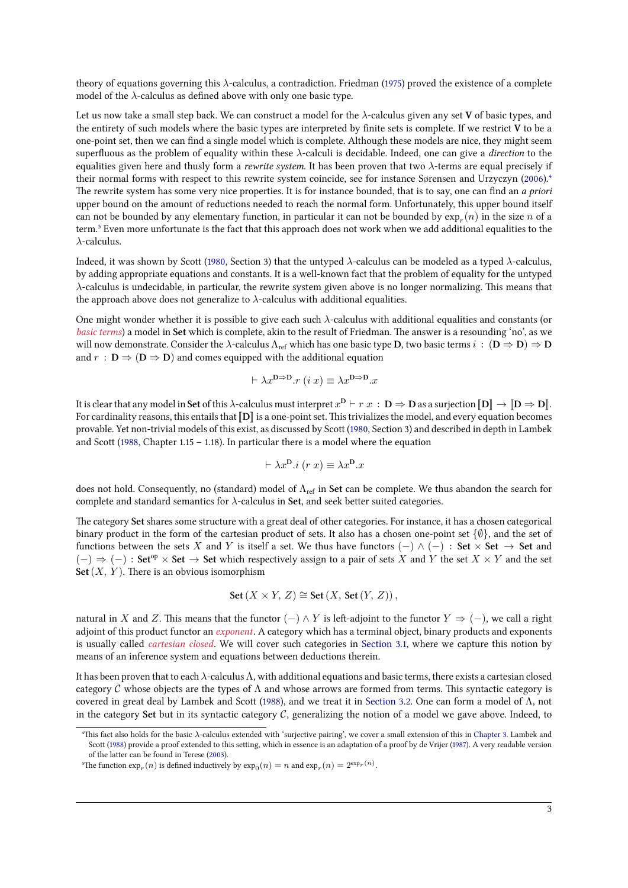theory of equations governing this *λ*-calculus, a contradiction. Friedman (1975) proved the existence of a complete model of the *λ*-calculus as defined above with only one basic type.

<span id="page-8-2"></span>Let us now take a small step back. We can construct a model for the  $\lambda$ -calculus given any set **V** of basic types, and the entirety of such models where the basic types are interpreted by finite sets is complete. If we restrict **V** to be a one-point set, then we can find a single model which is complete. Althoug[h the](#page-68-0)se models are nice, they might seem superfluous as the problem of equality within these *λ*-calculi is decidable. Indeed, one can give a *direction* to the equalities given here and thusly form a *rewrite system*. It has been proven that two *λ*-terms are equal precisely if their normal forms with respect to this rewrite system coincide, see for instance Sørensen and Urzyczyn (2006).<sup>4</sup> e rewrite system has some very nice properties. It is for instance bounded, that is to say, one can find an *a priori* upper bound on the amount of reductions needed to reach the normal form. Unfortunately, this upper bound itself can not be bounded by any elementary function, in particular it can not be bounded by  $\exp_r(n)$  in the size  $n$  of a term.<sup>5</sup> Even more unfortunate is the fact that this approach does not work when we add additional equalitie[s to th](#page-69-1)[e](#page-8-0) *λ*-calculus.

Indeed, it was shown by Scott (1980, Section 3) that the untyped  $\lambda$ -calculus can be modeled as a typed  $\lambda$ -calculus, by adding appropriate equations and constants. It is a well-known fact that the problem of equality for the untyped  $\lambda$ -[c](#page-8-1)alculus is undecidable, in particular, the rewrite system given above is no longer normalizing. This means that the approach above does not generalize to  $\lambda$ -calculus with additional equalities.

One might wonder whether it i[s pos](#page-69-2)sible to give each such λ-calculus with additional equalities and constants (or *basic terms*) a model in Set which is complete, akin to the result of Friedman. The answer is a resounding 'no', as we will now demonstrate. Consider the  $\lambda$ -calculus  $\Lambda_{\text{ref}}$  which has one basic type **D**, two basic terms *i* : (**D**  $\Rightarrow$  **D**)  $\Rightarrow$  **D** and  $r : D \Rightarrow (D \Rightarrow D)$  and comes equipped with the additional equation

$$
\vdash \lambda x^{\mathbf{D}\Rightarrow\mathbf{D}}.\mathbf{r} \ (i\ x) \equiv \lambda x^{\mathbf{D}\Rightarrow\mathbf{D}}.\mathbf{x}
$$

<u>M</u></u> is clear that any model in Set of this *λ*-calculus must interpret *x*<sup>D</sup> *⊢ r x* : **D**  $\Rightarrow$  **D** as a surjection  $[D] \rightarrow [D \Rightarrow D]$ . For cardinality reasons, this entails that  $\llbracket D \rrbracket$  is a one-point set. This trivializes the model, and every equation becomes provable. Yet non-trivial models of this exist, as discussed by Scott (1980, Section 3) and described in depth in Lambek and Scott (1988, Chapter 1.15 – 1.18). In particular there is a model where the equation

$$
\vdash \lambda x^{\mathbf{D}}.i \ (r \ x) \equiv \lambda x^{\mathbf{D}}.x
$$

does not h[old.](#page-69-3) Consequently, no (standard) model of  $\Lambda_{ref}$  in **Set** c[an b](#page-69-2)e complete. We thus abandon the search for complete and standard semantics for *λ*-calculus in Set, and seek better suited categories.

The category Set shares some structure with a great deal of other categories. For instance, it has a chosen categorical binary product in the form of the cartesian product of sets. It also has a chosen one-point set {Ø}, and the set of functions between the sets *X* and *Y* is itself a set. We thus have functors  $(-) \wedge (-)$  : Set  $\times$  Set  $\rightarrow$  Set and  $(-)$   $\Rightarrow$   $(-)$  : **Set**<sup>op</sup>  $\times$  **Set**  $\rightarrow$  **Set** which respectively assign to a pair of sets *X* and *Y* the set *X*  $\times$  *Y* and the set **Set**  $(X, Y)$ . There is an obvious isomorphism

$$
\mathsf{Set}\left(X \times Y, Z\right) \cong \mathsf{Set}\left(X, \mathsf{Set}\left(Y, Z\right)\right),
$$

natural in *X* and *Z*. This means that the functor ( $-\rangle \wedge Y$  is left-adjoint to the functor  $Y \Rightarrow (-)$ , we call a right adjoint of this product functor an *exponent*. A category which has a terminal object, binary products and exponents is usually called *cartesian closed*. We will cover such categories in Section 3.1, where we capture this notion by means of an inference system and equations between deductions therein.

It has been proven that to each  $\lambda$ -calculus Λ, with additional equations and basic terms, there exists a cartesian closed category  $\mathcal C$  whose objects are the types of  $\Lambda$  and whose arrows are formed from terms. This syntactic category is covered in great deal by Lambek and Scott (1988), and we treat it in Section 3.2. One can form a model of  $\Lambda$ , not in the category Set but in its syntactic category  $C$ , generalizing the notion of a model we gave above. Indeed, to

<sup>&</sup>lt;sup>4</sup>This fact also holds for the basic *λ*-calculus extended with 'surjective pairing', we cover a small extension of this in Chapter 3. Lambek and Scott (1988) provide a proof extended to this setting, [whi](#page-69-3)ch in essence is an adaptati[on of a proof b](#page-56-0)y de Vrijer (1987). A very readable version of the latter can be found in Terese (2003).

<span id="page-8-1"></span><span id="page-8-0"></span><sup>&</sup>lt;sup>5</sup>The function  $\exp_r(n)$  is defined inductively by  $\exp_0(n) = n$  and  $\exp_r(n) = 2^{\exp_r(n)}$ .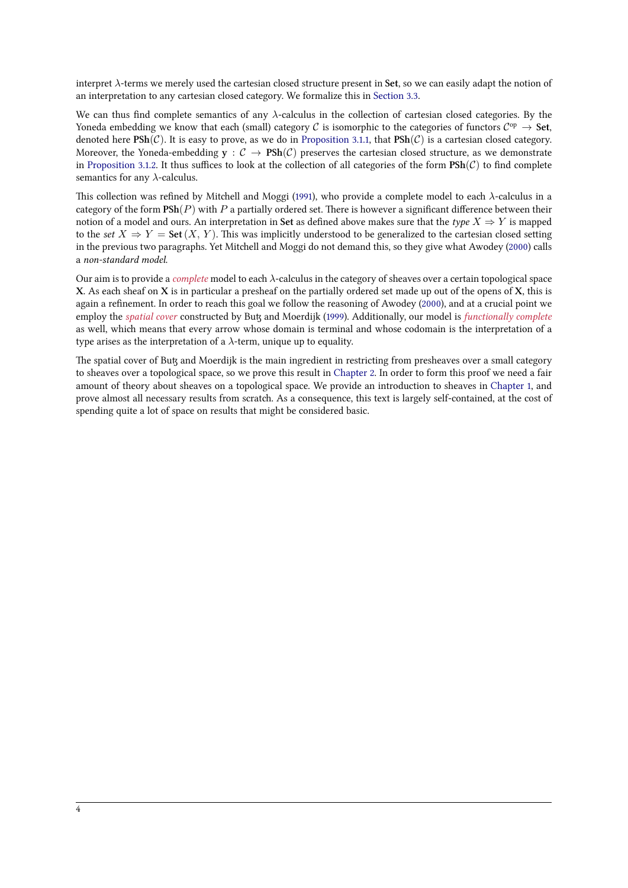interpret *λ*-terms we merely used the cartesian closed structure present in **Set**, so we can easily adapt the notion of an interpretation to any cartesian closed category. We formalize this in Section 3.3.

<span id="page-9-0"></span>We can thus find complete semantics of any *λ*-calculus in the collection of cartesian closed categories. By the Yoneda embedding we know that each (small) category  $C$  is isomorphic to the categories of functors  $C^{op} \to$  Set, denoted here  $\text{PSh}(\mathcal{C})$ . It is easy to prove, as we do in Proposition 3.1.1, that  $\text{PSh}(\mathcal{C})$  is a cartesian closed category. Moreover, the Yoneda-embedding  $\mathbf{y}: \mathcal{C} \to \text{PSh}(\mathcal{C})$  preserves the car[tesian close](#page-63-0)d structure, as we demonstrate in Proposition 3.1.2. It thus suffices to look at the collection of all categories of the form  $\text{PSh}(\mathcal{C})$  to find complete semantics for any *λ*-calculus.

This collection was refined by Mitchell and Moggi (1991[\), who provid](#page-52-0)e a complete model to each  $\lambda$ -calculus in a category of the form  $\text{PSh}(P)$  with  $P$  a partially ordered set. There is however a significant difference between their no[tion of a model a](#page-54-0)nd ours. An interpretation in Set as defined above makes sure that the *type*  $X \Rightarrow Y$  is mapped to the *set*  $X \Rightarrow Y = \text{Set}(X, Y)$ . This was implicitly understood to be generalized to the cartesian closed setting in the previous two paragraphs. Yet Mitchell and Mo[ggi d](#page-69-4)o not demand this, so they give what Awodey (2000) calls a *non-standard model*.

Our aim is to provide a *complete* model to each λ-calculus in the category of sheaves over a certain topological space **X**. As each sheaf on **X** is in particular a presheaf on the partially ordered set made up out of the opens of **X**, this is again a refinement. In order to reach this goal we follow the reasoning of Awodey (2000), and at a cruci[al poi](#page-68-1)nt we employ the *spatial cover* constructed by But<sub>x</sub> and Moerdijk (1999). Additionally, our model is *functionally complete* as well, which means that every arrow whose domain is terminal and whose codomain is the interpretation of a type arises as the interpretation of a  $\lambda$ -term, unique up to equality.

The spatial cover of But, and Moerdijk is the main ingredient in restricting from p[reshe](#page-68-1)aves over a small category to sheaves over a topological space, so we prove this result in [Ch](#page-68-2)apter 2. In order to form this proof we need a fair amount of theory about sheaves on a topological space. We provide an introduction to sheaves in Chapter 1, and prove almost all necessary results from scratch. As a consequence, this text is largely self-contained, at the cost of spending quite a lot of space on results that might be considered basic.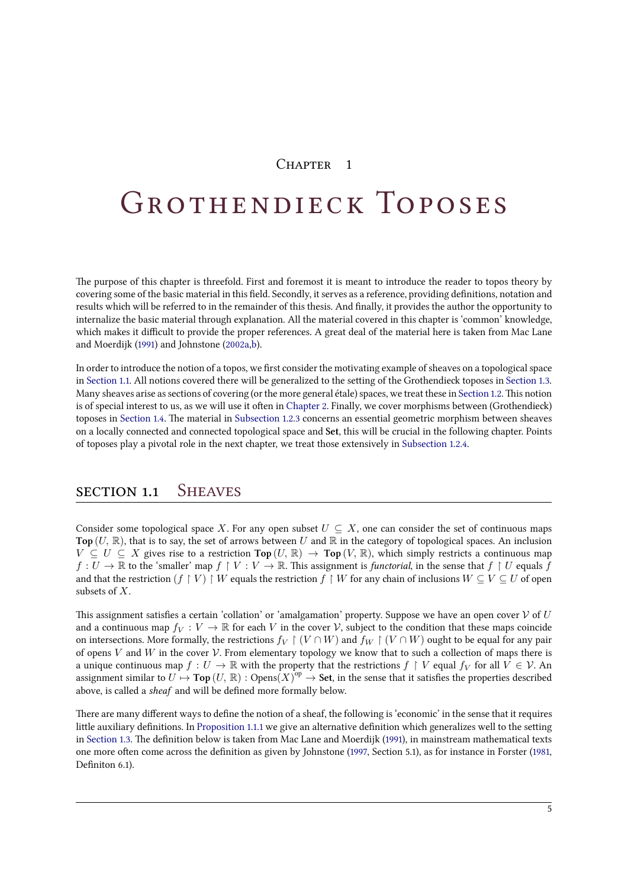#### CHAPTER<sub>1</sub>

# <span id="page-10-3"></span><span id="page-10-0"></span>GROTHENDIECK TOPOSES

The purpose of this chapter is threefold. First and foremost it is meant to introduce the reader to topos theory by covering some of the basic material in this field. Secondly, it serves as a reference, providing definitions, notation and results which will be referred to in the remainder of this thesis. And finally, it provides the author the opportunity to internalize the basic material through explanation. All the material covered in this chapter is 'common' knowledge, which makes it difficult to provide the proper references. A great deal of the material here is taken from Mac Lane and Moerdijk  $(1991)$  and Johnstone  $(2002a,b)$ .

In order to introduce the notion of a topos, we first consider the motivating example of sheaves on a topological space in Section 1.1. All notions covered there will be generalized to the setting of the Grothendieck toposes in Section 1.3. Many sheaves [arise](#page-69-5) as sections of co[vering](#page-68-3) [\(o](#page-69-6)r the more general étale) spaces, we treat these in Section 1.2. This notion is of special interest to us, as we will use it often in Chapter 2. Finally, we cover morphisms between (Grothendieck) toposes in Section 1.4. The material in Subsection 1.2.3 concerns an essential geometric morphism between sheaves o[n a locally c](#page-10-1)onnected and connected topological space and **Set**, this will be crucial in the following a[pter. Points](#page-31-0) of toposes play a pivotal role in the next chapter, we treat those extensively in Subsection 1.2.4.

### **SECTION 1.1 SHEAVES**

<span id="page-10-1"></span>Consider some topological space *X*. For any open subset  $U \subseteq X$ , one can consider the set of continuous maps **Top**  $(U, \mathbb{R})$ , that is to say, the set of arrows between *U* and  $\mathbb{R}$  in the category of topological spaces. An inclusion  $V \subseteq U \subseteq X$  gives rise to a restriction  $\text{Top}(U, \mathbb{R}) \to \text{Top}(V, \mathbb{R})$ , which simply restricts a continuous map  $f: U \to \mathbb{R}$  to the 'smaller' map  $f \restriction V: V \to \mathbb{R}$ . This assignment is *functorial*, in the sense that  $f \restriction U$  equals  $f$ and that the restriction  $(f \restriction V) \restriction W$  equals the restriction  $f \restriction W$  for any chain of inclusions  $W \subseteq V \subseteq U$  of open subsets of *X*.

This assignment satisfies a certain 'collation' or 'amalgamation' property. Suppose we have an open cover  $V$  of  $U$ and a continuous map  $f_V: V \to \mathbb{R}$  for each *V* in the cover *V*, subject to the condition that these maps coincide on intersections. More formally, the restrictions  $f_V \restriction (V \cap W)$  and  $f_W \restriction (V \cap W)$  ought to be equal for any pair of opens  $V$  and  $W$  in the cover  $V$ . From elementary topology we know that to such a collection of maps there is a unique continuous map  $f: U \to \mathbb{R}$  with the property that the restrictions  $f \restriction V$  equal  $f_V$  for all  $V \in V$ . An assignment similar to  $U \mapsto \text{Top}\,(U,\,\mathbb{R})$  : Opens $(X)^\text{op} \to \text{Set},$  in the sense that it satisfies the properties described above, is called a *sheaf* and will be defined more formally below.

<span id="page-10-2"></span>There are many different ways to define the notion of a sheaf, the following is 'economic' in the sense that it requires little auxiliary definitions. In Proposition 1.1.1 we give an alternative definition which generalizes well to the setting in Section 1.3. The definition below is taken from Mac Lane and Moerdijk (1991), in mainstream mathematical texts one more often come across the definition as given by Johnstone (1997, Section 5.1), as for instance in Forster (1981, Definiton 6.1).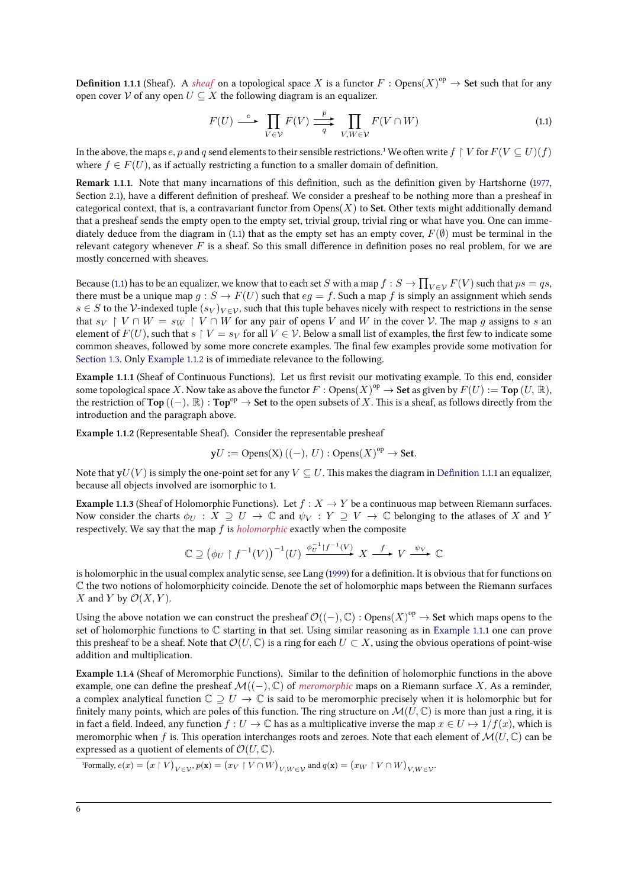**Definition 1.1.1** (Sheaf). A *sheaf* on a topological space X is a functor  $F: \text{Opens}(X)^\text{op} \to \text{Set}$  such that for any open cover *V* of any open  $U \subseteq X$  the following diagram is an equalizer.

<span id="page-11-1"></span>
$$
F(U) \xrightarrow{e} \prod_{V \in \mathcal{V}} F(V) \xrightarrow{p} \prod_{V, W \in \mathcal{V}} F(V \cap W)
$$
\n(1.1)

<span id="page-11-7"></span>In the above, the maps  $e, p$  and  $q$  send elements to their sensible restrictions.<sup>1</sup> We often write  $f \restriction V$  for  $F(V \subseteq U)(f)$ where  $f \in F(U)$ , as if actually restricting a function to a smaller domain of definition.

<span id="page-11-4"></span>**Remark 1.1.1.** Note that many incarnations of this definition, such as the definition given by Hartshorne (1977, Section 2.1), have a different definition of presheaf. We consider a presheaf to be nothing more than a presheaf in categorical context, that is, a contravariant functor from  $\text{Opens}(X)$  to **Set**[.](#page-11-0) Other texts might additionally demand that a presheaf sends the empty open to the empty set, trivial group, trivial ring or what have you. One can immediately deduce from the diagram in (1.1) that as the empty set has an empty cover,  $F(\emptyset)$  must be terminal i[n the](#page-68-5) relevant category whenever *F* is a sheaf. So this small difference in definition poses no real problem, for we are mostly concerned with sheaves.

Because (1.1) has to be an equalizer, w[e kn](#page-11-1)ow that to each set *S* with a map  $f : S \to \prod_{V \in \mathcal{V}} F(V)$  such that  $ps = qs$ , there must be a unique map  $g : S \to F(U)$  such that  $eg = f$ . Such a map f is simply an assignment which sends *s* ∈ *S* to the *V*-indexed tuple  $(s_V)_{V \in V}$ , such that this tuple behaves nicely with respect to restrictions in the sense that  $s_V \restriction V \cap W = s_W \restriction V \cap W$  for any pair of opens *V* and *W* in the cover *V*. The map *g* assigns to *s* an element [of](#page-11-1)  $F(U)$ , such that  $s \restriction V = s_V$  for all  $V \in V$ . Below a small list of examples, the first few to indicate some common sheaves, followed by some more concrete examples. The final few examples provide some motivation for Section 1.3. Only Example 1.1.2 is of immediate relevance to the following.

**Example 1.1.1** (Sheaf of Continuous Functions). Let us first revisit our motivating example. To this end, consider some topological space X. Now take as above the functor  $F: \mathrm{Opens}(X)^\mathrm{op} \to \mathbf{Set}$  as given by  $F(U) := \mathrm{Top}(U, \mathbb{R})$ , the restriction of **Top**  $((-), \mathbb{R})$  : **Top**<sup>op</sup>  $\rightarrow$  **Set** to the open subsets of *X*. This is a sheaf, as follows directly from the [introductio](#page-31-0)n and [the paragraph](#page-11-2) above.

<span id="page-11-3"></span>**Example 1.1.2** (Representable Sheaf). Consider the representable presheaf

$$
yU := \text{Opens}(X) \left( (-\right), U\right) : \text{Opens}(X)^{\text{op}} \to \text{Set}.
$$

<span id="page-11-2"></span>Note that  $\mathbf{v}U(V)$  is simply the one-point set for any  $V \subseteq U$ . This makes the diagram in Definition 1.1.1 an equalizer, because all objects involved are isomorphic to 1.

**Example 1.1.3** (Sheaf of Holomorphic Functions). Let  $f : X \to Y$  be a continuous map between Riemann surfaces. Now consider the charts  $\phi_U : X \supseteq U \to \mathbb{C}$  and  $\psi_V : Y \supseteq V \to \mathbb{C}$  belonging [to the atlases](#page-10-2) of *X* and *Y* respectively. We say that the map *f* is *holomorphic* exactly when the composite

$$
\mathbb{C} \supseteq (\phi_U \upharpoonright f^{-1}(V))^{-1}(U) \xrightarrow{\phi_U^{-1} \upharpoonright f^{-1}(V)} X \xrightarrow{f} V \xrightarrow{\psi_V} \mathbb{C}
$$

<span id="page-11-6"></span>is holomorphic in the usual complex analytic sense, see Lang (1999) for a definition. It is obvious that for functions on C the two notions of holomorphicity coincide. Denote the set of holomorphic maps between the Riemann surfaces *X* and *Y* by  $\mathcal{O}(X, Y)$ .

Using the above notation we can construct the presheaf  $\mathcal{O}((-), \mathbb{C})$  : Opens $(X)^\mathrm{op} \to \mathbf{Set}$  which maps opens to the set of holomorphic functions to  $\mathbb C$  starting in that set. Usin[g sim](#page-69-7)ilar reasoning as in Example 1.1.1 one can prove this presheaf to be a sheaf. Note that  $\mathcal{O}(U,\mathbb{C})$  is a ring for each  $U \subset X$ , using the obvious operations of point-wise addition and multiplication.

**Example 1.1.4** (Sheaf of Meromorphic Functions). Similar to the definition of holomorphic functions in the above example, one can define the presheaf  $\mathcal{M}((-), \mathbb{C})$  of *meromorphic* maps on a Riema[nn surface](#page-11-3) *X*. As a reminder, a complex analytical function  $\mathbb{C} \supseteq U \to \mathbb{C}$  is said to be meromorphic precisely when it is holomorphic but for finitely many points, which are poles of this function. The ring structure on  $\mathcal{M}(U,\mathbb{C})$  is more than just a ring, it is in fact a field. Indeed, any function  $f: U \to \mathbb{C}$  has as a multiplicative inverse the map  $x \in U \mapsto 1/f(x)$ , which is meromorphic when f is. This operation interchanges roots and zeroes. Note that each element of  $\mathcal{M}(U,\mathbb{C})$  can be expressed as a quotient of elements of  $\mathcal{O}(U,\mathbb{C})$ .

<span id="page-11-5"></span><span id="page-11-0"></span>Formally,  $e(x) = (x \restriction V)_{V \in \mathcal{V}}$ ,  $p(\mathbf{x}) = (x_V \restriction V \cap W)_{V, W \in \mathcal{V}}$  and  $q(\mathbf{x}) = (x_W \restriction V \cap W)_{V, W \in \mathcal{V}}$ .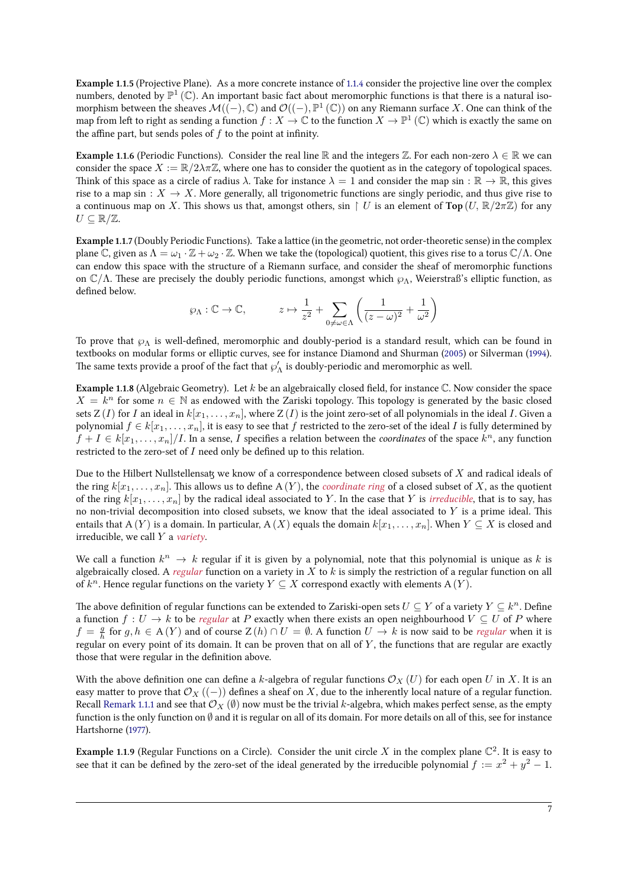**Example 1.1.5** (Projective Plane). As a more concrete instance of 1.1.4 consider the projective line over the complex numbers, denoted by  $\mathbb{P}^1$  (C). An important basic fact about meromorphic functions is that there is a natural isomorphism between the sheaves  $\mathcal{M}((-), \mathbb{C})$  and  $\mathcal{O}((-), \mathbb{P}^1(\mathbb{C}))$  on any Riemann surface  $X$ . One can think of the map from left to right as sending a function  $f:X\to\mathbb C$  to the function  $X\to\mathbb P^1$  ( $\mathbb C)$  which is exactly the same on the affine part, but sends poles of *f* to the point at infinity.

<span id="page-12-1"></span>**Example 1.1.6** (Periodic Functions). Consider the real line R and the integers Z. For each non-zero  $\lambda \in \mathbb{R}$  we can consider the space  $X := \mathbb{R}/2\lambda\pi\mathbb{Z}$ , where one has to consider the quotient as in the category of topological spaces. Think of this space as a circle of radius  $\lambda$ . Take for instance  $\lambda = 1$  and consider the map sin :  $\mathbb{R} \to \mathbb{R}$ , this gives rise to a map sin :  $X \to X$ . More generally, all trigonometric functions are singly periodic, and thus give rise to a continuous map on *X*. This shows us that, amongst others, sin  $\restriction U$  is an element of **Top** (*U*,  $\mathbb{R}/2\pi\mathbb{Z}$ ) for any  $U \subseteq \mathbb{R}/\mathbb{Z}$ .

**Example 1.1.7** (Doubly Periodic Functions). Take a lattice (in the geometric, not order-theoretic sense) in the complex plane C, given as  $\Lambda = \omega_1 \cdot \mathbb{Z} + \omega_2 \cdot \mathbb{Z}$ . When we take the (topological) quotient, this gives rise to a torus  $\mathbb{C}/\Lambda$ . One can endow this space with the structure of a Riemann surface, and consider the sheaf of meromorphic functions on C/Λ. These are precisely the doubly periodic functions, amongst which  $\wp_\Lambda$ , Weierstraß's elliptic function, as defined below.

$$
\wp_{\Lambda}: \mathbb{C} \to \mathbb{C}, \qquad z \mapsto \frac{1}{z^2} + \sum_{0 \neq \omega \in \Lambda} \left( \frac{1}{(z - \omega)^2} + \frac{1}{\omega^2} \right)
$$

To prove that  $\wp_\Lambda$  is well-defined, meromorphic and doubly-period is a standard result, which can be found in textbooks on modular forms or elliptic curves, see for instance Diamond and Shurman (2005) or Silverman (1994). The same texts provide a proof of the fact that  $\wp_\Lambda'$  is doubly-periodic and meromorphic as well.

**Example 1.1.8** (Algebraic Geometry). Let *k* be an algebraically closed field, for instance C. Now consider the space  $X = k^n$  for some  $n \in \mathbb{N}$  as endowed with the Zariski topology. This topology is gen[erate](#page-68-6)d by the basic [close](#page-69-8)d sets  $Z(I)$  for *I* an ideal in  $k[x_1, \ldots, x_n]$ , where  $Z(I)$  is the joint zero-set of all polynomials in the ideal *I*. Given a polynomial  $f \in k[x_1, \ldots, x_n]$ , it is easy to see that *f* restricted to the zero-set of the ideal *I* is fully determined by  $f + I \in k[x_1, \ldots, x_n]/I$ . In a sense, *I* specifies a relation between the *coordinates* of the space  $k^n$ , any function restricted to the zero-set of *I* need only be defined up to this relation.

<span id="page-12-0"></span>Due to the Hilbert Nullstellensaty we know of a correspondence between closed subsets of *X* and radical ideals of the ring  $k[x_1, \ldots, x_n]$ . This allows us to define A(*Y*), the *coordinate ring* of a closed subset of *X*, as the quotient of the ring  $k[x_1, \ldots, x_n]$  by the radical ideal associated to *Y*. In the case that *Y* is *irreducible*, that is to say, has no non-trivial decomposition into closed subsets, we know that the ideal associated to *Y* is a prime ideal. This entails that  $A(Y)$  is a domain. In particular,  $A(X)$  equals the domain  $k[x_1, \ldots, x_n]$ . When  $Y \subseteq X$  is closed and irreducible, we call *Y* a *variety*.

We call a function  $k^n \to k$  regular if it is given by a polynomial, note that this polynomial is unique as  $k$  is algebraically closed. A *regular* function on a variety in *X* to *k* is simply the restriction of a regular function on all of  $k^n$ . Hence regular functions on the variety  $Y \subseteq X$  correspond exactly with elements A(*Y*).

The above definition of regular functions can be extended to Zariski-open sets  $U\subseteq Y$  of a variety  $Y\subseteq k^n.$  Define a function  $f: U \to k$  to be *regular* at *P* exactly when there exists an open neighbourhood  $V \subseteq U$  of *P* where *f* =  $\frac{g}{h}$  for *g, h* ∈ A(*Y*) and of course Z(*h*) ∩ *U* =  $\emptyset$ . A function *U* → *k* is now said to be *regular* when it is regular on every point of its domain. It can be proven that on all of *Y* , the functions that are regular are exactly those that were regular in the definition above.

With the above definition one can define a *k*-algebra of regular functions  $\mathcal{O}_X$  (*U*) for each open *U* in *X*. It is an easy matter to prove that  $\mathcal{O}_X$  ((−)) defines a sheaf on X, due to the inherently local nature of a regular function. Recall Remark 1.1.1 and see that  $\mathcal{O}_X(\emptyset)$  now must be the trivial *k*-algebra, which makes perfect sense, as the empty function is the only function on *∅* and it is regular on all of its domain. For more details on all of this, see for instance Hartshorne (1977).

**Example 1.1.9** (Regular Functions on a Circle). Consider the unit circle  $X$  in the complex plane  $\mathbb{C}^2$ . It is easy to see that it can be defined by the zero-set of the ideal generated by the irreducible polynomial  $f := x^2 + y^2 - 1$ .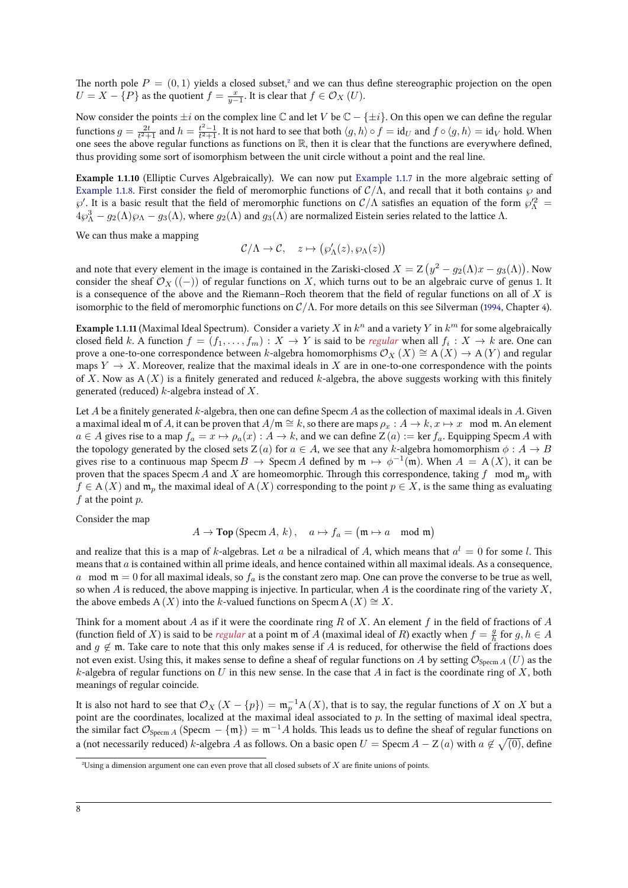The north pole  $P = (0, 1)$  yields a closed subset,<sup>2</sup> and we can thus define stereographic projection on the open  $U = X - \{P\}$  as the quotient  $f = \frac{x}{y-1}$ . It is clear that  $f \in \mathcal{O}_X(U)$ .

<span id="page-13-2"></span>Now consider the points *±i* on the complex line C and let *V* be C *− {±i}*. On this open we can define the regular functions  $g=\frac{2t}{t^2+1}$  and  $h=\frac{t^2-1}{t^2+1}.$  It is not hard to [s](#page-13-0)ee that both  $\langle g,h\rangle\circ f=\mathrm{id}_U$  and  $f\circ\langle g,h\rangle=\mathrm{id}_V$  hold. When one sees the above regular functions as functions on  $\mathbb R$ , then it is clear that the functions are everywhere defined, thus providing some sort of isomorphism between the unit circle without a point and the real line.

**Example 1.1.10** (Elliptic Curves Algebraically). We can now put Example 1.1.7 in the more algebraic setting of Example 1.1.8. First consider the field of meromorphic functions of  $C/\Lambda$ , and recall that it both contains  $\wp$  and  $\wp'$ . It is a basic result that the field of meromorphic functions on  $C/\Lambda$  satisfies an equation of the form  $\wp'^2_\Lambda$  $4\wp_\Lambda^3-g_2(\Lambda)\wp_\Lambda-g_3(\Lambda)$ , where  $g_2(\Lambda)$  and  $g_3(\Lambda)$  are normalized Eistein series related to the lattice  $\Lambda$ .

[We can thus m](#page-12-0)ake a mapping

$$
\mathcal{C}/\Lambda \to \mathcal{C}, \quad z \mapsto (\wp'_{\Lambda}(z), \wp_{\Lambda}(z))
$$

and note that every element in the image is contained in the Zariski-closed  $X=Z\left(y^2-g_2(\Lambda)x-g_3(\Lambda)\right)$ . Now consider the sheaf  $\mathcal{O}_X$  ((−)) of regular functions on *X*, which turns out to be an algebraic curve of genus 1. It is a consequence of the above and the Riemann–Roch theorem that the field of regular functions on all of *X* is isomorphic to the field of meromorphic functions on  $C/\Lambda$ . For more details on this see Silverman (1994, Chapter 4).

**Example 1.1.11** (Maximal Ideal Spectrum). Consider a variety  $X$  in  $k^n$  and a variety  $Y$  in  $k^m$  for some algebraically closed field *k*. A function  $f = (f_1, \ldots, f_m) : X \to Y$  is said to be *regular* when all  $f_i : X \to k$  are. One can prove a one-to-one correspondence between *k*-algebra homomorphisms  $\mathcal{O}_X(X) \cong A(X) \to A(Y)$  and regular maps  $Y \to X$ . Moreover, realize that the maximal ideals in *X* are in one-to-one correspondenc[e wit](#page-69-8)h the points of *X*. Now as A(*X*) is a finitely generated and reduced *k*-algebra, the above suggests working with this finitely generated (reduced) *k*-algebra instead of *X*.

<span id="page-13-1"></span>Let *A* be a finitely generated *k*-algebra, then one can define Specm *A* as the collection of maximal ideals in *A*. Given a maximal ideal m of *A*, it can be proven that  $A/\mathfrak{m} \cong k$ , so there are maps  $\rho_x : A \to k$ ,  $x \mapsto x \mod \mathfrak{m}$ . An element  $a \in A$  gives rise to a map  $f_a = x \mapsto \rho_a(x) : A \to k$ , and we can define  $Z(a) := \text{ker } f_a$ . Equipping Specm A with the topology generated by the closed sets  $Z(a)$  for  $a \in A$ , we see that any  $k$ -algebra homomorphism  $\phi: A \to B$ gives rise to a continuous map Specm  $B \to \text{Specm } A$  defined by  $\mathfrak{m} \mapsto \phi^{-1}(\mathfrak{m})$ . When  $A = A(X)$ , it can be proven that the spaces Specm *A* and *X* are homeomorphic. Through this correspondence, taking *f* mod  $\mathfrak{m}_p$  with *f* ∈ A(*X*) and  $\mathfrak{m}_p$  the maximal ideal of A(*X*) corresponding to the point *p* ∈ *X*, is the same thing as evaluating *f* at the point *p*.

Consider the map

$$
A \to \text{Top}(\text{Specm } A, k), \quad a \mapsto f_a = (\mathfrak{m} \mapsto a \mod \mathfrak{m})
$$

and realize that this is a map of  $k$ -algebras. Let  $a$  be a nilradical of  $A$ , which means that  $a^l = 0$  for some  $l$ . This means that *a* is contained within all prime ideals, and hence contained within all maximal ideals. As a consequence, *a* mod  $\mathfrak{m} = 0$  for all maximal ideals, so  $f_a$  is the constant zero map. One can prove the converse to be true as well, so when *A* is reduced, the above mapping is injective. In particular, when *A* is the coordinate ring of the variety *X*, the above embeds  $A(X)$  into the *k*-valued functions on Specm  $A(X) \cong X$ .

ink for a moment about *A* as if it were the coordinate ring *R* of *X*. An element *f* in the field of fractions of *A* (function field of *X*) is said to be *regular* at a point  $m$  of *A* (maximal ideal of *R*) exactly when  $f = \frac{g}{h}$  for  $g, h \in A$ and  $g \notin \mathfrak{m}$ . Take care to note that this only makes sense if *A* is reduced, for otherwise the field of fractions does not even exist. Using this, it makes sense to define a sheaf of regular functions on *A* by setting  $\mathcal{O}_{\text{Specm }A}(U)$  as the *k*-algebra of regular functions on *U* in this new sense. In the case that *A* in fact is the coordinate ring of *X*, both meanings of regular coincide.

It is also not hard to see that  $\mathcal{O}_X(X - \{p\}) = \mathfrak{m}_p^{-1} \mathrm{A}\,(X),$  that is to say, the regular functions of  $X$  on  $X$  but a point are the coordinates, localized at the maximal ideal associated to p. In the setting of maximal ideal spectra, the similar fact  $\mathcal{O}_{Sperm A}$  (Specm  $- \{m\}$ ) =  $m^{-1}A$  holds. This leads us to define the sheaf of regular functions on a (not necessarily reduced) *k-*algebra *A* as follows. On a basic open  $U = \text{Specm } A - Z(a)$  with  $a \not\in \sqrt{(0)}$ , define

<span id="page-13-0"></span>²Using a dimension argument one can even prove that all closed subsets of *X* are finite unions of points.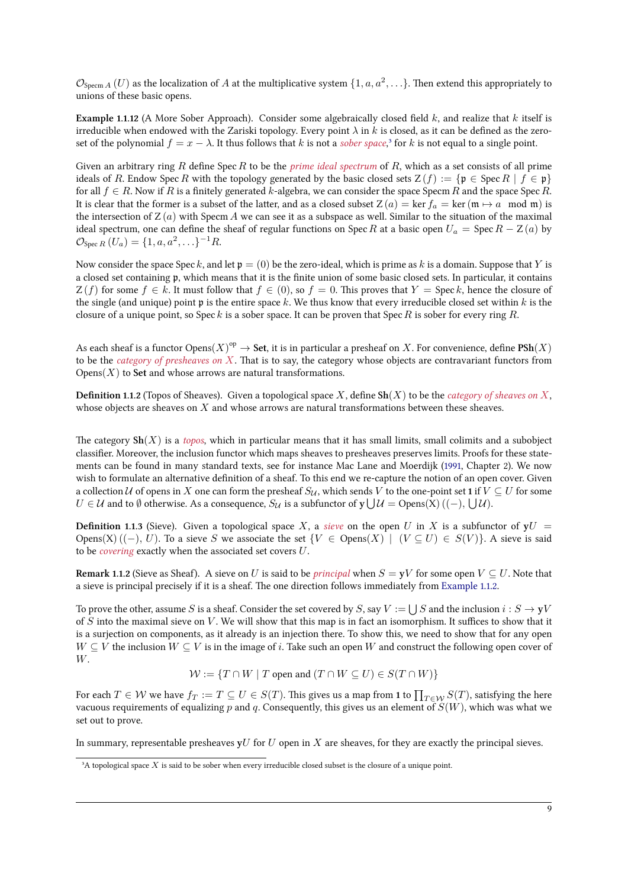$\mathcal{O}_{\text{Specm }A}\left(U\right)$  as the localization of  $A$  at the multiplicative system  $\{1,a,a^2,\ldots\}$ . Then extend this appropriately to unions of these basic opens.

<span id="page-14-3"></span>**Example 1.1.12** (A More Sober Approach). Consider some algebraically closed field  $k$ , and realize that  $k$  itself is irreducible when endowed with the Zariski topology. Every point  $\lambda$  in  $k$  is closed, as it can be defined as the zeroset of the polynomial  $f = x - \lambda$ . It thus follows that *k* is not a *sober space*,<sup>3</sup> for *k* is not equal to a single point.

Given an arbitrary ring  $R$  define Spec  $R$  to be the *prime ideal spectrum* of  $R$ , which as a set consists of all prime ideals of *R*. Endow Spec *R* with the topology generated by the basic closed sets  $Z(f) := \{ \mathfrak{p} \in \text{Spec } R \mid f \in \mathfrak{p} \}$ for all  $f \in R$ . Now if R is a finitely generated k-algebra, we can consider t[he](#page-14-0) space Specm R and the space Spec R. It is clear that the former is a subset of the latter, and as a closed subset  $Z(a) = \ker f_a = \ker (\mathfrak{m} \mapsto a \mod \mathfrak{m})$  is the intersection of Z (*a*) with Specm *A* we can see it as a subspace as well. Similar to the situation of the maximal ideal spectrum, one can define the sheaf of regular functions on Spec *R* at a basic open  $U_a$  = Spec  $R$  – Z (*a*) by  $\mathcal{O}_{\text{Spec } R} (U_a) = \{1, a, a^2, \ldots\}^{-1} R.$ 

Now consider the space Spec k, and let  $\mathfrak{p} = (0)$  be the zero-ideal, which is prime as k is a domain. Suppose that Y is a closed set containing p, which means that it is the finite union of some basic closed sets. In particular, it contains  $Z(f)$  for some  $f \in k$ . It must follow that  $f \in (0)$ , so  $f = 0$ . This proves that  $Y = \text{Spec } k$ , hence the closure of the single (and unique) point p is the entire space *k*. We thus know that every irreducible closed set within *k* is the closure of a unique point, so Spec *k* is a sober space. It can be proven that Spec *R* is sober for every ring *R*.

As each sheaf is a functor  $\mathrm{Opens}(X)^\mathrm{op} \to \mathbf{Set}$ , it is in particular a presheaf on  $X$ . For convenience, define  $\mathrm{PSh}(X)$ to be the *category of presheaves on* X. That is to say, the category whose objects are contravariant functors from Opens $(X)$  to **Set** and whose arrows are natural transformations.

**Definition 1.1.2** (Topos of Sheaves). Given a topological space X, define  $\text{Sh}(X)$  to be the *category of sheaves on* X, whose objects are sheaves on *X* and whose arrows are natural transformations between these sheaves.

The category  $\text{Sh}(X)$  is a *topos*, which in particular means that it has small limits, small colimits and a subobject classifier. Moreover, the inclusion functor which maps sheaves to presheaves preserves limits. Proofs for these statements can be found in many standard texts, see for instance Mac Lane and Moerdijk (1991, Chapter 2). We now wish to formulate an alternative definition of a sheaf. To this end we re-capture the notion of an open cover. Given a collection *U* of opens in *X* one can form the presheaf  $S_U$ , which sends *V* to the one-point set 1 if  $V \subseteq U$  for some *U* ∈ *U* and to  $\emptyset$  otherwise. As a consequence,  $S_{\mathcal{U}}$  is a subfunctor of  $\mathbf{y} \bigcup \mathcal{U} = \text{Opens}(X)$  ((−),  $\bigcup \mathcal{U}$ ).

**Definition 1.1.3** (Sieve). Given a topological space X, a sieve on the open U in X [is a](#page-69-5) subfunctor of  $yU =$ Opens(X)  $((-), U)$ . To a sieve *S* we associate the set  $\{V \in \text{Opens}(X) \mid (V \subseteq U) \in S(V)\}$ . A sieve is said to be *covering* exactly when the associated set covers *U*.

<span id="page-14-2"></span>**Remark 1.1.2** (Sieve as Sheaf). A sieve on *U* is said to be *principal* when  $S = yV$  for some open  $V \subseteq U$ . Note that a sieve is principal precisely if it is a sheaf. The one direction follows immediately from Example 1.1.2.

<span id="page-14-1"></span>To prove the other, assume  $S$  is a sheaf. Consider the set covered by  $S$ , say  $V:=\bigcup S$  and the inclusion  $i:S\to yV$ of *S* into the maximal sieve on *V* . We will show that this map is in fact an isomorphism. It suffices to show that it is a surjection on components, as it already is an injection there. To show this, we need [to show that](#page-11-2) for any open  $W \subseteq V$  the inclusion  $W \subseteq V$  is in the image of *i*. Take such an open *W* and construct the following open cover of *W*.

 $W := \{T \cap W \mid T \text{ open and } (T \cap W \subseteq U) \in S(T \cap W)\}$ 

For each  $T \in \mathcal{W}$  we have  $f_T := T \subseteq U \in S(T)$ . This gives us a map from 1 to  $\prod_{T \in \mathcal{W}} S(T)$ , satisfying the here vacuous requirements of equalizing  $p$  and  $q$ . Consequently, this gives us an element of  $S(W)$ , which was what we set out to prove.

In summary, representable presheaves  $yU$  for  $U$  open in  $X$  are sheaves, for they are exactly the principal sieves.

<span id="page-14-0"></span><sup>&</sup>lt;sup>3</sup>A topological space *X* is said to be sober when every irreducible closed subset is the closure of a unique point.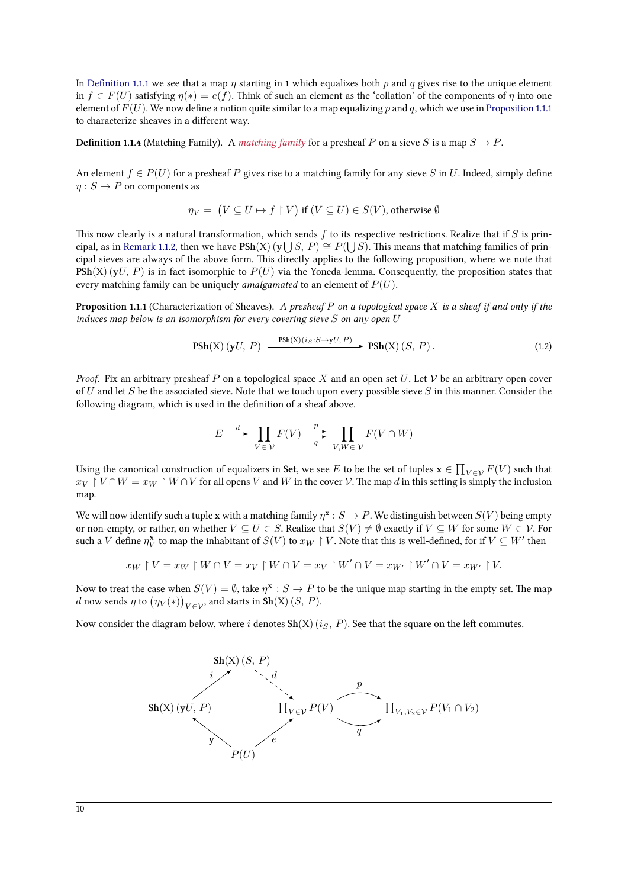In Definition 1.1.1 we see that a map  $\eta$  starting in 1 which equalizes both  $p$  and  $q$  gives rise to the unique element in  $f \in F(U)$  satisfying  $\eta(*) = e(f)$ . Think of such an element as the 'collation' of the components of  $\eta$  into one element of  $F(U)$ . We now define a notion quite similar to a map equalizing p and q, which we use in Proposition 1.1.1 to characterize sheaves in a different way.

**Definition 1.1.4** (Matching Family). A *matching family* for a presheaf *P* on a sieve *S* is a map  $S \rightarrow P$ .

<span id="page-15-1"></span>An element  $f \in P(U)$  for a presheaf P gives rise to a matching family for any sieve *S* in *U*. Indeed, simply define  $\eta: S \to P$  on components as

$$
\eta_V = (V \subseteq U \mapsto f \upharpoonright V) \text{ if } (V \subseteq U) \in S(V), \text{ otherwise } \emptyset
$$

This now clearly is a natural transformation, which sends *f* to its respective restrictions. Realize that if *S* is principal, as in Remark 1.1.2, then we have  $\text{PSh}(X)$  ( $y \cup S$ ,  $P$ )  $\cong P(\bigcup S)$ . This means that matching families of principal sieves are always of the above form. This directly applies to the following proposition, where we note that  $\text{PSh}(X)$  ( $\text{y}U, P$ ) is in fact isomorphic to  $P(U)$  via the Yoneda-lemma. Consequently, the proposition states that every matching family can be uniquely *amalgamated* to an element of  $P(U)$ .

**Proposition ..** [\(Chara](#page-14-1)cterization of Sheaves)**.** *A presheaf P on a topological space X is a sheaf if and only if the induces map below is an isomorphism for every covering sieve S on any open U*

$$
\mathbf{PSh}(X) \left( yU, P \right) \xrightarrow{\mathbf{PSh}(X)(i_S: S \to yU, P)} \mathbf{PSh}(X) \left( S, P \right). \tag{1.2}
$$

*Proof.* Fix an arbitrary presheaf *P* on a topological space *X* and an open set *U*. Let *V* be an arbitrary open cover of *U* and let *S* be the associated sieve. Note that we touch upon every possible sieve *S* in this manner. Consider the following diagram, which is used in the definition of a sheaf above.

<span id="page-15-0"></span>
$$
E \stackrel{d}{\longrightarrow} \prod_{V \in \mathcal{V}} F(V) \stackrel{p}{\longrightarrow} \prod_{V, W \in \mathcal{V}} F(V \cap W)
$$

Using the canonical construction of equalizers in **Set**, we see *E* to be the set of tuples  $\mathbf{x} \in \prod_{V \in \mathcal{V}} F(V)$  such that  $x_V \restriction V \cap W = x_W \restriction W \cap V$  for all opens *V* and *W* in the cover *V*. The map *d* in this setting is simply the inclusion map.

We will now identify such a tuple **x** with a matching family  $\eta^* : S \to P$ . We distinguish between  $S(V)$  being empty or non-empty, or rather, on whether  $V \subseteq U \in S$ . Realize that  $S(V) \neq \emptyset$  exactly if  $V \subseteq W$  for some  $W \in V$ . For such a *V* define  $\eta^{\bf X}_V$  to map the inhabitant of  $S(V)$  to  $x_W \restriction V$ . Note that this is well-defined, for if  $V \subseteq W'$  then

$$
x_W \upharpoonright V = x_W \upharpoonright W \cap V = x_V \upharpoonright W \cap V = x_V \upharpoonright W' \cap V = x_{W'} \upharpoonright W' \cap V = x_{W'} \upharpoonright V.
$$

Now to treat the case when  $S(V) = \emptyset$ , take  $\eta^X : S \to P$  to be the unique map starting in the empty set. The map *d* now sends  $\eta$  to  $(\eta_V(*)')_{V \in \mathcal{V}}$ , and starts in Sh(X) (*S, P*).

Now consider the diagram below, where  $i$  denotes  $\text{Sh}(X)$  ( $i_S$ ,  $P$ ). See that the square on the left commutes.

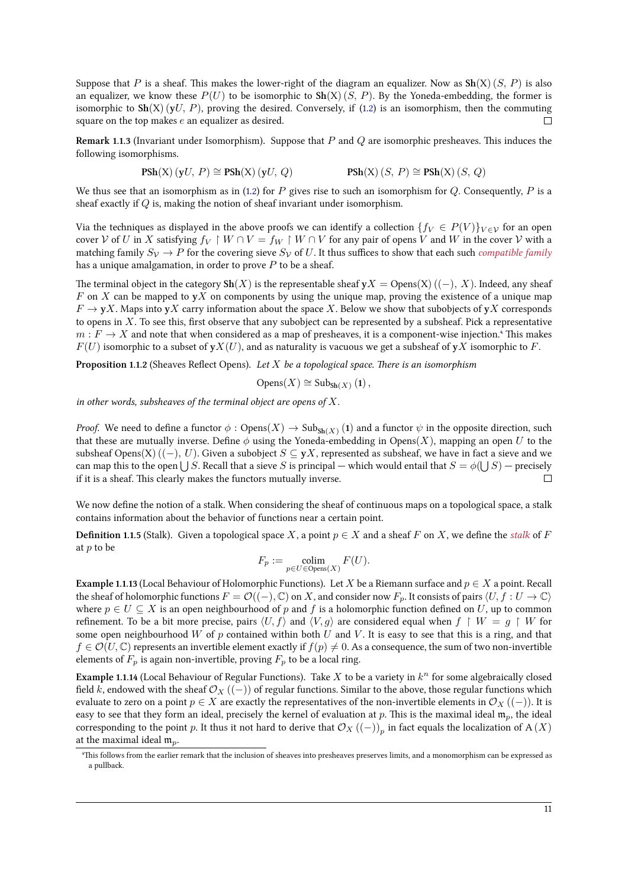Suppose that *P* is a sheaf. This makes the lower-right of the diagram an equalizer. Now as  $\text{Sh}(X)$  (*S, P*) is also an equalizer, we know these  $P(U)$  to be isomorphic to  $\text{Sh}(X)$  (*S, P*). By the Yoneda-embedding, the former is isomorphic to  $\text{Sh}(X)$  ( $\text{y}U, P$ ), proving the desired. Conversely, if (1.2) is an isomorphism, then the commuting square on the top makes *e* an equalizer as desired.  $\Box$ 

**Remark 1.1.3** (Invariant under Isomorphism). Suppose that *P* and *Q* are isomorphic presheaves. This induces the following isomorphisms.

$$
\mathrm{PSh}(\mathrm{X})\,(yU,\,P) \cong \mathrm{PSh}(\mathrm{X})\,(yU,\,Q) \qquad \qquad \mathrm{PSh}(\mathrm{X})\,(S,\,P) \cong \mathrm{PSh}(\mathrm{X})\,(S,\,Q)
$$

<span id="page-16-0"></span>We thus see that an isomorphism as in (1.2) for  $P$  gives rise to such an isomorphism for  $Q$ . Consequently,  $P$  is a sheaf exactly if *Q* is, making the notion of sheaf invariant under isomorphism.

Via the techniques as displayed in the above proofs we can identify a collection  $\{f_V \in P(V)\}_{V \in V}$  for an open cover *[V](#page-15-0)* of *U* in *X* satisfying  $f_V \restriction W \cap V = f_W \restriction W \cap V$  for any pair of opens *V* and *W* in the cover *V* with a matching family  $S_V \to P$  for the covering sieve  $S_V$  of *U*. It thus suffices to show that each such *compatible family* has a unique amalgamation, in order to prove *P* to be a sheaf.

The terminal object in the category  $\text{Sh}(X)$  is the representable sheaf  $yX = \text{Opens}(X)$  ((-), X). Indeed, any sheaf *F* on *X* can be mapped to **y***X* on components by using the unique map, proving the existence of a unique map  $F \rightarrow yX$ . Maps into  $yX$  carry information about the space *X*. Below we show that subobjects of  $yX$  corresponds to opens in  $X$ . To see this, first observe that any subobject can be represented by a subsheaf. Pick a representative  $m : F \to X$  and note that when considered as a map of presheaves, it is a component-wise injection.<sup>4</sup> This makes  $F(U)$  isomorphic to a subset of  $yX(U)$ , and as naturality is vacuous we get a subsheaf of  $yX$  isomorphic to *F*.

**Proposition 1.1.2** (Sheaves Reflect Opens). Let *X* be a topological space. There is an isomorphism

$$
\text{Opens}(X) \cong \text{Sub}_{\text{Sh}(X)}(1),
$$

*in other words, subsheaves of the terminal object are opens of X.*

*Proof.* We need to define a functor  $\phi$ : Opens $(X) \to Sub_{Sh(X)}(1)$  and a functor  $\psi$  in the opposite direction, such that these are mutually inverse. Define  $\phi$  using the Yoneda-embedding in Opens $(X)$ , mapping an open  $U$  to the subsheaf Opens(X) ((-), U). Given a subobject  $S \subseteq yX$ , represented as subsheaf, we have in fact a sieve and we can map this to the open  $\bigcup S$ . Recall that a sieve *S* is principal — which would entail that  $S = \phi(\bigcup S)$  — precisely if it is a sheaf. This clearly makes the functors mutually inverse.  $\Box$ 

We now define the notion of a stalk. When considering the sheaf of continuous maps on a topological space, a stalk contains information about the behavior of functions near a certain point.

**Definition 1.1.5** (Stalk). Given a topological space *X*, a point  $p \in X$  and a sheaf *F* on *X*, we define the *stalk* of *F* at *p* to be

$$
F_p := \underset{p \in U \in \text{Qpens}(X)}{\text{colim}} F(U).
$$

**Example 1.1.13** (Local Behaviour of Holomorphic Functions). Let *X* be a Riemann surface and  $p \in X$  a point. Recall the sheaf of holomorphic functions  $F = \mathcal{O}((-), \mathbb{C})$  on *X*, and consider now  $F_p$ . It consists of pairs  $\langle U, f : U \to \mathbb{C} \rangle$ where  $p \in U \subseteq X$  is an open neighbourhood of *p* and *f* is a holomorphic function defined on *U*, up to common refinement. To be a bit more precise, pairs  $\langle U, f \rangle$  and  $\langle V, g \rangle$  are considered equal when  $f \restriction W = g \restriction W$  for some open neighbourhood *W* of *p* contained within both *U* and *V* . It is easy to see that this is a ring, and that *f* ∈  $\mathcal{O}(U, \mathbb{C})$  represents an invertible element exactly if  $f(p) \neq 0$ . As a consequence, the sum of two non-invertible elements of  $F_p$  is again non-invertible, proving  $F_p$  to be a local ring.

**Example 1.1.14** (Local Behaviour of Regular Functions). Take  $X$  to be a variety in  $k^n$  for some algebraically closed field k, endowed with the sheaf  $\mathcal{O}_X$  ((−)) of regular functions. Similar to the above, those regular functions which evaluate to zero on a point  $p \in X$  are exactly the representatives of the non-invertible elements in  $\mathcal{O}_X$  ((−)). It is easy to see that they form an ideal, precisely the kernel of evaluation at  $p$ . This is the maximal ideal  $\mathfrak{m}_p$ , the ideal corresponding to the point *p*. It thus it not hard to derive that  $\mathcal{O}_X\left(\left(-\right)\right)_p$  in fact equals the localization of A  $(X)$ at the maximal ideal m*p*.

⁴is follows from the earlier remark that the inclusion of sheaves into presheaves preserves limits, and a monomorphism can be expressed as a pullback.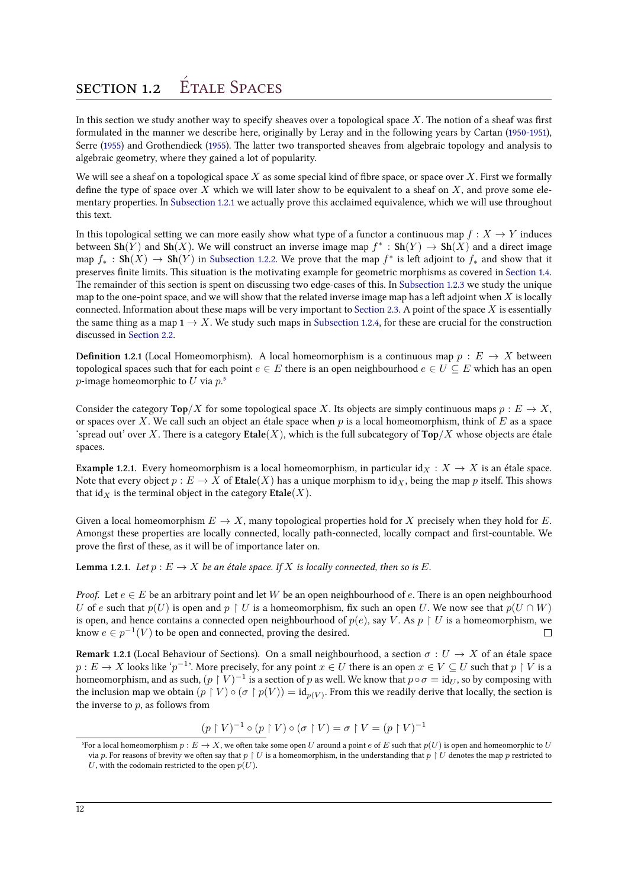<span id="page-17-4"></span><span id="page-17-0"></span>In this section we study another way to specify sheaves over a topological space  $X$ . The notion of a sheaf was first formulated in the manner we describe here, originally by Leray and in the following years by Cartan (1950-1951), Serre (1955) and Grothendieck (1955). The latter two transported sheaves from algebraic topology and analysis to algebraic geometry, where they gained a lot of popularity.

We will see a sheaf on a topological space *X* as some special kind of fibre space, or space over *X*. First we formally define the type of space over  $X$  which we will later show to be equivalent to a sheaf on  $X$ , and prov[e some ele](#page-68-7)menta[ry pr](#page-69-9)operties. In Subsection 1.2.1 we actually prove this acclaimed equivalence, which we will use throughout this text.

In this topological setting we can more easily show what type of a functor a continuous map  $f : X \to Y$  induces between  $\text{Sh}(Y)$  and  $\text{Sh}(X)$ . We will construct an inverse image map  $f^* : \text{Sh}(Y) \to \text{Sh}(X)$  and a direct image  $\max f_* : \mathbf{Sh}(X) \to \mathbf{Sh}(Y)$  in [Subsec](#page-21-0)tion 1.2.2. We prove that the map  $f^*$  is left adjoint to  $f_*$  and show that it preserves finite limits. This situation is the motivating example for geometric morphisms as covered in Section 1.4. The remainder of this section is spent on discussing two edge-cases of this. In Subsection 1.2.3 we study the unique map to the one-point space, and we will show that the related inverse image map has a left adjoint when  $X$  is locally connected. Information about th[ese maps will be](#page-24-0) very important to Section 2.3. A point of the space  $X$  is essentially the same thing as a map  $1 \rightarrow X$ . We study such maps in Subsection 1.2.4, for these are crucial for the c[onstruction](#page-34-0) discussed in Section 2.2.

**Definition 1.2.1** (Local Homeomorphism). A local homeomorphi[sm is a con](#page-42-0)tinuous map  $p : E \rightarrow X$  between topological spaces such that for each point  $e \in E$  there i[s an open neighb](#page-30-0)ourhood  $e \in U \subseteq E$  which has an open *p*-image ho[meomorphic](#page-38-0) to  $U$  via  $p$ .

Consider the category **Top**/*X* for some topological space *X*. Its objects are simply continuous maps  $p : E \to X$ , or spaces over *X*. We call such an object an étale space when  $p$  is a local homeomorphism, think of  $E$  as a space 'spread out' over X. There is a cate[g](#page-17-1)ory  $\text{Etale}(X)$ , which is the full subcategory of  $\text{Top}/X$  whose objects are étale spaces.

**Example 1.2.1.** Every homeomorphism is a local homeomorphism, in particular  $id_X : X \to X$  is an étale space. Note that every object  $p : E \to X$  of **Etale**(*X*) has a unique morphism to id<sub>X</sub>, being the map p itself. This shows that  $id_X$  is the terminal object in the category  $\text{Etale}(X)$ .

Given a local homeomorphism  $E \to X$ , many topological properties hold for *X* precisely when they hold for *E*. Amongst these properties are locally connected, locally path-connected, locally compact and first-countable. We prove the first of these, as it will be of importance later on.

**Lemma 1.2.1.** *Let*  $p: E \to X$  *be an étale space. If*  $X$  *is locally connected, then so is*  $E$ *.* 

<span id="page-17-3"></span>*Proof.* Let  $e \in E$  be an arbitrary point and let *W* be an open neighbourhood of *e*. There is an open neighbourhood *U* of *e* such that  $p(U)$  is open and  $p \restriction U$  is a homeomorphism, fix such an open *U*. We now see that  $p(U \cap W)$ is open, and hence contains a connected open neighbourhood of  $p(e)$ , say *V*. As  $p \restriction U$  is a homeomorphism, we know  $e \in p^{-1}(V)$  to be open and connected, proving the desired. know  $e \in p^{-1}(V)$  to be open and connected, proving the desired.

**Remark 1.2.1** (Local Behaviour of Sections). On a small neighbourhood, a section  $\sigma: U \to X$  of an étale space  $p: E \to X$  looks like ' $p^{-1}$ '. More precisely, for any point  $x \in U$  there is an open  $x \in V \subseteq U$  such that  $p \restriction V$  is a homeomorphism, and as such,  $(p\restriction V)^{-1}$  is a section of  $p$  as well. We know that  $p\circ\sigma=\mathrm{id}_U$ , so by composing with the inclusion map we obtain  $(p \restriction V) \circ (\sigma \restriction p(V)) = \mathrm{id}_{p(V)}.$  From this we readily derive that locally, the section is the inverse to *p*, as follows from

 $(p \restriction V)^{-1} \circ (p \restriction V) \circ (\sigma \restriction V) = \sigma \restriction V = (p \restriction V)^{-1}$ 

<span id="page-17-2"></span> ${}^{\circ}$ For a local homeomorphism  $p : E \to X$ , we often take some open *U* around a point *e* of *E* such that  $p(U)$  is open and homeomorphic to *U* via *p*. For reasons of brevity we often say that  $p \restriction U$  is a homeomorphism, in the understanding that  $p \restriction U$  denotes the map *p* restricted to

<span id="page-17-1"></span>*U*, with the codomain restricted to the open  $p(U)$ .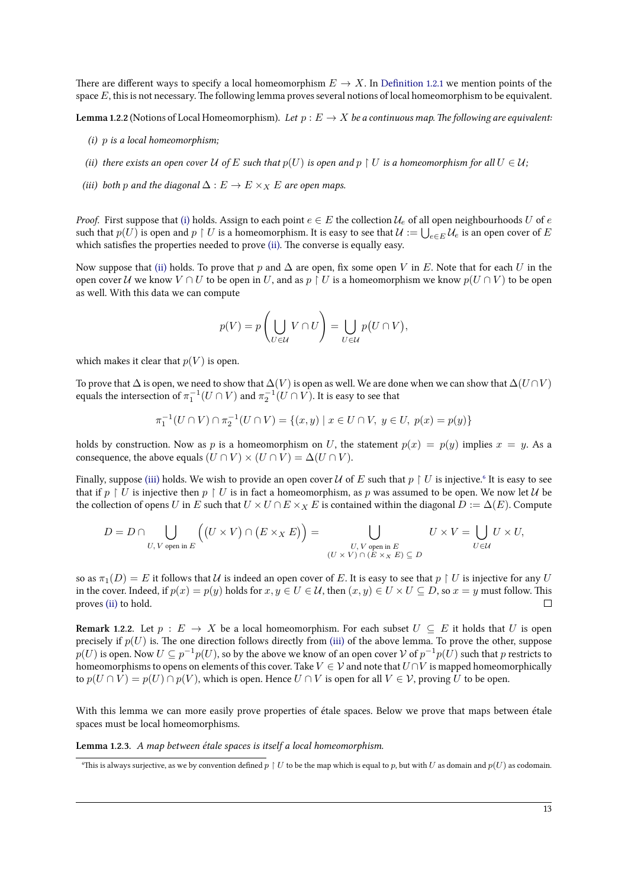There are different ways to specify a local homeomorphism  $E \to X$ . In Definition 1.2.1 we mention points of the space  $E$ , this is not necessary. The following lemma proves several notions of local homeomorphism to be equivalent.

**Lemma 1.2.2** (Notions of Local Homeomorphism). Let  $p : E \to X$  be a continuous map. The following are equivalent:

- *(i) p is a local homeomorphism;*
- <span id="page-18-4"></span>*(ii) there exists an open cover*  $U$  *of*  $E$  *such that*  $p(U)$  *is open and*  $p \restriction U$  *is a homeomorphism for all*  $U \in U$ ;
- <span id="page-18-0"></span>*(iii) both p and the diagonal*  $\Delta : E \to E \times_X E$  *are open maps.*

<span id="page-18-3"></span><span id="page-18-1"></span>*Proof.* First suppose that (i) holds. Assign to each point  $e \in E$  the collection  $\mathcal{U}_e$  of all open neighbourhoods  $U$  of  $e$ such that  $p(U)$  is open and  $p \restriction U$  is a homeomorphism. It is easy to see that  $\mathcal{U} := \bigcup_{e \in E} \mathcal{U}_e$  is an open cover of *E* which satisfies the properties needed to prove (ii). The converse is equally easy.

Now suppose that (ii) ho[lds](#page-18-0). To prove that *p* and  $\Delta$  are open, fix some open *V* in *E*. Note that for each *U* in the open cover *U* we know  $V \cap U$  to be open in *U*, and as  $p \restriction U$  is a homeomorphism we know  $p(U \cap V)$  to be open as well. With this data we can compute

$$
p(V) = p\left(\bigcup_{U \in \mathcal{U}} V \cap U\right) = \bigcup_{U \in \mathcal{U}} p(U \cap V),
$$

which makes it clear that  $p(V)$  is open.

To prove that  $\Delta$  is open, we need to show that  $\Delta(V)$  is open as well. We are done when we can show that  $\Delta(U \cap V)$ equals the intersection of  $\pi_1^{-1}(U \cap V)$  and  $\pi_2^{-1}(U \cap V)$ . It is easy to see that

$$
\pi_1^{-1}(U \cap V) \cap \pi_2^{-1}(U \cap V) = \{(x, y) \mid x \in U \cap V, y \in U, p(x) = p(y)\}
$$

holds by construction. Now as *p* is a homeomorphism on *U*, the statement  $p(x) = p(y)$  implies  $x = y$ . As a consequence, the above equals  $(U \cap V) \times (U \cap V) = \Delta(U \cap V)$ .

Finally, suppose (iii) holds. We wish to provide an open cover  $U$  of  $E$  such that  $p \restriction U$  is injective.<sup>6</sup> It is easy to see that if  $p \restriction U$  is injective then  $p \restriction U$  is in fact a homeomorphism, as p was assumed to be open. We now let  $\mathcal U$  be the collection of opens *U* in *E* such that  $U \times U \cap E \times_X E$  is contained within the diagonal  $D := \Delta(E)$ . Compute

$$
D = D \cap \bigcup_{U, V \text{ open in } E} \left( (U \times V) \cap (E \times_X E) \right) = \bigcup_{\substack{U, V \text{ open in } E \\ (U \times V) \cap (E \times_X E) \subseteq D}} U \times V = \bigcup_{U \in \mathcal{U}} U \times U,
$$

so as  $\pi_1(D) = E$  it follows that *U* is indeed an open cover of *E*. It is easy to see that  $p \restriction U$  is injective for any *U* in the cover. Indeed, if  $p(x) = p(y)$  holds for  $x, y \in U \in \mathcal{U}$ , then  $(x, y) \in U \times U \subseteq D$ , so  $x = y$  must follow. This proves (ii) to hold.  $\Box$ 

**Remark 1.2.2.** Let  $p : E \to X$  be a local homeomorphism. For each subset  $U \subseteq E$  it holds that U is open precisely if  $p(U)$  is. The one direction follows directly from (iii) of the above lemma. To prove the other, suppose *p*(*U*) i[s op](#page-18-3)en. Now  $U ⊆ p^{-1}p(U)$ , so by the above we know of an open cover  $\mathcal V$  of  $p^{-1}p(U)$  such that  $p$  restricts to homeomorphisms to opens on elements of this cover. Take  $V \in V$  and note that  $U \cap V$  is mapped homeomorphically to  $p(U \cap V) = p(U) \cap p(V)$ , which is open. Hence  $U \cap V$  is open for all  $V \in V$ , proving *U* to be open.

<span id="page-18-5"></span>With this lemma we can more easily prove properties of étale spaces. Below we prove that maps between étale spaces must be local homeomorphisms.

Lemma 1.2.3. *A map between étale spaces is itself a local homeomorphism.* 

<span id="page-18-2"></span>*<sup>&</sup>quot;*This is always surjective, as we by convention defined  $p \restriction U$  to be the map which is equal to  $p$ , but with  $U$  as domain and  $p(U)$  as codomain.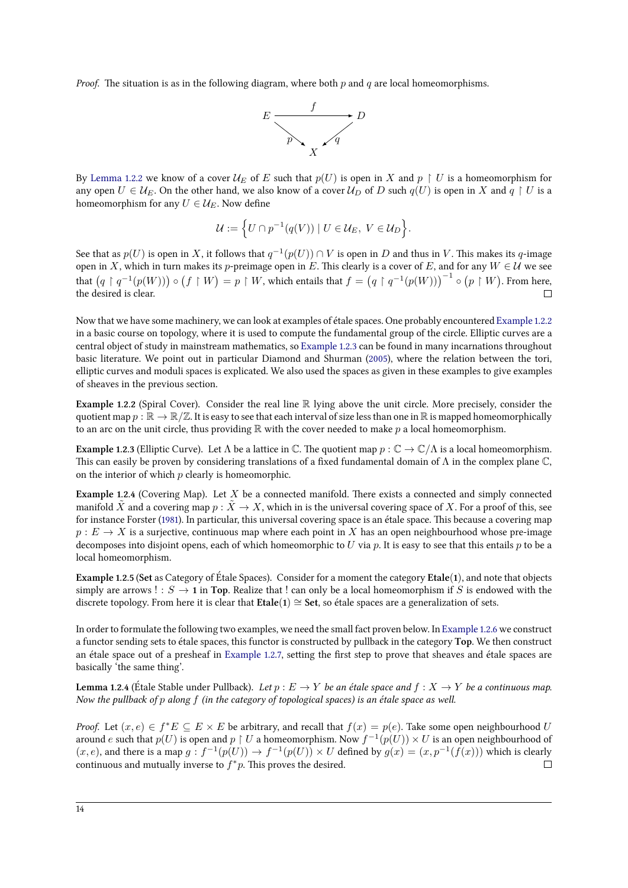*Proof.* The situation is as in the following diagram, where both  $p$  and  $q$  are local homeomorphisms.



<span id="page-19-4"></span>By Lemma 1.2.2 we know of a cover  $U_E$  of *E* such that  $p(U)$  is open in *X* and  $p \restriction U$  is a homeomorphism for any open  $U \in \mathcal{U}_E$ . On the other hand, we also know of a cover  $\mathcal{U}_D$  of  $D$  such  $q(U)$  is open in  $X$  and  $q \restriction U$  is a homeomorphism for any  $U \in \mathcal{U}_E$ . Now define

$$
\mathcal{U} := \left\{ U \cap p^{-1}(q(V)) \mid U \in \mathcal{U}_E, \ V \in \mathcal{U}_D \right\}.
$$

See that as  $p(U)$  is open in  $X$ , it follows that  $q^{-1}(p(U)) \cap V$  is open in  $D$  and thus in  $V$ . This makes its  $q$ -image open in *X*, which in turn makes its *p*-preimage open in *E*. This clearly is a cover of *E*, and for any  $W \in \mathcal{U}$  we see that  $\big(q\restriction q^{-1}(p(W))\big)\circ\big(f\restriction W\big)=p\restriction W,$  which entails that  $f=\big(q\restriction q^{-1}(p(W))\big)^{-1}\circ\big(p\restriction W\big).$  From here, the desired is clear.  $\Box$ 

Now that we have some machinery, we can look at examples of étale spaces. One probably encountered Example 1.2.2 in a basic course on topology, where it is used to compute the fundamental group of the circle. Elliptic curves are a central object of study in mainstream mathematics, so Example 1.2.3 can be found in many incarnations throughout basic literature. We point out in particular Diamond and Shurman (2005), where the relation between the tori, elliptic curves and moduli spaces is explicated. We also used the spaces as given in these examples to [give examples](#page-19-0) of sheaves in the previous section.

**Example 1.2.2** (Spiral Cover). Consider the real line R [lying abov](#page-19-1)e the unit circle. More precisely, consider the quotient map  $p : \mathbb{R} \to \mathbb{R}/\mathbb{Z}$ . It is easy to see that each interval of size les[s than](#page-68-6) one in  $\mathbb{R}$  is mapped homeomorphically to an arc on the unit circle, thus providing R with the cover needed to make *p* a local homeomorphism.

<span id="page-19-0"></span>**Example 1.2.3** (Elliptic Curve). Let  $\Lambda$  be a lattice in  $\mathbb{C}$ . The quotient map  $p : \mathbb{C} \to \mathbb{C}/\Lambda$  is a local homeomorphism. This can easily be proven by considering translations of a fixed fundamental domain of  $\Lambda$  in the complex plane  $\mathbb{C}$ , on the interior of which *p* clearly is homeomorphic.

<span id="page-19-1"></span>**Example 1.2.4** (Covering Map). Let  $X$  be a connected manifold. There exists a connected and simply connected manifold  $\tilde{X}$  and a covering map  $p : \tilde{X} \to X$ , which in is the universal covering space of X. For a proof of this, see for instance Forster (1981). In particular, this universal covering space is an étale space. This because a covering map  $p: E \to X$  is a surjective, continuous map where each point in X has an open neighbourhood whose pre-image decomposes into disjoint opens, each of which homeomorphic to  $U$  via  $p$ . It is easy to see that this entails  $p$  to be a local homeomorphism.

**Example 1.2.5 (Set** a[s Cat](#page-68-4)egory of Étale Spaces). Consider for a moment the category **Etale**(1), and note that objects simply are arrows ! :  $S \to 1$  in Top. Realize that ! can only be a local homeomorphism if S is endowed with the discrete topology. From here it is clear that **Etale**() *∼*= **Set**, so ´etale spaces are a generalization of sets.

<span id="page-19-3"></span>In order to formulate the following two examples, we need the small fact proven below. In Example 1.2.6 we construct a functor sending sets to étale spaces, this functor is constructed by pullback in the category **Top**. We then construct an étale space out of a presheaf in Example 1.2.7, setting the first step to prove that sheaves and étale spaces are basically 'the same thing'.

**Lemma 1.2.4** (Étale Stable under Pullback). Let  $p : E \to Y$  *be an étale space and*  $f : X \to Y$  *[be a con](#page-20-0)tinuous map. Now the pullback of p along*  $f$  *(in th[e category of to](#page-20-1)pological spaces) is an étale space as well.* 

<span id="page-19-2"></span>*Proof.* Let  $(x, e) \in f^*E \subseteq E \times E$  be arbitrary, and recall that  $f(x) = p(e)$ . Take some open neighbourhood *U* around  $e$  such that  $p(U)$  is open and  $p \restriction U$  a homeomorphism. Now  $f^{-1}(p(U)) \times U$  is an open neighbourhood of  $(x, e)$ , and there is a map  $g : f^{-1}(p(U)) \to f^{-1}(p(U)) \times U$  defined by  $g(x) = (x, p^{-1}(f(x)))$  which is clearly continuous and mutually inverse to  $f^*p$ . This proves the desired.  $\Box$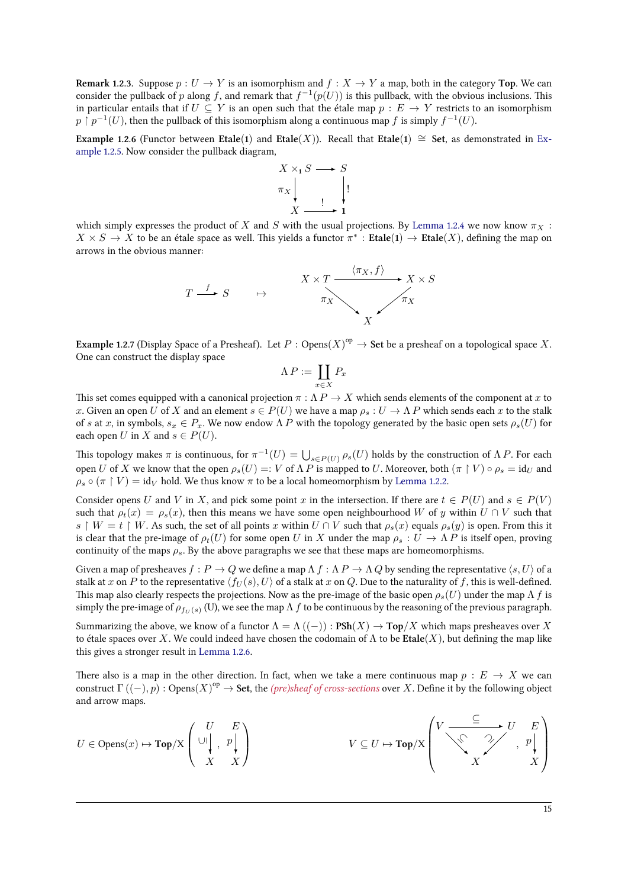**Remark 1.2.3.** Suppose  $p: U \to Y$  is an isomorphism and  $f: X \to Y$  a map, both in the category **Top**. We can consider the pullback of *p* along *f*, and remark that  $f^{-1}(p(U))$  is this pullback, with the obvious inclusions. This in particular entails that if  $U \subseteq Y$  is an open such that the étale map  $p : E \to Y$  restricts to an isomorphism *p*  $\restriction$  *p*<sup>−1</sup>(*U*), then the pullback of this isomorphism along a continuous map *f* is simply  $f^{-1}(U)$ .

**Example 1.2.6** (Functor between **Etale**(1) and **Etale**(X)). Recall that **Etale**(1)  $\cong$  **Set**, as demonstrated in Example 1.2.5. Now consider the pullback diagram,



<span id="page-20-0"></span>which simply expresses the product of *X* and *S* with the usual projections. By Lemma 1.2.4 we now know  $\pi_X$ :  $X \times S \to X$  to be an étale space as well. This yields a functor  $\pi^*$ : **Etale**(1)  $\to$  **Etale**(*X*), defining the map on arrows in the obvious manner:



**Example 1.2.7** (Display Space of a Presheaf). Let  $P: \text{Opens}(X)^\text{op} \to \text{Set}$  be a presheaf on a topological space  $X$ . One can construct the display space

$$
\Lambda \, P := \coprod_{x \in X} P_x
$$

<span id="page-20-1"></span>This set comes equipped with a canonical projection  $\pi$  :  $\Lambda P \to X$  which sends elements of the component at *x* to *x*. Given an open *U* of *X* and an element  $s \in P(U)$  we have a map  $\rho_s : U \to \Lambda P$  which sends each *x* to the stalk of *s* at *x*, in symbols,  $s_x \in P_x$ . We now endow  $\Lambda P$  with the topology generated by the basic open sets  $\rho_s(U)$  for each open *U* in *X* and  $s \in P(U)$ .

This topology makes  $\pi$  is continuous, for  $\pi^{-1}(U) = \bigcup_{s \in P(U)} \rho_s(U)$  holds by the construction of  $\Lambda P$ . For each open *U* of *X* we know that the open  $\rho_s(U) =: V$  of  $\Lambda P$  is mapped to *U*. Moreover, both  $(\pi \restriction V) \circ \rho_s = id_U$  and  $\rho_s \circ (\pi \restriction V) = id_V$  hold. We thus know  $\pi$  to be a local homeomorphism by Lemma 1.2.2.

Consider opens *U* and *V* in *X*, and pick some point *x* in the intersection. If there are  $t \in P(U)$  and  $s \in P(V)$ such that  $\rho_t(x) = \rho_s(x)$ , then this means we have some open neighbourhood *W* of *y* within  $U \cap V$  such that  $s \restriction W = t \restriction W$ . As such, the set of all points *x* within  $U \cap V$  such that  $\rho_s(x)$  [equals](#page-18-4)  $\rho_s(y)$  is open. From this it is clear that the pre-image of  $\rho_t(U)$  for some open *U* in *X* under the map  $\rho_s: U \to \Lambda P$  is itself open, proving continuity of the maps  $\rho_s$ . By the above paragraphs we see that these maps are homeomorphisms.

Given a map of presheaves  $f: P \to Q$  we define a map  $\Lambda f: \Lambda P \to \Lambda Q$  by sending the representative  $\langle s, U \rangle$  of a stalk at *x* on *P* to the representative  $\langle f_U(s), U \rangle$  of a stalk at *x* on *Q*. Due to the naturality of *f*, this is well-defined. This map also clearly respects the projections. Now as the pre-image of the basic open  $\rho_s(U)$  under the map  $\Lambda f$  is simply the pre-image of  $\rho_{f_U(s)}$  (U), we see the map  $\Lambda$   $f$  to be continuous by the reasoning of the previous paragraph.

Summarizing the above, we know of a functor  $\Lambda = \Lambda((-))$  :  $\text{PSh}(X) \to \text{Top}/X$  which maps presheaves over X to étale spaces over X. We could indeed have chosen the codomain of  $\Lambda$  to be **Etale**(X), but defining the map like this gives a stronger result in Lemma 1.2.6.

There also is a map in the other direction. In fact, when we take a mere continuous map  $p : E \to X$  we can construct  $\Gamma((-), p)$  : Opens $(X)$ <sup>op</sup>  $\to$  **Set**, the *(pre)sheaf of cross-sections* over *X*. Define it by the following object and arrow maps.

$$
U \in \mathrm{Opens}(x) \mapsto \mathrm{Top/X}\left(\begin{array}{ccc} U & E \\ \cup |\hspace{-.3cm} \mid & \end{array}\right) \qquad \qquad V \subseteq U \mapsto \mathrm{Top/X}\left(\begin{array}{ccc} V & \stackrel{\subseteq}{\longrightarrow} & U & E \\ \textcolor{red}{\searrow} & \nearrow & & \end{array}\right)
$$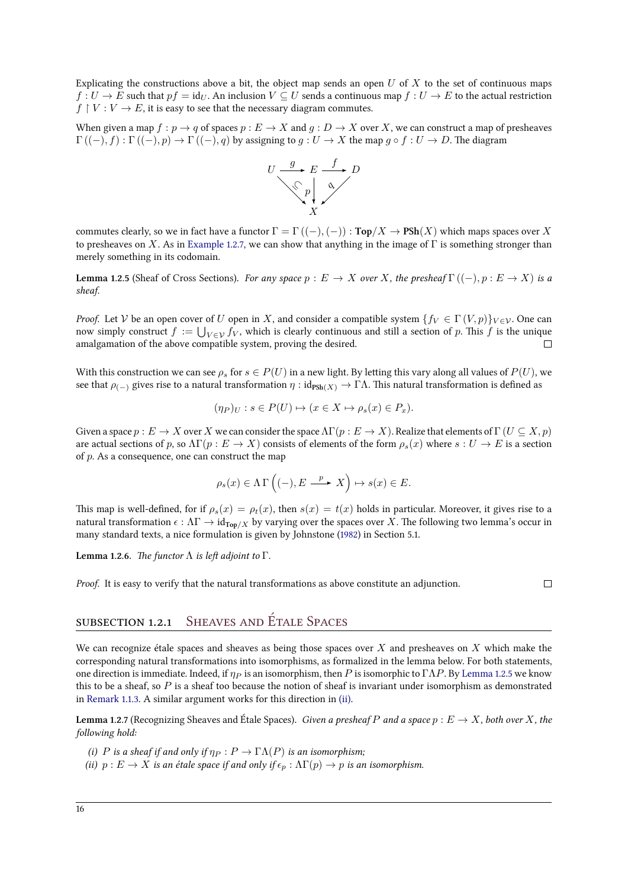Explicating the constructions above a bit, the object map sends an open  $U$  of  $X$  to the set of continuous maps  $f: U \to E$  such that  $pf = id_U$ . An inclusion  $V \subseteq U$  sends a continuous map  $f: U \to E$  to the actual restriction  $f \restriction V : V \to E$ , it is easy to see that the necessary diagram commutes.

<span id="page-21-6"></span>When given a map  $f : p \to q$  of spaces  $p : E \to X$  and  $q : D \to X$  over X, we can construct a map of presheaves  $\Gamma((-), f): \Gamma((-), p) \to \Gamma((-), q)$  by assigning to  $g: U \to X$  the map  $g \circ f: U \to D$ . The diagram



commutes clearly, so we in fact have a functor  $\Gamma = \Gamma((-), (-)) : \text{Top}/X \to \text{PSh}(X)$  which maps spaces over X to presheaves on *X*. As in Example 1.2.7, we can show that anything in the image of  $\Gamma$  is something stronger than merely something in its codomain.

**Lemma 1.2.5** (Sheaf of Cross Sections). *For any space*  $p : E \to X$  *over X, the presheaf*  $\Gamma((-), p : E \to X)$  *is a sheaf.*

<span id="page-21-1"></span>*Proof.* Let *V* be an open cover of *U* open in *X*, and consider a compatible system  $\{f_V \in \Gamma(V, p)\}_{V \in V}$ . One can now simply construct  $f := \bigcup_{V \in \mathcal{V}} f_V$ , which is clearly continuous and still a section of *p*. This *f* is the unique amalgamation of the above compatible system, proving the desired.

With this construction we can see  $\rho_s$  for  $s \in P(U)$  in a new light. By letting this vary along all values of  $P(U)$ , we see that  $\rho_{(-)}$  gives rise to a natural transformation  $\eta$  : id<sub>PSh(*X*)</sub>  $\rightarrow$  ΓΛ. This natural transformation is defined as

$$
(\eta_P)_U : s \in P(U) \mapsto (x \in X \mapsto \rho_s(x) \in P_x).
$$

Given a space  $p: E \to X$  over X we can consider the space  $\Lambda \Gamma(p: E \to X)$ . Realize that elements of  $\Gamma(U \subseteq X, p)$ are actual sections of *p*, so  $\Lambda \Gamma(p : E \to X)$  consists of elements of the form  $\rho_s(x)$  where  $s : U \to E$  is a section of *p*. As a consequence, one can construct the map

$$
\rho_s(x) \in \Lambda \Gamma \left( (-), E \xrightarrow{p} X \right) \mapsto s(x) \in E.
$$

This map is well-defined, for if  $\rho_s(x) = \rho_t(x)$ , then  $s(x) = t(x)$  holds in particular. Moreover, it gives rise to a natural transformation  $\epsilon : \Lambda \Gamma \to \mathrm{id}_{\mathrm{Top}/X}$  by varying over the spaces over X. The following two lemma's occur in many standard texts, a nice formulation is given by Johnstone (1982) in Section 5.1.

**Lemma 1.2.6.** *The functor*  $\Lambda$  *is left adjoint to*  $\Gamma$ *.* 

<span id="page-21-5"></span>*Proof.* It is easy to verify that the natural transformations as a[bove c](#page-68-9)onstitute an adjunction.

 $\Box$ 

### SUBSECTION 1.2.1 SHEAVES AND ÉTALE SPACES

<span id="page-21-0"></span>We can recognize étale spaces and sheaves as being those spaces over  $X$  and presheaves on  $X$  which make the corresponding natural transformations into isomorphisms, as formalized in the lemma below. For both statements, one direction is immediate. Indeed, if  $\eta_P$  is an isomorphism, then *P* is isomorphic to  $\Gamma\Lambda P$ . By Lemma 1.2.5 we know this to be a sheaf, so *P* is a sheaf too because the notion of sheaf is invariant under isomorphism as demonstrated in Remark 1.1.3. A similar argument works for this direction in (ii).

**Lemma 1.2.7** (Recognizing Sheaves and Étale Spaces). *Given a presheaf P* and a space  $p : E \to X$ *[, both ov](#page-21-1)er X, the following hold:*

*(i) P [is a sh](#page-16-0)eaf if and only if*  $\eta_P$  :  $P \to \Gamma \Lambda(P)$  *is an isomor[phis](#page-21-2)m;* 

<span id="page-21-4"></span><span id="page-21-3"></span><span id="page-21-2"></span>*(ii)*  $p: E \to X$  *is an étale space if and only if*  $\epsilon_p: \Lambda\Gamma(p) \to p$  *is an isomorphism.*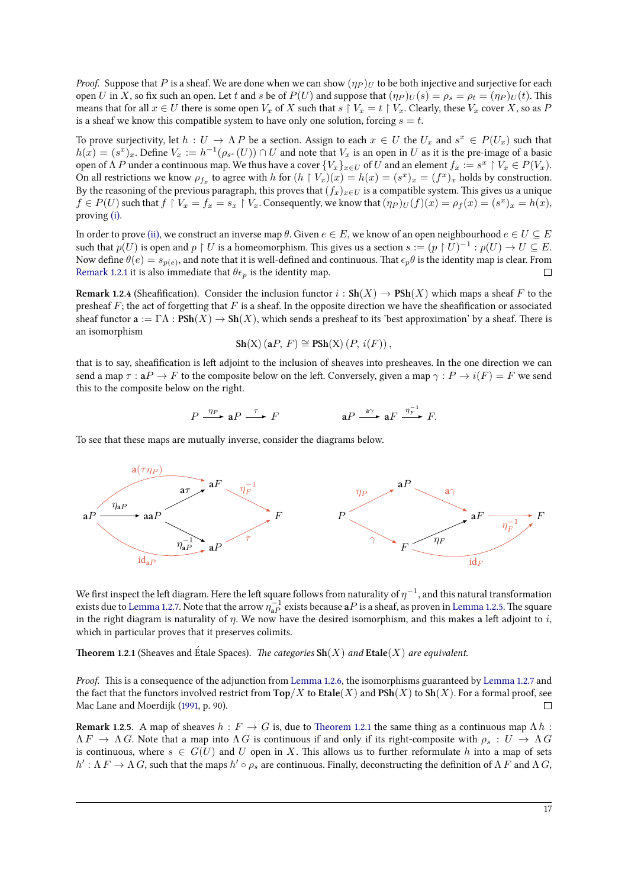*Proof.* Suppose that *P* is a sheaf. We are done when we can show  $(\eta_P)_U$  to be both injective and surjective for each open U in X, so fix such an open. Let t and s be of  $P(U)$  and suppose that  $(\eta_P)_U(s) = \rho_s = \rho_t = (\eta_P)_U(t)$ . This means that for all  $x \in U$  there is some open  $V_x$  of X such that  $s \restriction V_x = t \restriction V_x$ . Clearly, these  $V_x$  cover X, so as P is a sheaf we know this compatible system to have only one solution, forcing  $s = t$ .

<span id="page-22-3"></span>To prove surjectivity, let  $h: U \to \Lambda P$  be a section. Assign to each  $x \in U$  the  $U_x$  and  $s^x \in P(U_x)$  such that  $h(x)=(s^x)_x$ . Define  $V_x:=h^{-1}(\rho_{s^x}(U))\cap U$  and note that  $V_x$  is an open in  $U$  as it is the pre-image of a basic open of  $\Lambda P$  under a continuous map. We thus have a cover  $\{V_x\}_{x\in U}$  of  $U$  and an element  $f_x:=s^x\restriction V_x\in P(V_x)$ . On all restrictions we know  $\rho_{f_x}$  to agree with h for  $(h \restriction V_x)(x) = h(x) = (s^x)_x = (f^x)_x$  holds by construction. By the reasoning of the previous paragraph, this proves that  $(f_x)_{x \in U}$  is a compatible system. This gives us a unique  $f \in P(U)$  such that  $f \restriction V_x = f_x = s_x \restriction V_x$ . Consequently, we know that  $(\eta_P)_U(f)(x) = \rho_f(x) = (s^x)_x = h(x)$ , proving (i).

In order to prove (ii), we construct an inverse map *θ*. Given *e* ∈ *E*, we know of an open neighbourhood *e* ∈ *U* ⊆ *E* such that  $p(U)$  is open and  $p \restriction U$  is a homeomorphism. This gives us a section  $s := (p \restriction U)^{-1} : p(U) \to U \subseteq E$ . Now define  $\theta(e)=s_{p(e)},$  and note that it is well-defined and continuous. That  $\epsilon_p\theta$  is the identity map is clear. From Remark 1.2.1 it is also immediate that  $\theta \epsilon_p$  is the identity map.  $\Box$ 

**Remark 1.2.4** (Sh[eafi](#page-21-2)fication). Consider the inclusion functor  $i : \text{Sh}(X) \to \text{PSh}(X)$  which maps a sheaf F to the presheaf *F*; the act of forgetting that *F* is a sheaf. In the opposite direction we have the sheafification or associated [sheaf functor](#page-17-2)  $\mathbf{a} := \Gamma \Lambda : \mathbf{PSh}(X) \to \mathbf{Sh}(X)$ , which sends a presheaf to its 'best approximation' by a sheaf. There is an isomorphism

$$
Sh(X) (aP, F) \cong PSh(X) (P, i(F)),
$$

<span id="page-22-2"></span>that is to say, sheafification is left adjoint to the inclusion of sheaves into presheaves. In the one direction we can send a map  $\tau : aP \to F$  to the composite below on the left. Conversely, given a map  $\gamma : P \to i(F) = F$  we send this to the composite below on the right.

$$
P \xrightarrow{\eta_P} aP \xrightarrow{\tau} F \qquad aP \xrightarrow{a\gamma} aF \xrightarrow{\eta_F^{-1}} F.
$$

To see that these maps are mutually inverse, consider the diagrams below.



We first inspect the left diagram. Here the left square follows from naturality of  $\eta^{-1}$ , and this natural transformation exists due to Lemma 1.2.7. Note that the arrow  $\eta_{aP}^{-1}$  exists because  $aP$  is a sheaf, as proven in Lemma 1.2.5. The square in the right diagram is naturality of  $\eta$ . We now have the desired isomorphism, and this makes **a** left adjoint to *i*, which in particular proves that it preserves colimits.

**Theorem 1.2.1** [\(Sheaves a](#page-21-4)nd Étale Spaces). The categories  $\text{Sh}(X)$  and  $\text{Etale}(X)$  are equiva[lent.](#page-21-1)

*Proof.* This is a consequence of the adjunction from Lemma 1.2.6, the isomorphisms guaranteed by Lemma 1.2.7 and the fact that the functors involved restrict from  $\text{Top}/X$  to  $\text{Etale}(X)$  and  $\text{PSh}(X)$  to  $\text{Sh}(X)$ . For a formal proof, see Mac Lane and Moerdijk (1991, p. 90).  $\Box$ 

<span id="page-22-1"></span><span id="page-22-0"></span>**Remark 1.2.5.** A map of sheaves  $h : F \to G$  is, due to Theorem 1.2.1 the same thing as a conti[nuous map](#page-21-4)  $\Lambda h$ :  $\Lambda F \to \Lambda G$ . Note that a map into  $\Lambda G$  is contin[uous if and](#page-21-5) only if its right-composite with  $\rho_s : U \to \Lambda G$ is continuous, where  $s \in G(U)$  and U open in X. This allows us to further reformulate h into a map of sets  $h': \Lambda\,F \to \Lambda\,G,$  such th[at th](#page-69-5)e maps  $h' \circ \rho_s$  are continuous. Finally, deconstructing the definition of  $\Lambda\,F$  and  $\Lambda\,G,$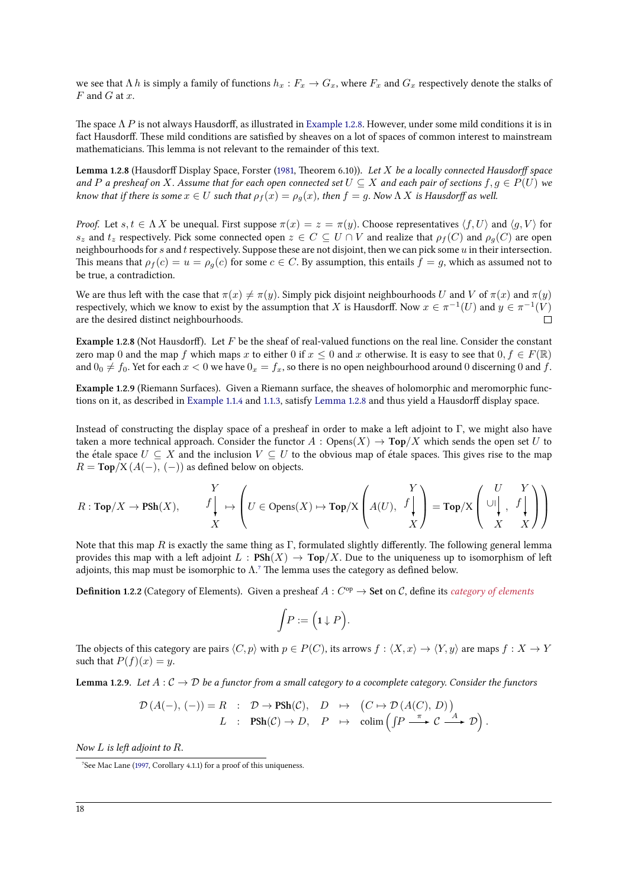we see that  $\Lambda h$  is simply a family of functions  $h_x : F_x \to G_x$ , where  $F_x$  and  $G_x$  respectively denote the stalks of *F* and *G* at *x*.

<span id="page-23-2"></span>The space  $\Lambda P$  is not always Hausdorff, as illustrated in Example 1.2.8. However, under some mild conditions it is in fact Hausdorff. These mild conditions are satisfied by sheaves on a lot of spaces of common interest to mainstream mathematicians. This lemma is not relevant to the remainder of this text.

Lemma 1.2.8 (Hausdorff Display Space, Forster (1981, Theorem 6.10)). Let X be a locally connected Hausdorff space *and P* a presheaf on X. Assume that for each open connected set  $U \subseteq X$  and each pair of sections  $f, g \in P(U)$  we *know that if there is some*  $x \in U$  *such that*  $\rho_f(x) = \rho_g(x)$ *, then*  $f = g$ *. Now*  $\Lambda X$  *is Hausdorff as well.* 

<span id="page-23-1"></span>*Proof.* Let  $s, t \in \Lambda X$  be unequal. First suppose  $\pi(x) = z = \pi(y)$ . Choose representatives  $\langle f, U \rangle$  and  $\langle g, V \rangle$  for *s*<sub>z</sub> and  $t_z$  respectively. Pick some connected open  $z \in C \subseteq U \cap V$  and realize that  $\rho_f(C)$  and  $\rho_g(C)$  are open neighbourhoods for  $s$  and  $t$  respectively. Suppose these are not disjoint, then we can pick some  $u$  in their intersection. This means that  $\rho_f(c) = u = \rho_g(c)$  for some  $c \in C$ . By assumption, this entails  $f = g$ , which as assumed not to be true, a contradiction.

We are thus left with the case that  $\pi(x) \neq \pi(y)$ . Simply pick disjoint neighbourhoods *U* and *V* of  $\pi(x)$  and  $\pi(y)$ respectively, which we know to exist by the assumption that *X* is Hausdorff. Now  $x \in \pi^{-1}(U)$  and  $y \in \pi^{-1}(V)$ are the desired distinct neighbourhoods.  $\Box$ 

**Example 1.2.8** (Not Hausdorff). Let F be the sheaf of real-valued functions on the real line. Consider the constant zero map 0 and the map *f* which maps *x* to either 0 if  $x \le 0$  and *x* otherwise. It is easy to see that  $0, f \in F(\mathbb{R})$ and  $0_0 \neq f_0$ . Yet for each  $x < 0$  we have  $0_x = f_x$ , so there is no open neighbourhood around 0 discerning 0 and *f*.

<span id="page-23-0"></span>**Example 1.2.9** (Riemann Surfaces). Given a Riemann surface, the sheaves of holomorphic and meromorphic functions on it, as described in Example 1.1.4 and 1.1.3, satisfy Lemma 1.2.8 and thus yield a Hausdorff display space.

Instead of constructing the display space of a presheaf in order to make a left adjoint to Γ, we might also have taken a more technical approach. Consider the functor  $A : \text{Opens}(X) \to \text{Top}/X$  which sends the open set U to the étale space  $U \subseteq X$  a[nd the inclusio](#page-11-5)n  $V \subseteq U$  to th[e obvious ma](#page-23-1)p of étale spaces. This gives rise to the map  $R = \text{Top}/X (A(-), (-))$  as defined below on objects.

$$
R: \text{Top}/X \to \text{PSh}(X), \qquad \begin{array}{c} Y \\ f \\ X \end{array} \mapsto \left( U \in \text{Opens}(X) \mapsto \text{Top}/X \left( A(U), \begin{array}{c} Y \\ f \\ X \end{array} \right) = \text{Top}/X \left( \begin{array}{c} U & Y \\ \cup | \\ X & X \end{array} \right) \right)
$$

Note that this map  $R$  is exactly the same thing as  $\Gamma$ , formulated slightly differently. The following general lemma provides this map with a left adjoint  $L : PSh(X) \to Top/X$ . Due to the uniqueness up to isomorphism of left adjoints, this map must be isomorphic to  $\Lambda$ .<sup>7</sup> The lemma uses the category as defined below.

**Definition 1.2.2** (Category of Elements). Given a presheaf  $A: C^{op} \to \mathbf{Set}$  on C, define its *category of elements* 

$$
\int \!\! P:=\Bigl( \mathbf{1}\downarrow P\Bigr).
$$

The objects of this category are pairs  $\langle C, p \rangle$  with  $p \in P(C)$ , its arrows  $f : \langle X, x \rangle \to \langle Y, y \rangle$  are maps  $f : X \to Y$ such that  $P(f)(x) = y$ .

**Lemma 1.2.9.** Let  $A: C \to \mathcal{D}$  be a functor from a small category to a cocomplete category. Consider the functors

$$
\mathcal{D}(A(-), (-)) = R : \mathcal{D} \to \text{PSh}(\mathcal{C}), \quad D \mapsto (C \mapsto \mathcal{D}(A(C), D))
$$
  

$$
L : \text{PSh}(\mathcal{C}) \to D, \quad P \mapsto \text{colim}(\int P \xrightarrow{\pi} \mathcal{C} \xrightarrow{A} \mathcal{D}).
$$

*Now*  $L$  *is left adjoint to*  $R$ *.* 

<sup>&</sup>lt;sup>7</sup>See Mac Lane (1997, Corollary 4.1.1) for a proof of this uniqueness.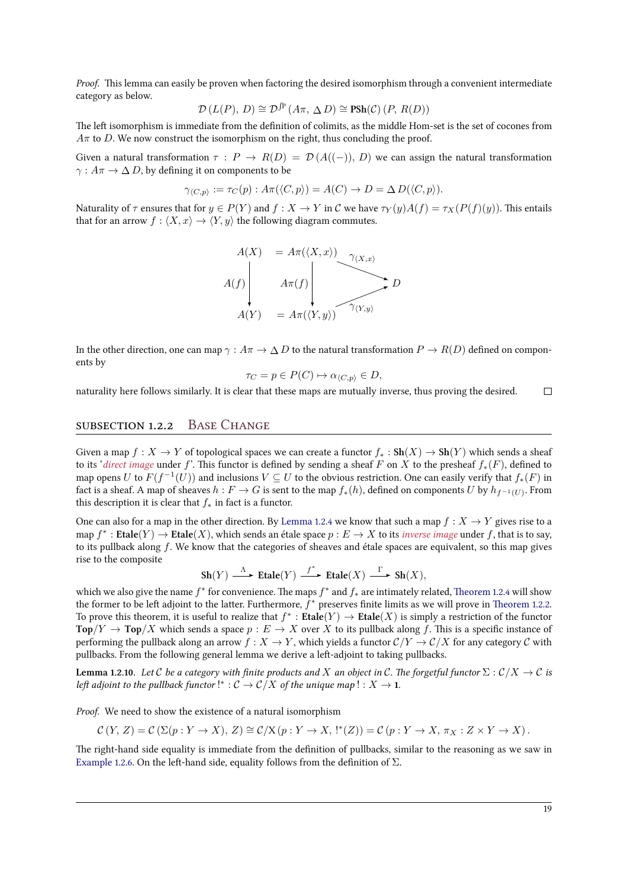*Proof.* This lemma can easily be proven when factoring the desired isomorphism through a convenient intermediate category as below.

$$
\mathcal{D}\left(L(P),\,D\right)\cong\mathcal{D}^{\int P}\left(A\pi,\,\Delta\,D\right)\cong\mathbf{PSh}(\mathcal{C})\left(P,\,R(D)\right)
$$

The left isomorphism is immediate from the definition of colimits, as the middle Hom-set is the set of cocones from *Aπ* to *D*. We now construct the isomorphism on the right, thus concluding the proof.

Given a natural transformation  $\tau$  :  $P \to R(D) = \mathcal{D}(A((-)), D)$  we can assign the natural transformation  $\gamma: A\pi \to \Delta D$ , by defining it on components to be

$$
\gamma_{\langle C,p \rangle} := \tau_C(p) : A\pi(\langle C,p \rangle) = A(C) \to D = \Delta D(\langle C,p \rangle).
$$

Naturality of  $\tau$  ensures that for  $y \in P(Y)$  and  $f: X \to Y$  in C we have  $\tau_Y(y)A(f) = \tau_X(P(f)(y))$ . This entails that for an arrow  $f : \langle X, x \rangle \to \langle Y, y \rangle$  the following diagram commutes.



In the other direction, one can map  $\gamma : A\pi \to \Delta D$  to the natural transformation  $P \to R(D)$  defined on components by

$$
\tau_C = p \in P(C) \mapsto \alpha_{\langle C, p \rangle} \in D,
$$

naturality here follows similarly. It is clear that these maps are mutually inverse, thus proving the desired.  $\Box$ 

#### SUBSECTION 1.2.2 BASE CHANGE

<span id="page-24-0"></span>Given a map  $f: X \to Y$  of topological spaces we can create a functor  $f_* : Sh(X) \to Sh(Y)$  which sends a sheaf to its '*direct image* under *f*'. This functor is defined by sending a sheaf *F* on *X* to the presheaf  $f_*(F)$ , defined to map opens *U* to  $F(f^{-1}(U))$  and inclusions  $V \subseteq U$  to the obvious restriction. One can easily verify that  $f_*(F)$  in fact is a sheaf. A map of sheaves  $h: F \to G$  is sent to the map  $f_*(h)$ , defined on components  $U$  by  $h_{f^{-1}(U)}$ . From this description it is clear that  $f_*$  in fact is a functor.

One can also for a map in the other direction. By Lemma 1.2.4 we know that such a map  $f : X \to Y$  gives rise to a  $\text{map } f^* : \text{Etale}(Y) \to \text{Etale}(X)$ , which sends an étale space  $p : E \to X$  to its *inverse image* under  $f$ , that is to say, to its pullback along *f*. We know that the categories of sheaves and étale spaces are equivalent, so this map gives rise to the composite

$$
\mathbf{Sh}(Y) \xrightarrow{\Lambda} \mathbf{E} \mathbf{tale}(Y) \xrightarrow{f^*} \mathbf{E} \mathbf{tale}(X) \xrightarrow{\Gamma} \mathbf{Sh}(X),
$$

which we also give the name  $f^*$  for convenience. The maps  $f^*$  and  $f_*$  are intimately related, Theorem 1.2.4 will show the former to be left adjoint to the latter. Furthermore,  $f^*$  preserves finite limits as we will prove in Theorem 1.2.2. To prove this theorem, it is useful to realize that  $f^*:\textbf{Etale}(Y)\to \textbf{Etale}(X)$  is simply a restriction of the functor **Top**/*Y*  $\rightarrow$  **Top**/*X* which sends a space *p* :  $E \rightarrow X$  over *X* to its pullback along *f*. This is a specific instance of performing the pullback along an arrow  $f : X \to Y$ , which yields a functor  $C/Y \to C/X$  [for any catego](#page-27-0)ry  $C$  with pullbacks. From the following general lemma we derive a left-adjoint to taking pullbacks.

**Lemma 1.2.10.** Let C be a category with finite products and X an object in C. The forgetful functor  $\Sigma : C/X \to C$  is *left adjoint to the pullback functor*  $!^{*}:\mathcal{C}\to\mathcal{C}/X$  *of the unique map*  $!:X\to\mathbf{1}.$ 

*Proof.* We need to show the existence of a natural isomorphism

$$
\mathcal{C}(Y, Z) = \mathcal{C}(\Sigma(p: Y \to X), Z) \cong \mathcal{C}/X(p: Y \to X, \, !^*(Z)) = \mathcal{C}(p: Y \to X, \, \pi_X : Z \times Y \to X).
$$

The right-hand side equality is immediate from the definition of pullbacks, similar to the reasoning as we saw in Example 1.2.6. On the left-hand side, equality follows from the definition of  $\Sigma$ .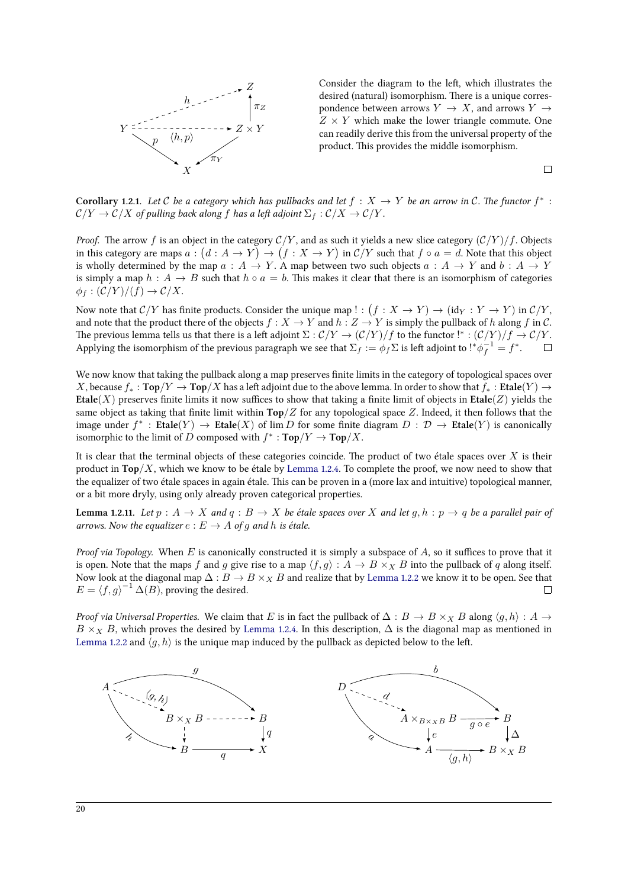

Consider the diagram to the left, which illustrates the desired (natural) isomorphism. There is a unique correspondence between arrows  $Y \rightarrow X$ , and arrows  $Y \rightarrow$  $Z \times Y$  which make the lower triangle commute. One can readily derive this from the universal property of the product. This provides the middle isomorphism.

 $\Box$ 

**Corollary 1.2.1.** Let C be a category which has pullbacks and let  $f : X \to Y$  be an arrow in C. The functor  $f^*$ :  $C/Y \rightarrow C/X$  of pulling back along f has a left adjoint  $\Sigma_f : C/X \rightarrow C/Y$ .

*Proof.* The arrow *f* is an object in the category  $C/Y$ , and as such it yields a new slice category  $(C/Y)/f$ . Objects in this category are maps  $a: (d: A \to Y) \to (f: X \to Y)$  in  $\mathcal{C}/Y$  such that  $f \circ a = d$ . Note that this object is wholly determined by the map  $a : A \rightarrow Y$ . A map between two such objects  $a : A \rightarrow Y$  and  $b : A \rightarrow Y$ is simply a map  $h : A \rightarrow B$  such that  $h \circ a = b$ . This makes it clear that there is an isomorphism of categories  $\phi_f : (\mathcal{C}/Y)/(f) \rightarrow \mathcal{C}/X$ .

Now note that  $\mathcal{C}/Y$  has finite products. Consider the unique map  $!:(f:X\rightarrow Y)\rightarrow(\text{id}_Y:Y\rightarrow Y)$  in  $\mathcal{C}/Y,$ and note that the product there of the objects  $f : X \to Y$  and  $h : Z \to Y$  is simply the pullback of *h* along *f* in *C*. The previous lemma tells us that there is a left adjoint  $\Sigma: \mathcal{C}/Y \to (\mathcal{C}/Y)/f$  to the functor !\* :  $(\mathcal{C}/Y)/f \to \mathcal{C}/Y$ . Applying the isomorphism of the previous paragraph we see that  $\Sigma_f:=\phi_f\Sigma$  is left adjoint to !\* $\phi_f^{-1}=f^*.$  $\Box$ 

We now know that taking the pullback along a map preserves finite limits in the category of topological spaces over *X*, because  $f_*$ :  $\text{Top}/Y \to \text{Top}/X$  has a left adjoint due to the above lemma. In order to show that  $f_*$ :  $\text{Etale}(Y) \to$ **Etale**(*X*) preserves finite limits it now suffices to show that taking a finite limit of objects in **Etale**(*Z*) yields the same object as taking that finite limit within **Top**/*Z* for any topological space *Z*. Indeed, it then follows that the image under *f ∗* : **Etale**(*Y* ) *→* **Etale**(*X*) of lim *D* for some finite diagram *D* : *D →* **Etale**(*Y* ) is canonically isomorphic to the limit of *D* composed with  $f^*:\mathbf{Top}/Y\to\mathbf{Top}/X$ .

It is clear that the terminal objects of these categories coincide. The product of two étale spaces over  $X$  is their product in  $\text{Top}/X$ , which we know to be étale by Lemma 1.2.4. To complete the proof, we now need to show that the equalizer of two étale spaces in again étale. This can be proven in a (more lax and intuitive) topological manner, or a bit more dryly, using only already proven categorical properties.

**Lemma 1.2.11.** Let  $p: A \to X$  and  $q: B \to X$  be étale spaces over X and let  $q, h: p \to q$  be a parallel pair of *arrows. Now the equalizer*  $e : E \to A$  *of g and h is étale.* 

*Proof via Topology.* When *E* is canonically constructed it is simply a subspace of *A*, so it suffices to prove that it is open. Note that the maps *f* and *g* give rise to a map  $\langle f, g \rangle : A \to B \times_X B$  into the pullback of *q* along itself. Now look at the diagonal map  $\Delta: B \to B \times_X B$  and realize that by Lemma 1.2.2 we know it to be open. See that  $E = \langle f, g \rangle^{-1} \Delta(B)$ , proving the desired.  $\Box$ 

*Proof via Universal Properties.* We claim that *E* is in fact the pullback of  $\Delta : B \to B \times_{X} B$  along  $\langle g, h \rangle : A \to$  $B \times_X B$ , which proves the desired by Lemma 1.2.4. In this description,  $\Delta$  [is the](#page-18-4) diagonal map as mentioned in Lemma 1.2.2 and  $\langle g, h \rangle$  is the unique map induced by the pullback as depicted below to the left.

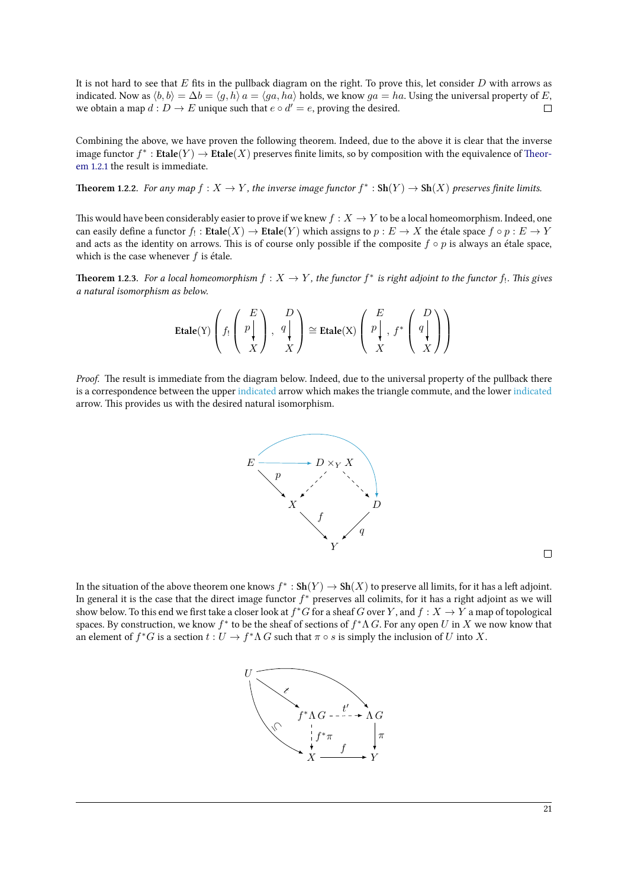It is not hard to see that  $E$  fits in the pullback diagram on the right. To prove this, let consider  $D$  with arrows as indicated. Now as  $\langle b, b \rangle = \Delta b = \langle g, h \rangle$   $a = \langle ga, ha \rangle$  holds, we know  $ga = ha$ . Using the universal property of *E*, we obtain a map  $d: D \to E$  unique such that  $e \circ d' = e$ , proving the desired.  $\Box$ 

Combining the above, we have proven the following theorem. Indeed, due to the above it is clear that the inverse image functor  $f^*$  :  $\text{Etale}(Y) \to \text{Etale}(X)$  preserves finite limits, so by composition with the equivalence of Theorem 1.2.1 the result is immediate.

**Theorem 1.2.2.** For any map  $f: X \to Y$ , the inverse image functor  $f^* : Sh(Y) \to Sh(X)$  preserves finite limits.

<span id="page-26-1"></span>Th[is wo](#page-22-0)uld have been considerably easier to prove if we knew  $f : X \to Y$  to be a local homeomorphism. Indeed, one  $c$  can easily define a functor  $f_!:{\bf{Etele}}(X)\to{\bf{Etele}}(Y)$  which assigns to  $p:E\to X$  the étale space  $f\circ p:E\to Y$ and acts as the identity on arrows. This is of course only possible if the composite  $f \circ p$  is always an étale space, which is the case whenever  $f$  is étale.

<span id="page-26-0"></span>**Theorem 1.2.3.** For a local homeomorphism  $f:X\to Y$ , the functor  $f^*$  is right adjoint to the functor  $f_!$ . This gives *a natural isomorphism as below.*

$$
\text{Etale}(Y) \left(f_! \begin{pmatrix} E \\ p \end{pmatrix}, q \begin{pmatrix} D \\ p \end{pmatrix} \cong \text{Etale}(X) \begin{pmatrix} E \\ p \end{pmatrix}, f^* \begin{pmatrix} D \\ q \end{pmatrix} \right)
$$

*Proof.* The result is immediate from the diagram below. Indeed, due to the universal property of the pullback there is a correspondence between the upper indicated arrow which makes the triangle commute, and the lower indicated arrow. This provides us with the desired natural isomorphism.



 $\Box$ 

In the situation of the above theorem one knows  $f^*: \mathbf{Sh}(Y) \to \mathbf{Sh}(X)$  to preserve all limits, for it has a left adjoint. In general it is the case that the direct image functor *f*<sup>∗</sup> preserves all colimits, for it has a right adjoint as we will show below. To this end we first take a closer look at  $f^*G$  for a sheaf  $G$  over  $Y,$  and  $f:X\to Y$  a map of topological spaces. By construction, we know  $f^*$  to be the sheaf of sections of  $f^*\Lambda$  *G*. For any open  $U$  in  $X$  we now know that an element of  $f^\ast G$  is a section  $t: U \to f^\ast\Lambda\,G$  such that  $\pi \circ s$  is simply the inclusion of  $U$  into  $X.$ 

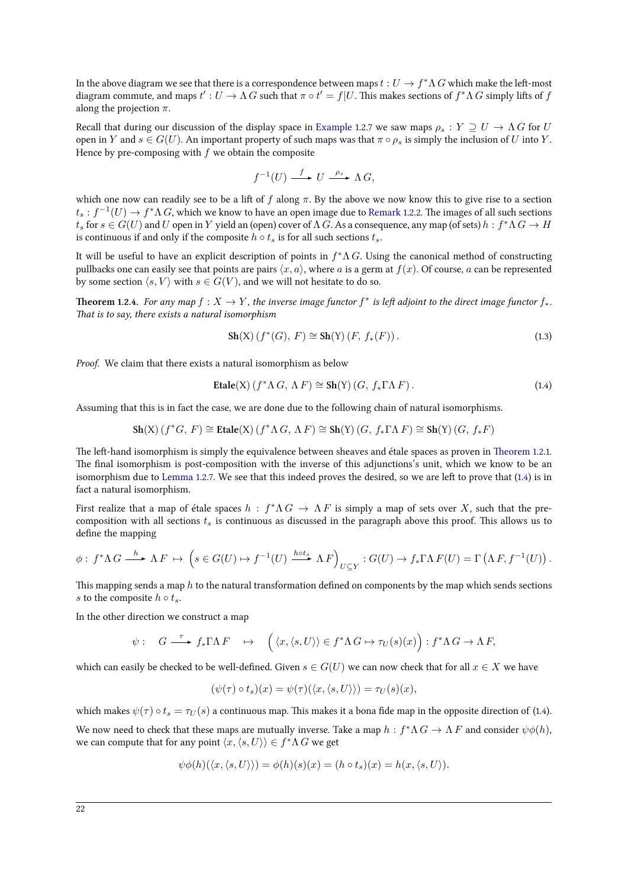In the above diagram we see that there is a correspondence between maps  $t:U\to f^*\Lambda\,G$  which make the left-most diagram commute, and maps  $t': U \to \Lambda G$  such that  $\pi \circ t' = f|U$ . This makes sections of  $f^*\Lambda G$  simply lifts of  $f$ along the projection *π*.

Recall that during our discussion of the display space in Example 1.2.7 we saw maps  $\rho_s : Y \supseteq U \to \Lambda G$  for *U* open in *Y* and  $s \in G(U)$ . An important property of such maps was that  $\pi \circ \rho_s$  is simply the inclusion of *U* into *Y*. Hence by pre-composing with *f* we obtain the composite

$$
f^{-1}(U) \xrightarrow{f} U \xrightarrow{\rho_s} \Lambda G,
$$

which one now can readily see to be a lift of f along  $\pi$ . By the above we now know this to give rise to a section  $t_s: f^{-1}(U) \to f^*\Lambda\,G,$  which we know to have an open image due to Remark 1.2.2. The images of all such sections  $t_s$  for  $s\in G(U)$  and  $U$  open in  $Y$  yield an (open) cover of  $\Lambda$   $G$ . As a consequence, any map (of sets)  $h:f^*\Lambda$   $G\to H$ is continuous if and only if the composite  $h \circ t_s$  is for all such sections  $t_s$ .

It will be useful to have an explicit description of points in *f <sup>∗</sup>*Λ *G*. Using the canonical method of constructing pullbacks one can easily see that points are pairs  $\langle x, a \rangle$ , where *a* is a g[erm at](#page-18-5)  $f(x)$ . Of course, *a* can be represented by some section  $\langle s, V \rangle$  with  $s \in G(V)$ , and we will not hesitate to do so.

**Theorem 1.2.4.** For any map  $f: X \to Y$ , the inverse image functor  $f^*$  is left adjoint to the direct image functor  $f_*$ . That is to say, there exists a natural isomorphism

$$
Sh(X) (f^*(G), F) \cong Sh(Y) (F, f_*(F)).
$$
\n(1.3)

<span id="page-27-0"></span>*Proof.* We claim that there exists a natural isomorphism as below

<span id="page-27-1"></span>
$$
\mathbf{Etale}(\mathbf{X})\left(f^*\Lambda\,G,\,\Lambda\,F\right)\cong\mathbf{Sh}(\mathbf{Y})\left(G,\,f_*\Gamma\Lambda\,F\right). \tag{1.4}
$$

Assuming that this is in fact the case, we are done due to the following chain of natural isomorphisms.

$$
\mathbf{Sh}(\mathbf{X})\left(f^*G,\,F\right)\cong\mathbf{Etale}(\mathbf{X})\left(f^*\Lambda\,G,\,\Lambda\,F\right)\cong\mathbf{Sh}(\mathbf{Y})\left(G,\,f_*\Gamma\Lambda\,F\right)\cong\mathbf{Sh}(\mathbf{Y})\left(G,\,f_*F\right)
$$

The left-hand isomorphism is simply the equivalence between sheaves and étale spaces as proven in Theorem 1.2.1. The final isomorphism is post-composition with the inverse of this adjunctions's unit, which we know to be an isomorphism due to Lemma 1.2.7. We see that this indeed proves the desired, so we are left to prove that  $(1.4)$  is in fact a natural isomorphism.

First realize that a map of étale spaces  $h : f^* \Lambda G \to \Lambda F$  is simply a map of sets over X, such [that the pre](#page-22-0)composition with al[l sections](#page-21-4)  $t_s$  is continuous as discussed in the paragraph above this proof. This allo[ws](#page-27-1) us to define the mapping

$$
\phi: f^*\Lambda G \xrightarrow{h} \Lambda F \mapsto \left(s \in G(U) \mapsto f^{-1}(U) \xrightarrow{h \circ t_s} \Lambda F\right)_{U \subseteq Y} : G(U) \to f_*\Gamma \Lambda F(U) = \Gamma\left(\Lambda F, f^{-1}(U)\right).
$$

This mapping sends a map *h* to the natural transformation defined on components by the map which sends sections *s* to the composite  $h \circ t_s$ .

In the other direction we construct a map

$$
\psi: G \xrightarrow{\tau} f_* \Gamma \Lambda F \quad \mapsto \quad \Big( \langle x, \langle s, U \rangle \rangle \in f^* \Lambda G \mapsto \tau_U(s)(x) \Big) : f^* \Lambda G \to \Lambda F,
$$

which can easily be checked to be well-defined. Given  $s \in G(U)$  we can now check that for all  $x \in X$  we have

$$
(\psi(\tau) \circ t_s)(x) = \psi(\tau)(\langle x, \langle s, U \rangle) = \tau_U(s)(x),
$$

which makes  $\psi(\tau) \circ t_s = \tau_U(s)$  a continuous map. This makes it a bona fide map in the opposite direction of (1.4). We now need to check that these maps are mutually inverse. Take a map  $h: f^*\Lambda \: G \to \Lambda \: F$  and consider  $\psi \phi(h),$ we can compute that for any point  $\langle x, \langle s, U \rangle \rangle \in f^* \Lambda G$  we get

$$
\psi\phi(h)(\langle x,\langle s,U\rangle\rangle)=\phi(h)(s)(x)=(h\circ t_s)(x)=h(x,\langle s,U\rangle).
$$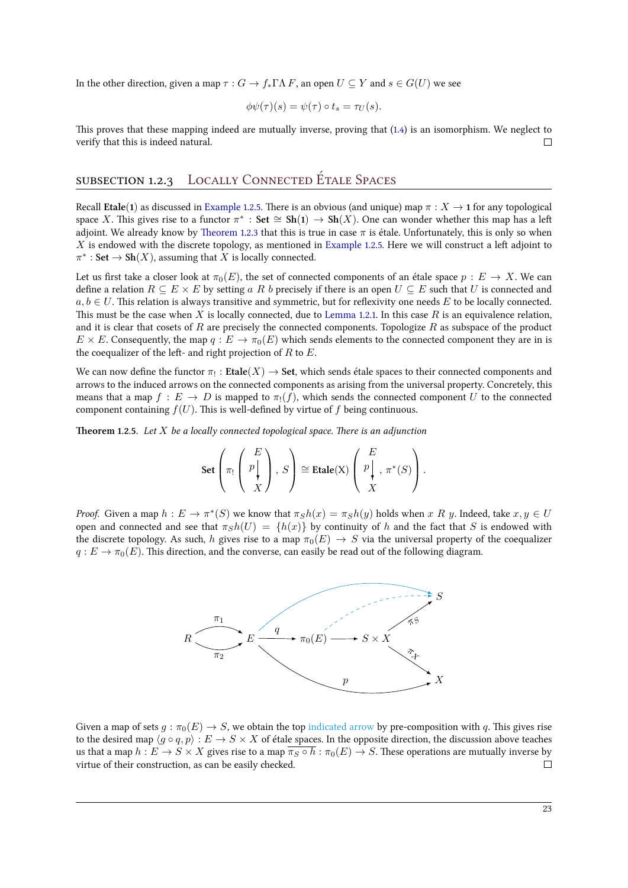In the other direction, given a map  $\tau$  :  $G \to f_*\Gamma\Lambda F$ , an open  $U \subseteq Y$  and  $s \in G(U)$  we see

$$
\phi\psi(\tau)(s) = \psi(\tau) \circ t_s = \tau_U(s).
$$

This proves that these mapping indeed are mutually inverse, proving that  $(1.4)$  is an isomorphism. We neglect to verify that this is indeed natural.  $\Box$ 

#### SUBSECTION 1.2.3 LOCALLY CONNECTED ETALE SPACES

<span id="page-28-0"></span>Recall **Etale**(1) as discussed in Example 1.2.5. There is an obvious (and unique) map  $\pi : X \to 1$  for any topological space *X*. This gives rise to a functor  $\pi^*$ : **Set**  $\cong$  **Sh**(1)  $\to$  **Sh**(*X*). One can wonder whether this map has a left adjoint. We already know by Theorem 1.2.3 that this is true in case  $\pi$  is étale. Unfortunately, this is only so when *X* is endowed with the discrete topology, as mentioned in Example 1.2.5. Here we will construct a left adjoint to  $\pi^*$ : **Set**  $\rightarrow$  **Sh**(*X*), assuming that *X* [is local](#page-19-3)ly connected.

Let us first take a closer look at  $\pi_0(E)$ , the set of connected components of an étale space  $p : E \to X$ . We can define a relation  $R \subseteq E \times E$  by setting *a* R *b* precisely if there is an open  $U \subseteq E$  such that U is connected and  $a, b \in U$ . This relation is always transitive and symmetric, [but for reflexiv](#page-19-3)ity one needs *E* to be locally connected. This must be the case when  $X$  is locally connected, due to Lemma 1.2.1. In this case  $R$  is an equivalence relation, and it is clear that cosets of *R* are precisely the connected components. Topologize *R* as subspace of the product  $E \times E$ . Consequently, the map  $q : E \to \pi_0(E)$  which sends elements to the connected component they are in is the coequalizer of the left- and right projection of  $R$  to  $E$ .

We can now define the functor  $\pi_! :$  **Etale** $(X) \to$  **Set**, which [sends](#page-17-3) étale spaces to their connected components and arrows to the induced arrows on the connected components as arising from the universal property. Concretely, this means that a map  $f : E \to D$  is mapped to  $\pi_1(f)$ , which sends the connected component U to the connected component containing  $f(U)$ . This is well-defined by virtue of  $f$  being continuous.

**Theorem 1.2.5.** Let  $X$  be a locally connected topological space. There is an adjunction

Set 
$$
\left(\pi_!\left(\begin{array}{c} E \\ p \\ k \end{array}\right), S\right) \cong \text{Etale}(X) \left(\begin{array}{c} E \\ p \\ k \end{array}, \pi^*(S)\right).
$$

<span id="page-28-1"></span>*Proof.* Given a map  $h: E \to \pi^*(S)$  we know that  $\pi_S h(x) = \pi_S h(y)$  holds when x R y. Indeed, take  $x, y \in U$ open and connected and see that  $\pi_S h(U) = \{h(x)\}\$  by continuity of *h* and the fact that *S* is endowed with the discrete topology. As such, *h* gives rise to a map  $\pi_0(E) \to S$  via the universal property of the coequalizer  $q: E \to \pi_0(E)$ . This direction, and the converse, can easily be read out of the following diagram.



Given a map of sets  $g : \pi_0(E) \to S$ , we obtain the top indicated arrow by pre-composition with *q*. This gives rise to the desired map  $\langle q \circ q, p \rangle : E \to S \times X$  of étale spaces. In the opposite direction, the discussion above teaches us that a map  $h: E \to S \times X$  gives rise to a map  $\overline{\pi_S \circ h}: \pi_0(E) \to S$ . These operations are mutually inverse by virtue of their construction, as can be easily checked.  $\Box$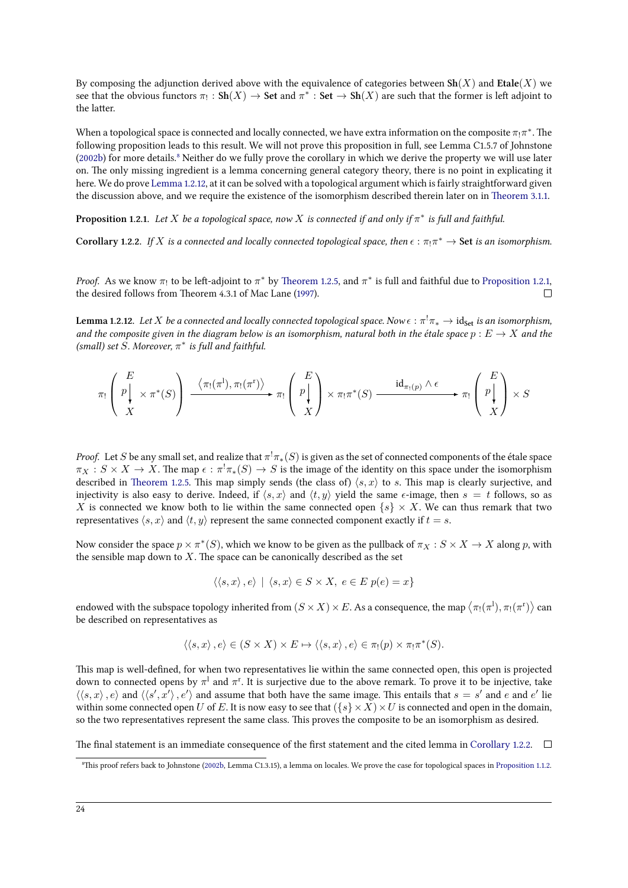By composing the adjunction derived above with the equivalence of categories between  $\text{Sh}(X)$  and  $\text{Etale}(X)$  we see that the obvious functors  $\pi_!:{\rm{Sh}}(X)\to {\rm{Set}}$  and  $\pi^*:{\rm{Set}}\to {\rm{Sh}}(X)$  are such that the former is left adjoint to the latter.

<span id="page-29-4"></span>When a topological space is connected and locally connected, we have extra information on the composite  $\pi_! \pi^*$ . The following proposition leads to this result. We will not prove this proposition in full, see Lemma C1.5.7 of Johnstone (2002b) for more details. Neither do we fully prove the corollary in which we derive the property we will use later on. The only missing ingredient is a lemma concerning general category theory, there is no point in explicating it here. We do prove Lemma 1.2.12, at it can be solved with a topological argument which is fairly straightforward given the discussion above, and we require the existence of the isomorphism described therein later on in Theorem 3.1.1.

**[Propos](#page-69-6)ition 1.2.1.** Let  $X$  be a topological space, now  $X$  is connected if and only if  $\pi^*$  is full and faithful.

<span id="page-29-2"></span>Corollary 1.2.2. If  $X$  [is a conne](#page-29-1)cted and locally connected topological space, then  $\epsilon:\pi_!\pi^*\to$  Set is a[n isomorphism](#page-55-0).

<span id="page-29-3"></span>*Proof.* As we know  $\pi_!$  to be left-adjoint to  $\pi^*$  by Theorem 1.2.5, and  $\pi^*$  is full and faithful due to Proposition 1.2.1, the desired follows from Theorem 4.3.1 of Mac Lane (1997).  $\Box$ 

 ${\tt Lemma~1.2.12.}$   $Let\ X\ be\ a\ connected\ and\ locally\ connected\ topological\ space.$  Now  $\epsilon:\pi^!\pi_*\to{\rm id}_{\rm Set}$  is an isomorphism, *and the composite given in the diagram below is a[n isomorphism](#page-28-1), natural both in the étale space*  $p : E \to X$  *[and the](#page-29-2) (small) set S. Moreover,*  $\pi^*$  *is full and faithful.* 

<span id="page-29-1"></span>
$$
\pi_! \left( \begin{array}{c} E \\ p \\ X \end{array} \right) \times \pi^*(S) \right) \xrightarrow{\langle \pi_! (\pi^1), \pi_! (\pi^r) \rangle} \pi_! \left( \begin{array}{c} E \\ p \\ X \end{array} \right) \times \pi_! \pi^*(S) \xrightarrow{\operatorname{id}_{\pi_! (p) } \wedge \epsilon} \pi_! \left( \begin{array}{c} E \\ p \\ X \end{array} \right) \times S
$$

*Proof.* Let *S* be any small set, and realize that  $\pi^!\pi_*(S)$  is given as the set of connected components of the étale space  $\pi_X : S \times X \to X$ . The map  $\epsilon : \pi^! \pi_*(S) \to S$  is the image of the identity on this space under the isomorphism described in Theorem 1.2.5. This map simply sends (the class of)  $\langle s, x \rangle$  to *s*. This map is clearly surjective, and injectivity is also easy to derive. Indeed, if  $\langle s, x \rangle$  and  $\langle t, y \rangle$  yield the same  $\epsilon$ -image, then  $s = t$  follows, so as *X* is connected we know both to lie within the same connected open  $\{s\} \times X$ . We can thus remark that two representatives  $\langle s, x \rangle$  and  $\langle t, y \rangle$  represent the same connected component exactly if  $t = s$ .

Now conside[r the space](#page-28-1)  $p \times \pi^*(S)$ , which we know to be given as the pullback of  $\pi_X:S \times X \to X$  along  $p$ , with the sensible map down to  $X$ . The space can be canonically described as the set

$$
\langle \langle s, x \rangle, e \rangle \mid \langle s, x \rangle \in S \times X, e \in E \ p(e) = x \}
$$

endowed with the subspace topology inherited from  $(S\times X)\times E.$  As a consequence, the map  $\big\langle\pi_!(\pi^{\rm I}),\pi_!(\pi^{\rm r})\big\rangle$  can be described on representatives as

$$
\langle \langle s, x \rangle, e \rangle \in (S \times X) \times E \mapsto \langle \langle s, x \rangle, e \rangle \in \pi_!(p) \times \pi_!\pi^*(S).
$$

This map is well-defined, for when two representatives lie within the same connected open, this open is projected down to connected opens by  $\pi^l$  and  $\pi^r$ . It is surjective due to the above remark. To prove it to be injective, take  $\langle\langle s,x\rangle,e\rangle$  and  $\langle\langle s',x'\rangle,e'\rangle$  and assume that both have the same image. This entails that  $s=s'$  and e and e' lie within some connected open *U* of *E*. It is now easy to see that  $({s} \times X) \times U$  is connected and open in the domain, so the two representatives represent the same class. This proves the composite to be an isomorphism as desired.

The final statement is an immediate consequence of the first statement and the cited lemma in Corollary 1.2.2.  $\Box$ 

<span id="page-29-0"></span><sup>&</sup>lt;sup>8</sup>This proof refers back to Johnstone (2002b, Lemma C1.3.15), a lemma on locales. We prove the case for topological spaces in Proposition 1.1.2.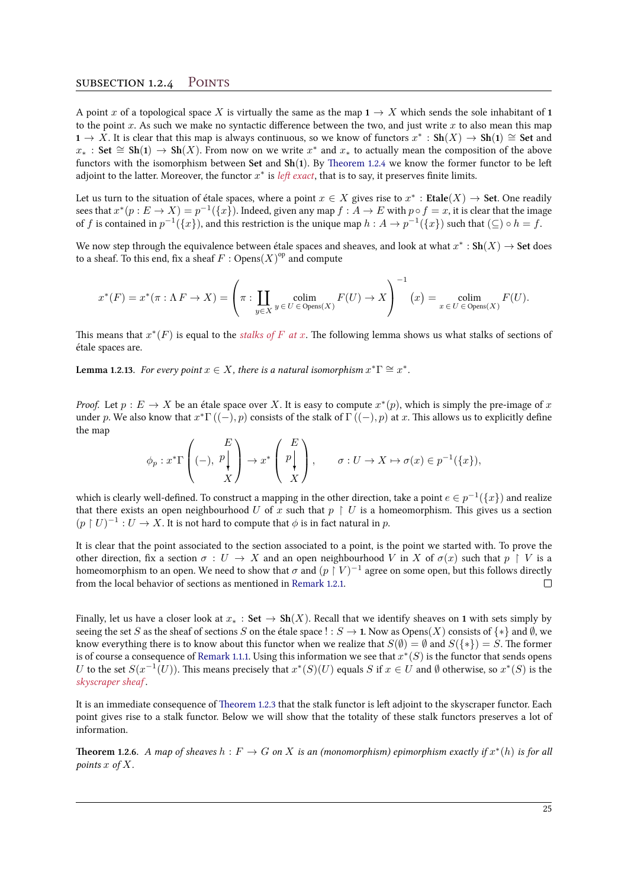<span id="page-30-0"></span>A point *x* of a topological space *X* is virtually the same as the map  $1 \rightarrow X$  which sends the sole inhabitant of 1 to the point *x*. As such we make no syntactic difference between the two, and just write *x* to also mean this map  $A \rightarrow \overline{X}$ . It is clear that this map is always continuous, so we know of functors  $x^* : Sh(X) \rightarrow Sh(1) \cong Set$  and *x*<sup>∗</sup> : **Set**  $\cong$  **Sh**(1)  $\to$  **Sh**(*X*). From now on we write *x*<sup>\*</sup> and *x*<sup>\*</sup> to actually mean the composition of the above functors with the isomorphism between Set and  $\text{Sh}(1)$ . By Theorem 1.2.4 we know the former functor to be left adjoint to the latter. Moreover, the functor  $x^*$  is  $\mathit{left exact}$ , that is to say, it preserves finite limits.

Let us turn to the situation of étale spaces, where a point  $x \in X$  gives rise to  $x^* :$  Etale $(X) \to$  Set. One readily sees that  $x^*(p: E \to X) = p^{-1}(\{x\})$ . Indeed, given any map  $f: A \to E$  with  $p \circ f = x$ , it is clear that the image of f is contained in  $p^{-1}(\lbrace x \rbrace)$ , and this restriction is the uni[que map](#page-27-0)  $h: A \to p^{-1}(\lbrace x \rbrace)$  such that  $(\subseteq) \circ h = f$ .

We now step through the equivalence between étale spaces and sheaves, and look at what  $x^*:\mathbf{Sh}(X)\to \mathbf{Set}$  does to a sheaf. To this end, fix a sheaf  $F : \text{Opens}(X)^\text{op}$  and compute

$$
x^*(F) = x^*(\pi : \Lambda F \to X) = \left(\pi : \coprod_{y \in X} \underset{y \in U \text{ C} \text{Qpens}(X)}{\text{colim}} F(U) \to X\right)^{-1} (x) = \underset{x \in U \text{ C} \text{Qpens}(X)}{\text{colim}} F(U).
$$

This means that  $x^*(F)$  is equal to the *stalks of*  $F$  *at*  $x$ . The following lemma shows us what stalks of sections of étale spaces are.

**Lemma 1.2.13.** For every point  $x \in X$ , there is a natural isomorphism  $x^* \Gamma \cong x^*$ .

*Proof.* Let  $p: E \to X$  be an étale space over X. It is easy to compute  $x^*(p)$ , which is simply the pre-image of  $x$ under *p*. We also know that *x <sup>∗</sup>*Γ ((*−*)*, p*) consists of the stalk of Γ ((*−*)*, p*) at *x*. is allows us to explicitly define the map

$$
\phi_p: x^* \Gamma \left( (-), \ p \begin{matrix} E \\ Y \end{matrix} \right) \to x^* \left( \begin{matrix} E \\ p \begin{matrix} Y \end{matrix} \\ X \end{matrix} \right), \qquad \sigma: U \to X \mapsto \sigma(x) \in p^{-1}(\{x\}),
$$

which is clearly well-defined. To construct a mapping in the other direction, take a point  $e \in p^{-1}(\{x\})$  and realize that there exists an open neighbourhood *U* of *x* such that  $p \restriction U$  is a homeomorphism. This gives us a section  $(p \restriction U)^{-1}: U \to X$ . It is not hard to compute that  $\phi$  is in fact natural in  $p$ .

It is clear that the point associated to the section associated to a point, is the point we started with. To prove the other direction, fix a section *σ* : *U*  $\rightarrow$  *X* and an open neighbourhood *V* in *X* of *σ*(*x*) such that *p*  $\upharpoonright$  *V* is a homeomorphism to an open. We need to show that  $\sigma$  and  $(p\restriction V)^{-1}$  agree on some open, but this follows directly from the local behavior of sections as mentioned in Remark 1.2.1.  $\Box$ 

Finally, let us have a closer look at  $x_* : Set \to Sh(X)$ . Recall that we identify sheaves on 1 with sets simply by seeing the set *S* as the sheaf of sections *S* on the éta[le space](#page-17-2) ! :  $S \to \infty$  1. Now as Opens(*X*) consists of  $\{*\}$  and  $\emptyset$ , we know everything there is to know about this functor when we realize that  $S(\emptyset) = \emptyset$  and  $S({*}) = S$ . The former is of course a consequence of Remark 1.1.1. Using this information we see that  $x^*(S)$  is the functor that sends opens U to the set  $S(x^{-1}(U))$ . This means precisely that  $x^*(S)(U)$  equals S if  $x \in U$  and  $\emptyset$  otherwise, so  $x^*(S)$  is the *skyscraper sheaf* .

It is an immediate consequence of Th[eorem](#page-11-4) 1.2.3 that the stalk functor is left adjoint to the skyscraper functor. Each point gives rise to a stalk functor. Below we will show that the totality of these stalk functors preserves a lot of information.

**Theorem 1.2.6.** A map of sheaves  $h : F \to G$  on X is an (monomorphism) epimorphism exactly if  $x^*(h)$  is for all *points x of X.*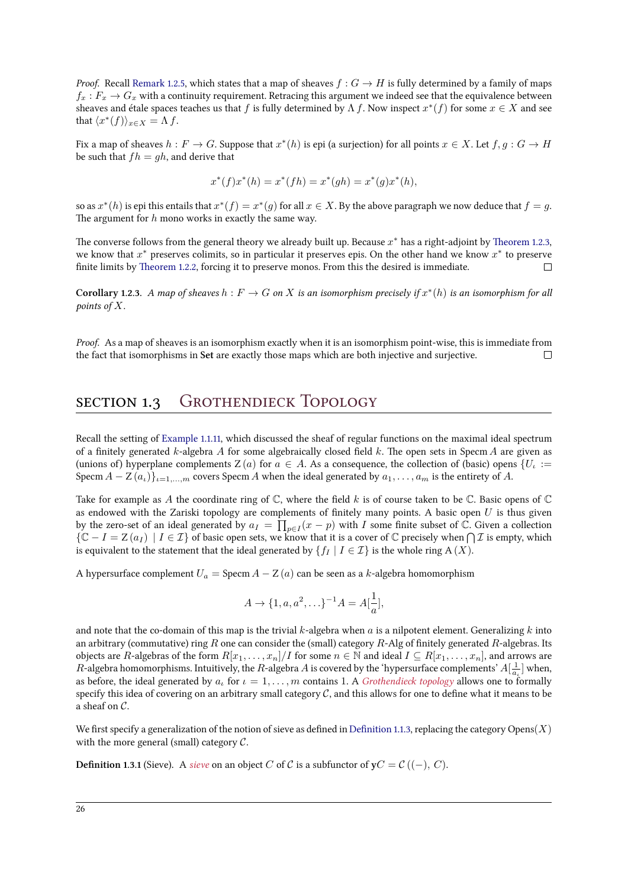*Proof.* Recall Remark 1.2.5, which states that a map of sheaves  $f : G \to H$  is fully determined by a family of maps  $f_x$ :  $F_x \rightarrow G_x$  with a continuity requirement. Retracing this argument we indeed see that the equivalence between sheaves and étale spaces teaches us that *f* is fully determined by  $\Lambda$  *f*. Now inspect  $x^*(f)$  for some  $x \in X$  and see that  $\langle x^*(f) \rangle_{x \in X} = \Lambda f$ .

Fix a map of [sheaves](#page-22-1)  $h: F \to G$ . Suppose that  $x^*(h)$  is epi (a surjection) for all points  $x \in X$ . Let  $f, g: G \to H$ be such that  $fh = gh$ , and derive that

$$
x^*(f)x^*(h) = x^*(fh) = x^*(gh) = x^*(g)x^*(h),
$$

so as  $x^*(h)$  is epi this entails that  $x^*(f) = x^*(g)$  for all  $x \in X$ . By the above paragraph we now deduce that  $f = g$ . The argument for *h* mono works in exactly the same way.

The converse follows from the general theory we already built up. Because  $x^*$  has a right-adjoint by Theorem 1.2.3, we know that *x <sup>∗</sup>* preserves colimits, so in particular it preserves epis. On the other hand we know *x ∗* to preserve finite limits by Theorem 1.2.2, forcing it to preserve monos. From this the desired is immediate.  $\Box$ 

**Corollary 1.2.3.** A map of sheaves  $h : F \to G$  on X is an isomorphism precisely if  $x^*(h)$  is an isom[orphism for all](#page-26-0) *points of X.*

<span id="page-31-1"></span>*Proof.* As a map of sheaves is an isomorphism exactly when it is an isomorphism point-wise, this is immediate from the fact that isomorphisms in **Set** are exactly those maps which are both injective and surjective.  $\Box$ 

### SECTION 1.3 GROTHENDIECK TOPOLOGY

<span id="page-31-0"></span>Recall the setting of Example 1.1.11, which discussed the sheaf of regular functions on the maximal ideal spectrum of a finitely generated  $k$ -algebra  $A$  for some algebraically closed field  $k$ . The open sets in Specm  $A$  are given as (unions of) hyperplane complements Z  $(a)$  for  $a \in A$ . As a consequence, the collection of (basic) opens  $\{U_\iota\}$ Specm  $A - Z(a_i)$ <sub> $i=1,...,m$ </sub> covers Specm *A* when the ideal generated by  $a_1, \ldots, a_m$  is the entirety of *A*.

Take for example as *A* [the coordin](#page-13-1)ate ring of C, where the field *k* is of course taken to be C. Basic opens of C as endowed with the Zariski topology are complements of finitely many points. A basic open *U* is thus given by the zero-set of an ideal generated by  $a_I = \prod_{p \in I} (x - p)$  with *I* some finite subset of  $\mathbb C$ . Given a collection *{*C *− I* = Z( $a_I$ ) | *I* ∈ *I*} of basic open sets, we know that it is a cover of C precisely when  $\bigcap \mathcal{I}$  is empty, which is equivalent to the statement that the ideal generated by  $\{f_I | I \in \mathcal{I}\}\$ is the whole ring A(*X*).

A hypersurface complement  $U_a$  = Specm  $A$  –  $Z(a)$  can be seen as a  $k$ -algebra homomorphism

$$
A \to \{1, a, a^2, \ldots\}^{-1}A = A[\frac{1}{a}],
$$

and note that the co-domain of this map is the trivial *k*-algebra when *a* is a nilpotent element. Generalizing *k* into an arbitrary (commutative) ring *R* one can consider the (small) category *R*-Alg of finitely generated *R*-algebras. Its objects are *R*-algebras of the form  $R[x_1, \ldots, x_n]/I$  for some  $n \in \mathbb{N}$  and ideal  $I \subseteq R[x_1, \ldots, x_n]$ , and arrows are *R*-algebra homomorphisms. Intuitively, the *R*-algebra *A* is covered by the 'hypersurface complements'  $A[\frac{1}{a_i}]$  when, as before, the ideal generated by  $a_i$  for  $i = 1, \ldots, m$  contains 1. A *Grothendieck topology* allows one to formally specify this idea of covering on an arbitrary small category  $C$ , and this allows for one to define what it means to be a sheaf on *C*.

We first specify a generalization of the notion of sieve as defined in Definition 1.1.3, replacing the category  $Opens(X)$ with the more general (small) category *C*.

**Definition 1.3.1** (Sieve). A *sieve* on an object *C* of *C* is a subfunctor of  $yC = C((-), C)$ .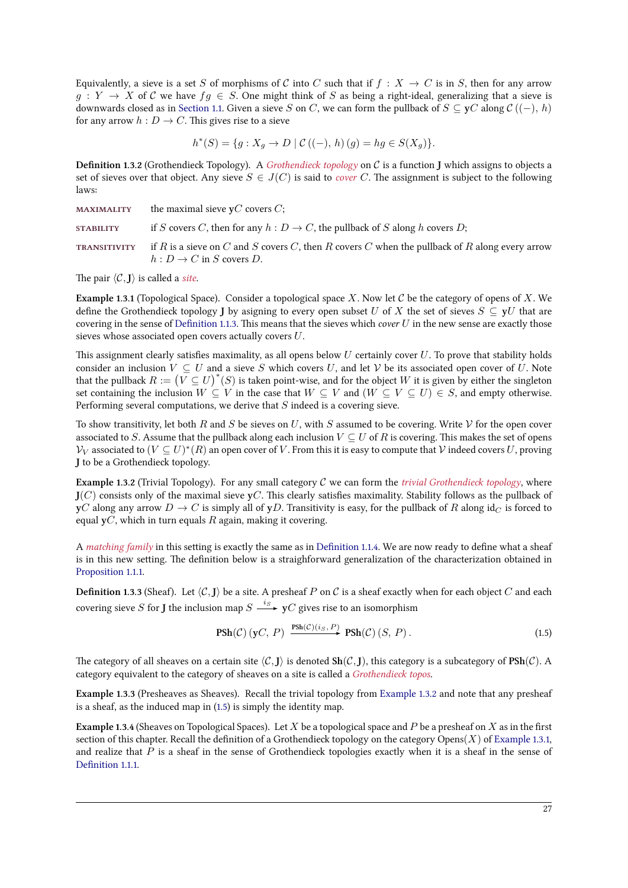Equivalently, a sieve is a set *S* of morphisms of *C* into *C* such that if  $f : X \to C$  is in *S*, then for any arrow  $g: Y \to X$  of *C* we have  $fg \in S$ . One might think of *S* as being a right-ideal, generalizing that a sieve is downwards closed as in Section 1.1. Given a sieve *S* on *C*, we can form the pullback of  $S \subseteq yC$  along  $C((-), h)$ for any arrow  $h: D \to C$ . This gives rise to a sieve

$$
h^*(S) = \{ g : X_g \to D \mid \mathcal{C}((-), h)(g) = hg \in S(X_g) \}.
$$

**Definition 1.3.2** (Grothendieck Topology). A *Grothendieck topology* on  $C$  is a function **J** which assigns to objects a set of sieves over that object. Any sieve  $S \in J(C)$  is said to *cover* C. The assignment is subject to the following laws:

| <b>MAXIMALITY</b>   | the maximal sieve $\mathbf{v} C$ covers $C$ ;                                                                                |
|---------------------|------------------------------------------------------------------------------------------------------------------------------|
| <b>STABILITY</b>    | if S covers C, then for any $h: D \to C$ , the pullback of S along h covers D;                                               |
| <b>TRANSITIVITY</b> | if R is a sieve on C and S covers C, then R covers C when the pullback of R along every arrow<br>$h: D \to C$ in S covers D. |

The pair  $\langle C, \mathbf{J} \rangle$  is called a *site*.

**Example 1.3.1** (Topological Space). Consider a topological space X. Now let  $C$  be the category of opens of X. We define the Grothendieck topology **J** by asigning to every open subset *U* of *X* the set of sieves  $S \subseteq \gamma U$  that are covering in the sense of Definition 1.1.3. This means that the sieves which *cover*  $U$  in the new sense are exactly those sieves whose associated open covers actually covers *U*.

This assignment clearly satisfies maximality, as all opens below *U* certainly cover *U*. To prove that stability holds consider an inclusion  $V \subseteq U$  [and a s](#page-14-2)ieve *S* which covers *U*, and let *V* be its associated open cover of *U*. Note that the pullback  $R := \left(V \subseteq U\right)^*(S)$  is taken point-wise, and for the object  $W$  it is given by either the singleton set containing the inclusion  $W \subseteq V$  in the case that  $W \subseteq V$  and  $(W \subseteq V \subseteq U) \in S$ , and empty otherwise. Performing several computations, we derive that *S* indeed is a covering sieve.

To show transitivity, let both  $R$  and  $S$  be sieves on  $U$ , with  $S$  assumed to be covering. Write  $V$  for the open cover associated to *S*. Assume that the pullback along each inclusion  $V \subseteq U$  of R is covering. This makes the set of opens  $\mathcal{V}_V$  associated to  $(V\subseteq U)^*(R)$  an open cover of  $V.$  From this it is easy to compute that  $\mathcal V$  indeed covers  $U,$  proving **I** to be a Grothendieck topology.

**Example 1.3.2** (Trivial Topology). For any small category  $C$  we can form the *trivial Grothendieck topology*, where  $J(C)$  consists only of the maximal sieve **y***C*. This clearly satisfies maximality. Stability follows as the pullback of **y***C* along any arrow  $D \to C$  is simply all of **y***D*. Transitivity is easy, for the pullback of *R* along id<sub>*C*</sub> is forced to equal  $yC$ , which in turn equals  $R$  again, making it covering.

<span id="page-32-0"></span>A *matching family* in this setting is exactly the same as in Definition 1.1.4. We are now ready to define what a sheaf is in this new setting. The definition below is a straighforward generalization of the characterization obtained in Proposition 1.1.1.

**Definition 1.3.3** (Sheaf). Let  $\langle C, J \rangle$  be a site. A presheaf *P* on *C* [is a sheaf](#page-15-1) exactly when for each object *C* and each covering sieve *S* for **J** the inclusion map  $S \xrightarrow{i_S} \mathbf{y} C$  gives rise to an isomorphism

<span id="page-32-1"></span>
$$
\mathbf{PSh}(\mathcal{C})\left(\mathbf{y}C,\,P\right)\xrightarrow{\mathbf{PSh}(\mathcal{C})(i_S,\,P)}\mathbf{PSh}(\mathcal{C})\left(S,\,P\right). \tag{1.5}
$$

The category of all sheaves on a certain site  $\langle C, \mathbf{J} \rangle$  is denoted  $\text{Sh}(\mathcal{C}, \mathbf{J})$ , this category is a subcategory of  $\text{PSh}(\mathcal{C})$ . A category equivalent to the category of sheaves on a site is called a *Grothendieck topos*.

**Example 1.3.3** (Presheaves as Sheaves). Recall the trivial topology from Example 1.3.2 and note that any presheaf is a sheaf, as the induced map in  $(1.5)$  is simply the identity map.

<span id="page-32-2"></span>**Example ..** (Sheaves on Topological Spaces)**.** Let *X* be a topological space and *P* be a presheaf on *X* as in the first section of this chapter. Recall the definition of a Grothendieck topology on the category Opens $(X)$  of Example 1.3.1, and realize that  $P$  is a sheaf in [the](#page-32-1) sense of Grothendieck topologies e[xactly when i](#page-32-0)t is a sheaf in the sense of Definition 1.1.1.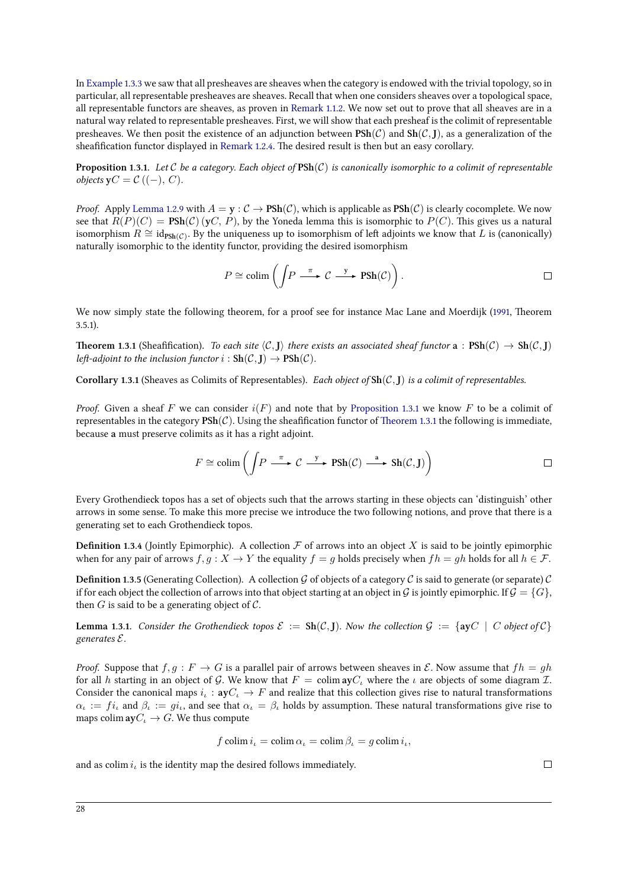In Example 1.3.3 we saw that all presheaves are sheaves when the category is endowed with the trivial topology, so in particular, all representable presheaves are sheaves. Recall that when one considers sheaves over a topological space, all representable functors are sheaves, as proven in Remark 1.1.2. We now set out to prove that all sheaves are in a natural way related to representable presheaves. First, we will show that each presheaf is the colimit of representable pr[esheaves. We](#page-32-2) then posit the existence of an adjunction between  $\text{PSh}(\mathcal{C})$  and  $\text{Sh}(\mathcal{C}, J)$ , as a generalization of the sheafification functor displayed in Remark 1.2.4. The desired result is then but an easy corollary.

<span id="page-33-3"></span>**Proposition 1.3.1.** Let  $C$  be a category. Each object of  $\text{PSh}(C)$  $\text{PSh}(C)$  $\text{PSh}(C)$  is canonically isomorphic to a colimit of representable *objects*  $yC = C((-), C)$ *.* 

<span id="page-33-0"></span>*Proof.* Apply Lemma 1.2.9 with  $A = y : C \rightarrow PSh(C)$ , which is applicable as  $PSh(C)$  is clearly cocomplete. We now see that  $R(P)(C) = P\text{Sh}(\mathcal{C})$  (yC, P), by the Yoneda lemma this is isomorphic to  $P(C)$ . This gives us a natural isomorphism  $R \cong \text{id}_{\text{PSh}(\mathcal{C})}$ . By the uniqueness up to isomorphism of left adjoints we know that *L* is (canonically) naturally isomorphic to the identity functor, providing the desired isomorphism

$$
P \cong \text{colim}\left(\int P \xrightarrow{\pi} C \xrightarrow{y} \text{PSh}(\mathcal{C})\right). \qquad \Box
$$

We now simply state the following theorem, for a proof see for instance Mac Lane and Moerdijk (1991, Theorem  $3.5.1$ ).

**Theorem 1.3.1** (Sheafification). To each site  $\langle C, J \rangle$  there exists an associated sheaf functor  $\mathbf{a}: \text{PSh}(\mathcal{C}) \to \text{Sh}(\mathcal{C}, J)$ *left-adjoint to the inclusion functor*  $i : \mathbf{Sh}(\mathcal{C}, \mathbf{J}) \to \mathbf{PSh}(\mathcal{C})$ *.* 

<span id="page-33-1"></span>**Corollary 1.3.1** (Sheaves as Colimits of Representables). *Each object of*  $\text{Sh}(\mathcal{C}, J)$  *is a colimit of representables.* 

*Proof.* Given a sheaf F we can consider  $i(F)$  and note that by Proposition 1.3.1 we know F to be a colimit of representables in the category  $\text{PSh}(\mathcal{C})$ . Using the sheafification functor of Theorem 1.3.1 the following is immediate, because **a** must preserve colimits as it has a right adjoint.

$$
F \cong \text{colim}\left(\int P \xrightarrow{\pi} C \xrightarrow{y} \text{PSh}(\mathcal{C}) \xrightarrow{a} \text{Sh}(\mathcal{C}, J)\right) \qquad \qquad \Box
$$

Every Grothendieck topos has a set of objects such that the arrows starting in these objects can 'distinguish' other arrows in some sense. To make this more precise we introduce the two following notions, and prove that there is a generating set to each Grothendieck topos.

**Definition 1.3.4** (Jointly Epimorphic). A collection  $\mathcal F$  of arrows into an object  $X$  is said to be jointly epimorphic when for any pair of arrows  $f, q: X \to Y$  the equality  $f = q$  holds precisely when  $fh = qh$  holds for all  $h \in \mathcal{F}$ .

**Definition 1.3.5** (Generating Collection). A collection  $G$  of objects of a category  $C$  is said to generate (or separate)  $C$ if for each object the collection of arrows into that object starting at an object in *G* is jointly epimorphic. If  $\mathcal{G} = \{G\}$ , then  $G$  is said to be a generating object of  $\mathcal{C}$ .

**Lemma 1.3.1.** Consider the Grothendieck topos  $\mathcal{E} := \text{Sh}(\mathcal{C}, J)$ . Now the collection  $\mathcal{G} := \{ \text{ay}C \mid C \text{ object of } C \}$ *generates E.*

*Proof.* Suppose that  $f, g: F \to G$  is a parallel pair of arrows between sheaves in  $\mathcal{E}$ . Now assume that  $fh = gh$ for all *h* starting in an object of *G*. We know that  $F = \text{colim } \text{av } C_i$  where the *ι* are objects of some diagram *I*. Consider the canonical maps  $i_t : \mathbf{ay}C_t \to F$  and realize that this collection gives rise to natural transformations  $\alpha_t := f i_t$  and  $\beta_t := g i_t$ , and see that  $\alpha_t = \beta_t$  holds by assumption. These natural transformations give rise to maps colim  $\mathbf{a} \mathbf{y} C_i \rightarrow G$ . We thus compute

$$
f \operatorname{colim} i_{\iota} = \operatorname{colim} \alpha_{\iota} = \operatorname{colim} \beta_{\iota} = g \operatorname{colim} i_{\iota},
$$

<span id="page-33-2"></span>and as  $\operatorname{colim} i_t$  is the identity map the desired follows immediately.

 $\Box$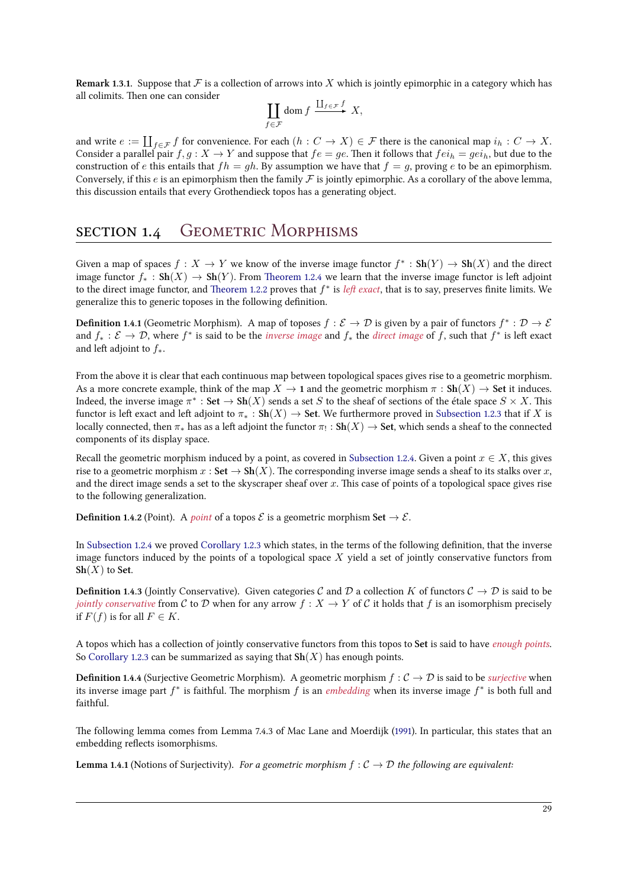**Remark 1.3.1.** Suppose that  $\mathcal F$  is a collection of arrows into X which is jointly epimorphic in a category which has all colimits. Then one can consider

$$
\coprod_{f \in \mathcal{F}} \text{dom } f \xrightarrow{\coprod_{f \in \mathcal{F}} f} X,
$$

<span id="page-34-2"></span>and write  $e := \coprod_{f \in \mathcal{F}} f$  for convenience. For each  $(h : C \to X) \in \mathcal{F}$  there is the canonical map  $i_h : C \to X$ . Consider a parallel pair  $f, g: X \to Y$  and suppose that  $fe = ge$ . Then it follows that  $fei_h = gei_h$ , but due to the construction of *e* this entails that  $fh = gh$ . By assumption we have that  $f = g$ , proving *e* to be an epimorphism. Conversely, if this  $e$  is an epimorphism then the family  $\mathcal F$  is jointly epimorphic. As a corollary of the above lemma, this discussion entails that every Grothendieck topos has a generating object.

### SECTION 1.4 GEOMETRIC MORPHISMS

<span id="page-34-0"></span>Given a map of spaces  $f: X \to Y$  we know of the inverse image functor  $f^*: \mathbf{Sh}(Y) \to \mathbf{Sh}(X)$  and the direct image functor  $f_* : Sh(X) \to Sh(Y)$ . From Theorem 1.2.4 we learn that the inverse image functor is left adjoint to the direct image functor, and Theorem 1.2.2 proves that  $f^*$  is *left exact*, that is to say, preserves finite limits. We generalize this to generic toposes in the following definition.

**Definition 1.4.1** (Geometric Morphism). A [map of toposes](#page-27-0)  $f: \mathcal{E} \to \mathcal{D}$  is given by a pair of functors  $f^*: \mathcal{D} \to \mathcal{E}$ and  $f_*: \mathcal{E} \to \mathcal{D}$ , where  $f^*$  is s[aid to be the](#page-26-1) *inverse image* and  $f_*$  the *direct image* of  $f$ , such that  $f^*$  is left exact and left adjoint to  $f_*$ .

From the above it is clear that each continuous map between topological spaces gives rise to a geometric morphism. As a more concrete example, think of the map  $X \to 1$  and the geometric morphism  $\pi : \text{Sh}(X) \to \text{Set}$  it induces. Indeed, the inverse image  $\pi^*:\mathbf{Set}\to\mathbf{Sh}(X)$  sends a set  $S$  to the sheaf of sections of the étale space  $S\times X.$  This functor is left exact and left adjoint to  $\pi_* : Sh(X) \to Set$ . We furthermore proved in Subsection 1.2.3 that if X is locally connected, then  $\pi_*$  has as a left adjoint the functor  $\pi_! : Sh(X) \to Set$ , which sends a sheaf to the connected components of its display space.

Recall the geometric morphism induced by a point, as covered in Subsection 1.2.4. Given a point  $x \in X$ , this gives rise to a geometric morphism  $x : \mathbf{Set} \to \mathbf{Sh}(X)$ . The corresponding inverse image send[s a sheaf to its st](#page-28-0)alks over  $x$ , and the direct image sends a set to the skyscraper sheaf over *x*. This case of points of a topological space gives rise to the following generalization.

**Definition 1.4.2** (Point). A *point* of a topos  $\mathcal E$  is a geometric mor[phism](#page-30-0) Set  $\rightarrow \mathcal E$ .

In Subsection 1.2.4 we proved Corollary 1.2.3 which states, in the terms of the following definition, that the inverse image functors induced by the points of a topological space *X* yield a set of jointly conservative functors from **Sh**(*X*) to **Set**.

**Definition 1.4.3** (Jointly Conservative). Given categories *C* and *D* a collection *K* of functors  $C \to D$  is said to be *jointly conservative* from C to D [when for an](#page-31-1)y arrow  $f : X \to Y$  of C it holds that f is an isomorphism precisely if  $F(f)$  is for all  $F \in K$ .

A topos whi has a collection of jointly conservative functors from this topos to **Set** is said to have *enough points*. So Corollary 1.2.3 can be summarized as saying that  $\text{Sh}(X)$  has enough points.

**Definition 1.4.4 (Surjective Geometric Morphism). A geometric morphism**  $f : C \to D$  **is said to be** *surjective* **when** its inverse image part *f*<sup>∗</sup> is faithful. The morphism *f* is an *embedding* when its inverse image *f*<sup>∗</sup> is both full and fai[thful.](#page-31-1)

The following lemma comes from Lemma 7.4.3 of Mac Lane and Moerdijk (1991). In particular, this states that an embedding reflects isomorphisms.

<span id="page-34-1"></span>**Lemma 1.4.1** (Notions of Surjectivity). *For a geometric morphism*  $f : C \to D$  *the following are equivalent:*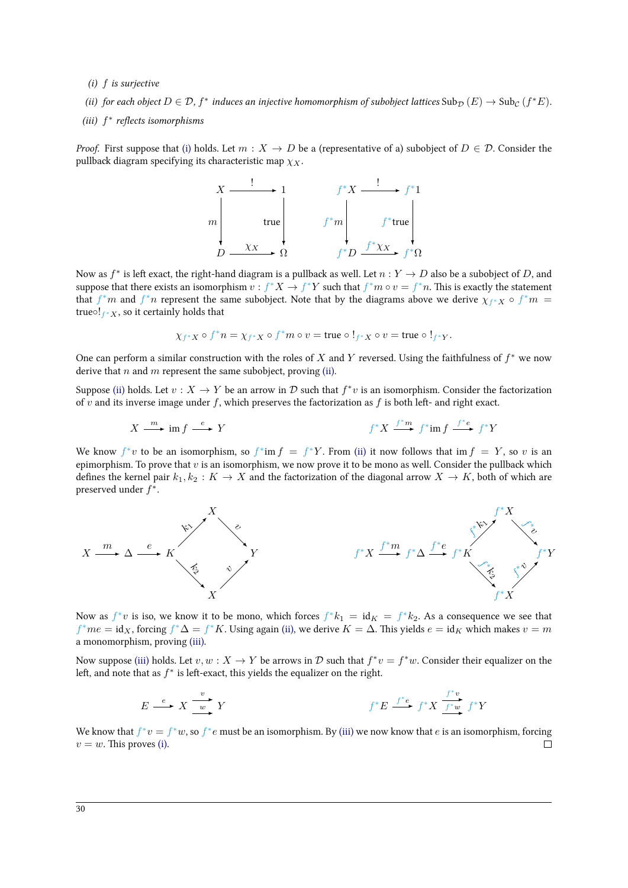- *(i) f is surjective*
- (*ii*) *for each object*  $D \in \mathcal{D}$ *, f*<sup>\*</sup> *induces an injective homomorphism of subobject lattices*  $\text{Sub}_{\mathcal{D}}(E) \to \text{Sub}_{\mathcal{C}}(f^*E)$ *.*

#### *(iii) f ∗ reflects isomorphisms*

<span id="page-35-1"></span><span id="page-35-0"></span>*Proof.* First suppose that (i) holds. Let  $m: X \to D$  be a (representative of a) subobject of  $D \in \mathcal{D}$ . Consider the pullback diagram specifying its characteristic map  $\chi_X$ .



Now as  $f^*$  is left exact, the right-hand diagram is a pullback as well. Let  $n: Y \to D$  also be a subobject of  $D$ , and suppose that there exists an isomorphism  $v : f^*X \to f^*Y$  such that  $f^*m \circ v = f^*n$ . This is exactly the statement that  $f^*m$  and  $f^*n$  represent the same subobject. Note that by the diagrams above we derive  $\chi_{f^*X} \circ f^*m =$ true*◦*!*<sup>f</sup> <sup>∗</sup>X*, so it certainly holds that

$$
\chi_{f^*X} \circ f^*n = \chi_{f^*X} \circ f^*m \circ v = \text{true} \circ !_{f^*X} \circ v = \text{true} \circ !_{f^*Y}.
$$

One can perform a similar construction with the roles of *X* and *Y* reversed. Using the faithfulness of *f ∗* we now derive that *n* and *m* represent the same subobject, proving (ii).

Suppose (ii) holds. Let  $v: X \to Y$  be an arrow in  $\mathcal D$  such that  $f^*v$  is an isomorphism. Consider the factorization of *v* and its inverse image under *f*, which preserves the factorization as *f* is both left- and right exact.

$$
X \xrightarrow{m} \text{im } f \xrightarrow{e} Y
$$
\n
$$
f^* X \xrightarrow{f^* m} f^* \text{im } f \xrightarrow{f^* e} f^* Y
$$

We know  $f^*v$  $f^*v$  to be an isomorphism, so  $f^*$  im  $f = f^*Y$ . From (ii) it now follows that im  $f = Y$ , so v is an epimorphism. To prove that  $v$  is an isomorphism, we now prove it to be mono as well. Consider the pullback which defines the kernel pair  $k_1, k_2 : K \to X$  and the factorization of the diagonal arrow  $X \to K$ , both of which are preserved under *f ∗* .



Now as  $f^*v$  is iso, we know it to be mono, which forces  $f^*k_1 = \mathrm{id}_K = f^*k_2$ . As a consequence we see that  $f^*me = id_X$ , forcing  $f^*\Delta = f^*K$ . Using again (ii), we derive  $K = \Delta$ . This yields  $e = id_K$  which makes  $v = m$ a monomorphism, proving (iii).

Now suppose (iii) holds. Let  $v, w: X \to Y$  be arrows in  $\mathcal D$  such that  $f^*v = f^*w$ . Consider their equalizer on the left, and note that as  $f^*$  is left-exact, this yields t[he e](#page-35-0)qualizer on the right.

$$
E \xrightarrow{e} X \xrightarrow{v} Y
$$
\n
$$
f^*E \xrightarrow{f^*e} f^*X \xrightarrow{f^*v} f^*Y
$$

We know that  $f^*v = f^*w$ , so  $f^*e$  must be an isomorphism. By (iii) we now know that  $e$  is an isomorphism, forcing  $v = w$ . This proves (i).  $\Box$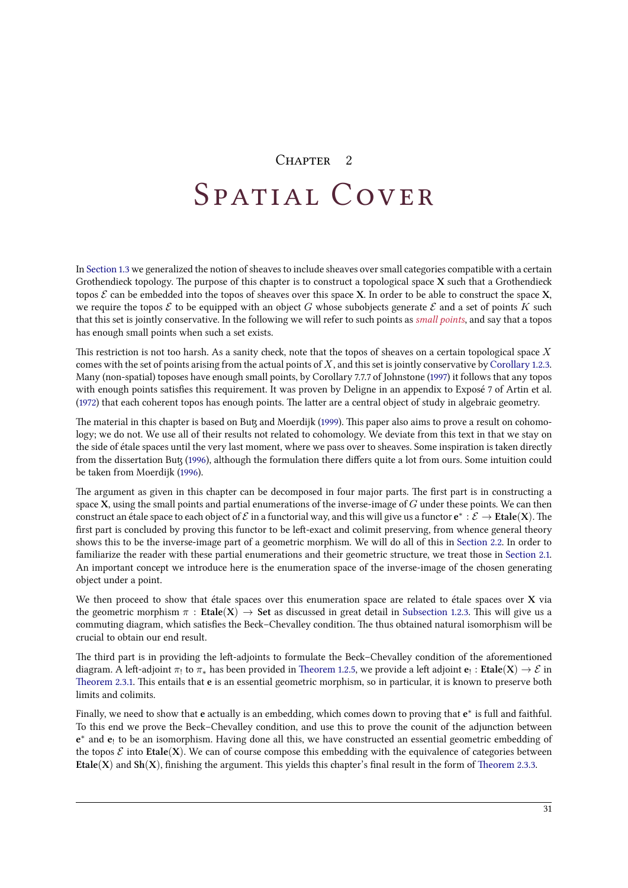#### CHAPTER<sub>2</sub>

# <span id="page-36-1"></span><span id="page-36-0"></span>SPATIAL COVER

In Section 1.3 we generalized the notion of sheaves to include sheaves over small categories compatible with a certain Grothendieck topology. The purpose of this chapter is to construct a topological space X such that a Grothendieck topos *E* can be embedded into the topos of sheaves over this space **X**. In order to be able to construct the space **X**, we require the topos  $\mathcal E$  to be equipped with an object *G* whose subobjects generate  $\mathcal E$  and a set of points *K* such th[at this set is](#page-31-0) jointly conservative. In the following we will refer to such points as *small points*, and say that a topos has enough small points when such a set exists.

This restriction is not too harsh. As a sanity check, note that the topos of sheaves on a certain topological space X comes with the set of points arising from the actual points of  $X$ , and this set is jointly conservative by Corollary 1.2.3. Many (non-spatial) toposes have enough small points, by Corollary 7.7.7 of Johnstone (1997) it follows that any topos with enough points satisfies this requirement. It was proven by Deligne in an appendix to Exposé 7 of Artin et al. (1972) that each coherent topos has enough points. The latter are a central object of study in algebraic geometry.

The material in this chapter is based on Butz and Moerdijk (1999). This paper also aims to prove a res[ult on cohomo](#page-31-1)logy; we do not. We use all of their results not related to cohomology. We deviate fro[m th](#page-68-10)is text in that we stay on the side of étale spaces until the very last moment, where we pass over to sheaves. Some inspiration is taken directly [from](#page-68-11) the dissertation Butx (1996), although the formulation there differs quite a lot from ours. Some intuition could be taken from Moerdijk (1996).

The argument as given in this chapter can be decomposed in four major parts. The first part is in constructing a space **X**, using the small points and partial enumerations of the inverse-image of *G* under these points. We can then construct an étale space to each object of  ${\cal E}$  in a functorial way, and this will give us a functor  ${\bf e}^*: {\cal E} \to {\bf E}$ tal ${\bf e}({\bf X}).$  The first part is concluded by [prov](#page-69-10)ing this functor to be left-exact and colimit preserving, from whence general theory shows this to be the inverse-image part of a geometric morphism. We will do all of this in Section 2.2. In order to familiarize the reader with these partial enumerations and their geometric structure, we treat those in Section 2.1. An important concept we introduce here is the enumeration space of the inverse-image of the chosen generating object under a point.

We then proceed to show that é[tale spaces](#page-38-0) over this enumeration space are related to étale spaces over **X** via the geometric morphism  $\pi$  : **Etale**(**X**)  $\rightarrow$  **Set** as discussed in great detail in Subsection 1.2.3. This wi[ll give us a](#page-37-0) commuting diagram, which satisfies the Beck–Chevalley condition. The thus obtained natural isomorphism will be crucial to obtain our end result.

The third part is in providing the left-adjoints to formulate the Beck-Chevalley condition of the aforementioned diagram. A left-adjoint  $\pi_!$  to  $\pi_*$  has been provided in Theorem 1.2.5, we provide a left adjoint  $e_!$ : Etal $e(X) \to \mathcal{E}$  in Theorem 2.3.1. This entails that **e** is an essential geometric morphism, so in particular, it is known to preserve both limits and colimits.

Finally, we need to show that **e** actually is an embedding, which comes down to proving that **e**\* is full and faithful. [To this end w](#page-45-0)e prove the Beck–Chevalley condition, [and use this](#page-28-1) to prove the counit of the adjunction between **e** *∗* and **e**! to be an isomorphism. Having done all this, we have constructed an essential geometric embedding of the topos  $\mathcal E$  into **Etale**( $X$ ). We can of course compose this embedding with the equivalence of categories between  $\text{Etale}(X)$  and  $\text{Sh}(X)$ , finishing the argument. This yields this chapter's final result in the form of Theorem 2.3.3.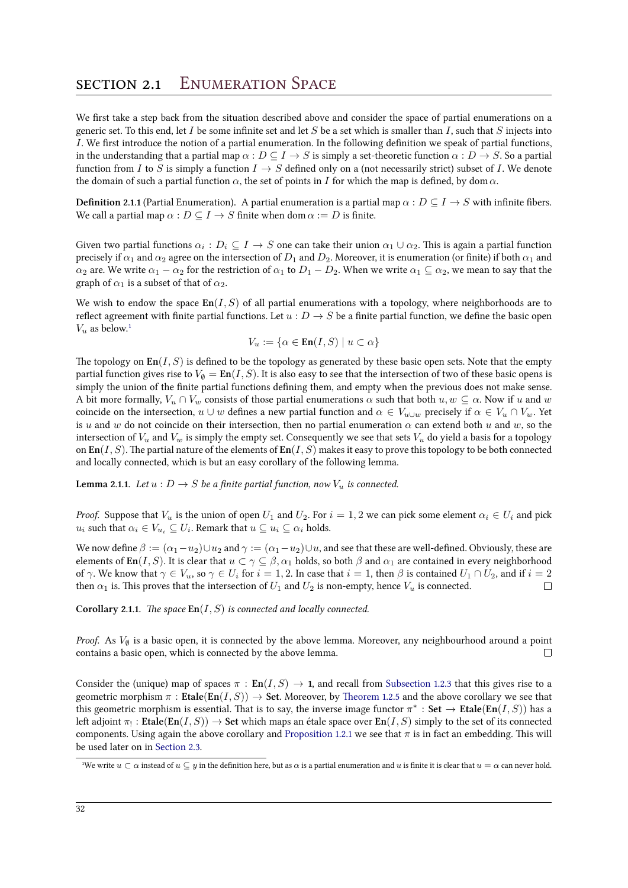<span id="page-37-0"></span>We first take a step back from the situation described above and consider the space of partial enumerations on a generic set. To this end, let *I* be some infinite set and let *S* be a set which is smaller than *I*, such that *S* injects into *I*. We first introduce the notion of a partial enumeration. In the following definition we speak of partial functions, in the understanding that a partial map  $\alpha$  :  $D \subseteq I \to S$  is simply a set-theoretic function  $\alpha : D \to S$ . So a partial function from *I* to *S* is simply a function  $I \rightarrow S$  defined only on a (not necessarily strict) subset of *I*. We denote the domain of such a partial function  $\alpha$ , the set of points in *I* for which the map is defined, by dom  $\alpha$ .

**Definition 2.1.1** (Partial Enumeration). A partial enumeration is a partial map  $\alpha : D \subseteq I \to S$  with infinite fibers. We call a partial map  $\alpha$  :  $D \subseteq I \rightarrow S$  finite when dom  $\alpha := D$  is finite.

Given two partial functions  $\alpha_i: D_i\subseteq I\to S$  one can take their union  $\alpha_1\cup\alpha_2.$  This is again a partial function precisely if  $\alpha_1$  and  $\alpha_2$  agree on the intersection of  $D_1$  and  $D_2$ . Moreover, it is enumeration (or finite) if both  $\alpha_1$  and *α*<sub>2</sub> are. We write  $\alpha_1 - \alpha_2$  for the restriction of  $\alpha_1$  to  $D_1 - D_2$ . When we write  $\alpha_1 \subseteq \alpha_2$ , we mean to say that the graph of  $\alpha_1$  is a subset of that of  $\alpha_2$ .

We wish to endow the space **En**(*I, S*) of all partial enumerations with a topology, where neighborhoods are to reflect agreement with finite partial functions. Let  $u : D \to S$  be a finite partial function, we define the basic open  $V_u$  as below.<sup>1</sup>

$$
V_u := \{ \alpha \in \operatorname{En}(I, S) \mid u \subset \alpha \}
$$

The topology on  $\text{En}(I, S)$  is defined to be the topology as generated by these basic open sets. Note that the empty partial function gives rise to  $V_{\emptyset} = \text{En}(I, S)$ . It is also easy to see that the intersection of two of these basic opens is simply the u[n](#page-37-1)ion of the finite partial functions defining them, and empty when the previous does not make sense. A bit more formally,  $V_u \cap V_w$  consists of those partial enumerations  $\alpha$  such that both  $u, w \subseteq \alpha$ . Now if *u* and *w* coincide on the intersection,  $u \cup w$  defines a new partial function and  $\alpha \in V_{u \cup w}$  precisely if  $\alpha \in V_u \cap V_w$ . Yet is *u* and *w* do not coincide on their intersection, then no partial enumeration *α* can extend both *u* and *w*, so the intersection of  $V_u$  and  $V_w$  is simply the empty set. Consequently we see that sets  $V_u$  do yield a basis for a topology on  $En(I, S)$ . The partial nature of the elements of  $En(I, S)$  makes it easy to prove this topology to be both connected and locally connected, which is but an easy corollary of the following lemma.

**Lemma 2.1.1.** Let  $u: D \to S$  be a finite partial function, now  $V_u$  is connected.

*Proof.* Suppose that  $V_u$  is the union of open  $U_1$  and  $U_2$ . For  $i = 1, 2$  we can pick some element  $\alpha_i \in U_i$  and pick  $u_i$  such that  $\alpha_i \in V_{u_i} \subseteq U_i$ . Remark that  $u \subseteq u_i \subseteq \alpha_i$  holds.

We now define  $\beta := (\alpha_1 - u_2) \cup u_2$  and  $\gamma := (\alpha_1 - u_2) \cup u$ , and see that these are well-defined. Obviously, these are elements of **En**(*I, S*). It is clear that  $u \subset \gamma \subseteq \beta$ ,  $\alpha_1$  holds, so both  $\beta$  and  $\alpha_1$  are contained in every neighborhood of  $\gamma$ . We know that  $\gamma \in V_u$ , so  $\gamma \in U_i$  for  $i = 1, 2$ . In case that  $i = 1$ , then  $\beta$  is contained  $U_1 \cap U_2$ , and if  $i = 2$ then  $\alpha_1$  is. This proves that the intersection of  $U_1$  and  $U_2$  is non-empty, hence  $V_u$  is connected.  $\Box$ 

**Corollary 2.1.1.** *The space*  $\text{En}(I, S)$  *is connected and locally connected.* 

<span id="page-37-2"></span>*Proof.* As  $V_{\emptyset}$  is a basic open, it is connected by the above lemma. Moreover, any neighbourhood around a point contains a basic open, which is connected by the above lemma. contains a basic open, which is connected by the above lemma.

Consider the (unique) map of spaces  $\pi$ :  $\text{En}(I, S) \rightarrow 1$ , and recall from Subsection 1.2.3 that this gives rise to a geometric morphism  $\pi$  : **Etale**(**En**(*I, S*))  $\rightarrow$  **Set**. Moreover, by Theorem 1.2.5 and the above corollary we see that this geometric morphism is essential. That is to say, the inverse image functor  $\pi^* : \mathbf{Set} \to \mathbf{Etale}(\mathbf{En}(I, S))$  has a left adjoint  $\pi_!$  :  ${\rm Etale}({\rm En}(I,S)) \to {\rm Set}$  which maps an étale space over  ${\rm En}(I,S)$  simply to the set of its connected components. Using again the above corollary and Proposition 1.2.1 we see that  $\pi$  [is in fact](#page-28-0) an embedding. This will be used later on in Section 2.3.

<span id="page-37-1"></span>We write  $u \subset \alpha$  instead of  $u \subseteq y$  in the definition here, but as  $\alpha$  is a partial enumeration and  $u$  is finite it is clear that  $u = \alpha$  can never hold.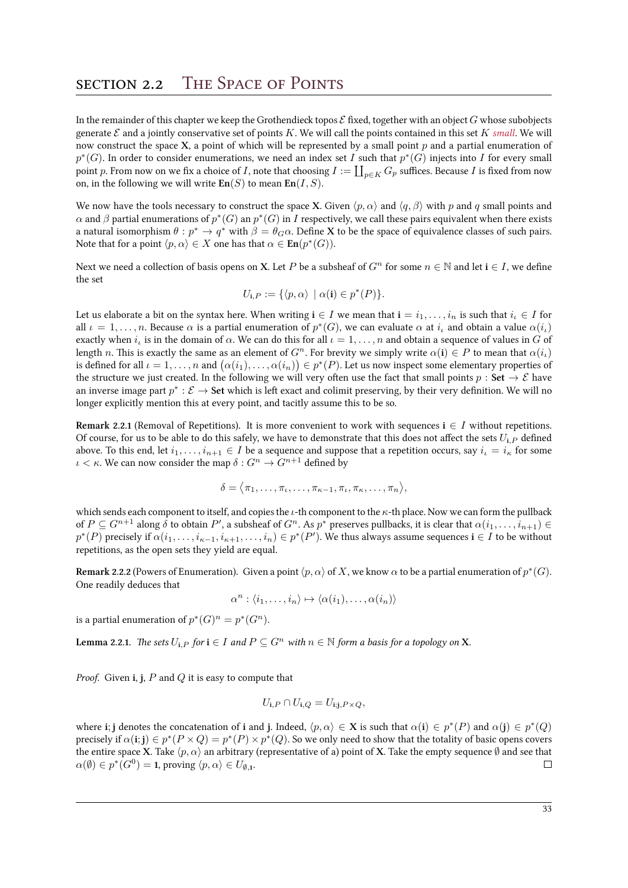<span id="page-38-0"></span>In the remainder of this chapter we keep the Grothendieck topos  $\mathcal E$  fixed, together with an object *G* whose subobjects generate *E* and a jointly conservative set of points *K*. We will call the points contained in this set *K small*. We will now construct the space **X**, a point of which will be represented by a small point  $p$  and a partial enumeration of  $p^*(G)$ . In order to consider enumerations, we need an index set *I* such that  $p^*(G)$  injects into *I* for every small point *p*. From now on we fix a choice of *I*, note that choosing  $I := \coprod_{p \in K} G_p$  suffices. Because *I* is fixed from now on, in the following we will write  $\text{En}(S)$  to mean  $\text{En}(I, S)$ .

We now have the tools necessary to construct the space **X**. Given  $\langle p, \alpha \rangle$  and  $\langle q, \beta \rangle$  with p and q small points and  $\alpha$  and  $\beta$  partial enumerations of  $p^*(G)$  an  $p^*(G)$  in *I* respectively, we call these pairs equivalent when there exists a natural isomorphism  $\theta : p^* \to q^*$  with  $\beta = \theta_G \alpha$ . Define **X** to be the space of equivalence classes of such pairs. Note that for a point  $\langle p, \alpha \rangle \in X$  one has that  $\alpha \in \mathbf{En}(p^*(G)).$ 

Next we need a collection of basis opens on **X**. Let *P* be a subsheaf of  $G^n$  for some  $n \in \mathbb{N}$  and let  $i \in I$ , we define the set

$$
U_{\mathbf{i},P} := \{ \langle p, \alpha \rangle \mid \alpha(\mathbf{i}) \in p^*(P) \}.
$$

Let us elaborate a bit on the syntax here. When writing  $\mathbf{i} \in I$  we mean that  $\mathbf{i} = i_1, \ldots, i_n$  is such that  $i_i \in I$  for all  $\iota = 1, \ldots, n$ . Because  $\alpha$  is a partial enumeration of  $p^*(G)$ , we can evaluate  $\alpha$  at  $i_\iota$  and obtain a value  $\alpha(i_\iota)$ exactly when  $i_i$  is in the domain of  $\alpha$ . We can do this for all  $i = 1, \ldots, n$  and obtain a sequence of values in *G* of length *n*. This is exactly the same as an element of  $G^n$ . For brevity we simply write  $\alpha(i) \in P$  to mean that  $\alpha(i)$ is defined for all  $\iota = 1, \ldots, n$  and  $\big(\alpha(i_1), \ldots, \alpha(i_n)\big) \in p^*(P).$  Let us now inspect some elementary properties of the structure we just created. In the following we will very often use the fact that small points  $p : Set \rightarrow \mathcal{E}$  have an inverse image part  $p^*: \mathcal{E} \to \mathsf{Set}$  which is left exact and colimit preserving, by their very definition. We will no longer explicitly mention this at every point, and tacitly assume this to be so.

**Remark 2.2.1** (Removal of Repetitions). It is more convenient to work with sequences  $\mathbf{i} \in I$  without repetitions. Of course, for us to be able to do this safely, we have to demonstrate that this does not affect the sets  $U_i$ <sub>*P*</sub> defined above. To this end, let  $i_1, \ldots, i_{n+1} \in I$  be a sequence and suppose that a repetition occurs, say  $i_i = i_\kappa$  for some *ι* < *κ*. We can now consider the map  $\delta: G^n \to G^{n+1}$  defined by

$$
\delta = \langle \pi_1, \ldots, \pi_{\iota}, \ldots, \pi_{\kappa-1}, \pi_{\iota}, \pi_{\kappa}, \ldots, \pi_n \rangle,
$$

which sends each component to itself, and copies the *ι*-th component to the *κ*-th place. Now we can form the pullback of  $P\subseteq G^{n+1}$  along  $\delta$  to obtain  $P'$ , a subsheaf of  $G^n$ . As  $p^*$  preserves pullbacks, it is clear that  $\alpha(i_1,\ldots,i_{n+1})\in$  $p^*(P)$  precisely if  $\alpha(i_1,\ldots,i_{\kappa-1},i_{\kappa+1},\ldots,i_n)\in p^*(P').$  We thus always assume sequences  $\mathbf{i}\in I$  to be without repetitions, as the open sets they yield are equal.

<span id="page-38-1"></span>**Remark 2.2.2** (Powers of Enumeration). Given a point  $\langle p, \alpha \rangle$  of X, we know  $\alpha$  to be a partial enumeration of  $p^*(G)$ . One readily deduces that

$$
\alpha^n : \langle i_1, \ldots, i_n \rangle \mapsto \langle \alpha(i_1), \ldots, \alpha(i_n) \rangle
$$

is a partial enumeration of  $p^*(G)^n = p^*(G^n)$ .

**Lemma 2.2.1.** The sets  $U_{i,P}$  for  $i \in I$  and  $P \subseteq G^n$  with  $n \in \mathbb{N}$  form a basis for a topology on X.

*Proof.* Given **i**, **j**, *P* and *Q* it is easy to compute that

$$
U_{\mathbf{i},P} \cap U_{\mathbf{i},Q} = U_{\mathbf{i};\mathbf{j},P \times Q},
$$

where i; j denotes the concatenation of i and j. Indeed,  $\langle p, \alpha \rangle \in X$  is such that  $\alpha(i) \in p^*(P)$  and  $\alpha(j) \in p^*(Q)$ precisely if  $\alpha(i;j)\in p^*(P\times Q)=p^*(P)\times p^*(Q).$  So we only need to show that the totality of basic opens covers the entire space **X**. Take  $\langle p, \alpha \rangle$  an arbitrary (representative of a) point of **X**. Take the empty sequence  $\emptyset$  and see that  $\alpha(\emptyset) \in p^*(G^0) = \mathbf{1}$ , proving  $\langle p, \alpha \rangle \in U_{\emptyset, \mathbf{1}}$ .  $\Box$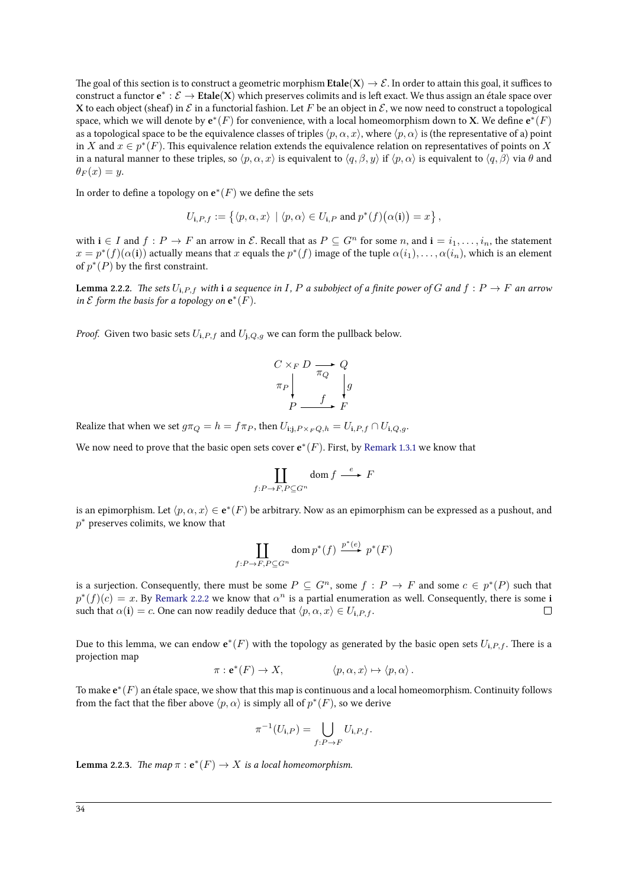The goal of this section is to construct a geometric morphism  $\text{Etale}(X) \to \mathcal{E}$ . In order to attain this goal, it suffices to  $\text{construct a functor } \mathbf{e}^*: \mathcal{E} \to \textbf{Etale}(\mathbf{X}) \text{ which preserves colimits and is left exact. We thus assign an étale space over }$ **X** to each object (sheaf) in  $\mathcal E$  in a functorial fashion. Let F be an object in  $\mathcal E$ , we now need to construct a topological space, which we will denote by  $e^*(F)$  for convenience, with a local homeomorphism down to **X**. We define  $e^*(F)$ as a topological space to be the equivalence classes of triples  $\langle p, \alpha, x \rangle$ , where  $\langle p, \alpha \rangle$  is (the representative of a) point in *X* and  $x \in p^*(F)$ . This equivalence relation extends the equivalence relation on representatives of points on *X* in a natural manner to these triples, so  $\langle p, \alpha, x \rangle$  is equivalent to  $\langle q, \beta, y \rangle$  if  $\langle p, \alpha \rangle$  is equivalent to  $\langle q, \beta \rangle$  via  $\theta$  and  $\theta_F(x) = y$ .

In order to define a topology on  $e^*(F)$  we define the sets

$$
U_{\mathbf{i},P,f} := \left\{ \langle p, \alpha, x \rangle \mid \langle p, \alpha \rangle \in U_{\mathbf{i},P} \text{ and } p^*(f)(\alpha(\mathbf{i})) = x \right\},\
$$

with  $i \in I$  and  $f: P \to F$  an arrow in E. Recall that as  $P \subseteq G^n$  for some n, and  $i = i_1, \ldots, i_n$ , the statement  $x = p^*(f)(\alpha(\mathbf{i}))$  actually means that  $x$  equals the  $p^*(f)$  image of the tuple  $\alpha(i_1), \ldots, \alpha(i_n),$  which is an element of  $p^*(P)$  by the first constraint.

**Lemma 2.2.2.** The sets  $U_{i,P,f}$  with i a sequence in I, P a subobject of a finite power of G and  $f: P \to F$  an arrow *in*  $\mathcal E$  *form the basis for a topology on*  $e^*(F)$ *.* 

*Proof.* Given two basic sets  $U_{i,P,f}$  and  $U_{i,Q,q}$  we can form the pullback below.

$$
\begin{array}{ccc}\nC \times_F D & \xrightarrow{\pi_Q} & Q \\
\pi_P & & \downarrow g \\
P & \xrightarrow{f} & F\n\end{array}
$$

Realize that when we set  $g\pi_Q = h = f\pi_P$ , then  $U_{i,j,P\times_F Q,h} = U_{i,P,f} \cap U_{i,Q,g}$ .

We now need to prove that the basic open sets cover  $\mathbf{e}^{*}(F)$ . First, by Remark 1.3.1 we know that

$$
\coprod_{f:P\to F,P\subseteq G^n} \text{dom } f \xrightarrow{e} F
$$

is an epimorphism. Let  $\langle p, \alpha, x \rangle \in e^*(F)$  be arbitrary. Now as an epi[morphism ca](#page-33-2)n be expressed as a pushout, and *p ∗* preserves colimits, we know that

$$
\coprod_{f:P\to F,P\subseteq G^n} \text{dom } p^*(f) \xrightarrow{p^*(e)} p^*(F)
$$

is a surjection. Consequently, there must be some  $P \subseteq G^n$ , some  $f : P \to F$  and some  $c \in p^*(P)$  such that  $p^*(f)(c) = x$ . By Remark 2.2.2 we know that  $\alpha^n$  is a partial enumeration as well. Consequently, there is some **i** such that  $\alpha$ (**i**) = *c*. One can now readily deduce that  $\langle p, \alpha, x \rangle \in U_{\mathbf{i},P,f}$ .  $\Box$ 

Due to this lemma[, we can endo](#page-38-1)w  $e^*(F)$  with the topology as generated by the basic open sets  $U_{i,P,f}$ . There is a projection map

$$
\pi: \mathbf{e}^*(F) \to X, \qquad \langle p, \alpha, x \rangle \mapsto \langle p, \alpha \rangle.
$$

To make  $e^*(F)$  an étale space, we show that this map is continuous and a local homeomorphism. Continuity follows from the fact that the fiber above  $\langle p,\alpha \rangle$  is simply all of  $p^*(F)$ , so we derive

$$
\pi^{-1}(U_{\mathbf{i},P}) = \bigcup_{f:P \to F} U_{\mathbf{i},P,f}.
$$

**Lemma 2.2.3.** The map  $\pi$  :  $e^*(F) \to X$  is a local homeomorphism.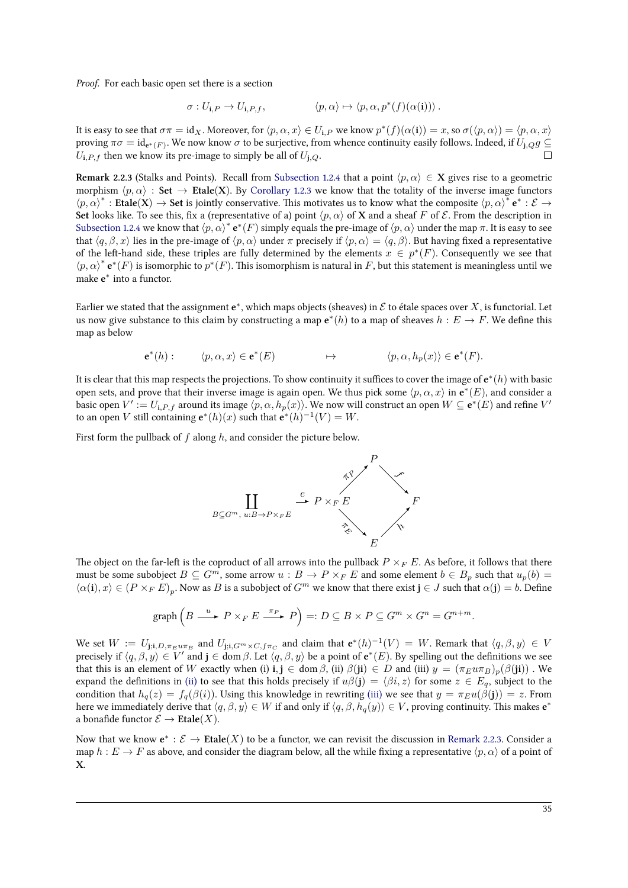*Proof.* For each basic open set there is a section

$$
\sigma: U_{\mathbf{i},P} \to U_{\mathbf{i},P,f}, \qquad \qquad \langle p,\alpha \rangle \mapsto \langle p,\alpha,p^*(f)(\alpha(\mathbf{i})) \rangle.
$$

It is easy to see that  $\sigma\pi=\mathrm{id}_X.$  Moreover, for  $\langle p,\alpha,x\rangle\in U_{\mathbf{i},P}$  we know  $p^*(f)(\alpha(\mathbf{i}))=x,$  so  $\sigma(\langle p,\alpha\rangle)=\langle p,\alpha,x\rangle$ proving  $\pi\sigma = id_{e^*(F)}$ . We now know  $\sigma$  to be surjective, from whence continuity easily follows. Indeed, if  $U_{j,Q}g \subseteq$  $U_{\mathbf{i},P,f}$  then we know its pre-image to simply be all of  $U_{\mathbf{i},Q}$ .

**Remark 2.2.3** (Stalks and Points). Recall from Subsection 1.2.4 that a point  $\langle p, \alpha \rangle \in \mathbf{X}$  gives rise to a geometric morphism  $\langle p, \alpha \rangle$  : **Set**  $\rightarrow$  **Etale**(**X**). By Corollary 1.2.3 we know that the totality of the inverse image functors  $\langle p, \alpha \rangle^*$  **: Etale**(**X**) → Set is jointly conservative. This motivates us to know what the composite  $\langle p, \alpha \rangle^*$  **e**<sup>\*</sup> : *E* → **Set** looks like. To see this, fix a (representative of a) point  $\langle p, \alpha \rangle$  of **X** and a sheaf *F* of *E*. From the description in Subsection 1.2.4 we know that  $\langle p, \alpha \rangle^*$   $e^*(F)$  si[mply equals the pr](#page-30-0)e-image of  $\langle p, \alpha \rangle$  under the map  $\pi$ . It is easy to see that  $\langle q, \beta, x \rangle$  lies in the pre-image of  $\langle p, \alpha \rangle$  [under](#page-31-1)  $\pi$  precisely if  $\langle p, \alpha \rangle = \langle q, \beta \rangle$ . But having fixed a representative of the left-hand side, these triples are fully determined by the elements  $x \in p^*(F)$ . Consequently we see that  $\langle p, \alpha \rangle^* \mathbf{e}^* (F)$  is isomorphic to  $p^* (F)$ . This isomorphism is natural in *F*, but this statement is meaningless until we make **e** *∗* [into a f](#page-30-0)unctor.

Earlier we stated that the assignment  $e^*$ , which maps objects (sheaves) in  ${\cal E}$  to étale spaces over  $X$ , is functorial. Let us now give substance to this claim by constructing a map  $e^*(h)$  to a map of sheaves  $h : E \to F$ . We define this map as below

$$
\mathbf{e}^*(h): \qquad \langle p, \alpha, x \rangle \in \mathbf{e}^*(E) \qquad \qquad \mapsto \qquad \qquad \langle p, \alpha, h_p(x) \rangle \in \mathbf{e}^*(F).
$$

It is clear that this map respects the projections. To show continuity it suffices to cover the image of **e** *∗* (*h*) with basic open sets, and prove that their inverse image is again open. We thus pick some  $\langle p, \alpha, x \rangle$  in  $e^*(E)$ , and consider a basic open  $V' := U_{i,P,f}$  around its image  $\langle p,\alpha,h_p(x)\rangle$ . We now will construct an open  $W\subseteq e^*(E)$  and refine  $V'$ to an open *V* still containing  $e^*(h)(x)$  such that  $e^*(h)^{-1}(V) = W$ .

First form the pullback of  $f$  along  $h$ , and consider the picture below.



The object on the far-left is the coproduct of all arrows into the pullback  $P \times_F E$ . As before, it follows that there must be some subobject  $B \subseteq G^m$ , some arrow  $u : B \to P \times_F E$  and some element  $b \in B_p$  such that  $u_p(b) =$  $\langle \alpha(i), x \rangle \in (P \times_F E)_p$ . Now as B is a subobject of  $G^m$  we know that there exist  $j \in J$  such that  $\alpha(j) = b$ . Define

<span id="page-40-1"></span><span id="page-40-0"></span>
$$
\text{graph}\left(B\stackrel{u}{\longrightarrow} P\times_{F}E\stackrel{\pi_{P}}{\longrightarrow} P\right)=:D\subseteq B\times P\subseteq G^{m}\times G^{n}=G^{n+m}.
$$

We set  $W := U_{j,i,D,\pi_E u \pi_B}$  and  $U_{j,i,G^m \times C, f \pi_C}$  and claim that  $e^*(h)^{-1}(V) = W$ . Remark that  $\langle q, \beta, y \rangle \in V$ precisely if  $\langle q, \beta, y \rangle \in V'$  and  $j \in \text{dom }\beta$ . Let  $\langle q, \beta, y \rangle$  be a point of  $e^*(E)$ . By spelling out the definitions we see that this is an element of W exactly when (i) i,  $j \in \text{dom }\beta$ , (ii)  $\beta(ji) \in D$  and (iii)  $y = (\pi_E u \pi_B)_p(\beta(ji))$ . We expand the definitions in (ii) to see that this holds precisely if  $u\beta(j) = \langle \beta i, z \rangle$  for some  $z \in E_q$ , subject to the condition that  $h_q(z) = f_q(\beta(i))$ . Using this knowledge in rewriting (iii) we see that  $y = \pi_E u(\beta(j)) = z$ . From here we immediately derive that  $\langle q, \beta, y \rangle \in W$  if and only if  $\langle q, \beta, h_q(y) \rangle \in V$ , proving continuity. This makes  $e^*$ a bonafide functor  $\mathcal{E} \to \text{Etale}(X)$ .

Now that we know  $e^*: \mathcal{E} \to \text{Etale}(X)$  to be a functor, we can revisit the discussion in Remark 2.2.3. Consider a map  $h: E \to F$  as above, and consider the diagram below, all the wh[ile fi](#page-40-1)xing a representative  $\langle p, \alpha \rangle$  of a point of **X**.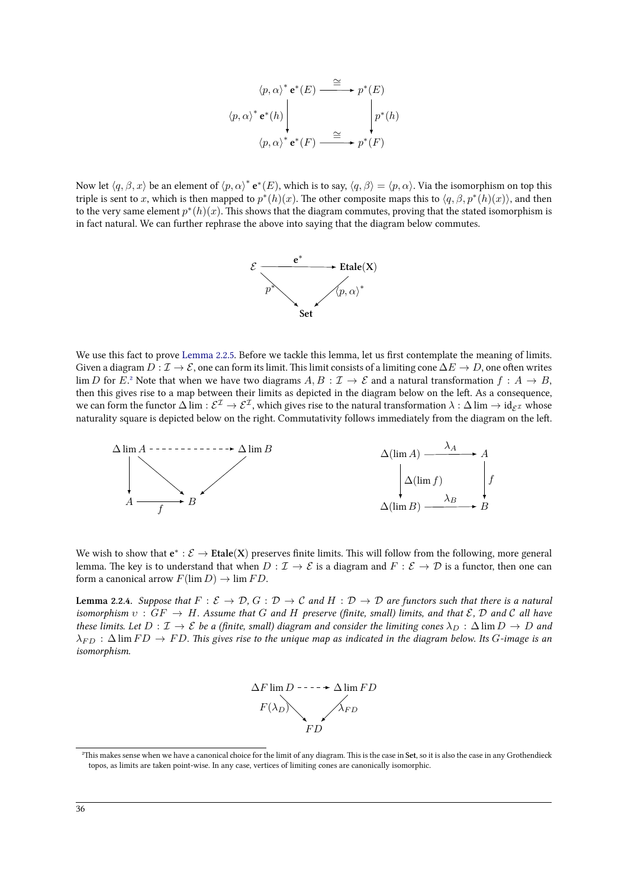$$
\langle p, \alpha \rangle^* \mathbf{e}^*(E) \xrightarrow{\cong} p^*(E)
$$
  

$$
\langle p, \alpha \rangle^* \mathbf{e}^*(h) \downarrow \qquad \qquad p^*(h)
$$
  

$$
\langle p, \alpha \rangle^* \mathbf{e}^*(F) \xrightarrow{\cong} p^*(F)
$$

Now let  $\langle q, \beta, x \rangle$  be an element of  $\langle p, \alpha \rangle^*$   $e^*(E)$ , which is to say,  $\langle q, \beta \rangle = \langle p, \alpha \rangle$ . Via the isomorphism on top this triple is sent to *x*, which is then mapped to  $p^*(h)(x)$ . The other composite maps this to  $\langle q, \beta, p^*(h)(x) \rangle$ , and then to the very same element  $p^*(h)(x)$ . This shows that the diagram commutes, proving that the stated isomorphism is in fact natural. We can further rephrase the above into saying that the diagram below commutes.



We use this fact to prove Lemma 2.2.5. Before we tackle this lemma, let us first contemplate the meaning of limits. Given a diagram  $D: \mathcal{I} \to \mathcal{E}$ , one can form its limit. This limit consists of a limiting cone  $\Delta E \to D$ , one often writes lim *D* for *E*.<sup>2</sup> Note that when we have two diagrams  $A, B: \mathcal{I} \to \mathcal{E}$  and a natural transformation  $f: A \to B$ , then this gives rise to a map between their limits as depicted in the diagram below on the left. As a consequence, we can form the functor  $\Delta \lim : \mathcal{E}^{\mathcal{I}} \to \mathcal{E}^{\mathcal{I}}$  $\Delta \lim : \mathcal{E}^{\mathcal{I}} \to \mathcal{E}^{\mathcal{I}}$  $\Delta \lim : \mathcal{E}^{\mathcal{I}} \to \mathcal{E}^{\mathcal{I}}$ , which gives rise to the natural transformation  $\lambda : \Delta \lim \to \mathrm{id}_{\mathcal{E}^{\mathcal{I}}}$  whose naturality square is depicted below on the right. Commutativity follows immediately from the diagram on the left.



We wish to show that  $e^*: \mathcal{E} \to \text{Etale}(X)$  preserves finite limits. This will follow from the following, more general lemma. The key is to understand that when  $D: \mathcal{I} \to \mathcal{E}$  is a diagram and  $F: \mathcal{E} \to \mathcal{D}$  is a functor, then one can form a canonical arrow  $F(\lim D) \to \lim FD$ .

<span id="page-41-0"></span>**Lemma 2.2.4.** Suppose that  $F : \mathcal{E} \to \mathcal{D}$ ,  $G : \mathcal{D} \to \mathcal{C}$  and  $H : \mathcal{D} \to \mathcal{D}$  are functors such that there is a natural *isomorphism*  $v : GF \rightarrow H$ *. Assume that G* and *H* preserve (finite, small) limits, and that  $\mathcal{E}, \mathcal{D}$  and  $\mathcal{C}$  all have *these limits. Let*  $D: \mathcal{I} \to \mathcal{E}$  *be a (finite, small) diagram and consider the limiting cones*  $\lambda_D: \Delta \lim D \to D$  *and*  $\lambda_{FD}$  :  $\Delta$  lim  $FD \to FD$ . This gives rise to the unique map as indicated in the diagram below. Its *G*-image is an *isomorphism.*



<sup>&</sup>lt;sup>2</sup>This makes sense when we have a canonical choice for the limit of any diagram. This is the case in Set, so it is also the case in any Grothendieck topos, as limits are taken point-wise. In any case, vertices of limiting cones are canonically isomorphic.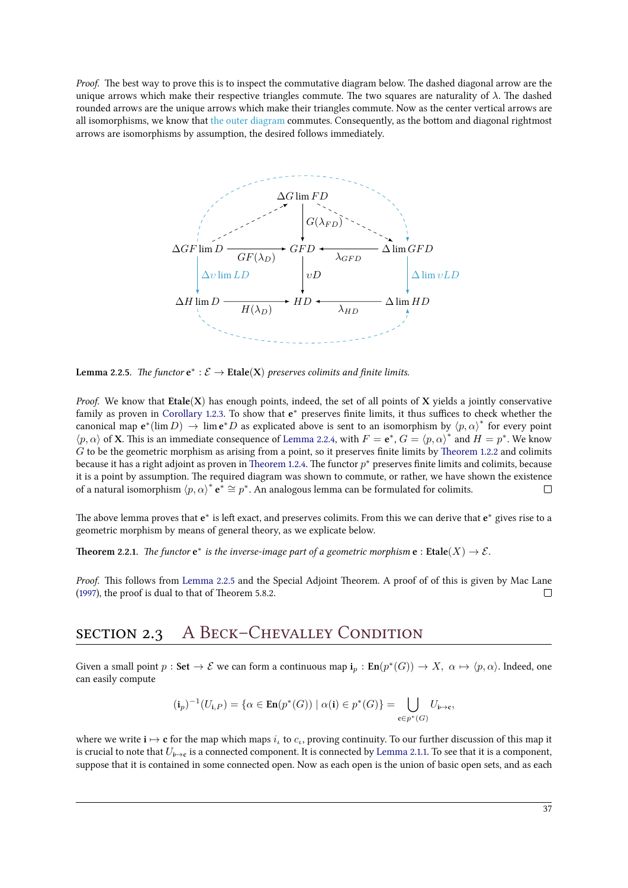<span id="page-42-2"></span>*Proof.* The best way to prove this is to inspect the commutative diagram below. The dashed diagonal arrow are the unique arrows which make their respective triangles commute. The two squares are naturality of  $\lambda$ . The dashed rounded arrows are the unique arrows which make their triangles commute. Now as the center vertical arrows are all isomorphisms, we know that the outer diagram commutes. Consequently, as the bottom and diagonal rightmost arrows are isomorphisms by assumption, the desired follows immediately.



**Lemma 2.2.5.** The functor  $e^* : \mathcal{E} \to \text{Etale}(X)$  preserves colimits and finite limits.

<span id="page-42-1"></span>*Proof.* We know that **Etale**(**X**) has enough points, indeed, the set of all points of **X** yields a jointly conservative family as proven in Corollary 1.2.3. To show that  $e^*$  preserves finite limits, it thus suffices to check whether the canonical map  $e^*(\lim D) \to \lim e^*D$  as explicated above is sent to an isomorphism by  $\langle p, \alpha \rangle^*$  for every point  $\langle p, \alpha \rangle$  of **X**. This is an immediate consequence of Lemma 2.2.4, with  $F = e^*$ ,  $G = \langle p, \alpha \rangle^*$  and  $H = p^*$ . We know *G* to be the geometric morphism as arising from a point, so it preserves finite limits by Theorem 1.2.2 and colimits because it has a righ[t adjoint as prov](#page-31-1)en in Theorem 1.2.4. The functor  $p^*$  preserves finite limits and colimits, because it is a point by assumption. The required diagram was shown to commute, or rather, we have shown the existence of a natural isomorphism  $\langle p, \alpha \rangle^* e^* \cong p^*$ . An an[alogous lemm](#page-41-0)a can be formulated for colimits.

The above lemma proves that  $e^*$  is left ex[act, and preser](#page-27-0)ves colimits. From this we can derive that  $e^*$  gives rise to a geometric morphism by means of general theory, as we explicate below.

**Theorem 2.2.1.** The functor  $e^*$  is the inverse-image part of a geometric morphism  $e$  :  $\text{Etale}(X) \to \mathcal{E}$ .

*Proof.* This follows from Lemma 2.2.5 and the Special Adjoint Theorem. A proof of of this is given by Mac Lane  $(1997)$ , the proof is dual to that of Theorem 5.8.2.  $\Box$ 

### SECTION 2.3 [A B](#page-42-1)ECK-CHEVALLEY CONDITION

<span id="page-42-0"></span>Given a small point  $p:$  Set  $\to \mathcal{E}$  we can form a continuous map  $\mathbf{i}_p:$   $\text{En}(p^*(G))\to X,~\alpha\mapsto \langle p,\alpha\rangle.$  Indeed, one can easily compute

$$
(\mathbf{i}_p)^{-1}(U_{\mathbf{i},P}) = \{ \alpha \in \operatorname{En}(p^*(G)) \mid \alpha(\mathbf{i}) \in p^*(G) \} = \bigcup_{\mathbf{c} \in p^*(G)} U_{\mathbf{i} \mapsto \mathbf{c}},
$$

where we write  $i \mapsto c$  for the map which maps  $i_i$  to  $c_i$ , proving continuity. To our further discussion of this map it is crucial to note that  $U_{i\to c}$  is a connected component. It is connected by Lemma 2.1.1. To see that it is a component, suppose that it is contained in some connected open. Now as each open is the union of basic open sets, and as each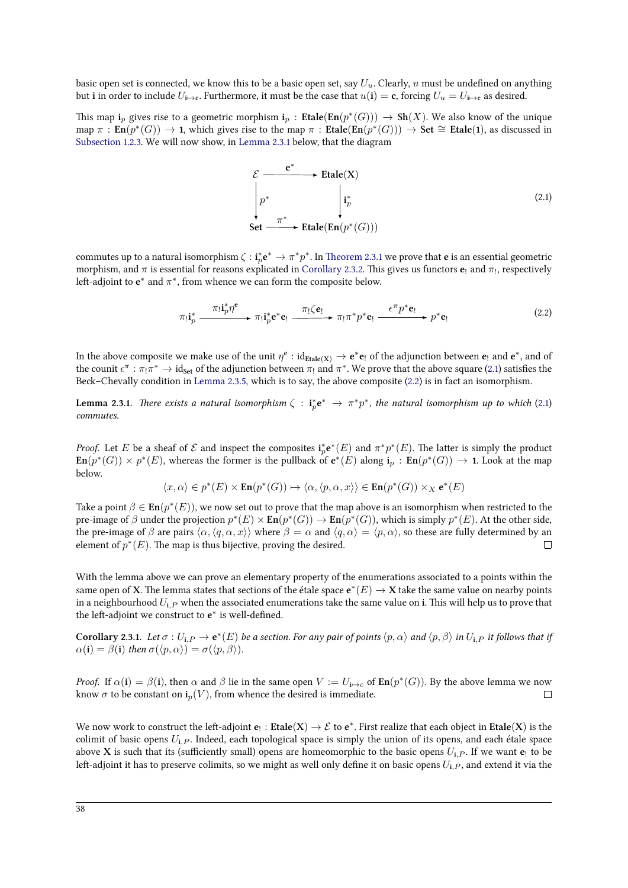basic open set is connected, we know this to be a basic open set, say *Uu*. Clearly, *u* must be undefined on anything but **i** in order to include  $U_{i\rightarrow c}$ . Furthermore, it must be the case that  $u(i) = c$ , forcing  $U_u = U_{i\rightarrow c}$  as desired.

This map  $\mathbf{i}_p$  gives rise to a geometric morphism  $\mathbf{i}_p$  :  $\text{Etale}(\text{En}(p^*(G))) \to \text{Sh}(X)$ . We also know of the unique  $\max \pi : \mathbf{En}(p^*(G)) \to \mathbf{1}$ , which gives rise to the map  $\pi : \mathbf{E} \mathbf{t} \cdot \mathbf{ale}(\mathbf{En}(p^*(G))) \to \mathbf{Set} \cong \mathbf{E} \mathbf{t} \cdot \mathbf{ale}(1)$ , as discussed in Subsection 1.2.3. We will now show, in Lemma 2.3.1 below, that the diagram

<span id="page-43-1"></span>
$$
\mathcal{E} \xrightarrow{\mathbf{e}^*} \text{Etale}(X)
$$
\n
$$
\begin{array}{ccc}\n & \downarrow^* \\
 p^* & \downarrow^* \\
 \text{Set} \xrightarrow{\pi^*} \text{Etale}(\text{En}(p^*(G)))\n\end{array}
$$
\n(2.1)

commutes up to a natural isomorphism  $\zeta: \textbf{i}_p^* \textbf{e}^* \to \pi^*p^*$ . In Theorem 2.3.1 we prove that  $\textbf{e}$  is an essential geometric morphism, and π is essential for reasons explicated in Corollary 2.3.2. This gives us functors  ${\bf e}_!$  and π<sub>!</sub>, respectively left-adjoint to  $e^*$  and  $\pi^*$ , from whence we can form the composite below.

$$
\pi_!\mathbf{i}_p^* \xrightarrow{\pi_!\mathbf{i}_p^* \eta^e} \pi_!\mathbf{i}_p^* \mathbf{e}^* \mathbf{e}_! \xrightarrow{\pi_!\zeta \mathbf{e}_!} \pi_!\pi^* p^* \mathbf{e}_! \xrightarrow{\epsilon^{\pi} p^* \mathbf{e}_!} p^* \mathbf{e}_!
$$
 (2.2)

In the above composite we make use of the unit  $\eta^e$  : id $_{\text{Etale}(X)} \to e^*e$ ! of the adjunction between  $e_!$  and  $e^*$ , and of the counit  $\epsilon^{\pi}$  :  $\pi_! \pi^* \to \text{id}_{\text{Set}}$  of the adjunction between  $\pi_!$  and  $\pi^*$ . We prove that the above square (2.1) satisfies the Beck–Chevally condition in Lemma 2.3.5, which is to say, the above composite (2.2) is in fact an isomorphism.

**Lemma 2.3.1.** There exists a natural isomorphism  $\zeta : i_p^* e^* \to \pi^* p^*$ , the natural isomorphism up to which (2.1) *commutes.*

<span id="page-43-0"></span>*Proof.* Let *E* be a sheaf of *E* and inspect the composites  $i_p^* e^* (E)$  and  $\pi^* p^* (E)$ . The latter is simply the product  ${\tt En}(p^*(G))\times p^*(E),$  whereas the former is the pullback of  ${\bf e}^*(E)$  along  ${\bf i}_p:$   ${\tt En}(p^*(G))\to {\bf 1}.$  Look at the [map](#page-43-1) below.

$$
\langle x, \alpha \rangle \in p^*(E) \times \operatorname{En}(p^*(G)) \mapsto \langle \alpha, \langle p, \alpha, x \rangle \rangle \in \operatorname{En}(p^*(G)) \times_X e^*(E)
$$

Take a point  $\beta\in \mathbf{En}(p^*(E)),$  we now set out to prove that the map above is an isomorphism when restricted to the pre-image of  $\beta$  under the projection  $p^*(E)\times \text{En}(p^*(G))\to \text{En}(p^*(G)),$  which is simply  $p^*(E)$ . At the other side, the pre-image of  $\beta$  are pairs  $\langle \alpha, \langle q, \alpha, x \rangle \rangle$  where  $\beta = \alpha$  and  $\langle q, \alpha \rangle = \langle p, \alpha \rangle$ , so these are fully determined by an element of  $p^*(E)$ . The map is thus bijective, proving the desired.  $\Box$ 

With the lemma above we can prove an elementary property of the enumerations associated to a points within the same open of **X**. The lemma states that sections of the étale space  $e^*(E) \to X$  take the same value on nearby points in a neighbourhood  $U_{i,P}$  when the associated enumerations take the same value on **i**. This will help us to prove that the left-adjoint we construct to  $e^*$  is well-defined.

Corollary 2.3.1. Let  $\sigma:U_{\mathbf{i},P}\to\mathbf{e}^*(E)$  be a section. For any pair of points  $\langle p,\alpha\rangle$  and  $\langle p,\beta\rangle$  in  $U_{\mathbf{i},P}$  it follows that if  $\alpha$ (**i**) =  $\beta$ (**i**) *then*  $\sigma$ ( $\langle p, \alpha \rangle$ ) =  $\sigma$ ( $\langle p, \beta \rangle$ ).

<span id="page-43-2"></span>*Proof.* If  $\alpha(\mathbf{i}) = \beta(\mathbf{i})$ , then  $\alpha$  and  $\beta$  lie in the same open  $V := U_{\mathbf{i}\mapsto c}$  of  $\text{En}(p^*(G))$ . By the above lemma we now know  $\sigma$  to be constant on  $\mathbf{i}_p(V)$ , from whence the desired is immediate.  $\Box$ 

We now work to construct the left-adjoint  $e_!:{\rm{Etale}}(X)\to \mathcal{E}$  to  $e^*.$  First realize that each object in  ${\rm{Etale}}(X)$  is the colimit of basic opens  $U_i$ <sub>*P*</sub>. Indeed, each topological space is simply the union of its opens, and each étale space above **X** is such that its (sufficiently small) opens are homeomorphic to the basic opens  $U_i$ <sub>*,P*</sub>. If we want  $e_i$  to be left-adjoint it has to preserve colimits, so we might as well only define it on basic opens  $U_{i,P}$ , and extend it via the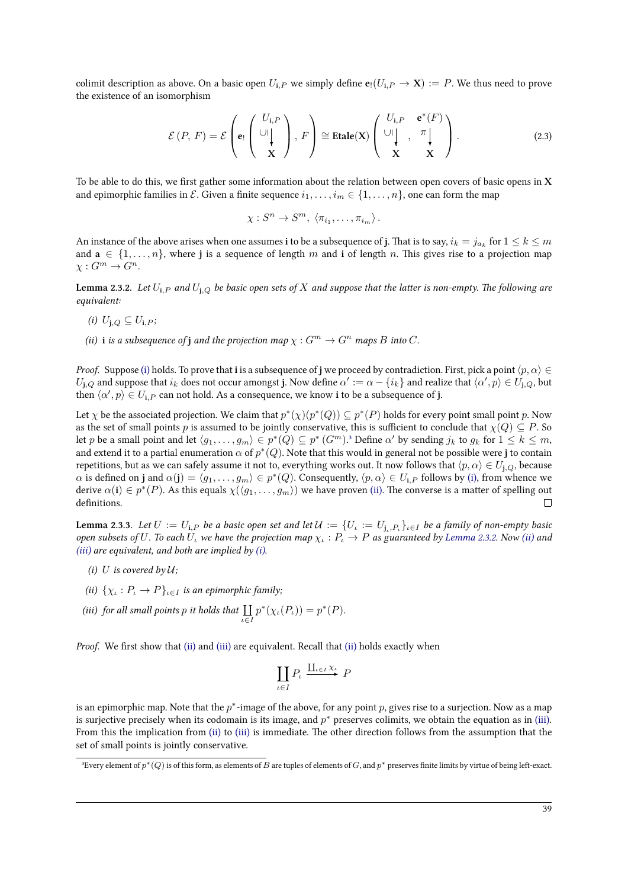colimit description as above. On a basic open  $U_{i,P}$  we simply define  $e_!(U_{i,P} \to X) := P$ . We thus need to prove the existence of an isomorphism

<span id="page-44-6"></span>
$$
\mathcal{E}(P, F) = \mathcal{E}\left(\mathbf{e}_! \begin{pmatrix} U_{\mathbf{i}, P} \\ \cup | \\ \mathbf{X} \end{pmatrix}, F\right) \cong \text{Etale}(\mathbf{X}) \begin{pmatrix} U_{\mathbf{i}, P} & \mathbf{e}^*(F) \\ \cup | \\ \mathbf{X} & \mathbf{X} \end{pmatrix}.
$$
 (2.3)

To be able to do this, we first gather some information about the relation between open covers of basic opens in **X** and epimorphic families in *E*. Given a finite sequence  $i_1, \ldots, i_m \in \{1, \ldots, n\}$ , one can form the map

$$
\chi: S^n \to S^m, \ \langle \pi_{i_1}, \ldots, \pi_{i_m} \rangle \, .
$$

An instance of the above arises when one assumes  $i$  to be a subsequence of  $j$ . That is to say,  $i_k = j_{a_k}$  for  $1 \leq k \leq m$ and  $a \in \{1, \ldots, n\}$ , where j is a sequence of length *m* and **i** of length *n*. This gives rise to a projection map  $\chi: G^m \to G^n$ .

**Lemma 2.3.2.** Let  $U_{i,P}$  and  $U_{j,Q}$  be basic open sets of X and suppose that the latter is non-empty. The following are *equivalent:*

- *(i)*  $U_{\mathbf{i},Q}$  ⊆  $U_{\mathbf{i},P}$ ;
- *(ii)* **i** *is a subsequence of* **j** and the projection map  $\chi: G^m \to G^n$  maps B into C.

<span id="page-44-2"></span><span id="page-44-0"></span>*Proof.* Suppose (i) holds. To prove that **i** is a subsequence of **j** we proceed by contradiction. First, pick a point  $\langle p, \alpha \rangle \in$  $U_{{\bf i},Q}$  and suppose that  $i_k$  does not occur amongst j. Now define  $\alpha':=\alpha-\{i_k\}$  and realize that  $\langle\alpha',p\rangle\in U_{{\bf i},Q}$ , but then  $\langle \alpha', p \rangle \in U_{\mathbf i, P}$  can not hold. As a consequence, we know  $\mathbf i$  to be a subsequence of  $\mathbf j$ .

Let  $\chi$  be the associated projection. We claim that  $p^*(\chi)(p^*(Q)) \subseteq p^*(P)$  holds for every point small point  $p$ . Now as the set of sm[all](#page-44-0) points *p* is assumed to be jointly conservative, this is sufficient to conclude that  $\chi(Q) \subseteq P$ . So let p be a small point and let  $\langle g_1,\ldots,g_m\rangle\in p^*(Q)\subseteq p^*(G^m).$  Define  $\alpha'$  by sending  $j_k$  to  $g_k$  for  $1\leq k\leq m,$ and extend it to a partial enumeration  $\alpha$  of  $p^*(Q)$ . Note that this would in general not be possible were  ${\bf j}$  to contain repetitions, but as we can safely assume it not to, everything works out. It now follows that  $\langle p, \alpha \rangle \in U_{j,Q}$ , because  $\alpha$  is defined on j and  $\alpha(\mathbf{j})=\langle g_1,\ldots,g_m\rangle\in p^*(Q).$  Consequently,  $\langle p,\alpha\rangle\in U_{\mathbf{i},P}$  follows by (i), from whence we derive  $\alpha(\mathbf{i})\in p^*(P).$  As this equals  $\chi(\langle g_1,\ldots,g_m\rangle)$  $\chi(\langle g_1,\ldots,g_m\rangle)$  $\chi(\langle g_1,\ldots,g_m\rangle)$  we have proven (ii). The converse is a matter of spelling out definitions.  $\Box$ 

**Lemma 2.3.3.** Let  $U:=U_{\mathbf{i},P}$  be a basic open set and let  $\mathcal{U}:=\{U_\iota:=U_{\mathbf{j}_\iota,P_\iota}\}_{\iota\in I}$  be a famil[y o](#page-44-0)f non-empty basic open subsets of  $U.$  To each  $U_\iota$  we have the projection map  $\chi_\iota:P_\iota\to P$  [as](#page-44-2) guaranteed by Lemma 2.3.2. Now (ii) and *(iii) are equivalent, and both are implied by (i).*

- <span id="page-44-7"></span>*(i)*  $U$  *is covered by*  $U$ *;*
- $(iii) \ \{\chi_{\iota}: P_{\iota} \to P\}_{\iota \in I}$  *is an epimorphic family;*
- <span id="page-44-4"></span>*[\(ii](#page-44-3)i)* for all small points  $p$  *it holds that*  $\prod$ *ι∈I*  $p^*(\chi_i(P_i)) = p^*(P).$  $p^*(\chi_i(P_i)) = p^*(P).$

<span id="page-44-5"></span><span id="page-44-3"></span>*Proof.* We first show that (ii) and (iii) are equivalent. Recall that (ii) holds exactly when

$$
\coprod_{\iota \in I} P_{\iota} \xrightarrow{\coprod_{\iota \in I} \chi_{\iota}} P
$$

is an epimorphic map. No[te th](#page-44-5)at t[he](#page-44-3) *p ∗* -image of the above, for a[ny p](#page-44-5)oint *p*, gives rise to a surjection. Now as a map is surjective precisely when its codomain is its image, and *p ∗* preserves colimits, we obtain the equation as in (iii). From this the implication from (ii) to (iii) is immediate. The other direction follows from the assumption that the set of small points is jointly conservative.

<span id="page-44-1"></span><sup>&</sup>lt;sup>3</sup>Every element of  $p^*(Q)$  is of this form, as elements of *B* are tuples of elements of *G*, and  $p^*$  preserves finite limits by virtue of being left-[exact](#page-44-3).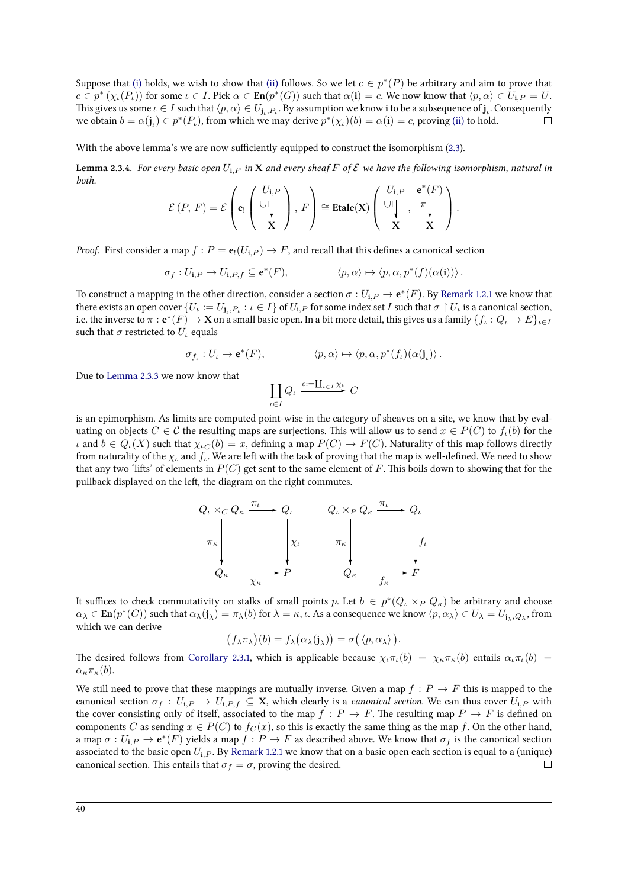Suppose that (i) holds, we wish to show that (ii) follows. So we let  $c \in p^*(P)$  be arbitrary and aim to prove that  $c \in p^* \left( \chi_\iota(P_\iota) \right)$  for some  $\iota \in I$ . Pick  $\alpha \in \mathbf{En}(p^*(G))$  such that  $\alpha(\mathbf{i}) = c$ . We now know that  $\langle p, \alpha \rangle \in U_{\mathbf{i},P} = U$ . This gives us some  $\iota \in I$  such that  $\langle p, \alpha \rangle \in U_{\mathbf{j}_{\iota}, P_{\iota}}.$  By assumption we know  $\mathbf{i}$  to be a subsequence of  $\mathbf{j}_{\iota}.$  Consequently we obtain  $b = \alpha(j_\iota) \in p^*(P_\iota)$ , from which we may derive  $p^*(\chi_\iota)(b) = \alpha(\mathbf{i}) = c$ , proving (ii) to hold.  $\Box$ 

With the above lemma's we are now sufficiently equipped to construct the isomorphism  $(2.3)$ .

**Lemma 2.3.4.** For every basic open  $U_{i,P}$  in **X** and every sheaf  $F$  of  $\mathcal{E}$  we have the following [iso](#page-44-5)morphism, natural in *both.*

$$
\mathcal{E}(P, F) = \mathcal{E}\left(\mathbf{e}_! \begin{pmatrix} U_{\mathbf{i}, P} \\ \cup \vert \\ \mathbf{X} \end{pmatrix}, F\right) \cong \text{Etale}(\mathbf{X}) \begin{pmatrix} U_{\mathbf{i}, P} & \mathbf{e}^*(F) \\ \cup \vert \\ \mathbf{X} & \mathbf{X} \end{pmatrix}.
$$

*Proof.* First consider a map  $f : P = e_1(U_{i,P}) \to F$ , and recall that this defines a canonical section

$$
\sigma_f: U_{\mathbf{i},P} \to U_{\mathbf{i},P,f} \subseteq \mathbf{e}^*(F), \qquad \langle p,\alpha \rangle \mapsto \langle p,\alpha,p^*(f)(\alpha(\mathbf{i})) \rangle.
$$

To construct a mapping in the other direction, consider a section  $\sigma:U_{\mathbf{i},P}\to \mathbf{e}^*(F).$  By Remark 1.2.1 we know that there exists an open cover  $\{U_\iota:=U_{\mathbf{j}_\iota,P_\iota}:\iota\in I\}$  of  $U_{\mathbf{i},P}$  for some index set  $I$  such that  $\sigma\restriction U_\iota$  is a canonical section, i.e. the inverse to  $\pi: \mathbf{e}^*(F) \to \mathbf{X}$  on a small basic open. In a bit more detail, this gives us a family  $\{f_\iota:Q_\iota\to E\}_{\iota\in I}$ such that  $\sigma$  restricted to  $U_t$  equals

$$
\sigma_{f_{\iota}}: U_{\iota} \to \mathbf{e}^*(F), \qquad \langle p, \alpha \rangle \mapsto \langle p, \alpha, p^*(f_{\iota})(\alpha(\mathbf{j}_{\iota})) \rangle.
$$

Due to Lemma 2.3.3 we now know that

$$
\coprod_{\iota \in I} Q_{\iota} \xrightarrow{e:=\coprod_{\iota \in I} \chi_{\iota}} C
$$

is an epimorphism. As limits are computed point-wise in the category of sheaves on a site, we know that by evaluating [on objects](#page-44-7)  $C \in \mathcal{C}$  the resulting maps are surjections. This will allow us to send  $x \in P(C)$  to  $f_i(b)$  for the *ι* and  $b \in Q$ <sup>*l*</sup>(*X*) such that  $\chi$ <sup>*l*</sup> $\chi$ <sup>*C*</sup>(*b*) = *x*, defining a map  $P(C) \to F(C)$ . Naturality of this map follows directly from naturality of the  $\chi_\iota$  and  $f_\iota$ . We are left with the task of proving that the map is well-defined. We need to show that any two 'lifts' of elements in  $P(C)$  get sent to the same element of  $F$ . This boils down to showing that for the pullback displayed on the left, the diagram on the right commutes.

$$
Q_{\iota} \times_{C} Q_{\kappa} \xrightarrow{\pi_{\iota}} Q_{\iota} \longrightarrow Q_{\iota} \qquad Q_{\iota} \times_{P} Q_{\kappa} \xrightarrow{\pi_{\iota}} Q_{\iota}
$$

$$
\downarrow \chi_{\iota} \qquad \pi_{\kappa} \qquad \qquad \downarrow \qquad \qquad \downarrow \qquad \qquad \downarrow \qquad \qquad \downarrow \qquad \qquad \downarrow \qquad \qquad \downarrow \qquad \qquad \downarrow \qquad \qquad \downarrow
$$

$$
Q_{\kappa} \longrightarrow P \qquad \qquad Q_{\kappa} \longrightarrow f_{\kappa} \qquad \qquad F
$$

It suffices to check commutativity on stalks of small points  $p.$  Let  $b\,\in\,p^*(Q_\iota\times_P Q_\kappa)$  be arbitrary and choose  $\alpha_\lambda\in\text{En}(p^*(G))$  such that  $\alpha_\lambda({\mathbf j}_\lambda)=\pi_\lambda(b)$  for  $\lambda=\kappa,\iota.$  As a consequence we know  $\langle p,\alpha_\lambda\rangle\in U_\lambda=U_{{\mathbf j}_\lambda,Q_\lambda},$  from which we can derive

$$
(f_{\lambda}\pi_{\lambda})(b) = f_{\lambda}(\alpha_{\lambda}(j_{\lambda})) = \sigma(\langle p, \alpha_{\lambda}\rangle).
$$

The desired follows from Corollary 2.3.1, which is applicable because  $\chi_i \pi_i(b) = \chi_\kappa \pi_\kappa(b)$  entails  $\alpha_i \pi_i(b) =$ *α*<sup>*κ*</sup> $π$ <sup>*κ*</sup>(*b*).

<span id="page-45-0"></span>We still need to prove that these mappings are mutually inverse. Given a map  $f : P \to F$  this is mapped to the canonical section  $\sigma_f : U_{i,P} \to U_{i,P,f} \subseteq X$ , which clearly is a *canonical section*. We can thus cover  $U_{i,P}$  with the cover consisting only [of itself, associa](#page-43-2)ted to the map  $f : P \to F$ . The resulting map  $P \to F$  is defined on components *C* as sending  $x \in P(C)$  to  $f_C(x)$ , so this is exactly the same thing as the map *f*. On the other hand, a map  $\sigma: U_{\mathbf{i},P} \to \mathbf{e}^*(F)$  yields a map  $f:P \to F$  as described above. We know that  $\sigma_f$  is the canonical section associated to the basic open  $U_{i,P}$ . By Remark 1.2.1 we know that on a basic open each section is equal to a (unique) canonical section. This entails that  $\sigma_f = \sigma$ , proving the desired.  $\Box$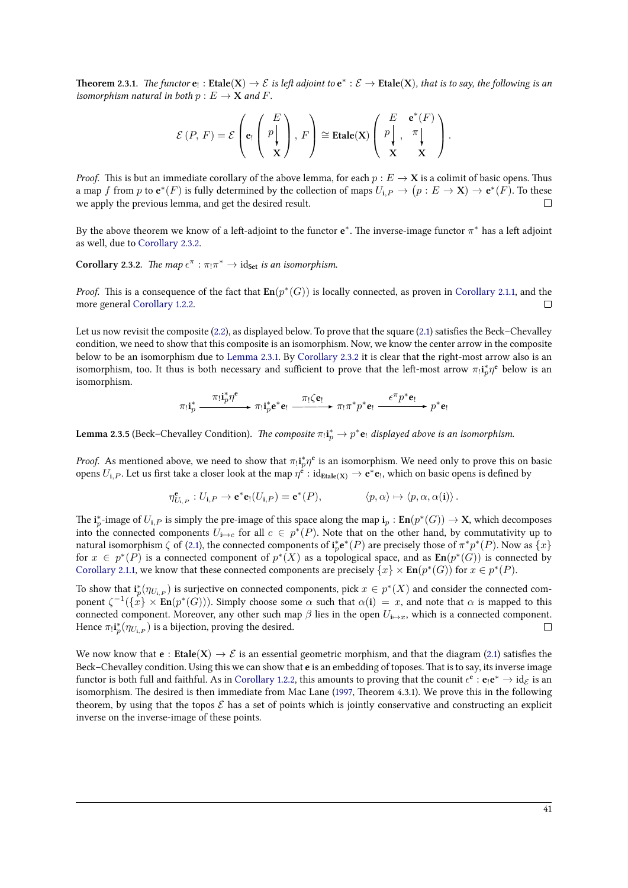**Theorem 2.3.1.** The functor  $e_!$  :  $E$ tale $(X) \to E$  is left adjoint to  $e^*: E \to E$ tale $(X)$ , that is to say, the following is an *isomorphism natural in both*  $p: E \to \mathbf{X}$  *and*  $F$ *.* 

$$
\mathcal{E}(P, F) = \mathcal{E}\left(\mathbf{e}_! \begin{pmatrix} E \\ p \ \mathbf{v} \\ \mathbf{x} \end{pmatrix}, F\right) \cong \text{Etale}(\mathbf{X}) \begin{pmatrix} E & \mathbf{e}^*(F) \\ p \ \mathbf{v} \\ \mathbf{x} & \mathbf{x} \end{pmatrix}.
$$

<span id="page-46-2"></span>*Proof.* This is but an immediate corollary of the above lemma, for each  $p : E \to X$  is a colimit of basic opens. Thus a map  $f$  from  $p$  to  ${\bf e}^*(F)$  is fully determined by the collection of maps  $U_{{\bf i},P}\to (p:E\to {\bf X})\to {\bf e}^*(F).$  To these we apply the previous lemma, and get the desired result.  $\Box$ 

By the above theorem we know of a left-adjoint to the functor  $e^*$ . The inverse-image functor  $\pi^*$  has a left adjoint as well, due to Corollary 2.3.2.

**Corollary 2.3.2.** The map  $\epsilon^{\pi}$  :  $\pi$ <sub>!</sub> $\pi$ <sup>\*</sup>  $\rightarrow$  id<sub>Set</sub> *is an isomorphism.* 

<span id="page-46-0"></span>*Proof.* This is [a consequence o](#page-46-0)f the fact that  $\text{En}(p^*(G))$  is locally connected, as proven in Corollary 2.1.1, and the more general Corollary 1.2.2.  $\Box$ 

Let us now revisit the composite (2.2), as displayed below. To prove that the square (2.1) satisfies the Beck–Chevalley condition, we need to show that this composite is an isomorphism. Now, we know the center [arrow in the co](#page-37-2)mposite below to be a[n isomorphism](#page-29-3) due to Lemma 2.3.1. By Corollary 2.3.2 it is clear that the right-most arrow also is an isomorphism, too. It thus is both necessary and sufficient to prove that the left-most arrow  $\pi_!i_p^*\eta^e$  below is an isomorphism.

$$
\pi_!\mathbf{i}_p^*\xrightarrow{\pi_!\mathbf{i}_p^*\eta^e}\xrightarrow{\pi_!\mathbf{i}_p^*e^*e_!}\xrightarrow{\pi_!\zeta e_!}\pi_!\pi^*p^*e_! \xrightarrow{\epsilon^{\pi}p^*e_!}\xrightarrow{p^*e_!}
$$

**Lemma 2.3.5** (Beck–Chevalley Condition). *The composite*  $\pi_! \mathbf{i}_p^* \to p^* \mathbf{e}_!$  *displayed above is an isomorphism.* 

<span id="page-46-1"></span>*Proof.* As mentioned above, we need to show that  $\pi_! i_p^* \eta^e$  is an isomorphism. We need only to prove this on basic opens  $U_{\bf i,P}$ . Let us first take a closer look at the map  $\eta^{\bf \hat{e}}: {\rm id}_{\rm Etale(X)}\to {\bf e}^*{\bf e}_! ,$  which on basic opens is defined by

$$
\eta_{U_{\mathbf{i},P}}^{\mathbf{e}}: U_{\mathbf{i},P} \to \mathbf{e}^* \mathbf{e}_! (U_{\mathbf{i},P}) = \mathbf{e}^*(P), \qquad \qquad \langle p, \alpha \rangle \mapsto \langle p, \alpha, \alpha(\mathbf{i}) \rangle.
$$

The  $\mathbf{i}_p^*$ -image of  $U_{\mathbf{i},P}$  is simply the pre-image of this space along the map  $\mathbf{i}_p : \mathbf{En}(p^*(G)) \to \mathbf{X}$ , which decomposes into the connected components  $U_{\mathbf{i}\rightarrow c}$  for all  $c \in p^*(P)$ . Note that on the other hand, by commutativity up to natural isomorphism  $\zeta$  of (2.1), the connected components of  $\textbf{i}_p^*\textbf{e}^*(P)$  are precisely those of  $\pi^*p^*(P).$  Now as  $\{x\}$ for  $x \in p^*(P)$  is a connected component of  $p^*(X)$  as a topological space, and as  $\text{En}(p^*(G))$  is connected by Corollary 2.1.1, we know that these connected components are precisely  $\{x\} \times \text{En}(p^*(G))$  for  $x \in p^*(P)$ .

To show that  $\mathbf{i}_p^*(\eta_{U_{\mathbf{i},P}})$  is surjective on connected components, pick  $x\in p^*(X)$  and consider the connected component  $\zeta^{-1}(\{\hat{x}\}\times\text{En}(p^*(G)))$  $\zeta^{-1}(\{\hat{x}\}\times\text{En}(p^*(G)))$  $\zeta^{-1}(\{\hat{x}\}\times\text{En}(p^*(G)))$ . Simply choose some  $\alpha$  such that  $\alpha(i) = x$ , and note that  $\alpha$  is mapped to this [connected com](#page-37-2)ponent. Moreover, any other such map *β* lies in the open  $U_{\mathbf{i}\mapsto x}$ , which is a connected component. Hence  $\pi_1 \mathbf{i}_n^*(\eta_{U_{\mathbf{i},\mathbf{p}}})$  is a bijection, proving the desired. Hence  $\pi_! \mathbf{i}_p^*(\eta_{U_{\mathbf{i},P}})$  is a bijection, proving the desired.

We now know that  $\mathbf{e}: \text{Etale}(\mathbf{X}) \to \mathcal{E}$  is an essential geometric morphism, and that the diagram (2.1) satisfies the Beck–Chevalley condition. Using this we can show that e is an embedding of toposes. That is to say, its inverse image functor is both full and faithful. As in Corollary 1.2.2, this amounts to proving that the counit  $\epsilon^e$  :  $e_!e^* \to id_{\mathcal{E}}$  is an isomorphism. The desired is then immediate from Mac Lane (1997, Theorem 4.3.1). We prove this in the following theorem, by using that the topos  $\mathcal E$  has a set of points which is jointly conservative and constru[ctin](#page-43-1)g an explicit inverse on the inverse-image of these points.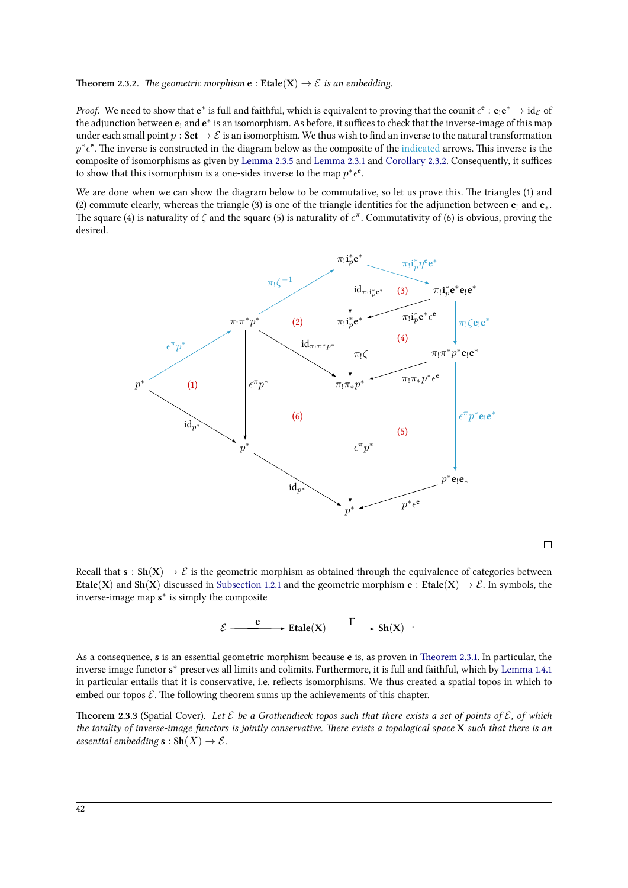*Proof.* We need to show that  $e^*$  is full and faithful, which is equivalent to proving that the counit  $e^e$  :  $e_!e^* \to id_{\mathcal{E}}$  of the adjunction between  $e_!$  and  $e^*$  is an isomorphism. As before, it suffices to check that the inverse-image of this map under each small point  $p : \mathsf{Set} \to \mathcal{E}$  is an isomorphism. We thus wish to find an inverse to the natural transformation *p*<sup>∗</sup> $\epsilon$ <sup>e</sup>. The inverse is constructed in the diagram below as the composite of the indicated arrows. This inverse is the composite of isomorphisms as given by Lemma 2.3.5 and Lemma 2.3.1 and Corollary 2.3.2. Consequently, it suffices to show that this isomorphism is a one-sides inverse to the map  $p^* \epsilon^e$ .

We are done when we can show the diagram below to be commutative, so let us prove this. The triangles (1) and (2) commute clearly, whereas the triangle (3) is one of the triangle identities for the adjunction between  $e_1$  and  $e_*$ . The square (4) is nat[urality of](#page-43-0)  $\zeta$  and the square (5) is naturality of  $\epsilon^{\pi}$ . Co[mmutativity of \(](#page-46-0)6) is obvious, proving the desired.



 $\Box$ 

Recall that  $\mathbf{s} : \mathbf{Sh}(\mathbf{X}) \to \mathcal{E}$  is the geometric morphism as obtained through the equivalence of categories between **Etale**(**X**) and **Sh**(**X**) discussed in Subsection 1.2.1 and the geometric morphism **e** : **Etale**(**X**)  $\rightarrow \mathcal{E}$ . In symbols, the inverse-image map **s** *∗* is simply the composite

 $\mathcal{E} \longrightarrow \text{Etale}(X) \longrightarrow \text{Sh}(X)$  $\mathcal{E} \longrightarrow \text{Etale}(X) \longrightarrow \text{Sh}(X)$  $\mathcal{E} \longrightarrow \text{Etale}(X) \longrightarrow \text{Sh}(X)$ 

As a consequence, s is an essential geometric morphism because e is, as proven in Theorem 2.3.1. In particular, the inverse image functor  $\mathbf{s}^*$  preserves all limits and colimits. Furthermore, it is full and faithful, which by Lemma 1.4.1 in particular entails that it is conservative, i.e. reflects isomorphisms. We thus created a spatial topos in which to embed our topos  $E$ . The following theorem sums up the achievements of this chapter.

<span id="page-47-0"></span>**Theorem 2.3.3** (Spatial Cover). Let  $\mathcal{E}$  be a Grothendieck topos such that there exi[sts a set of poi](#page-45-0)nts of  $\mathcal{E}$ [, of whi](#page-34-1)ch *the totality of inverse-image functors is jointly conservative. There exists a topological space* **X** *such that there is an essential embedding*  $\mathbf{s}: \mathbf{Sh}(X) \to \mathcal{E}$ *.*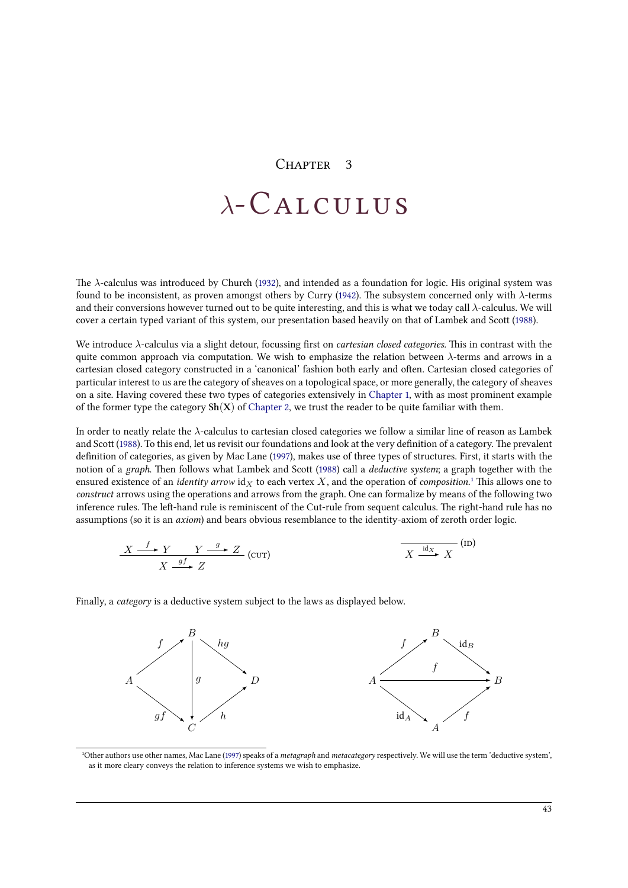#### CHAPTER<sub>3</sub>

# $λ$ - CALCULUS

<span id="page-48-2"></span><span id="page-48-0"></span>The *λ*-calculus was introduced by Church (1932), and intended as a foundation for logic. His original system was found to be inconsistent, as proven amongst others by Curry (1942). The subsystem concerned only with *λ*-terms and their conversions however turned out to be quite interesting, and this is what we today call *λ*-calculus. We will cover a certain typed variant of this system, our presentation based heavily on that of Lambek and Scott (1988).

We introduce *λ*-calculus via a slight detour[, focu](#page-68-13)ssing first on *[cartes](#page-68-14)ian closed categories*. is in contrast with the quite common approach via computation. We wish to emphasize the relation between  $\lambda$ -terms and arrows in a cartesian closed category constructed in a 'canonical' fashion both early and often. Cartesian closed cat[egorie](#page-69-3)s of particular interest to us are the category of sheaves on a topological space, or more generally, the category of sheaves on a site. Having covered these two types of categories extensively in Chapter , with as most prominent example of the former type the category  $\text{Sh}(X)$  of Chapter 2, we trust the reader to be quite familiar with them.

In order to neatly relate the *λ*-calculus to cartesian closed categories we follow a similar line of reason as Lambek and Scott (1988). To this end, let us revisit our foundations and look at t[he very defi](#page-10-0)nition of a category. The prevalent definition of categories, as given by Mac [Lane \(](#page-36-0)1997), makes use of three types of structures. First, it starts with the notion of a *graph*. Then follows what Lambek and Scott (1988) call a *deductive system*; a graph together with the ensured existence of an *identity arrow* id<sub>X</sub> to each vertex X, and the operation of *composition*.<sup>1</sup> This allows one to *construct* [arrow](#page-69-3)s using the operations and arrows from the graph. One can formalize by means of the following two inference rules. The left-hand rule is reminisce[nt of](#page-69-11) the Cut-rule from sequent calculus. The right-hand rule has no assumptions (so it is an *axiom*) and bears obvious resembl[ance](#page-69-3) to the identity-axiom of zeroth order logic.

$$
\frac{X \xrightarrow{f} Y \qquad Y \xrightarrow{g} Z}{X \xrightarrow{gf} Z} \text{(CUT)} \qquad \qquad \overline{X \xrightarrow{\text{id}_X} X} \text{(ID)}
$$

Finally, a *category* is a deductive system subject to the laws as displayed below.



<span id="page-48-1"></span><sup>&</sup>lt;sup>1</sup>Other authors use other names, Mac Lane (1997) speaks of a *metagraph* and *metacategory* respectively. We will use the term 'deductive system', as it more cleary conveys the relation to inference systems we wish to emphasize.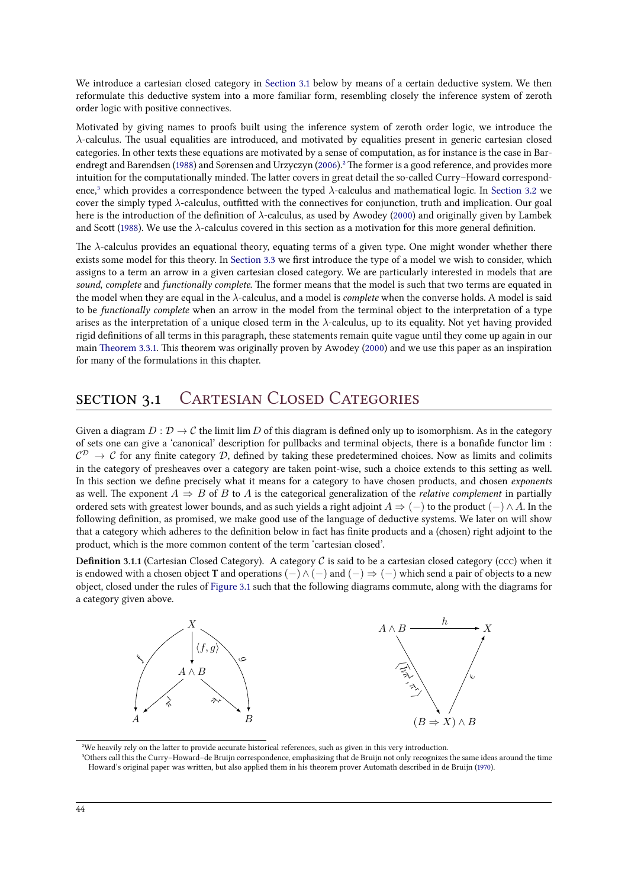We introduce a cartesian closed category in Section 3.1 below by means of a certain deductive system. We then reformulate this deductive system into a more familiar form, resembling closely the inference system of zeroth order logic with positive connectives.

<span id="page-49-4"></span>Motivated by giving names to proofs built using the inference system of zeroth order logic, we introduce the *λ*-calculus. The usual equalities are introdu[ced, and mo](#page-49-0)tivated by equalities present in generic cartesian closed categories. In other texts these equations are motivated by a sense of computation, as for instance is the case in Barendregt and Barendsen (1988) and Sørensen and Urzyczyn (2006).<sup>2</sup> The former is a good reference, and provides more intuition for the computationally minded. The latter covers in great detail the so-called Curry–Howard correspondence,<sup>3</sup> which provides a correspondence between the typed  $\lambda$ -calculus and mathematical logic. In Section 3.2 we cover the simply typed  $\lambda$ -calculus, outfitted with the connectives for conjunction, truth and implication. Our goal here is the introduction [of th](#page-68-15)e definition of *λ*-calculus, as [used](#page-69-1) [by](#page-49-1) Awodey (2000) and originally given by Lambek and Scott (1988). We use the  $\lambda$ -calculus covered in this section as a motivation for this more general definition.

The  $\lambda$ -calculus provides an equational theory, equating terms of a given type. One might wonder [whether th](#page-56-0)ere exists some model for this theory. In Section 3.3 we first introduce the type of a model we wish to consider, which assigns to a term an arrow in a given cartesian closed category. We are par[ticula](#page-68-1)rly interested in models that are sound, *co[mplete](#page-69-3)* and *functionally complete*. The former means that the model is such that two terms are equated in the model when they are equal in the *λ*-calculus, and a model is *complete* when the converse holds. A model is said to be *functionally complete* when an [arrow in t](#page-63-0)he model from the terminal object to the interpretation of a type arises as the interpretation of a unique closed term in the *λ*-calculus, up to its equality. Not yet having provided rigid definitions of all terms in this paragraph, these statements remain quite vague until they come up again in our main Theorem 3.3.1. This theorem was originally proven by Awodey (2000) and we use this paper as an inspiration for many of the formulations in this chapter.

### SECTION 3.1 CARTESIAN CLOSED CATEGORIES

<span id="page-49-0"></span>Given a diagram  $D : \mathcal{D} \to \mathcal{C}$  the limit lim  $D$  of this diagram is defined only up to isomorphism. As in the category of sets one can give a 'canonical' description for pullbacks and terminal objects, there is a bonafide functor lim:  $\mathcal{C}^{\mathcal{D}}\to\mathcal{C}$  for any finite category  $\mathcal{D},$  defined by taking these predetermined choices. Now as limits and colimits in the category of presheaves over a category are taken point-wise, such a choice extends to this setting as well. In this section we define precisely what it means for a category to have chosen products, and chosen *exponents* as well. The exponent  $A \Rightarrow B$  of  $B$  to  $A$  is the categorical generalization of the *relative complement* in partially ordered sets with greatest lower bounds, and as such yields a right adjoint  $A \Rightarrow (-)$  to the product  $(-) \wedge A$ . In the following definition, as promised, we make good use of the language of deductive systems. We later on will show that a category which adheres to the definition below in fact has finite products and a (chosen) right adjoint to the product, which is the more common content of the term 'cartesian closed'.

**Definition 3.1.1 (Cartesian Closed Category).** A category  $C$  is said to be a cartesian closed category ( $\csc$ ) when it is endowed with a chosen object **T** and operations  $(-) \wedge (-)$  and  $(-) \Rightarrow (-)$  which send a pair of objects to a new object, closed under the rules of Figure 3.1 such that the following diagrams commute, along with the diagrams for a category given above.

<span id="page-49-3"></span>

<sup>2</sup>We heavily rely on the latter to provide accurate historical references, such as given in this very introduction.

<span id="page-49-2"></span><span id="page-49-1"></span>³Others call this the Curry–Howard–de Bruijn correspondence, emphasizing that de Bruijn not only recognizes the same ideas around the time Howard's original paper was written, but also applied them in his theorem prover Automath described in de Bruijn (1970).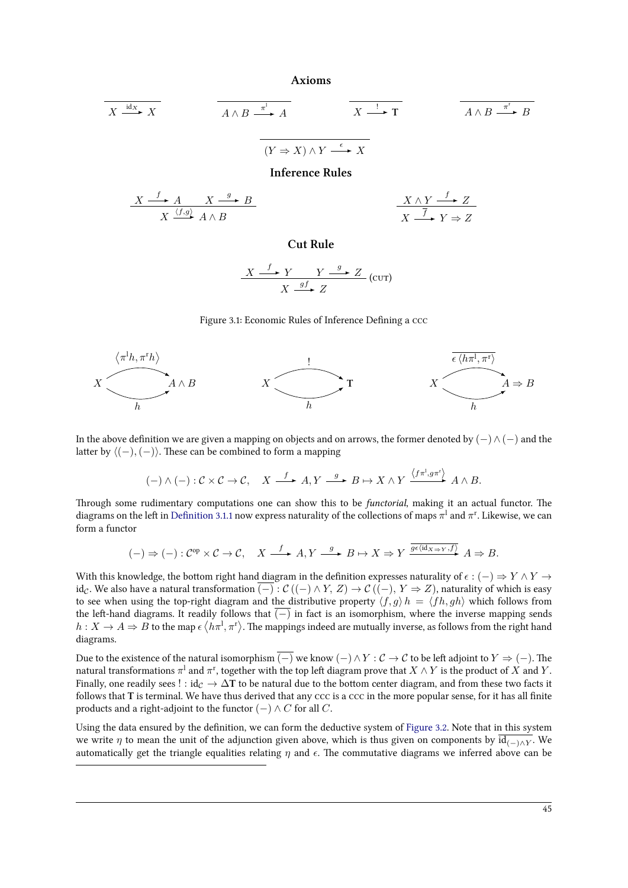**Axioms**

$$
\begin{array}{c|c}\n\hline\nX \xrightarrow{\text{id}_X} X & A \wedge B \xrightarrow{\pi^1} A & X \xrightarrow{\dagger} T \\
\hline\n\hline\n(Y \Rightarrow X) \wedge Y \xrightarrow{\epsilon} X & \text{Inference Rules}\n\end{array}
$$

$$
\begin{array}{c|c}\nX \xrightarrow{f} A & X \xrightarrow{g} B \\
\hline\nX \xrightarrow{\langle f,g \rangle} A \wedge B\n\end{array}\n\qquad\n\begin{array}{c}\nX \wedge Y \xrightarrow{f} Z \\
\hline\nX \xrightarrow{\overline{f}} Y \Rightarrow Z\n\end{array}
$$

**Cut Rule**

$$
\frac{X \xrightarrow{f} Y \qquad Y \xrightarrow{g} Z}{X \xrightarrow{gf} Z} \text{(cur)}
$$

<span id="page-50-0"></span>Figure 3.1: Economic Rules of Inference Defining a ccc



In the above definition we are given a mapping on objects and on arrows, the former denoted by (*−*)*∧*(*−*) and the latter by  $\langle$ (*−*),  $\langle$ *−*) $\rangle$ . These can be combined to form a mapping

$$
(-) \wedge (-) : \mathcal{C} \times \mathcal{C} \to \mathcal{C}, \quad X \xrightarrow{f} A, Y \xrightarrow{g} B \mapsto X \wedge Y \xrightarrow{\langle f\pi^1, g\pi^1 \rangle} A \wedge B.
$$

Through some rudimentary computations one can show this to be *functorial*, making it an actual functor. The diagrams on the left in Definition 3.1.1 now express naturality of the collections of maps  $\pi^l$  and  $\pi^r$ . Likewise, we can form a functor

$$
(-) \Rightarrow (-): C^{op} \times C \to C, \quad X \xrightarrow{f} A, Y \xrightarrow{g} B \mapsto X \Rightarrow Y \xrightarrow{g \in (\text{id}_X \to Y, f)} A \Rightarrow B.
$$

With this knowledge, the bottom right hand diagram in the definition expresses naturality of  $\epsilon$ : ( $-\to Y \wedge Y \to Y$ id<sub>*C*</sub>. We also have a natural transformation  $\overline{(-)}$ :  $\mathcal{C}$  ((−)  $\wedge$  *Y*, *Z*)  $\rightarrow$  *C* ((−), *Y*  $\Rightarrow$  *Z*), naturality of which is easy to see when using the top-right diagram and the distributive property  $\langle f, g \rangle h = \langle fh, gh \rangle$  which follows from the left-hand diagrams. It readily follows that  $\overline{(-)}$  in fact is an isomorphism, where the inverse mapping sends  $h: X \to A \Rightarrow B$  to the map  $\epsilon \langle h\pi^l, \pi^r \rangle$ . The mappings indeed are mutually inverse, as follows from the right hand diagrams.

Due to the existence of the natural isomorphism  $\overline{(-)}$  we know  $\overline{(-)} \wedge Y : C \rightarrow C$  to be left adjoint to  $Y \Rightarrow (-)$ . The natural transformations  $\pi^{\text{l}}$  and  $\pi^{\text{r}}$ , together with the top left diagram prove that  $X\wedge Y$  is the product of  $X$  and  $Y.$ Finally, one readily sees ! : id<sub>C</sub>  $\rightarrow \Delta T$  to be natural due to the bottom center diagram, and from these two facts it follows that T is terminal. We have thus derived that any ccc is a ccc in the more popular sense, for it has all finite products and a right-adjoint to the functor  $(-) \wedge C$  for all *C*.

Using the data ensured by the definition, we can form the deductive system of Figure 3.2. Note that in this system we write *η* to mean the unit of the adjunction given above, which is thus given on components by  $id_{(-) \wedge Y}$ . We automatically get the triangle equalities relating  $\eta$  and  $\epsilon$ . The commutative diagrams we inferred above can be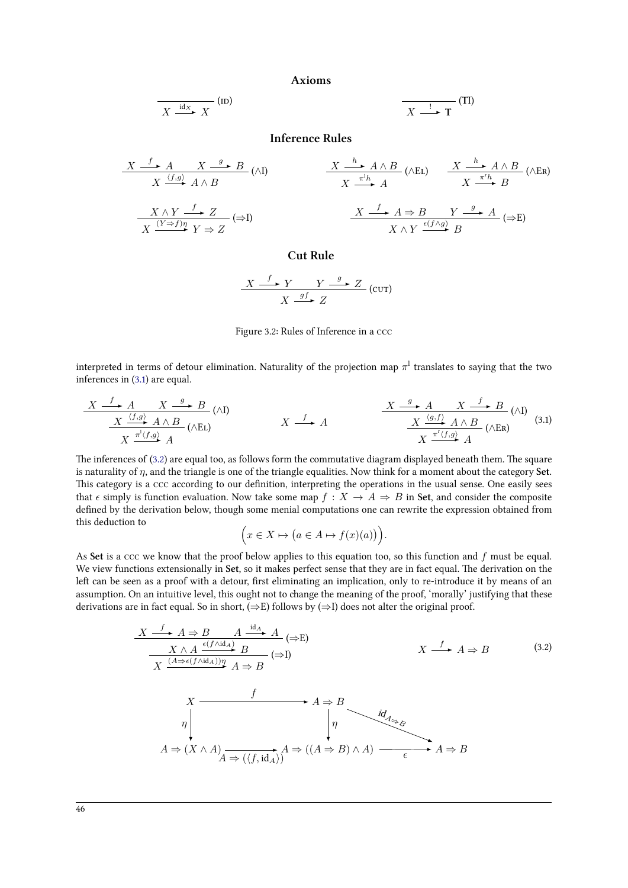**Axioms**

$$
\frac{dX}{dX} \xrightarrow{idX} X
$$
 (ID)

**Inference Rules**

$$
\frac{X \xrightarrow{f} A \quad X \xrightarrow{g} B}{X \xrightarrow{f h} A \wedge B} (\wedge I)
$$
\n
$$
\frac{X \xrightarrow{h} A \wedge B}{X \xrightarrow{h} A} (\wedge E I) \qquad \frac{X \xrightarrow{h} A \wedge B}{X \xrightarrow{f h} B} (\wedge E R)
$$
\n
$$
\frac{X \wedge Y \xrightarrow{f} Z}{X \xrightarrow{f} Y \Rightarrow Z} (\Rightarrow I)
$$
\n
$$
\frac{X \xrightarrow{f} A \Rightarrow B \quad Y \xrightarrow{g} A}{X \wedge Y \xrightarrow{f (f \wedge g)} B} (\wedge E R)
$$

**Cut Rule**

$$
\frac{X \xrightarrow{f} Y \qquad Y \xrightarrow{g} Z}{X \xrightarrow{gf} Z} \text{(cur)}
$$

<span id="page-51-2"></span><span id="page-51-0"></span>Figure 3.2: Rules of Inference in a CCC

interpreted in terms of detour elimination. Naturality of the projection map  $\pi^{\rm l}$  translates to saying that the two inferences in  $(3.1)$  are equal.

$$
\frac{X \xrightarrow{f} A \quad X \xrightarrow{g} B}{X \xrightarrow{\pi'(f,g)} A \land B} (\land \text{E1})
$$
\n
$$
X \xrightarrow{f} A
$$
\n
$$
\frac{X \xrightarrow{g} A \quad X \xrightarrow{f} B}{X \xrightarrow{\pi'(f,g)} A} (\land \text{E1})
$$
\n
$$
X \xrightarrow{f} A
$$
\n
$$
\frac{X \xrightarrow{g} A \quad X \xrightarrow{f} B}{X \xrightarrow{\pi'(f,g)} A} (\land \text{E1})
$$
\n
$$
(3.1)
$$

The inferences of  $(3.2)$  are equal too, as follows form the commutative diagram displayed beneath them. The square is naturality of *η*, and the triangle is one of the triangle equalities. Now think for a moment about the category **Set**. This category is a ccc according to our definition, interpreting the operations in the usual sense. One easily sees that  $\epsilon$  simply is function evaluation. Now take some map  $f : X \to A \Rightarrow B$  in Set, and consider the composite defined by the der[iva](#page-51-1)tion below, though some menial computations one can rewrite the expression obtained from this deduction to

<span id="page-51-1"></span>
$$
\Big(x \in X \mapsto \big(a \in A \mapsto f(x)(a)\big)\Big).
$$

As **Set** is a ccc we know that the proof below applies to this equation too, so this function and *f* must be equal. We view functions extensionally in Set, so it makes perfect sense that they are in fact equal. The derivation on the left can be seen as a proof with a detour, first eliminating an implication, only to re-introduce it by means of an assumption. On an intuitive level, this ought not to change the meaning of the proof, 'morally' justifying that these derivations are in fact equal. So in short, (*⇒*E) follows by (*⇒*I) does not alter the original proof.

 $A \Rightarrow (\langle f, id_A \rangle)^A \Rightarrow ((A \Rightarrow B) \land A) \Rightarrow A$ 

$$
X \xrightarrow{f} A \Rightarrow B \xrightarrow{A \xrightarrow{\text{id}_A} A} (a \Rightarrow E)
$$
\n
$$
X \wedge A \xrightarrow{\epsilon(f \land \text{id}_A)} B \qquad (a \Rightarrow E)
$$
\n
$$
X \xrightarrow{f} A \Rightarrow B
$$
\n
$$
X \xrightarrow{f} A \Rightarrow B
$$
\n
$$
\eta \qquad \qquad \eta \qquad \qquad \eta \qquad \qquad \eta \qquad \qquad \eta \qquad \qquad \eta \qquad \qquad \eta \qquad \qquad \eta \qquad \qquad \eta \qquad \qquad \eta \qquad \qquad \eta \qquad \qquad \eta \qquad \qquad \eta \qquad \qquad \eta \qquad \qquad \eta \qquad \qquad \eta \qquad \qquad \eta \qquad \qquad \eta \qquad \qquad \eta \qquad \qquad \eta \qquad \qquad \eta \qquad \qquad \eta \qquad \qquad \eta \qquad \qquad \eta \qquad \qquad \eta \qquad \qquad \eta \qquad \qquad \eta \qquad \qquad \eta \qquad \qquad \eta \qquad \qquad \eta \qquad \qquad \eta \qquad \qquad \eta \qquad \qquad \eta \qquad \qquad \eta \qquad \qquad \eta \qquad \qquad \eta \qquad \qquad \eta \qquad \qquad \eta \qquad \qquad \eta \qquad \qquad \eta \qquad \qquad \eta \qquad \qquad \eta \qquad \qquad \eta \qquad \qquad \eta \qquad \qquad \eta \qquad \qquad \eta \qquad \qquad \eta \qquad \qquad \eta \qquad \qquad \eta \qquad \qquad \eta \qquad \qquad \eta \qquad \qquad \eta \qquad \qquad \eta \qquad \eta \qquad \qquad \eta \qquad \eta \qquad \qquad \eta \qquad \eta \qquad \eta \qquad \eta \qquad \eta \qquad \eta \qquad \eta \qquad \eta \qquad \eta \qquad \eta \qquad \eta \qquad \eta \qquad \eta \qquad \eta \qquad \eta \qquad \eta \qquad \eta \qquad \eta \qquad \eta \qquad \eta \qquad \eta \qquad \eta \qquad \eta \qquad \eta \qquad \eta \qquad \eta \qquad \eta \qquad \eta \qquad \eta \qquad \eta \qquad \eta \qquad \eta \qquad \eta \qquad \eta \qquad \eta \qquad \eta \qquad \eta \qquad \eta \qquad \eta \qquad \
$$

46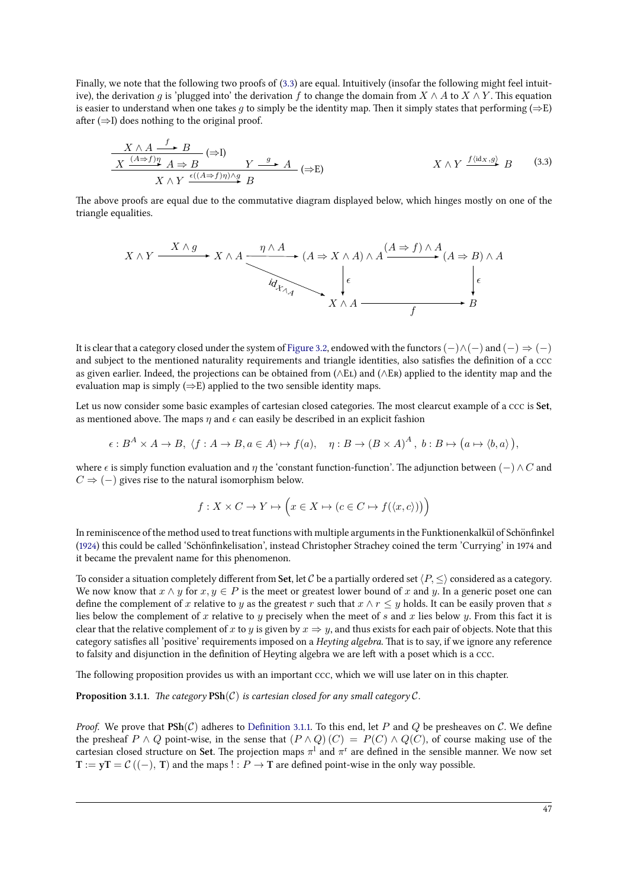Finally, we note that the following two proofs of  $(3.3)$  are equal. Intuitively (insofar the following might feel intuitive), the derivation *g* is 'plugged into' the derivation *f* to change the domain from  $X \wedge A$  to  $X \wedge Y$ . This equation is easier to understand when one takes *g* to simply be the identity map. Then it simply states that performing ( $\Rightarrow$ E) after  $(\Rightarrow I)$  does nothing to the original proof.

<span id="page-52-2"></span><span id="page-52-1"></span>
$$
\frac{X \wedge A \xrightarrow{f} B}{X \wedge Y \xrightarrow{\epsilon((A \Rightarrow f)\eta) \wedge g} B} (\Rightarrow \text{E})
$$
\n
$$
X \wedge Y \xrightarrow{f \langle id_X, g \rangle} B
$$
\n(3.3)

The above proofs are equal due to the commutative diagram displayed below, which hinges mostly on one of the triangle equalities.

$$
X \wedge Y \xrightarrow{\qquad X \wedge g \qquad} X \wedge A \xrightarrow{\qquad \qquad \qquad \qquad} (A \Rightarrow X \wedge A) \wedge A \xrightarrow{\qquad \qquad (A \Rightarrow f) \wedge A} (A \Rightarrow B) \wedge A
$$
\n
$$
\downarrow_{d_{\mathcal{X}_{\mathcal{A}}}} \qquad \qquad \downarrow_{\mathcal{X} \wedge A} \xrightarrow{\qquad \qquad \qquad \downarrow_{\mathcal{X} \wedge A}} B
$$

It is clear that a category closed under the system of Figure 3.2, endowed with the functors  $(-) \wedge (-)$  and  $(-) \Rightarrow (-)$ and subject to the mentioned naturality requirements and triangle identities, also satisfies the definition of a as given earlier. Indeed, the projections can be obtained from ( $\wedge$ EL) and ( $\wedge$ ER) applied to the identity map and the evaluation map is simply  $(\Rightarrow E)$  applied to the two sensible identity maps.

Let us now consider some basic examples of cartes[ian closed](#page-51-2) categories. The most clearcut example of a ccc is Set, as mentioned above. The maps  $\eta$  and  $\epsilon$  can easily be described in an explicit fashion

$$
\epsilon: B^A \times A \to B, \ \langle f : A \to B, a \in A \rangle \mapsto f(a), \quad \eta: B \to (B \times A)^A, \ b: B \mapsto (a \mapsto \langle b, a \rangle),
$$

where  $\epsilon$  is simply function evaluation and *η* the 'constant function-function'. The adjunction between ( $-\rangle \wedge C$  and  $C \Rightarrow (-)$  gives rise to the natural isomorphism below.

$$
f: X \times C \to Y \mapsto \left(x \in X \mapsto (c \in C \mapsto f(\langle x, c \rangle))\right)
$$

In reminiscence of the method used to treat functions with multiple arguments in the Funktionenkalkul of Schönfinkel (1924) this could be called 'Schönfinkelisation', instead Christopher Strachey coined the term 'Currying' in 1974 and it became the prevalent name for this phenomenon.

To consider a situation completely different from **Set**, let *C* be a partially ordered set*⟨P, ≤⟩* considered as a category. We now know that  $x \wedge y$  for  $x, y \in P$  is the meet or greatest lower bound of x and y. In a generic poset one can [defin](#page-69-12)e the complement of *x* relative to *y* as the greatest *r* such that  $x \wedge r \leq y$  holds. It can be easily proven that *s* lies below the complement of *x* relative to *y* precisely when the meet of *s* and *x* lies below *y*. From this fact it is clear that the relative complement of *x* to *y* is given by  $x \Rightarrow y$ , and thus exists for each pair of objects. Note that this category satisfies all 'positive' requirements imposed on a *Heyting algebra*. That is to say, if we ignore any reference to falsity and disjunction in the definition of Heyting algebra we are left with a poset which is a ccc.

The following proposition provides us with an important ccc, which we will use later on in this chapter.

**Proposition 3.1.1.** The category  $\text{PSh}(\mathcal{C})$  is cartesian closed for any small category  $\mathcal{C}$ *.* 

<span id="page-52-0"></span>*Proof.* We prove that  $\text{PSh}(\mathcal{C})$  adheres to Definition 3.1.1. To this end, let *P* and *Q* be presheaves on *C*. We define the presheaf *P*  $\land$  *Q* point-wise, in the sense that  $(P \land Q)(C) = P(C) \land Q(C)$ , of course making use of the cartesian closed structure on Set. The projection maps  $\pi^{\rm l}$  and  $\pi^{\rm r}$  are defined in the sensible manner. We now set **T** := **yT** =  $C$  ((−), **T**) and the maps ! : *P* → **T** are defined point-wise in the only way possible.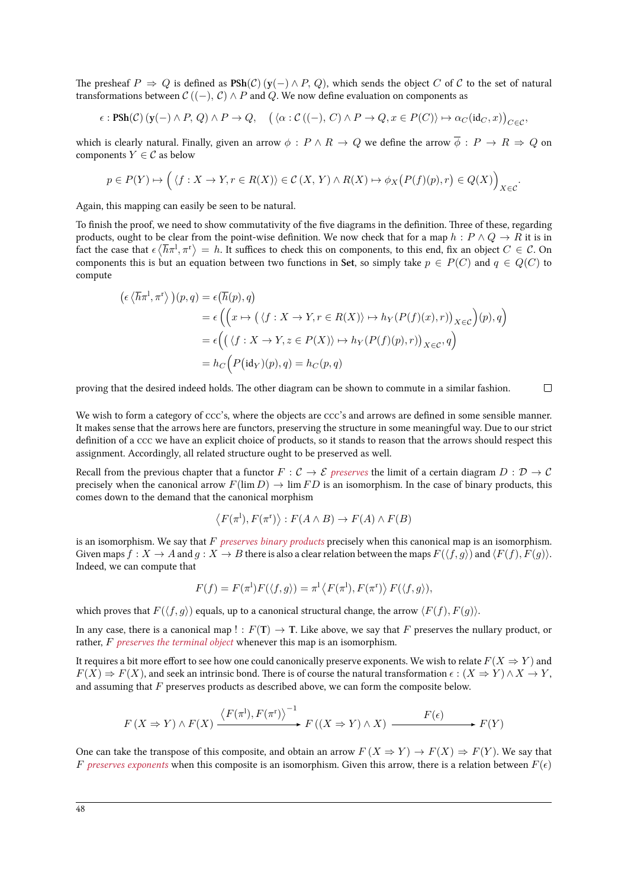The presheaf  $P \Rightarrow Q$  is defined as  $\text{PSh}(\mathcal{C}) (\gamma(-) \land P, Q)$ , which sends the object C of C to the set of natural transformations between  $C$  ((−),  $C$ )  $\wedge$  *P* and *Q*. We now define evaluation on components as

$$
\epsilon: \mathbf{PSh}(\mathcal{C})\left(\mathbf{y}(-) \land P, Q\right) \land P \to Q, \quad \left(\langle \alpha: \mathcal{C}\left((-), C\right) \land P \to Q, x \in P(C)\right) \mapsto \alpha_C(\mathrm{id}_C, x)\right)_{C \in \mathcal{C}},
$$

which is clearly natural. Finally, given an arrow  $\phi : P \wedge R \to Q$  we define the arrow  $\overline{\phi} : P \to R \Rightarrow Q$  on components  $Y \in \mathcal{C}$  as below

$$
p \in P(Y) \mapsto \left( \langle f : X \to Y, r \in R(X) \rangle \in C(X, Y) \land R(X) \mapsto \phi_X\big(P(f)(p), r\big) \in Q(X) \right)_{X \in C}.
$$

Again, this mapping can easily be seen to be natural.

To finish the proof, we need to show commutativity of the five diagrams in the definition. Three of these, regarding products, ought to be clear from the point-wise definition. We now check that for a map  $h : P \wedge Q \rightarrow R$  it is in fact the case that  $\epsilon\left\langle \overline{h}\pi^{\text{l}},\pi^{\text{r}}\right\rangle =h.$  It suffices to check this on components, to this end, fix an object  $C\in\mathcal{C}.$  On components this is but an equation between two functions in **Set**, so simply take  $p \in P(C)$  and  $q \in Q(C)$  to compute

$$
\begin{aligned} \left(\epsilon \left\langle \overline{h}\pi^{\mathsf{I}},\pi^{\mathsf{r}}\right\rangle\right)(p,q) &= \epsilon \left(\overline{h}(p),q\right) \\ &= \epsilon \left(\left(x \mapsto \left(\left\langle f:X \to Y, r \in R(X) \right\rangle \mapsto h_{Y}\left(P(f)(x),r\right)\right)_{X \in \mathcal{C}}\right)(p),q\right) \\ &= \epsilon \left(\left(\left\langle f:X \to Y, z \in P(X) \right\rangle \mapsto h_{Y}\left(P(f)(p),r\right)\right)_{X \in \mathcal{C}},q\right) \\ &= h_{C}\left(P(\mathrm{id}_{Y})(p),q\right) = h_{C}(p,q) \end{aligned}
$$

proving that the desired indeed holds. The other diagram can be shown to commute in a similar fashion.  $\Box$ 

We wish to form a category of  $ccc's$ , where the objects are  $ccc's$  and arrows are defined in some sensible manner. It makes sense that the arrows here are functors, preserving the structure in some meaningful way. Due to our strict definition of a ccc we have an explicit choice of products, so it stands to reason that the arrows should respect this assignment. Accordingly, all related structure ought to be preserved as well.

Recall from the previous chapter that a functor  $F : C \to \mathcal{E}$  preserves the limit of a certain diagram  $D : D \to C$ precisely when the canonical arrow  $F(\lim D) \to \lim FD$  is an isomorphism. In the case of binary products, this comes down to the demand that the canonical morphism

$$
\langle F(\pi^{\mathbf{l}}), F(\pi^{\mathbf{r}}) \rangle : F(A \wedge B) \to F(A) \wedge F(B)
$$

is an isomorphism. We say that *F preserves binary products* precisely when this canonical map is an isomorphism. Given maps  $f: X \to A$  and  $g: X \to B$  there is also a clear relation between the maps  $F(\langle f, g \rangle)$  and  $\langle F(f), F(g) \rangle$ . Indeed, we can compute that

$$
F(f) = F(\pi^1)F(\langle f, g \rangle) = \pi^1 \langle F(\pi^1), F(\pi^r) \rangle F(\langle f, g \rangle),
$$

which proves that  $F(\langle f, g \rangle)$  equals, up to a canonical structural change, the arrow  $\langle F(f), F(g) \rangle$ .

In any case, there is a canonical map  $\colon$   $F(T) \to T$ . Like above, we say that *F* preserves the nullary product, or rather, *F preserves the terminal object* whenever this map is an isomorphism.

It requires a bit more effort to see how one could canonically preserve exponents. We wish to relate  $F(X \Rightarrow Y)$  and  $F(X) \Rightarrow F(X)$ , and seek an intrinsic bond. There is of course the natural transformation  $\epsilon : (X \Rightarrow Y) \land X \to Y$ , and assuming that *F* preserves products as described above, we can form the composite below.

$$
F(X \Rightarrow Y) \land F(X) \xrightarrow{\langle F(\pi^I), F(\pi^r) \rangle^{-1}} F((X \Rightarrow Y) \land X) \xrightarrow{F(\epsilon)} F(Y)
$$

One can take the transpose of this composite, and obtain an arrow  $F(X \Rightarrow Y) \to F(X) \Rightarrow F(Y)$ . We say that *F* preserves exponents when this composite is an isomorphism. Given this arrow, there is a relation between  $F(\epsilon)$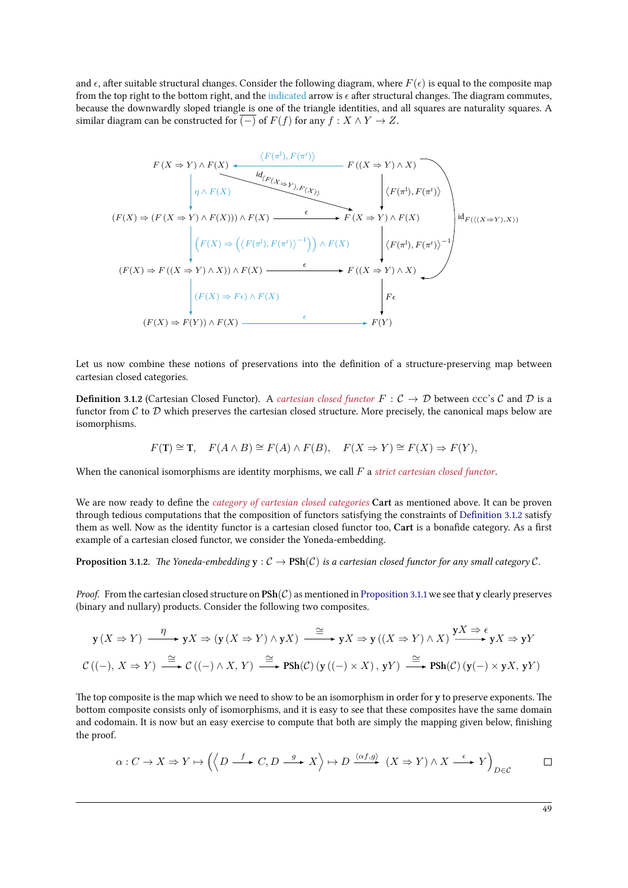and  $\epsilon$ , after suitable structural changes. Consider the following diagram, where  $F(\epsilon)$  is equal to the composite map from the top right to the bottom right, and the indicated arrow is  $\epsilon$  after structural changes. The diagram commutes, because the downwardly sloped triangle is one of the triangle identities, and all squares are naturality squares. A similar diagram can be constructed for  $(-)$  of  $F(f)$  for any  $f : X \wedge Y \to Z$ .

$$
F(X \Rightarrow Y) \land F(X) \xrightarrow{\langle F(\pi^1), F(\pi^r) \rangle} F((X \Rightarrow Y) \land X)
$$
\n
$$
\downarrow_{\eta \land F(X)} \qquad \qquad \downarrow_{\eta \land F(X)} \qquad \qquad F((X \Rightarrow Y) \land X)
$$
\n
$$
(F(X) \Rightarrow (F(X \Rightarrow Y) \land F(X))) \land F(X) \xrightarrow{\epsilon} F(X \Rightarrow Y) \land F(X)
$$
\n
$$
\downarrow_{\eta \land F(X)} \qquad \qquad \downarrow_{\eta \land F(X)} \qquad \qquad \downarrow_{\eta \land F((X \Rightarrow Y) \land F(X))}
$$
\n
$$
(F(X) \Rightarrow F((X \Rightarrow Y) \land X)) \land F(X) \xrightarrow{\epsilon} F((X \Rightarrow Y) \land X)
$$
\n
$$
\downarrow_{\eta \land F(X)} \qquad \qquad \downarrow_{\eta \land F(\pi^1), F(\pi^1) \land F(X)}
$$
\n
$$
(F(X) \Rightarrow F(\lor) \land F(X) \xrightarrow{\epsilon} F(Y)
$$
\n
$$
(F(X) \Rightarrow F(Y)) \land F(X) \xrightarrow{\epsilon} F(Y)
$$

Let us now combine these notions of preservations into the definition of a structure-preserving map between cartesian closed categories.

**Definition 3.1.2** (Cartesian Closed Functor). A *cartesian closed functor*  $F : C \to D$  between  $\csc$ 's *C* and *D* is a functor from  $C$  to  $D$  which preserves the cartesian closed structure. More precisely, the canonical maps below are isomorphisms.

$$
F(T) \cong T
$$
,  $F(A \wedge B) \cong F(A) \wedge F(B)$ ,  $F(X \Rightarrow Y) \cong F(X) \Rightarrow F(Y)$ ,

<span id="page-54-1"></span>When the canonical isomorphisms are identity morphisms, we call *F* a *strict cartesian closed functor*.

We are now ready to define the *category of cartesian closed categories* **Cart** as mentioned above. It can be proven through tedious computations that the composition of functors satisfying the constraints of Definition 3.1.2 satisfy them as well. Now as the identity functor is a cartesian closed functor too, **Cart** is a bonafide category. As a first example of a cartesian closed functor, we consider the Yoneda-embedding.

**Proposition 3.1.2.** The Yoneda-embedding  $y : C \to PSh(C)$  is a cartesian closed functor for a[ny small categor](#page-54-1)y  $C$ .

<span id="page-54-0"></span>*Proof.* From the cartesian closed structure on  $\text{PSh}(\mathcal{C})$  as mentioned in Proposition 3.1.1 we see that **y** clearly preserves (binary and nullary) products. Consider the following two composites.

$$
\mathbf{y}(X \Rightarrow Y) \xrightarrow{\eta} \mathbf{y}(X \Rightarrow Y) \land \mathbf{y}(X) \xrightarrow{\cong} \mathbf{y}(X \Rightarrow Y) \land \mathbf{y}(X) \xrightarrow{\cong} \mathbf{y}(X \Rightarrow Y) \land \mathbf{y}(X) \xrightarrow{\mathbf{y}(X \Rightarrow Y)} \mathbf{y}(X \Rightarrow \mathbf{y}(X) \Rightarrow \mathbf{y}(X) \Rightarrow \mathbf{y}(X) \Rightarrow \mathbf{y}(X) \Rightarrow \mathbf{y}(X) \Rightarrow \mathbf{y}(X) \Rightarrow \mathbf{y}(X) \Rightarrow \mathbf{y}(X) \Rightarrow \mathbf{y}(X) \Rightarrow \mathbf{y}(X) \Rightarrow \mathbf{y}(X) \Rightarrow \mathbf{y}(X) \Rightarrow \mathbf{y}(X) \Rightarrow \mathbf{y}(X) \Rightarrow \mathbf{y}(X) \Rightarrow \mathbf{y}(X) \Rightarrow \mathbf{y}(X) \Rightarrow \mathbf{y}(X) \Rightarrow \mathbf{y}(X) \Rightarrow \mathbf{y}(X) \Rightarrow \mathbf{y}(X) \Rightarrow \mathbf{y}(X) \Rightarrow \mathbf{y}(X) \Rightarrow \mathbf{y}(X) \Rightarrow \mathbf{y}(X) \Rightarrow \mathbf{y}(X) \Rightarrow \mathbf{y}(X) \Rightarrow \mathbf{y}(X) \Rightarrow \mathbf{y}(X) \Rightarrow \mathbf{y}(X) \Rightarrow \mathbf{y}(X) \Rightarrow \mathbf{y}(X) \Rightarrow \mathbf{y}(X) \Rightarrow \mathbf{y}(X) \Rightarrow \mathbf{y}(X) \Rightarrow \mathbf{y}(X) \Rightarrow \mathbf{y}(X) \Rightarrow \mathbf{y}(X) \Rightarrow \mathbf{y}(X) \Rightarrow \mathbf{y}(X) \Rightarrow \mathbf{y}(X) \Rightarrow \mathbf{y}(X) \Rightarrow \mathbf{y}(X) \Rightarrow \mathbf{y}(X) \Rightarrow \mathbf{y}(X) \Rightarrow \mathbf{y}(X) \Rightarrow \mathbf{y}(X) \Rightarrow \mathbf{y}(X) \Rightarrow \mathbf{y}(X) \Rightarrow \mathbf{y}(X) \Rightarrow \mathbf{y}(X) \Rightarrow \mathbf{y}(X) \Rightarrow \mathbf{y}(X) \Rightarrow \mathbf{y}(X) \Rightarrow \mathbf{y}(X) \Rightarrow \mathbf{y}(X) \Rightarrow \mathbf{y}(X) \Rightarrow \mathbf{y}(X) \Rightarrow \mathbf{y}(X) \Rightarrow \mathbf{y}(X) \Rightarrow \mathbf{y}(X) \Rightarrow \mathbf{y}(X) \Rightarrow \mathbf{y}(X) \Rightarrow \mathbf{y}(X) \Rightarrow \mathbf
$$

The top composite is the map which we need to show to be an isomorphism in order for **y** to preserve exponents. The bottom composite consists only of isomorphisms, and it is easy to see that these composites have the same domain and codomain. It is now but an easy exercise to compute that both are simply the mapping given below, finishing the proof.

$$
\alpha: C \to X \Rightarrow Y \mapsto \left( \left\langle D \xrightarrow{f} C, D \xrightarrow{g} X \right\rangle \mapsto D \xrightarrow{\langle \alpha f, g \rangle} (X \Rightarrow Y) \wedge X \xrightarrow{\epsilon} Y \right)_{D \in \mathcal{C}} \square
$$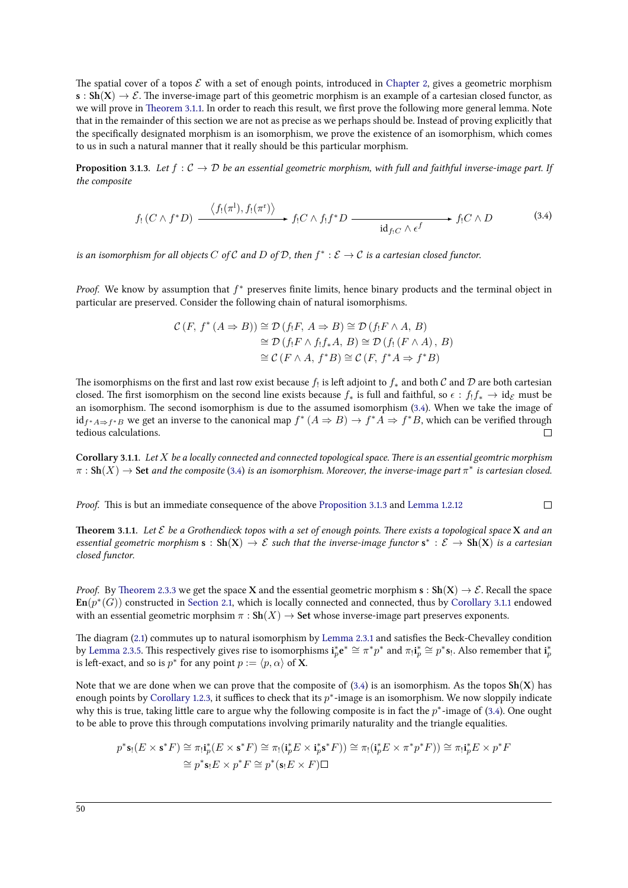The spatial cover of a topos  $\mathcal E$  with a set of enough points, introduced in Chapter 2, gives a geometric morphism  $\mathbf{s}: \mathbf{Sh}(\mathbf{X}) \to \mathcal{E}$ . The inverse-image part of this geometric morphism is an example of a cartesian closed functor, as we will prove in Theorem 3.1.1. In order to reach this result, we first prove the following more general lemma. Note that in the remainder of this section we are not as precise as we perhaps should be. Instead of proving explicitly that the specifically designated morphism is an isomorphism, we prove the exi[stence of a](#page-36-0)n isomorphism, which comes to us in such a natural manner that it really should be this particular morphism.

**Proposition 3.1.3.** Let  $f : C \to D$  be an essential geometric morphism, with full and faithful inverse-image part. If *the composite*

<span id="page-55-1"></span>
$$
f_! (C \wedge f^* D) \xrightarrow{\langle f_! (\pi^I), f_! (\pi^r) \rangle} f_! C \wedge f_! f^* D \xrightarrow{\mathrm{id}_{f_! C} \wedge \epsilon^f} f_! C \wedge D \tag{3.4}
$$

*is an isomorphism for all objects*  $C$  *of*  $C$  *and*  $D$  *of*  $D$ *, then*  $f^*$  :  $\mathcal{E} \to \mathcal{C}$  *is a cartesian closed functor.* 

*Proof.* We know by assumption that  $f^*$  preserves finite limits, hence binary products and the terminal object in particular are preserved. Consider the following chain of natural isomorphisms.

$$
\mathcal{C}(F, f^*(A \Rightarrow B)) \cong \mathcal{D}(f_!F, A \Rightarrow B) \cong \mathcal{D}(f_!F \land A, B)
$$
  
\n
$$
\cong \mathcal{D}(f_!F \land f_!f_*A, B) \cong \mathcal{D}(f_! (F \land A), B)
$$
  
\n
$$
\cong \mathcal{C}(F \land A, f^*B) \cong \mathcal{C}(F, f^*A \Rightarrow f^*B)
$$

The isomorphisms on the first and last row exist because  $f_!$  is left adjoint to  $f_*$  and both  $C$  and  $D$  are both cartesian closed. The first isomorphism on the second line exists because  $f_*$  is full and faithful, so  $\epsilon : f_! f_* \to id_{\mathcal{E}}$  must be an isomorphism. The second isomorphism is due to the assumed isomorphism (3.4). When we take the image of  $\mathrm{id}_{f^*A\Rightarrow f^*B}$  we get an inverse to the canonical map  $f^*(A\Rightarrow B)\to f^*A\Rightarrow f^*B$ , which can be verified through tedious calculations. П

**Corollary ...** *Let X be a locally connected and connected topological space. er[e is a](#page-55-1)n essential geomtric morphism*  $\pi: {\sf Sh}(X) \to {\sf Set}$  *and the composite* (3.4) *is an isomorphism. Moreover, the inverse-image part*  $\pi^*$  *is cartesian closed.* 

<span id="page-55-2"></span>*Proof.* This is but an immediate consequence of the above Proposition 3.1.3 and Lemma 1.2.12

**Th[e](#page-55-1)orem 3.1.1**. Let  $\mathcal E$  be a Grothendieck topos with a set of enough points. There exists a topological space  $X$  and an *essential geometric morphism*  $s : Sh(X) \to E$  *such that the inverse-image functor*  $s^* : E \to Sh(X)$  *is a cartesian closed functor.*

 $\Box$ 

<span id="page-55-0"></span>*Proof.* By Theorem 2.3.3 we get the space **X** and the essential geometric morphism **s** :  $\text{Sh}(X) \rightarrow \mathcal{E}$ . Recall the space  $\mathbf{En}(p^*(G))$  constructed in Section 2.1, which is locally connected and connected, thus by Corollary 3.1.1 endowed with an essential geometric morphsim  $\pi$  :  $\text{Sh}(X) \rightarrow \text{Set}$  whose inverse-image part preserves exponents.

The diagram (2.1) commutes up to natural isomorphism by Lemma 2.3.1 and satisfies the Beck-Chevalley condition by Lemma 2.3.5. This respe[ctively give](#page-37-0)s rise to isomorphisms  $\mathbf{i}_p^* \mathbf{e}^* \cong \pi^* p^*$  and  $\pi_! \mathbf{i}_p^* \cong p^* \mathbf{s}_!$ [. Also rememb](#page-55-2)er that  $\mathbf{i}_p^*$ is left-exact, and so is  $p^*$  for any point  $p := \langle p, \alpha \rangle$  of **X**.

Note that we [are](#page-43-1) done when we can prove that the composite of  $(3.4)$  is an isomorphism. As the topos  $\text{Sh}(X)$  has en[ough points b](#page-46-1)y Corollary 1.2.3, it suffices to check that its  $p^*$ -image is an isomorphism. We now sloppily indicate why this is true, taking little care to argue why the following composite is in fact the  $p^*$ -image of (3.4). One ought to be able to prove this through computations involving primarily naturality and the triangle equalities.

$$
p^*\mathbf{s}_!(E\times \mathbf{s}^*F)\cong \pi_!\mathbf{i}_p^*(E\times \mathbf{s}^*F)\cong \pi_!(\mathbf{i}_p^*E\times \mathbf{i}_p^*\mathbf{s}^*F))\cong \pi_!(\mathbf{i}_p^*E\times \pi^*p^*F))\cong \pi_!\mathbf{i}_p^*E\times p^*F
$$
  

$$
\cong p^*\mathbf{s}_!\to \pi^*F\cong p^*(\mathbf{s}_!\to \times F)\square
$$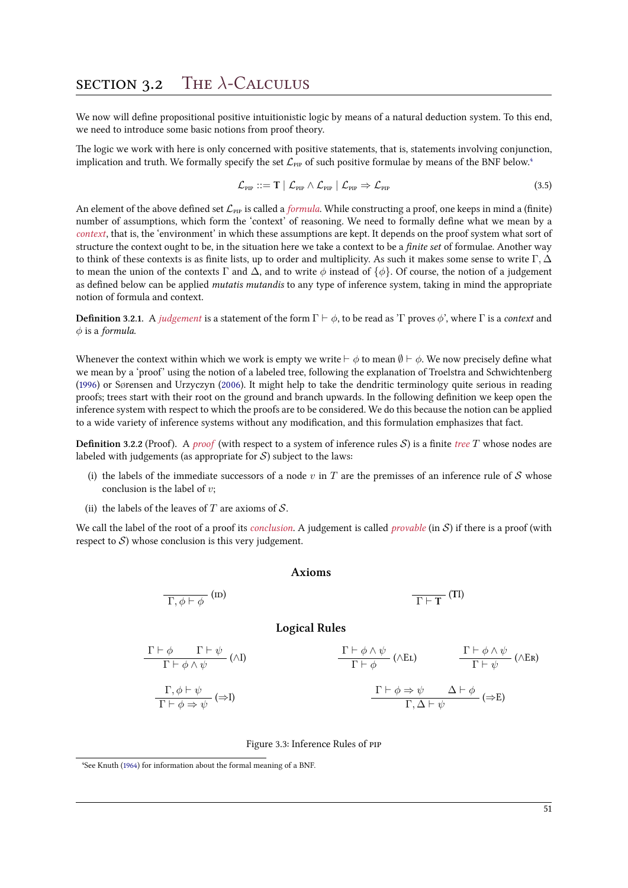<span id="page-56-4"></span><span id="page-56-0"></span>We now will define propositional positive intuitionistic logic by means of a natural deduction system. To this end, we need to introduce some basic notions from proof theory.

The logic we work with here is only concerned with positive statements, that is, statements involving conjunction, implication and truth. We formally specify the set  $\mathcal{L}_{\text{PP}}$  of such positive formulae by means of the BNF below.<sup>4</sup>

<span id="page-56-3"></span>
$$
\mathcal{L}_{\text{PIP}} ::= T | \mathcal{L}_{\text{PIP}} \land \mathcal{L}_{\text{PIP}} | \mathcal{L}_{\text{PIP}} \Rightarrow \mathcal{L}_{\text{PIP}} \tag{3.5}
$$

An element of the above de[fi](#page-56-1)ned set  $\mathcal{L}_{\text{ptp}}$  is called a *formula*. While constructing a proof, one keeps in mind a (finite) number of assumptions, which form the 'context' of reasoning. We need to formally define what we mean by a *context*, that is, the 'environment' in which these assumptions are kept. It depends on the proof system what sort of structure the context ought to be, in the situation here we take a context to be a *finite set* of formulae. Another way to think of these contexts is as finite lists, up to order and multiplicity. As such it makes some sense to write  $\Gamma, \Delta$ to mean the union of the contexts Γ and ∆, and to write *ϕ* instead of *{ϕ}*. Of course, the notion of a judgement as defined below can be applied *mutatis mutandis* to any type of inference system, taking in mind the appropriate notion of formula and context.

**Definition 3.2.1.** A *judgement* is a statement of the form  $\Gamma \vdash \phi$ , to be read as 'Γ proves  $\phi$ ', where Γ is a *context* and *ϕ* is a *formula*.

Whenever the context within which we work is empty we write  $\vdash \phi$  to mean  $\emptyset \vdash \phi$ . We now precisely define what we mean by a 'proof' using the notion of a labeled tree, following the explanation of Troelstra and Schwichtenberg (1996) or Sørensen and Urzyczyn (2006). It might help to take the dendritic terminology quite serious in reading proofs; trees start with their root on the ground and branch upwards. In the following definition we keep open the inference system with respect to which the proofs are to be considered. We do this because the notion can be applied to a wide variety of inference systems without any modification, and this formulation emphasizes that fact.

**[Defin](#page-69-13)ition 3.2.2** (Proof). A *proof* [\(with](#page-69-1) respect to a system of inference rules S) is a finite *tree T* whose nodes are labeled with judgements (as appropriate for *S*) subject to the laws:

- (i) the labels of the immediate successors of a node  $v$  in  $T$  are the premisses of an inference rule of  $S$  whose conclusion is the label of *v*;
- (ii) the labels of the leaves of  $T$  are axioms of  $S$ .

We call the label of the root of a proof its *conclusion*. A judgement is called *provable* (in *S*) if there is a proof (with respect to  $S$ ) whose conclusion is this very judgement.

#### **Axioms**

$$
\overline{\Gamma,\phi \vdash \phi} \; (\mathrm{ID})
$$

$$
\frac{}{\Gamma\vdash T}\left(TI\right)
$$

#### **Logical Rules**

$$
\frac{\Gamma \vdash \phi \qquad \Gamma \vdash \psi \qquad (\land I)}{\Gamma \vdash \phi \land \psi} \qquad (\land I)
$$
\n
$$
\frac{\Gamma \vdash \phi \land \psi}{\Gamma \vdash \phi} \qquad (\land E\text{L})
$$
\n
$$
\frac{\Gamma \vdash \phi \land \psi}{\Gamma \vdash \psi} \qquad (\land E\text{R})
$$
\n
$$
\frac{\Gamma \vdash \phi \land \psi}{\Gamma \vdash \psi} \qquad (\land E\text{R})
$$
\n
$$
\frac{\Gamma \vdash \phi \Rightarrow \psi}{\Gamma \vdash \phi} \qquad \frac{\Delta \vdash \phi}{\Gamma \vdash \psi} \qquad (\land E\text{R})
$$

#### <span id="page-56-2"></span>Figure 3.3: Inference Rules of PIP

<span id="page-56-1"></span>⁴See Knuth () for information about the formal meaning of a BNF.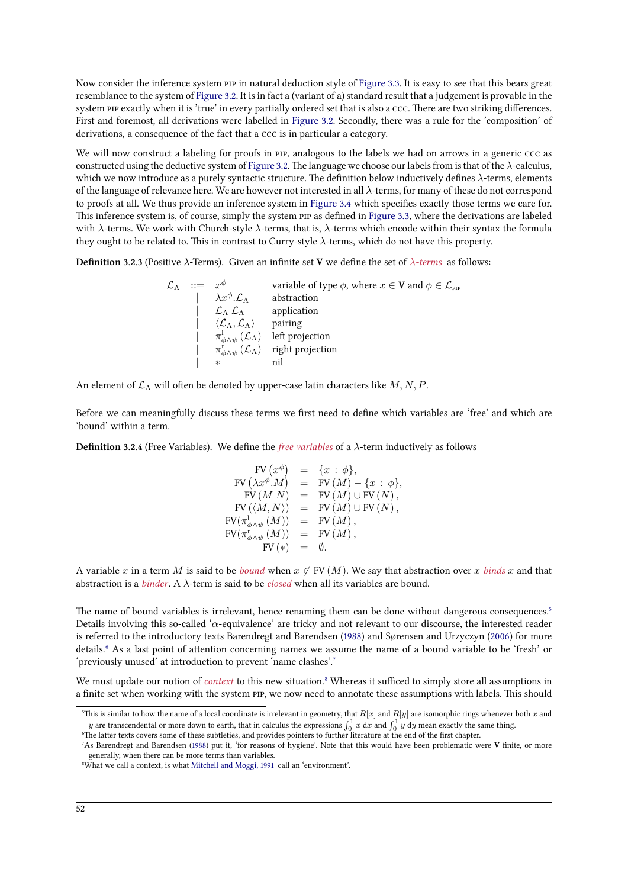Now consider the inference system PIP in natural deduction style of Figure 3.3. It is easy to see that this bears great resemblance to the system of Figure 3.2. It is in fact a (variant of a) standard result that a judgement is provable in the system PIP exactly when it is 'true' in every partially ordered set that is also a ccc. There are two striking differences. First and foremost, all derivations were labelled in Figure 3.2. Secondly, there was a rule for the 'composition' of derivations, a consequence of the fact that a ccc is in particular a c[ategory.](#page-56-2)

<span id="page-57-3"></span>We will now construct a lab[eling for p](#page-51-2)roofs in PIP, analogous to the labels we had on arrows in a generic ccc as constructed using the deductive system of Figure 3.2. The language we choose our labels from is that of the *λ*-calculus, which we now introduce as a purely syntactic structure. The definition below inductively defines *λ*-terms, elements of the language of relevance here. We are however not interested in all *λ*-terms, for many of these do not correspond to proofs at all. We thus provide an inference system in Figure 3.4 which specifies exactly those terms we care for. This inference system is, of course, simpl[y the syste](#page-51-2)m PIP as defined in Figure 3.3, where the derivations are labeled with *λ*-terms. We work with Church-style *λ*-terms, that is, *λ*-terms which encode within their syntax the formula they ought to be related to. This in contrast to Curry-style  $\lambda$ -terms, which do not have this property.

**Definition 3.2.3** (Positive *λ*-Terms). Given an infinite set **V** [we defi](#page-58-0)ne [the set of](#page-56-2) *λ*-terms as follows:

 $\mathcal{L}_{\Lambda}$  ::= *x V* variable of type  $\phi$ , where  $x \in \mathbf{V}$  and  $\phi \in \mathcal{L}_{\text{PP}}$ *| λx<sup>ϕ</sup> .L*<sup>Λ</sup> abstraction *| L*<sup>Λ</sup> *L*<sup>Λ</sup> application *| ⟨L*Λ*,L*Λ*⟩* pairing *|*  $\pi^1_{\phi \wedge \psi} (\mathcal{L}_\Lambda)$  left projection *|*  $\pi^{\text{r}}_{\phi \wedge \psi} (\mathcal{L}_{\Lambda})$  right projection *| ∗* nil

An element of  $\mathcal{L}_\Lambda$  will often be denoted by upper-case latin characters like  $M, N, P$ .

Before we can meaningfully discuss these terms we first need to define which variables are 'free' and which are 'bound' within a term.

**Definition 3.2.4** (Free Variables). We define the *free variables* of a  $\lambda$ -term inductively as follows

$$
\begin{array}{rcl} \mathrm{FV}\left(x^{\phi}\right) & = & \{x\,:\,\phi\},\\ \mathrm{FV}\left(\lambda x^{\phi}.M\right) & = & \mathrm{FV}\left(M\right)-\{x\,:\,\phi\},\\ \mathrm{FV}\left(M\,N\right) & = & \mathrm{FV}\left(M\right)\cup\mathrm{FV}\left(N\right),\\ \mathrm{FV}\left(\langle M,N\rangle\right) & = & \mathrm{FV}\left(M\right)\cup\mathrm{FV}\left(N\right),\\ \mathrm{FV}(\pi_{\phi\land\psi}^{1}\left(M\right)) & = & \mathrm{FV}\left(M\right),\\ \mathrm{FV}(\pi_{\phi\land\psi}^{*}\left(M\right)) & = & \mathrm{FV}\left(M\right),\\ \mathrm{FV}\left(*\right) & = & \emptyset. \end{array}
$$

A variable *x* in a term *M* is said to be *bound* when  $x \notin FV(M)$ . We say that abstraction over *x binds x* and that abstraction is a *binder*. A *λ*-term is said to be *closed* when all its variables are bound.

The name of bound variables is irrelevant, hence renaming them can be done without dangerous consequences.<sup>5</sup> Details involving this so-called '*α*-equivalence' are tricky and not relevant to our discourse, the interested reader is referred to the introductory texts Barendregt and Barendsen (1988) and Sørensen and Urzyczyn (2006) for more details.<sup>6</sup> As a last point of attention concerning names we assume the name of a bound variable to be 'fresh' or 'previously unused' at introduction to prevent 'name clashes'.<sup>7</sup>

We must update our notion of *context* to this new situation.<sup>§</sup> Whereas it sufficed to simply store all assumptions in a finite [s](#page-57-0)et when working with the system PIP, we now need to a[nnota](#page-68-15)te these assumptions with lab[els.](#page-69-1) This should

<sup>&</sup>lt;sup>5</sup>This is similar to how the name of a local coordinate is irrelevant in geome[tr](#page-57-1)y, that  $R[x]$  and  $R[y]$  are isomorphic rings whenever both  $x$  and *y* are transcendental or more down to earth, that in calculus the expressions  $\int_0^1 x \, dx$  and  $\int_0^1 y \, dy$  mean exactly the same thing.

<sup>&</sup>lt;sup>6</sup>The latter texts covers some of these subtleties, and provides pointers to [fu](#page-57-2)rther literature at the end of the first chapter.

<sup>&</sup>lt;sup>7</sup>As Barendregt and Barendsen (1988) put it, 'for reasons of hygiene'. Note that this would have been problematic were **V** finite, or more generally, when there can be more terms than variables.

<span id="page-57-2"></span><span id="page-57-1"></span><span id="page-57-0"></span><sup>&</sup>lt;sup>8</sup>What we call a context, is what Mitchell and Moggi, 1991 call an 'environment'.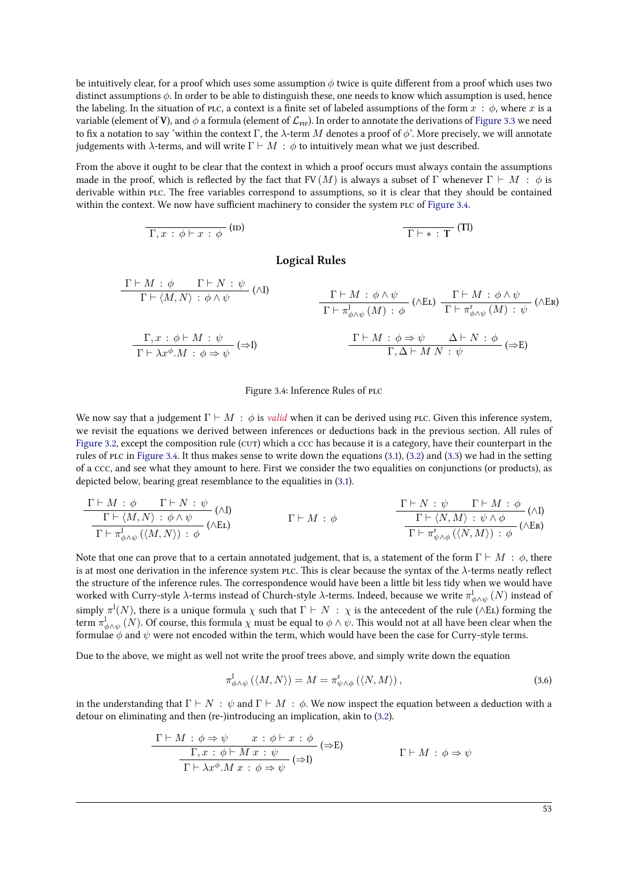be intuitively clear, for a proof which uses some assumption  $\phi$  twice is quite different from a proof which uses two distinct assumptions *ϕ*. In order to be able to distinguish these, one needs to know which assumption is used, hence the labeling. In the situation of PLC, a context is a finite set of labeled assumptions of the form  $x : \phi$ , where  $x$  is a variable (element of **V**), and  $\phi$  a formula (element of  $\mathcal{L}_{\text{app}}$ ). In order to annotate the derivations of Figure 3.3 we need to fix a notation to say 'within the context Γ, the *λ*-term *M* denotes a proof of *ϕ*'. More precisely, we will annotate judgements with  $\lambda$ -terms, and will write  $\Gamma \vdash M : \phi$  to intuitively mean what we just described.

From the above it ought to be clear that the context in which a proof occurs must always conta[in the assu](#page-56-2)mptions made in the proof, which is reflected by the fact that FV(*M*) is always a subset of Γ whenever  $\Gamma \vdash M$  :  $\phi$  is derivable within PLC. The free variables correspond to assumptions, so it is clear that they should be contained within the context. We now have sufficient machinery to consider the system PLC of Figure 3.4.

$$
\Gamma, x : \phi \vdash x : \phi \qquad (ID)
$$

#### **Logical Rules**

$$
\frac{\Gamma \vdash M : \phi \qquad \Gamma \vdash N : \psi}{\Gamma \vdash \langle M, N \rangle : \phi \land \psi} \quad (\land I)
$$
\n
$$
\frac{\Gamma \vdash M : \phi \land \psi}{\Gamma \vdash \pi_{\phi \land \psi}^1(M) : \phi} \quad (\land E\text{L}) \quad \frac{\Gamma \vdash M : \phi \land \psi}{\Gamma \vdash \pi_{\phi \land \psi}^1(M) : \psi} \quad (\land E\text{R})
$$
\n
$$
\frac{\Gamma, x : \phi \vdash M : \psi}{\Gamma \vdash \lambda x^{\phi}.M : \phi \Rightarrow \psi} \quad (\Rightarrow I)
$$
\n
$$
\frac{\Gamma \vdash M : \phi \Rightarrow \psi \qquad \Delta \vdash N : \phi}{\Gamma, \Delta \vdash M N : \psi} \quad (\Rightarrow E)
$$

#### <span id="page-58-0"></span>Figure 3.4: Inference Rules of PLC

We now say that a judgement  $\Gamma \vdash M : \phi$  is *valid* when it can be derived using PLC. Given this inference system, we revisit the equations we derived between inferences or deductions back in the previous section. All rules of Figure 3.2, except the composition rule (CUT) which a ccc has because it is a category, have their counterpart in the rules of  $\pi$  in Figure 3.4. It thus makes sense to write down the equations (3.1), (3.2) and (3.3) we had in the setting of a ccc, and see what they amount to here. First we consider the two equalities on conjunctions (or products), as depicted below, bearing great resemblance to the equalities in (3.1).

$$
\frac{\Gamma \vdash M : \phi \qquad \Gamma \vdash N : \psi \qquad (\land I)}{\Gamma \vdash \pi^1_{\phi \land \psi} (\langle M, N \rangle) : \phi} \qquad \qquad \Gamma \vdash M : \phi \qquad \qquad \frac{\Gamma \vdash N : \psi \qquad \Gamma \vdash M : \phi}{\Gamma \vdash \pi^1_{\psi \land \phi} (\langle N, M \rangle) : \phi} \qquad (\land \text{Ex})
$$

Note that one can prove that to a certain annotated judgement, that is, a statement of the form  $\Gamma \vdash M : \phi$ , there is at most one derivation in the inference system PLC. This is clear because the syntax of the  $\lambda$ -terms neatly reflect the structure of the inference rules. The correspondence would have been a little bit less tidy when we would have worked with Curry-style *λ*-terms instead of Church-style *λ*-terms. Indeed, because we write  $\pi^l_{\phi \wedge \psi}(N)$  instead of  $\sup$ y *π*<sup>1</sup>(*N*), there is a unique formula  $\chi$  such that  $\Gamma \vdash N \; : \; \chi$  is the antecedent of the rule ( $\land$ EL) forming the term  $\pi_{\phi \wedge \psi}^1(N)$ . Of course, this formula  $\chi$  must be equal to  $\phi \wedge \psi$ . This would not at all have been clear when the formulae  $\phi$  and  $\psi$  were not encoded within the term, which would have been the case for Curry-style terms.

Due to the above, we might as well not write the proof trees above, and simply write down the equation

<span id="page-58-1"></span>
$$
\pi_{\phi \wedge \psi}^{\mathbf{I}} \left( \langle M, N \rangle \right) = M = \pi_{\psi \wedge \phi}^{\mathbf{I}} \left( \langle N, M \rangle \right), \tag{3.6}
$$

in the understanding that  $\Gamma \vdash N : \psi$  and  $\Gamma \vdash M : \phi$ . We now inspect the equation between a deduction with a detour on eliminating and then (re-)introducing an implication, akin to (3.2).

$$
\frac{\Gamma \vdash M : \phi \Rightarrow \psi \qquad x : \phi \vdash x : \phi}{\Gamma, x : \phi \vdash M x : \psi} (\Rightarrow E)
$$
  

$$
\frac{\Gamma \vdash M : \phi \Rightarrow \psi}{\Gamma \vdash \lambda x^{\phi}.M x : \phi \Rightarrow \psi} (\Rightarrow I)
$$
  

$$
\Gamma \vdash M : \phi \Rightarrow \psi
$$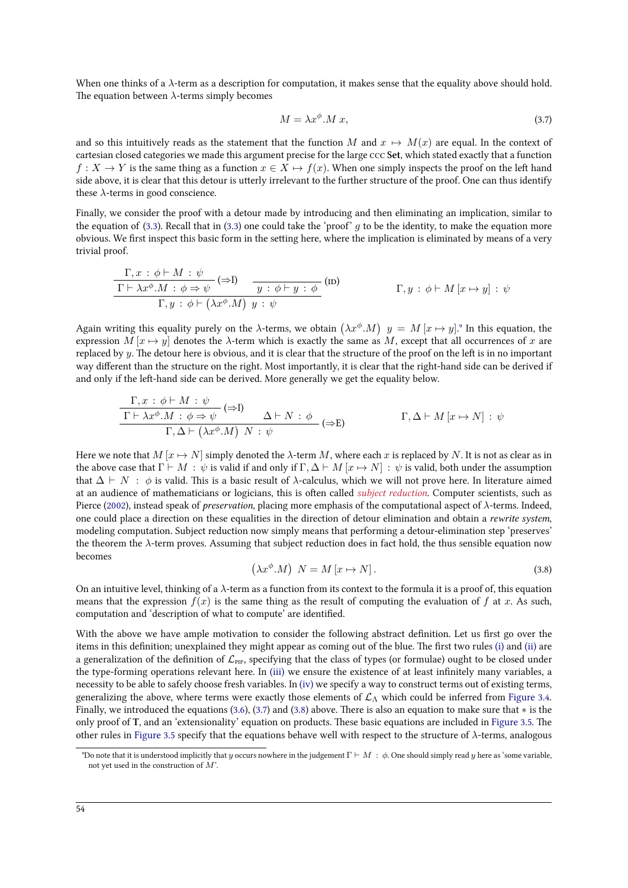When one thinks of a *λ*-term as a description for computation, it makes sense that the equality above should hold. The equation between  $\lambda$ -terms simply becomes

<span id="page-59-0"></span>
$$
M = \lambda x^{\phi}.M \, x,\tag{3.7}
$$

<span id="page-59-2"></span>and so this intuitively reads as the statement that the function *M* and  $x \mapsto M(x)$  are equal. In the context of cartesian closed categories we made this argument precise for the large ccc Set, which stated exactly that a function  $f: X \to Y$  is the same thing as a function  $x \in X \mapsto f(x)$ . When one simply inspects the proof on the left hand side above, it is clear that this detour is utterly irrelevant to the further structure of the proof. One can thus identify these  $\lambda$ -terms in good conscience.

Finally, we consider the proof with a detour made by introducing and then eliminating an implication, similar to the equation of (3.3). Recall that in (3.3) one could take the 'proof'  $g$  to be the identity, to make the equation more obvious. We first inspect this basic form in the setting here, where the implication is eliminated by means of a very trivial proof.

$$
\frac{\Gamma, x : \phi \vdash M : \psi}{\Gamma \vdash \lambda x^{\phi}.M : \phi \Rightarrow \psi} \; (\Rightarrow 1) \quad \frac{}{y : \phi \vdash y : \phi} \; (\text{in}) \qquad \qquad \Gamma, y : \phi \vdash M \; [x \mapsto y] : \psi
$$
\n
$$
\Gamma, y : \phi \vdash (\lambda x^{\phi}.M) \; y : \psi
$$

Again writing this equality purely on the *λ*-terms, we obtain  $(\lambda x^{\phi}.M)$   $y = M[x \mapsto y]$ . In this equation, the expression  $M[x \mapsto y]$  denotes the  $\lambda$ -term which is exactly the same as  $M$ , except that all occurrences of *x* are replaced by *y*. The detour here is obvious, and it is clear that the structure of the proof on the left is in no important way different than the structure on the right. Most importantly, it is clear that the right-hand side can be derived if and only if the left-hand side can be derived. More generally we get the equality below.

$$
\frac{\Gamma, x : \phi \vdash M : \psi}{\Gamma \vdash \lambda x^{\phi}.M : \phi \Rightarrow \psi} \stackrel{(\Rightarrow I)}{\Rightarrow} \Delta \vdash N : \phi \qquad (\Rightarrow E)
$$
\n
$$
\Gamma, \Delta \vdash M [x \mapsto N] : \psi
$$
\n
$$
\Gamma, \Delta \vdash (\lambda x^{\phi}.M) \quad N : \psi
$$

Here we note that  $M[x \mapsto N]$  simply denoted the  $\lambda$ -term  $M$ , where each  $x$  is replaced by  $N$ . It is not as clear as in the above case that  $\Gamma \vdash M : \psi$  is valid if and only if  $\Gamma, \Delta \vdash M [x \mapsto N] : \psi$  is valid, both under the assumption that  $\Delta$  *⊢ N* :  $\phi$  is valid. This is a basic result of  $\lambda$ -calculus, which we will not prove here. In literature aimed at an audience of mathematicians or logicians, this is often called *subject reduction*. Computer scientists, such as Pierce (2002), instead speak of *preservation*, placing more emphasis of the computational aspect of λ-terms. Indeed, one could place a direction on these equalities in the direction of detour elimination and obtain a *rewrite system*, modeling computation. Subject reduction now simply means that performing a detour-elimination step 'preserves' the theorem the *λ*-term proves. Assuming that subject reduction does in fact hold, the thus sensible equation now becom[es](#page-69-14)

$$
(\lambda x^{\phi}.M) \ N = M[x \mapsto N]. \tag{3.8}
$$

<span id="page-59-1"></span>On an intuitive level, thinking of a  $\lambda$ -term as a function from its context to the formula it is a proof of, this equation means that the expression  $f(x)$  is the same thing as the result of computing the evaluation of  $f$  at  $x$ . As such, computation and 'description of what to compute' are identified.

With the above we have ample motivation to consider the following abstract definition. Let us first go over the items in this definition; unexplained they might appear as coming out of the blue. The first two rules (i) and (ii) are a generalization of the definition of  $\mathcal{L}_{\text{\tiny{PIP}}}$ , specifying that the class of types (or formulae) ought to be closed under the type-forming operations relevant here. In (iii) we ensure the existence of at least infinitely many variables, a necessity to be able to safely choose fresh variables. In (iv) we specify a way to construct terms out of existing terms, generalizing the above, where terms were exactly those elements of  $\mathcal{L}_{\Lambda}$  which could be inferred fr[om](#page-60-0) Fig[ure](#page-60-1) 3.4. Finally, we introduced the equations (3.6), (3.7) and (3.8) above. There is also an equation to make sure that *∗* is the only proof of T, and an 'extensionality' equati[on o](#page-60-2)n products. These basic equations are included in Figure 3.5. The other rules in Figure 3.5 specify that the equations be[have](#page-60-3) well with respect to the structure of  $\lambda$ -terms, analogous

<sup>&</sup>lt;sup>9</sup>Do note that it is understood implicitly that *y* [occ](#page-58-1)ur[s now](#page-59-0)here i[n the](#page-59-1) judgement  $\Gamma \vdash M$  :  $\phi$ . One should simply read *y* here as 's[ome variable](#page-58-0), not yet used in the construction of *M*'.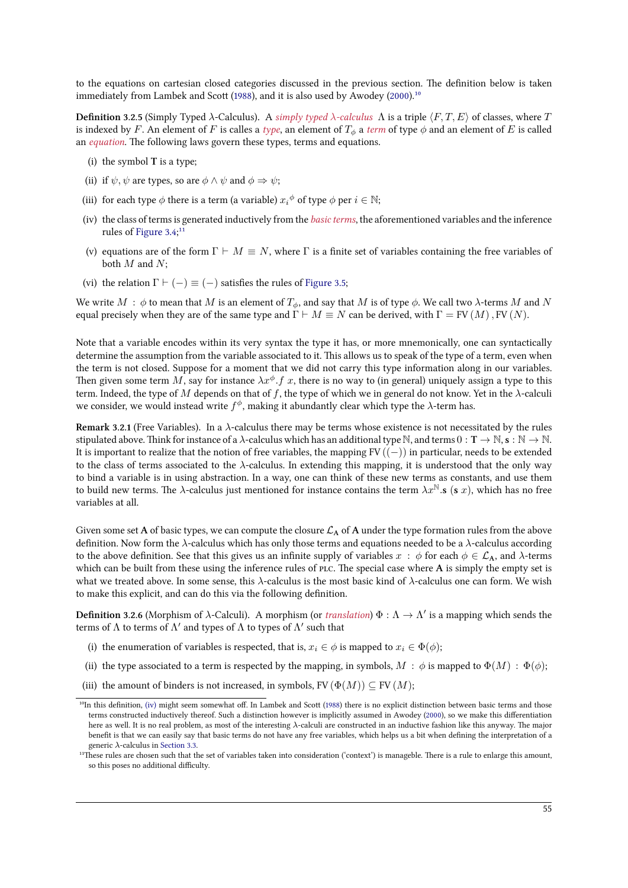to the equations on cartesian closed categories discussed in the previous section. The definition below is taken immediately from Lambek and Scott (1988), and it is also used by Awodey (2000).<sup>10</sup>

<span id="page-60-6"></span>**Definition 3.2.5** (Simply Typed *λ*-Calculus). A *simply typed λ*-calculus Λ is a triple  $\langle F, T, E \rangle$  of classes, where  $T$ is indexed by *F*. An element of *F* is calles a *type*, an element of  $T_{\phi}$  a *term* of type  $\phi$  and an element of *E* is called an *equation*. The following laws gove[rn the](#page-69-3)se types, terms and equations.

- (i) the symbol **T** is a type;
- (ii) if  $\psi$ ,  $\psi$  are types, so are  $\phi \land \psi$  and  $\phi \Rightarrow \psi$ ;
- <span id="page-60-0"></span>(iii) for each type  $\phi$  there is a term (a variable)  $x_i{}^\phi$  of type  $\phi$  per  $i \in \mathbb{N};$
- <span id="page-60-1"></span>(iv) the class of terms is generated inductively from the *basic terms*, the aforementioned variables and the inference rules of Figure 3.4;<sup>11</sup>
- <span id="page-60-3"></span><span id="page-60-2"></span>(v) equations are of the form  $\Gamma \vdash M \equiv N$ , where  $\Gamma$  is a finite set of variables containing the free variables of both *M* and *N*;
- (vi) the rela[tion](#page-58-0)  $\Gamma \vdash (-) \equiv (-)$  satisfies the rules of Figure 3.5;

We write  $M : \phi$  to mean that  $M$  is an element of  $T_{\phi}$ , and say that  $M$  is of type  $\phi$ . We call two  $\lambda$ -terms  $M$  and  $N$ equal precisely when they are of the same type and  $\Gamma \vdash M \equiv N$  can be derived, with  $\Gamma = \text{FV}(M)$ ,  $\text{FV}(N)$ .

Note that a variable encodes within its very syntax th[e type it h](#page-61-0)as, or more mnemonically, one can syntactically determine the assumption from the variable associated to it. This allows us to speak of the type of a term, even when the term is not closed. Suppose for a moment that we did not carry this type information along in our variables. Then given some term *M*, say for instance  $\lambda x^{\phi}$ . *f* x, there is no way to (in general) uniquely assign a type to this term. Indeed, the type of *M* depends on that of *f*, the type of which we in general do not know. Yet in the  $\lambda$ -calculi we consider, we would instead write  $f^{\phi}$ , making it abundantly clear which type the  $\lambda$ -term has.

<span id="page-60-5"></span>**Remark ..** (Free Variables)**.** In a *λ*-calculus there may be terms whose existence is not necessitated by the rules stipulated above. Think for instance of a  $\lambda$ -calculus which has an additional type N, and terms  $0: \mathbf{T} \to \mathbb{N}$ ,  $\mathbf{s}: \mathbb{N} \to \mathbb{N}$ . It is important to realize that the notion of free variables, the mapping FV((*−*)) in particular, needs to be extended to the class of terms associated to the *λ*-calculus. In extending this mapping, it is understood that the only way to bind a variable is in using abstraction. In a way, one can think of these new terms as constants, and use them to build new terms. The  $\lambda$ -calculus just mentioned for instance contains the term  $\lambda x^{\mathbb{N}}$ . **s** (**s** *x*), which has no free variables at all.

Given some set **A** of basic types, we can compute the closure  $\mathcal{L}_A$  of **A** under the type formation rules from the above definition. Now form the *λ*-calculus which has only those terms and equations needed to be a *λ*-calculus according to the above definition. See that this gives us an infinite supply of variables  $x : \phi$  for each  $\phi \in \mathcal{L}_A$ , and  $\lambda$ -terms which can be built from these using the inference rules of PLC. The special case where A is simply the empty set is what we treated above. In some sense, this *λ*-calculus is the most basic kind of *λ*-calculus one can form. We wish to make this explicit, and can do this via the following definition.

**Definition 3.2.6** (Morphism of  $\lambda$ -Calculi). A morphism (or *translation*)  $\Phi : \Lambda \to \Lambda'$  is a mapping which sends the terms of Λ to terms of Λ' and types of Λ to types of Λ' such that

- (i) the enumeration of variables is respected, that is,  $x_i \in \phi$  is mapped to  $x_i \in \Phi(\phi)$ ;
- (ii) the type associated to a term is respected by the mapping, in symbols,  $M : \phi$  is mapped to  $\Phi(M) : \Phi(\phi)$ ;
- (iii) the amount of binders is not increased, in symbols,  $FV(\Phi(M)) \subseteq FV(M);$

<sup>&</sup>lt;sup>10</sup>In this definition, (iv) might seem somewhat off. In Lambek and Scott (1988) there is no explicit distinction between basic terms and those terms constructed inductively thereof. Such a distinction however is implicitly assumed in Awodey (2000), so we make this differentiation here as well. It is no real problem, as most of the interesting *λ*-calculi are constructed in an inductive fashion like this anyway. The major benefit is that we can easily say that basic terms do not have any free variables, which helps us a bit when defining the interpretation of a generic  $\lambda$ -calculus in Section 3.3.

<span id="page-60-4"></span><sup>&</sup>lt;sup>11</sup>These rules are ch[osen](#page-60-3) such that the set of variables taken into consider[ation](#page-69-3) ('context') is manageble. There is a rule to enlarge this amount, so this poses no additional difficulty.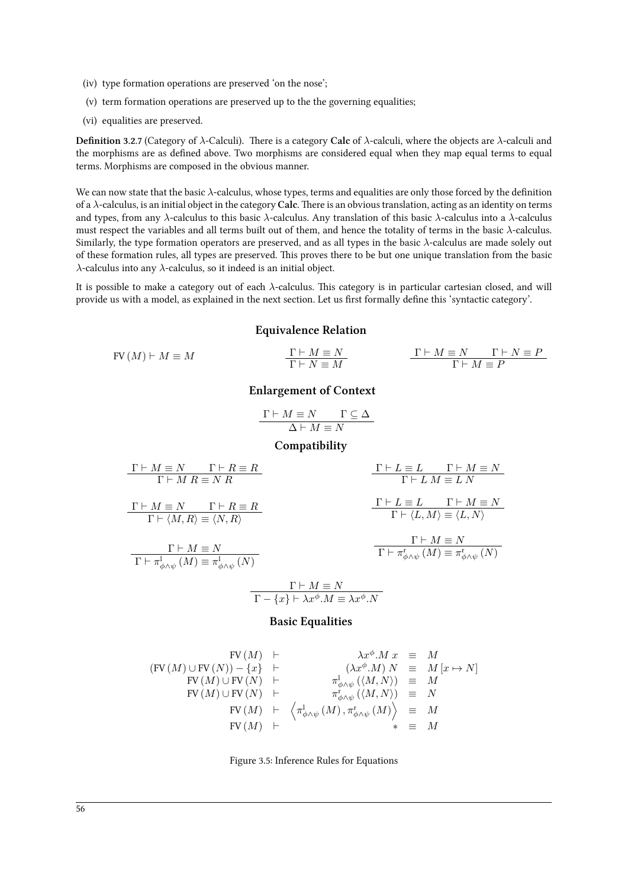- (iv) type formation operations are preserved 'on the nose';
- (v) term formation operations are preserved up to the the governing equalities;
- (vi) equalities are preserved.

**Definition 3.2.7** (Category of  $\lambda$ -Calculi). There is a category **Calc** of  $\lambda$ -calculi, where the objects are  $\lambda$ -calculi and the morphisms are as defined above. Two morphisms are considered equal when they map equal terms to equal terms. Morphisms are composed in the obvious manner.

We can now state that the basic *λ*-calculus, whose types, terms and equalities are only those forced by the definition of a *λ*-calculus, is an initial object in the category Calc. There is an obvious translation, acting as an identity on terms and types, from any *λ*-calculus to this basic *λ*-calculus. Any translation of this basic *λ*-calculus into a *λ*-calculus must respect the variables and all terms built out of them, and hence the totality of terms in the basic *λ*-calculus. Similarly, the type formation operators are preserved, and as all types in the basic *λ*-calculus are made solely out of these formation rules, all types are preserved. This proves there to be but one unique translation from the basic *λ*-calculus into any *λ*-calculus, so it indeed is an initial object.

It is possible to make a category out of each *λ*-calculus. This category is in particular cartesian closed, and will provide us with a model, as explained in the next section. Let us first formally define this 'syntactic category'.

#### **Equivalence Relation**

$$
FV(M) \vdash M \equiv M \qquad \qquad \frac{\Gamma \vdash M \equiv N}{\Gamma \vdash N \equiv M} \qquad \qquad \frac{\Gamma \vdash M \equiv N \qquad \Gamma \vdash N \equiv P}{\Gamma \vdash M \equiv P}
$$

#### **Enlargement of Context**

$$
\dfrac{\Gamma\vdash M\equiv N\qquad\Gamma\subseteq\Delta}{\Delta\vdash M\equiv N}
$$

#### **Compatibility**

| $\Gamma \vdash M \equiv N$ $\Gamma \vdash R \equiv R$                                                                                    | $\Gamma \vdash L \equiv L$ $\Gamma \vdash M \equiv N$                                                                                                |
|------------------------------------------------------------------------------------------------------------------------------------------|------------------------------------------------------------------------------------------------------------------------------------------------------|
| $\Gamma \vdash M R \equiv N R$                                                                                                           | $\Gamma \vdash L M = L N$                                                                                                                            |
| $\Gamma \vdash M \equiv N$ $\Gamma \vdash R \equiv R$<br>$\Gamma \vdash \langle M, R \rangle \equiv \langle N, R \rangle$                | $\Gamma \vdash L \equiv L$ $\Gamma \vdash M \equiv N$<br>$\Gamma \vdash \langle L, M \rangle \equiv \langle L, N \rangle$                            |
| $\Gamma \vdash M \equiv N$<br>$\Gamma \vdash \pi^{\mathfrak{l}}_{\phi \wedge \psi} (M) \equiv \pi^{\mathfrak{l}}_{\phi \wedge \psi} (N)$ | $\Gamma \vdash M \equiv N$<br>$\Gamma \vdash \pi^{\rm r}_{\phi \wedge \psi} \left( M \right) \equiv \pi^{\rm r}_{\phi \wedge \psi} \left( N \right)$ |
|                                                                                                                                          | $\Gamma \vdash M \equiv N$<br>$\Gamma - \{x\} \vdash \lambda x^{\phi}.M \equiv \lambda x^{\phi}.N$                                                   |

#### **Basic Equalities**

$$
\begin{array}{rcll} &\text{FV}\left(M\right) &\vdash & \lambda x^{\phi}.M \ x \ &\equiv \ & M \\ &\text{FV}\left(M\right) \cup \text{FV}\left(N\right)) - \left\{x\right\} &\vdash & \left(\lambda x^{\phi}.M\right)N \ &\equiv \ & M \left[x \mapsto N\right] \\ &\text{FV}\left(M\right) \cup \text{FV}\left(N\right) &\vdash & \pi_{\phi \wedge \psi}^{1}\left(\left\langle M,N\right\rangle\right) \ &\equiv \ & M \\ &\text{FV}\left(M\right) \cup \text{FV}\left(N\right) &\vdash & \pi_{\phi \wedge \psi}^{r}\left(\left\langle M,N\right\rangle\right) &\equiv \ & N \\ &\text{FV}\left(M\right) &\vdash & \left\langle \pi_{\phi \wedge \psi}^{1}\left(M\right), \pi_{\phi \wedge \psi}^{r}\left(M\right) \right\rangle &\equiv \ & M \\ &\text{FV}\left(M\right) &\vdash & \ast &\equiv \ & M \end{array}
$$

<span id="page-61-0"></span>Figure 3.5: Inference Rules for Equations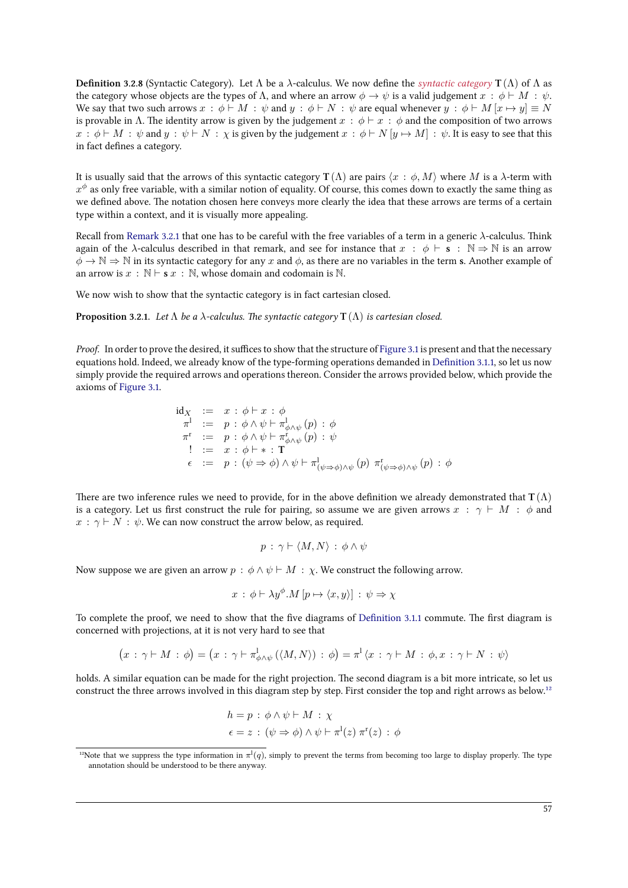**Definition 3.2.8** (Syntactic Category). Let  $Λ$  be a  $λ$ -calculus. We now define the *syntactic category* **T**  $(Λ)$  of  $Λ$  as the category whose objects are the types of  $\Lambda$ , and where an arrow  $\phi \to \psi$  is a valid judgement  $x : \phi \vdash M : \psi$ . We say that two such arrows  $x : \phi \vdash M : \psi$  and  $y : \phi \vdash N : \psi$  are equal whenever  $y : \phi \vdash M[x \mapsto y] \equiv N$ is provable in Λ. The identity arrow is given by the judgement  $x : \phi \vdash x : \phi$  and the composition of two arrows  $x : \phi \vdash M : \psi$  and  $y : \psi \vdash N : \chi$  is given by the judgement  $x : \phi \vdash N[y \mapsto M] : \psi$ . It is easy to see that this in fact defines a category.

It is usually said that the arrows of this syntactic category **T** (Λ) are pairs *⟨x* : *ϕ, M⟩* where *M* is a *λ*-term with  $x^\phi$  as only free variable, with a similar notion of equality. Of course, this comes down to exactly the same thing as we defined above. The notation chosen here conveys more clearly the idea that these arrows are terms of a certain type within a context, and it is visually more appealing.

Recall from Remark 3.2.1 that one has to be careful with the free variables of a term in a generic  $\lambda$ -calculus. Think again of the *λ*-calculus described in that remark, and see for instance that  $x : \phi \vdash s : \mathbb{N} \Rightarrow \mathbb{N}$  is an arrow *ϕ →* N *⇒* N in its syntactic category for any *x* and *ϕ*, as there are no variables in the term **s**. Another example of an arrow is  $x : \mathbb{N} \vdash s x : \mathbb{N}$ , whose domain and codomain is  $\mathbb{N}$ .

We now wi[sh to show th](#page-60-5)at the syntactic category is in fact cartesian closed.

**Proposition 3.2.1.** Let  $\Lambda$  be a  $\lambda$ -calculus. The syntactic category  $T(\Lambda)$  is cartesian closed.

*Proof.* In order to prove the desired, it suffices to show that the structure of Figure 3.1 is present and that the necessary equations hold. Indeed, we already know of the type-forming operations demanded in Definition 3.1.1, so let us now simply provide the required arrows and operations thereon. Consider the arrows provided below, which provide the axioms of Figure 3.1.

$$
\mathrm{id}_{X} := x : \phi \vdash x : \phi
$$
\n
$$
\pi^{1} := p : \phi \land \psi \vdash \pi^{1}_{\phi \land \psi}(p) : \phi
$$
\n
$$
\pi^{r} := p : \phi \land \psi \vdash \pi^{r}_{\phi \land \psi}(p) : \psi
$$
\n
$$
! := x : \phi \vdash * : \mathbf{T}
$$
\n
$$
\epsilon := p : (\psi \Rightarrow \phi) \land \psi \vdash \pi^{1}_{(\psi \Rightarrow \phi) \land \psi}(p) \pi^{r}_{(\psi \Rightarrow \phi) \land \psi}(p) : \phi
$$

There are two inference rules we need to provide, for in the above definition we already demonstrated that **T**  $(\Lambda)$ is a category. Let us first construct the rule for pairing, so assume we are given arrows  $x : \gamma \vdash M : \phi$  and  $x : \gamma \vdash N : \psi$ . We can now construct the arrow below, as required.

$$
p \, : \, \gamma \vdash \langle M, N \rangle \, : \, \phi \land \psi
$$

Now suppose we are given an arrow  $p : \phi \land \psi \vdash M : \chi$ . We construct the following arrow.

$$
x : \phi \vdash \lambda y^{\phi}.M[p \mapsto \langle x, y \rangle] : \psi \Rightarrow \chi
$$

To complete the proof, we need to show that the five diagrams of Definition 3.1.1 commute. The first diagram is concerned with projections, at it is not very hard to see that

$$
(x : \gamma \vdash M : \phi) = (x : \gamma \vdash \pi^1_{\phi \land \psi} (\langle M, N \rangle) : \phi) = \pi^1 \langle x : \gamma \vdash M : \phi, x : \gamma \vdash N : \psi \rangle
$$

holds. A similar equation can be made for the right projection. The [second diagram](#page-49-3) is a bit more intricate, so let us construct the three arrows involved in this diagram step by step. First consider the top and right arrows as below.<sup>12</sup>

$$
h = p : \phi \land \psi \vdash M : \chi
$$
  

$$
\epsilon = z : (\psi \Rightarrow \phi) \land \psi \vdash \pi^{1}(z) \pi^{r}(z) : \phi
$$

<sup>&</sup>lt;sup>12</sup>Note that we suppress the type information in  $\pi^1(q)$ , simply to prevent the terms from becoming too large to display properly. The type annotation should be understood to be there anyway.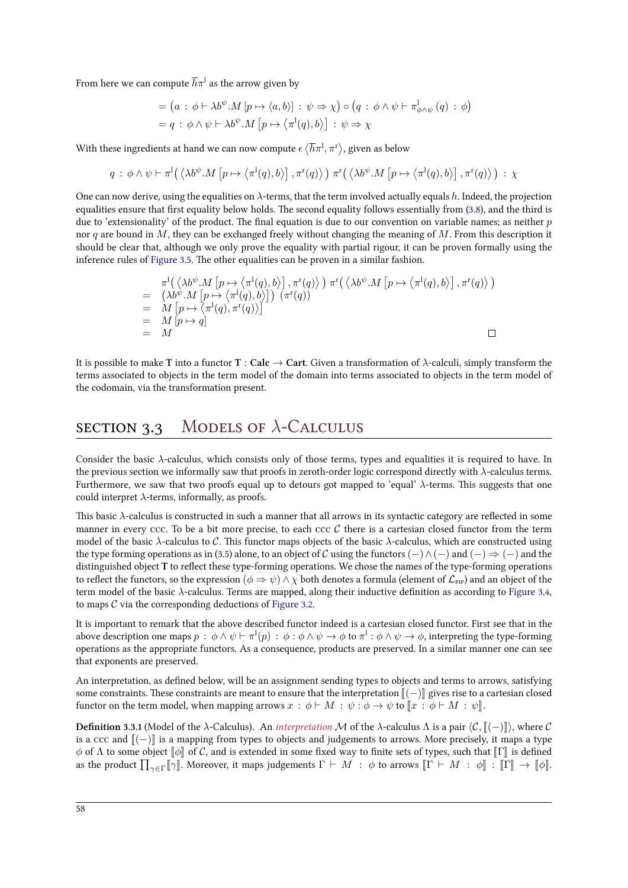From here we can compute  $\overline{h}\pi^{\text{l}}$  as the arrow given by

$$
= (a : \phi \vdash \lambda b^{\psi}.M[p \mapsto \langle a,b \rangle] : \psi \Rightarrow \chi) \circ (q : \phi \wedge \psi \vdash \pi^{1}_{\phi \wedge \psi} (q) : \phi)
$$
  

$$
= q : \phi \wedge \psi \vdash \lambda b^{\psi}.M[p \mapsto \langle \pi^{1}(q), b \rangle] : \psi \Rightarrow \chi
$$

With these ingredients at hand we can now compute  $\epsilon\,\langle\overline{h}\pi^{\rm l},\pi^{\rm r}\rangle,$  given as below

$$
q : \phi \wedge \psi \vdash \pi^{\mathsf{I}}(\langle \lambda b^{\psi}.M[p \mapsto \langle \pi^{\mathsf{I}}(q), b \rangle], \pi^{\mathsf{r}}(q) \rangle) \pi^{\mathsf{r}}(\langle \lambda b^{\psi}.M[p \mapsto \langle \pi^{\mathsf{I}}(q), b \rangle], \pi^{\mathsf{r}}(q) \rangle) : \chi
$$

One can now derive, using the equalities on *λ*-terms, that the term involved actually equals *h*. Indeed, the projection equalities ensure that first equality below holds. The second equality follows essentially from (3.8), and the third is due to 'extensionality' of the product. The final equation is due to our convention on variable names; as neither *p* nor *q* are bound in *M*, they can be exchanged freely without changing the meaning of *M*. From this description it should be clear that, although we only prove the equality with partial rigour, it can be proven formally using the inference rules of Figure 3.5. The other equalities can be proven in a similar fashion.

$$
\begin{array}{lll}\n\pi^1\big(\big\langle\lambda b^\psi.M\left[p\mapsto \big\langle\pi^1(q),b\big\rangle\right],\pi^r(q)\big\rangle\big) & \pi^r\big(\big\langle\lambda b^\psi.M\left[p\mapsto \big\langle\pi^1(q),b\big\rangle\right],\pi^r(q)\big\rangle\big) \\
= & \big(\lambda b^\psi.M\left[p\mapsto \big\langle\pi^1(q),b\big\rangle\right]\big) & \big(\pi^r(q)\big) \\
= & M\left[p\mapsto \big\langle\pi^1(q),\pi^r(q)\big\rangle\right] \\
= & M\left[p\mapsto q\right] & \\
= & M & \Box\n\end{array}
$$

It is possible to make **T** into a functor **T** : **Calc** *→* **Cart**. Given a transformation of *λ*-calculi, simply transform the terms associated to objects in the term model of the domain into terms associated to objects in the term model of the codomain, via the transformation present.

### **SECTION 3.3** MODELS OF  $\lambda$ -CALCULUS

<span id="page-63-0"></span>Consider the basic *λ*-calculus, which consists only of those terms, types and equalities it is required to have. In the previous section we informally saw that proofs in zeroth-order logic correspond directly with *λ*-calculus terms. Furthermore, we saw that two proofs equal up to detours got mapped to 'equal' λ-terms. This suggests that one could interpret  $\lambda$ -terms, informally, as proofs.

This basic  $\lambda$ -calculus is constructed in such a manner that all arrows in its syntactic category are reflected in some manner in every ccc. To be a bit more precise, to each ccc  $C$  there is a cartesian closed functor from the term model of the basic  $\lambda$ -calculus to C. This functor maps objects of the basic  $\lambda$ -calculus, which are constructed using the type forming operations as in (3.5) alone, to an object of *C* using the functors  $(-) \wedge (-)$  and  $(-) \Rightarrow (-)$  and the distinguished object T to reflect these type-forming operations. We chose the names of the type-forming operations to reflect the functors, so the expression ( $\phi \Rightarrow \psi$ )  $\land \chi$  both denotes a formula (element of  $\mathcal{L}_{\text{PP}}$ ) and an object of the term model of the basic *λ*-calculus. Terms are mapped, along their inductive definition as according to Figure 3.4, to maps  $C$  via the corresponding [dedu](#page-56-3)ctions of Figure 3.2.

It is important to remark that the above described functor indeed is a cartesian closed functor. First see that in the above description one maps  $p\,:\,\phi\wedge\psi\vdash\pi^{\rm l}(p)\,:\,\phi:\phi\wedge\psi\to\phi$  to  $\pi^{\rm l}:\phi\wedge\psi\to\phi,$  interpreting the type-forming operations as the appropriate functors. As a co[nsequence](#page-51-2), products are preserved. In a similar manner o[ne can see](#page-58-0) that exponents are preserved.

An interpretation, as defined below, will be an assignment sending types to objects and terms to arrows, satisfying some constraints. These constraints are meant to ensure that the interpretation  $\llbracket(-)\rrbracket$  gives rise to a cartesian closed functor on the term model, when mapping arrows  $x : \phi \vdash M : \psi : \phi \rightarrow \psi$  to  $\llbracket x : \phi \vdash M : \psi \rrbracket$ .

**Definition 3.3.1** (Model of the  $\lambda$ -Calculus). An *interpretation M* of the  $\lambda$ -calculus  $\Lambda$  is a pair  $\langle C, \lceil (-) \rceil \rangle$ , where *C* is a ccc and  $\lbrack\lbrack -\rbrack\rbrack$  is a mapping from types to objects and judgements to arrows. More precisely, it maps a type  $\phi$  of  $\Lambda$  to some object  $\llbracket \phi \rrbracket$  of *C*, and is extended in some fixed way to finite sets of types, such that  $\llbracket \Gamma \rrbracket$  is defined as the product  $\prod_{\gamma \in \Gamma} [\![\gamma]\!]$ . Moreover, it maps judgements  $\Gamma \vdash M \; : \; \phi$  to arrows  $[\![\Gamma \vdash M \; : \; \phi]\!] : [\![\Gamma]\!] \to [\![\phi]\!]$ .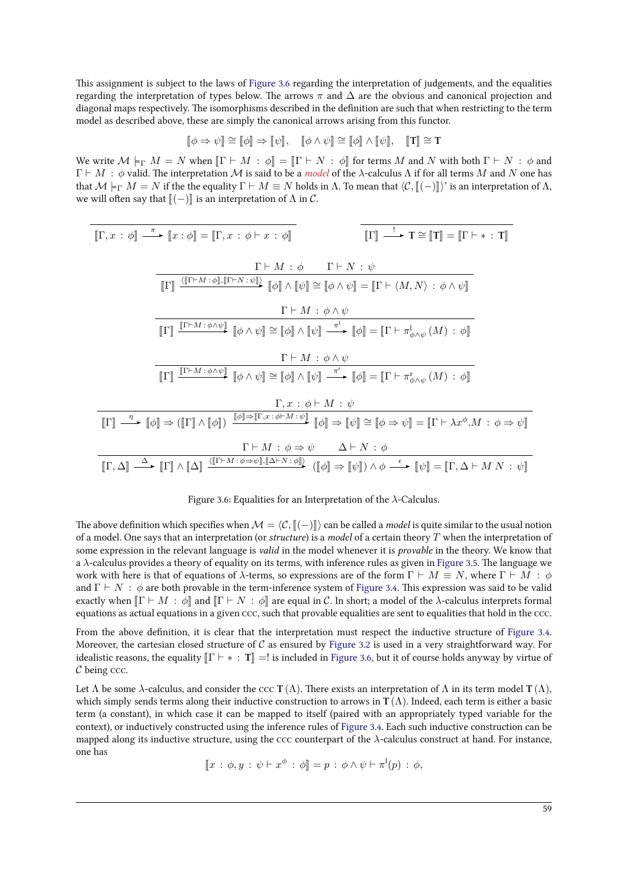This assignment is subject to the laws of Figure 3.6 regarding the interpretation of judgements, and the equalities regarding the interpretation of types below. The arrows  $\pi$  and  $\Delta$  are the obvious and canonical projection and diagonal maps respectively. The isomorphisms described in the definition are such that when restricting to the term model as described above, these are simply the canonical arrows arising from this functor.

$$
[\![\phi \Rightarrow \psi]\!] \cong [\![\phi]\!] \Rightarrow [\![\psi]\!], \quad [\![\phi \wedge \psi]\!] \cong [\![\phi]\!] \wedge [\![\psi]\!], \quad [\![\mathbf{T}]\!] \cong \mathbf{T}
$$

We write  $M \models_{\Gamma} M = N$  when  $\llbracket \Gamma \vdash M : \phi \rrbracket = \llbracket \Gamma \vdash N : \phi \rrbracket$  for terms M and N with both  $\Gamma \vdash N : \phi$  and  $Γ ⊢ M : φ$  valid. The interpretation *M* is said to be a *model* of the *λ*-calculus Λ if for all terms *M* and *N* one has that  $M \models_{\Gamma} M = N$  if the the equality  $\Gamma \vdash M \equiv N$  holds in  $\Lambda$ . To mean that  $\langle C, \llbracket (-) \rrbracket \rangle$ ' is an interpretation of  $\Lambda$ , we will often say that  $\llbracket(-)\rrbracket$  is an interpretation of  $\Lambda$  in  $\mathcal{C}$ .

$$
\begin{array}{c}\n\begin{array}{c}\n\left[\Gamma, x : \phi\right] \xrightarrow{\pi} \left[\!\left[x : \phi\right]\!\right] = \left[\!\left[\Gamma, x : \phi \vdash x : \phi\right]\!\right] & \left[\!\left[\Gamma\right]\!\right] \xrightarrow{\quad} \left[\!\left[\Gamma\right]\!\right] = \left[\!\left[\Gamma \vdash x : \Gamma\right]\!\right] \\
\hline\n\begin{array}{c}\n\left[\Gamma \right] \xrightarrow{\left(\lceil\Gamma \vdash M : \phi\right\rceil, \lceil\Gamma \vdash N : \psi\rceil}\n\right]}\n\left[\!\left[\phi\right]\!\right] \wedge \left[\!\left[\psi\right]\!\right] \cong \left[\!\left[\phi \wedge \psi\right]\!\right] = \left[\!\left[\Gamma \vdash \langle M, N \rangle : \phi \wedge \psi\!\right]\!\right] \\
\hline\n\begin{array}{c}\n\left[\Gamma \right] \xrightarrow{\left[\Gamma \vdash M : \phi \wedge \psi\!\right]}\n\left[\!\left[\phi \wedge \psi\right]\!\right] \cong \left[\!\left[\phi\right]\!\right] \wedge \left[\!\left[\psi\right]\!\right] \xrightarrow{\pi^{'}}\n\left[\!\left[\phi\right]\!\right] = \left[\!\left[\Gamma \vdash \pi^{\dagger}_{\phi \wedge \psi}\left(M\right) : \phi\!\right]\!\right] \\
\hline\n\begin{array}{c}\n\left[\Gamma \right] \xrightarrow{\left[\Gamma \vdash M : \phi \wedge \psi\!\right]}\n\left[\!\left[\phi \wedge \psi\right]\!\right] \cong \left[\!\left[\phi\right]\!\right] \wedge \left[\!\left[\psi\right]\!\right] \xrightarrow{\pi^{'}}\n\left[\!\left[\phi\right]\!\right] = \left[\!\left[\Gamma \vdash \pi^{\dagger}_{\phi \wedge \psi}\left(M\right) : \phi\!\right]\!\right] \\
\hline\n\begin{array}{c}\n\left[\Gamma \right]\n\end{array}\n\end{array}
$$
\n
$$
\begin{array}{c}\n\left[\Gamma \right]\n\left[\frac{\left[\Gamma \vdash M : \phi \wedge \psi\right]}{\left[\phi \wedge \psi\right]\!\right] \cong \left[\!\left[\phi\right]\!\right] \wedge \left[\!\left[\psi\right]\!\right] \xrightarrow{\pi^{'}}\n\left[\!\left[\phi\!\right]\!\right] = \left[\!\left[\Gamma \vdash \lambda x^{\phi
$$

#### <span id="page-64-0"></span>Figure 3.6: Equalities for an Interpretation of the  $\lambda$ -Calculus.

The above definition which specifies when  $\mathcal{M} = \langle \mathcal{C}, \mathcal{L}(-) \mathcal{L} \rangle$  can be called a *model* is quite similar to the usual notion of a model. One says that an interpretation (or *structure*) is a *model* of a certain theory *T* when the interpretation of some expression in the relevant language is *valid* in the model whenever it is *provable* in the theory. We know that a *λ*-calculus provides a theory of equality on its terms, with inference rules as given in Figure 3.5. The language we work with here is that of equations of  $\lambda$ -terms, so expressions are of the form  $\Gamma \vdash M \equiv N$ , where  $\Gamma \vdash M$ : *ϕ* and  $\Gamma \vdash N$  :  $\phi$  are both provable in the term-inference system of Figure 3.4. This expression was said to be valid exactly when  $\Gamma \vdash M : \phi$  and  $\Gamma \vdash N : \phi$  are equal in *C*. In short; a model of the  $\lambda$ -calculus interprets formal equations as actual equations in a given ccc, such that provable equalities are sent to eq[ualities tha](#page-61-0)t hold in the ccc.

From the above definition, it is clear that the interpretation must respect the inductive structure of Figure 3.4. Moreover, the cartesian closed structure of  $C$  as ensured by Figure 3.2 [is use](#page-58-0)d in a very straightforward way. For idealistic reasons, the equality  $\llbracket \Gamma \vdash * : \Gamma \rrbracket = !$  is included in Figure 3.6, but it of course holds anyway by virtue of *C* being ccc.

Let  $\Lambda$  be some  $\lambda$ -calculus, and consider the ccc **T** ( $\Lambda$ ). There exists an interpretation of  $\Lambda$  in its term model **T** ( $\Lambda$ ), which simply sends terms along their inductive construction [to arrows](#page-51-2) in  $T(\Lambda)$ . Indeed, each term is either a basic term (a constant), in which case it can be mapped to itself [\(paired wi](#page-64-0)th an appropriately typed variable for the context), or inductively constructed using the inference rules of Figure 3.4. Each such inductive construction can be mapped along its inductive structure, using the  $\csc$  counterpart of the  $\lambda$ -calculus construct at hand. For instance, one has

$$
[\![x\,:\,\phi,y\,:\,\psi\vdash x^{\phi}\,:\,\phi]\!]=p\,:\,\phi\wedge\psi\vdash\pi^{\mathrm{l}}(p)\,:\,\phi,
$$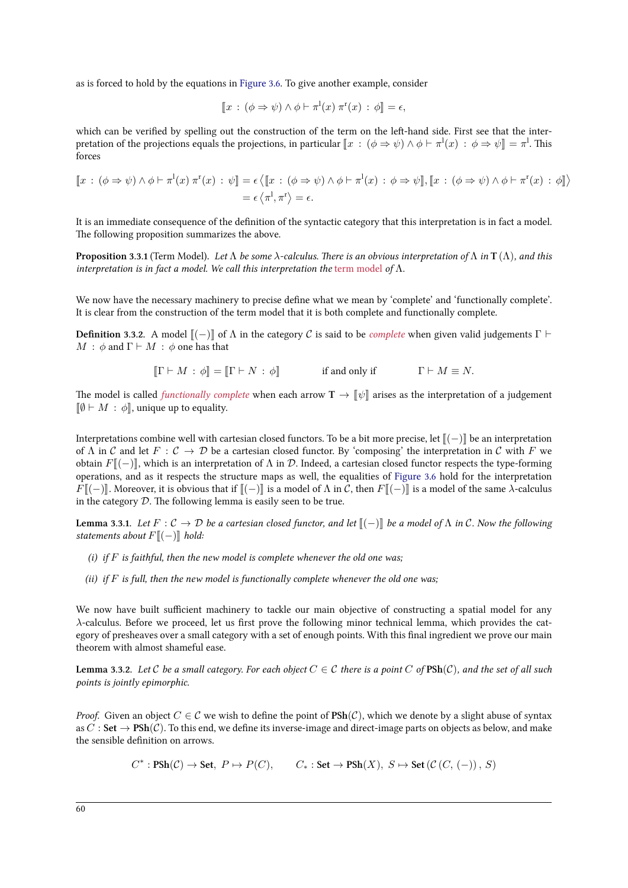as is forced to hold by the equations in Figure 3.6. To give another example, consider

$$
[\![x\,:\,(\phi\Rightarrow\psi)\wedge\phi\vdash\pi^{\mathbf{1}}(x)\,\pi^{\mathbf{r}}(x)\,:\,\phi]\!]=\epsilon,
$$

which can be verified by spelling out [the constru](#page-64-0)ction of the term on the left-hand side. First see that the interpretation of the projections equals the projections, in particular  $\llbracket x \, : \, (\phi \Rightarrow \psi) \land \phi \vdash \pi^{\mathbf{l}}(x) \, : \, \phi \Rightarrow \psi \rrbracket = \pi^{\mathbf{l}}.$  This forces

$$
\llbracket x : (\phi \Rightarrow \psi) \land \phi \vdash \pi^{\mathfrak{l}}(x) \pi^{\mathfrak{r}}(x) : \psi \rrbracket = \epsilon \langle \llbracket x : (\phi \Rightarrow \psi) \land \phi \vdash \pi^{\mathfrak{l}}(x) : \phi \Rightarrow \psi \rrbracket, \llbracket x : (\phi \Rightarrow \psi) \land \phi \vdash \pi^{\mathfrak{r}}(x) : \phi \rrbracket \rangle
$$
  
=  $\epsilon \langle \pi^{\mathfrak{l}}, \pi^{\mathfrak{r}} \rangle = \epsilon$ .

It is an immediate consequence of the definition of the syntactic category that this interpretation is in fact a model. The following proposition summarizes the above.

**Proposition 3.3.1** (Term Model). Let  $\Lambda$  be some  $\lambda$ -calculus. There is an obvious interpretation of  $\Lambda$  in **T** ( $\Lambda$ ), and this *interpretation is in fact a model. We call this interpretation the term model of*  $\Lambda$ *.* 

We now have the necessary machinery to precise define what we mean by 'complete' and 'functionally complete'. It is clear from the construction of the term model that it is both complete and functionally complete.

**Definition 3.3.2.** A model  $\llbracket (-\rrbracket \rrbracket$  of  $\Lambda$  in the category C is said to be *complete* when given valid judgements  $\Gamma \vdash$  $M : \phi$  and  $\Gamma \vdash M : \phi$  one has that

 $\| \Gamma \vdash M : \phi \| = \| \Gamma \vdash N : \phi \|$  if and only if  $\Gamma \vdash M \equiv N$ .

The model is called *functionally complete* when each arrow  $\mathbf{T} \to \llbracket \psi \rrbracket$  arises as the interpretation of a judgement  $\llbracket \emptyset \vdash M : \emptyset \rrbracket$ , unique up to equality.

Interpretations combine well with cartesian closed functors. To be a bit more precise, let  $\llbracket(-)\rrbracket$  be an interpretation of  $\Lambda$  in *C* and let  $F : C \to D$  be a cartesian closed functor. By 'composing' the interpretation in *C* with *F* we obtain  $F\llbracket(-)\rrbracket$ , which is an interpretation of  $\Lambda$  in  $\mathcal D$ . Indeed, a cartesian closed functor respects the type-forming operations, and as it respects the structure maps as well, the equalities of Figure 3.6 hold for the interpretation  $F\llbracket(-\rceil)$ . Moreover, it is obvious that if  $\llbracket(-\rceil)$  is a model of  $\Lambda$  in *C*, then  $F\llbracket(-\rceil)$  is a model of the same  $\lambda$ -calculus in the category  $D$ . The following lemma is easily seen to be true.

**Lemma 3.3.1.** Let  $F: \mathcal{C} \to \mathcal{D}$  be a cartesian closed functor, and let  $\llbracket (-) \rrbracket$  b[e a model o](#page-64-0)f  $\Lambda$  in  $\mathcal{C}$ *.* Now the following *statements about*  $F$  $(−)$ ] *hold*:

- *(i) if F is faithful, then the new model is complete whenever the old one was;*
- *(ii) if F is full, then the new model is functionally complete whenever the old one was;*

We now have built sufficient machinery to tackle our main objective of constructing a spatial model for any *λ*-calculus. Before we proceed, let us first prove the following minor technical lemma, which provides the category of presheaves over a small category with a set of enough points. With this final ingredient we prove our main theorem with almost shameful ease.

**Lemma 3.3.2.** Let  $C$  be a small category. For each object  $C \in C$  there is a point  $C$  of  $\text{PSh}(C)$ , and the set of all such *points is jointly epimorphic.*

<span id="page-65-0"></span>*Proof.* Given an object  $C \in \mathcal{C}$  we wish to define the point of  $\text{PSh}(\mathcal{C})$ , which we denote by a slight abuse of syntax as  $C : \textbf{Set} \to \textbf{PSh}(\mathcal{C})$ . To this end, we define its inverse-image and direct-image parts on objects as below, and make the sensible definition on arrows.

 $C^* : \text{PSh}(\mathcal{C}) \to \text{Set}, P \mapsto P(C), C_* : \text{Set} \to \text{PSh}(X), S \mapsto \text{Set} (C (C, (-)), S)$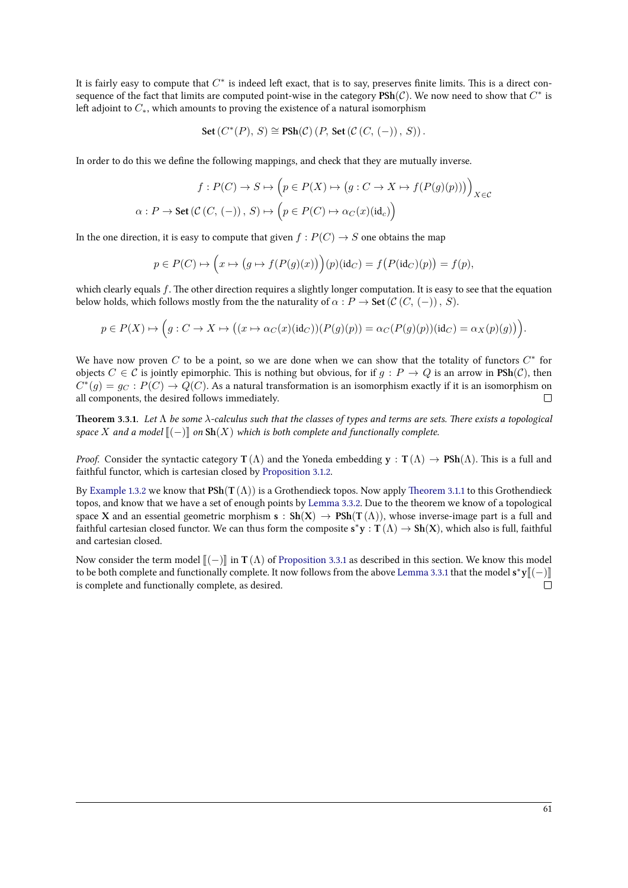It is fairly easy to compute that  $C^*$  is indeed left exact, that is to say, preserves finite limits. This is a direct consequence of the fact that limits are computed point-wise in the category  $\texttt{PSh}(\mathcal{C})$ . We now need to show that  $C^*$  is left adjoint to  $C_*$ , which amounts to proving the existence of a natural isomorphism

Set 
$$
(C^*(P), S) \cong \text{PSh}(\mathcal{C}) (P, \text{Set}(\mathcal{C}(C, (-)), S)).
$$

In order to do this we define the following mappings, and check that they are mutually inverse.

$$
f: P(C) \to S \mapsto \left(p \in P(X) \mapsto (g:C \to X \mapsto f(P(g)(p)))\right)_{X \in C}
$$

$$
\alpha: P \to \text{Set}(\mathcal{C}(C, (-)), S) \mapsto \left(p \in P(C) \mapsto \alpha_C(x)(id_c)\right)
$$

In the one direction, it is easy to compute that given  $f : P(C) \rightarrow S$  one obtains the map

$$
p \in P(C) \mapsto \Big(x \mapsto \big(g \mapsto f(P(g)(x))\big)\big)(p)(\mathrm{id}_C) = f\big(P(\mathrm{id}_C)(p)\big) = f(p),
$$

which clearly equals *f*. The other direction requires a slightly longer computation. It is easy to see that the equation below holds, which follows mostly from the the naturality of  $\alpha$  :  $P \to$  **Set** ( $\mathcal{C}(C, (-))$ ,  $S$ ).

$$
p \in P(X) \mapsto \Big(g: C \to X \mapsto ((x \mapsto \alpha_C(x)(id_C))(P(g)(p))) = \alpha_C(P(g)(p))(id_C) = \alpha_X(p)(g))\Big).
$$

We have now proven *C* to be a point, so we are done when we can show that the totality of functors  $C^*$  for objects  $C \in \mathcal{C}$  is jointly epimorphic. This is nothing but obvious, for if  $q : P \to Q$  is an arrow in  $\text{PSh}(\mathcal{C})$ , then  $C^*(g) = g_C : P(C) \to Q(C).$  As a natural transformation is an isomorphism exactly if it is an isomorphism on all components, the desired follows immediately.  $\Box$ 

**Theorem 3.3.1.** Let  $\Lambda$  be some  $\lambda$ -calculus such that the classes of types and terms are sets. There exists a topological *space X* and a model  $\llbracket (-) \rrbracket$  *on* **Sh**(*X*) *which is both complete and functionally complete.* 

<span id="page-66-0"></span>*Proof.* Consider the syntactic category **T** ( $\Lambda$ ) and the Yoneda embedding **y** : **T** ( $\Lambda$ )  $\rightarrow$  **PSh**( $\Lambda$ ). This is a full and faithful functor, which is cartesian closed by Proposition 3.1.2.

By Example 1.3.2 we know that  $\text{PSh}(T(\Lambda))$  is a Grothendieck topos. Now apply Theorem 3.1.1 to this Grothendieck topos, and know that we have a set of enough points by Lemma 3.3.2. Due to the theorem we know of a topological space **X** and an essential geometric morphism  $s : Sh(X) \to PSh(T(\Lambda))$ , whose inverse-image part is a full and faithful cartesian closed functor. We can thu[s form the compo](#page-54-0)site  $\mathbf{s}^*\mathbf{y}:\mathbf{T}\left(\Lambda\right)\to\mathbf{Sh}(\mathbf{X}),$  which also is full, faithful an[d cartesian clo](#page-32-0)sed.

Now consider the term model  $\llbracket(-\rrbracket \text{ in } T(\Lambda)$  of Proposition 3.3.1 as described in this section. We know this model to be both complete and functionally complete. It now follows from the above Lemma 3.3.1 that the model **s**\***y**∥(−)] is complete and functionally complete, as desired.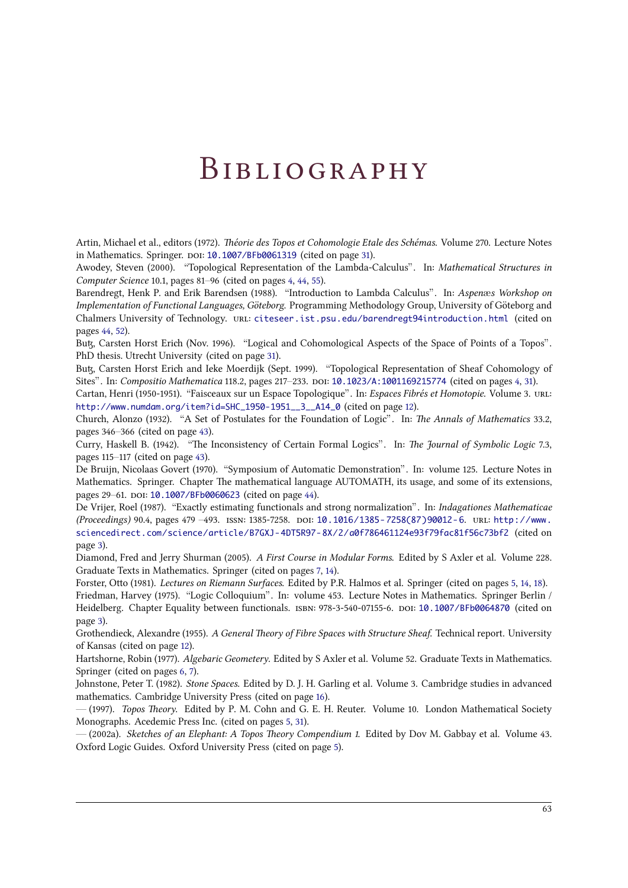## **BIBLIOGRAPHY**

Artin, Michael et al., editors (1972). *Théorie des Topos et Cohomologie Etale des Schémas*. Volume 270. Lecture Notes in Mathematics. Springer. DOI: 10.1007/BFb0061319 (cited on page 31).

Awodey, Steven (2000). "Topological Representation of the Lambda-Calculus". In: *Mathematical Structures in Computer Science* 10.1, pages 81–96 (cited on pages 4, 44, 55).

<span id="page-68-11"></span>Barendregt, Henk P. and Erik Barendsen (). "Introduction to Lambda Calculus". In: *Aspen*æ*s Workshop on Implementation of Functional Languages, Göteborg*. Programming M[eth](#page-36-1)odology Group, University of Göteborg and Chalmers University of Technology. URL: citeseer.ist.psu.edu/barendregt94introduction.html (cited on pages 44, 52).

<span id="page-68-15"></span><span id="page-68-1"></span>Butz, Carsten Horst Erich (Nov. 1996). "Logical and Cohomological Aspects of the Space of Points of a Topos". PhD thesis. Utrecht University (cited on page 31).

But, Carsten Horst Erich and Ieke Moerdijk (Sept. 1999). "[Topological Representation of Sheaf Coho](citeseer.ist.psu.edu/barendregt94introduction.html)mology of Sites"[. In](#page-49-4): *[C](#page-57-3)ompositio Mathematica* 118.2, pages 217-233. DOI: 10.1023/A:1001169215774 (cited on pages 4, 31).

<span id="page-68-12"></span>Cartan, Henri (1950-1951). "Faisceaux sur un Espace Topologique". In: *Espaces Fibrés et Homotopie*. Volume 3. URL: http://www.numdam.org/item?id=SHC\_1950[-1](#page-36-1)951\_\_3\_\_A14\_0 (cited on page 12).

<span id="page-68-2"></span>Church, Alonzo (1932). "A Set of Postulates for the Foundation of Logic". In: *The Annals of Mathematics* 33.2, pages  $346 - 366$  (cited on page  $43$ ).

<span id="page-68-7"></span>Curry, Haskell B. (1942). "The Inconsistency of Certain Fo[rmal Logics](http://dx.doi.org/10.1023/A:1001169215774)". In: *The Journal of Symbolic [Lo](#page-9-0)[gic](#page-36-1)* 7.3, pages  $115-117$  [\(cited on page](http://www.numdam.org/item?id=SHC_1950-1951__3__A14_0) 43).

<span id="page-68-13"></span>De Bruijn, Nicolaas Govert (1970). "Symposium of Automatic Demonstration"[. I](#page-17-4)n: volume 125. Lecture Notes in Mathematics. Springer. Cha[pte](#page-48-2)r The mathematical language AUTOMATH, its usage, and some of its extensions, pages 29–61. poi: 10.1007/BFb0060623 (cited on page 44).

<span id="page-68-14"></span>De Vrijer, Roel (1987). "Exa[ctly](#page-48-2) estimating functionals and strong normalization". In: *Indagationes Mathematicae (Proceedings)* 90.4, pages 479 -493. ISSN: 1385-7258. DOI: 10.1016/1385-7258(87)90012-6. URL: http://www. sciencedirect.com/science/article/B7GXJ- 4DT5R97- 8X/2/a0f786461124e93f79fac81f56c73bf2 (cited on page 3).

Diamond, Fred and Jerry Shurman (2005). *A First Cou[rse](#page-49-4) in Modular Forms*. Edited by S Axler et al. Volume 228. Graduate Texts in Mathematics. Springer (cited on pages 7, 14[\).](http://dx.doi.org/10.1016/1385-7258(87)90012-6)

Forster, Otto (1981). *Lectures on Riemann Surfaces*[. Edited by P.R. Halmos et al. Springer \(cited on pages](http://www.sciencedirect.com/science/article/B7GXJ-4DT5R97-8X/2/a0f786461124e93f79fac81f56c73bf2) 5, 14, 18). Fried[m](#page-8-2)an, Harvey (1975). "Logic Colloquium". In: volume 453. Lecture Notes in Mathematics. Springer Berlin / Heidelberg. Chapter Equality between functionals. ISBN: 978-3-540-07155-6. DOI: 10.1007/BFb0064870 (cited on page 3).

<span id="page-68-6"></span><span id="page-68-4"></span>Grothendieck, Alexandre (1955). *A General Theory of Fibre Spaces with Structure Sheaf*. Technical report. [Un](#page-10-3)[ive](#page-19-4)[rsi](#page-23-2)ty of Kansas (cited on page 12).

<span id="page-68-0"></span>Hartshorne, Robin (1977). *Algebaric Geometery*. Edited by S Axler et al. Volume 52. [Graduate Texts in Ma](http://dx.doi.org/10.1007/BFb0064870)thematics. Spri[ng](#page-8-2)er (cited on pages 6, 7).

<span id="page-68-8"></span>Johnstone, Peter T. (1982). *Stone Spaces*. Edited by D. J. H. Garling et al. Volume 3. Cambridge studies in advanced mathematics. Cambridg[e U](#page-17-4)niversity Press (cited on page 16).

<span id="page-68-5"></span>— (1997). *Topos Theory*. Edited by P. M. Cohn and G. E. H. Reuter. Volume 10. London Mathematical Society Monographs. Acedemic [Pr](#page-11-7)[es](#page-12-1)s Inc. (cited on pages 5, 31).

<span id="page-68-10"></span><span id="page-68-9"></span><span id="page-68-3"></span> $-$  (2002a). *Sketches of an Elephant: A Topos Theory Compendium 1*. Edited by Dov M. Gabbay et al. Volume 43. Oxford Logic Guides. Oxford University Press (cited on [pag](#page-21-6)e ).